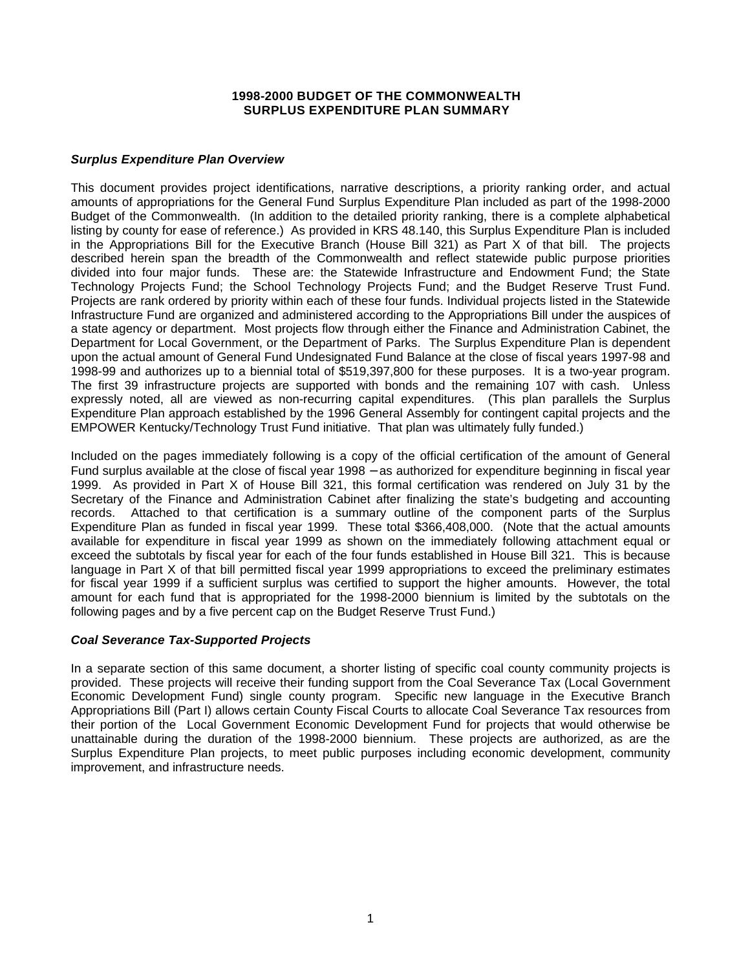#### **1998-2000 BUDGET OF THE COMMONWEALTH SURPLUS EXPENDITURE PLAN SUMMARY**

#### *Surplus Expenditure Plan Overview*

This document provides project identifications, narrative descriptions, a priority ranking order, and actual amounts of appropriations for the General Fund Surplus Expenditure Plan included as part of the 1998-2000 Budget of the Commonwealth. (In addition to the detailed priority ranking, there is a complete alphabetical listing by county for ease of reference.) As provided in KRS 48.140, this Surplus Expenditure Plan is included in the Appropriations Bill for the Executive Branch (House Bill 321) as Part X of that bill. The projects described herein span the breadth of the Commonwealth and reflect statewide public purpose priorities divided into four major funds. These are: the Statewide Infrastructure and Endowment Fund; the State Technology Projects Fund; the School Technology Projects Fund; and the Budget Reserve Trust Fund. Projects are rank ordered by priority within each of these four funds. Individual projects listed in the Statewide Infrastructure Fund are organized and administered according to the Appropriations Bill under the auspices of a state agency or department. Most projects flow through either the Finance and Administration Cabinet, the Department for Local Government, or the Department of Parks. The Surplus Expenditure Plan is dependent upon the actual amount of General Fund Undesignated Fund Balance at the close of fiscal years 1997-98 and 1998-99 and authorizes up to a biennial total of \$519,397,800 for these purposes. It is a two-year program. The first 39 infrastructure projects are supported with bonds and the remaining 107 with cash. Unless expressly noted, all are viewed as non-recurring capital expenditures. (This plan parallels the Surplus Expenditure Plan approach established by the 1996 General Assembly for contingent capital projects and the EMPOWER Kentucky/Technology Trust Fund initiative. That plan was ultimately fully funded.)

Included on the pages immediately following is a copy of the official certification of the amount of General Fund surplus available at the close of fiscal year 1998 – as authorized for expenditure beginning in fiscal year 1999. As provided in Part X of House Bill 321, this formal certification was rendered on July 31 by the Secretary of the Finance and Administration Cabinet after finalizing the state's budgeting and accounting records. Attached to that certification is a summary outline of the component parts of the Surplus Expenditure Plan as funded in fiscal year 1999. These total \$366,408,000. (Note that the actual amounts available for expenditure in fiscal year 1999 as shown on the immediately following attachment equal or exceed the subtotals by fiscal year for each of the four funds established in House Bill 321. This is because language in Part X of that bill permitted fiscal year 1999 appropriations to exceed the preliminary estimates for fiscal year 1999 if a sufficient surplus was certified to support the higher amounts. However, the total amount for each fund that is appropriated for the 1998-2000 biennium is limited by the subtotals on the following pages and by a five percent cap on the Budget Reserve Trust Fund.)

#### *Coal Severance Tax-Supported Projects*

In a separate section of this same document, a shorter listing of specific coal county community projects is provided. These projects will receive their funding support from the Coal Severance Tax (Local Government Economic Development Fund) single county program. Specific new language in the Executive Branch Appropriations Bill (Part I) allows certain County Fiscal Courts to allocate Coal Severance Tax resources from their portion of the Local Government Economic Development Fund for projects that would otherwise be unattainable during the duration of the 1998-2000 biennium. These projects are authorized, as are the Surplus Expenditure Plan projects, to meet public purposes including economic development, community improvement, and infrastructure needs.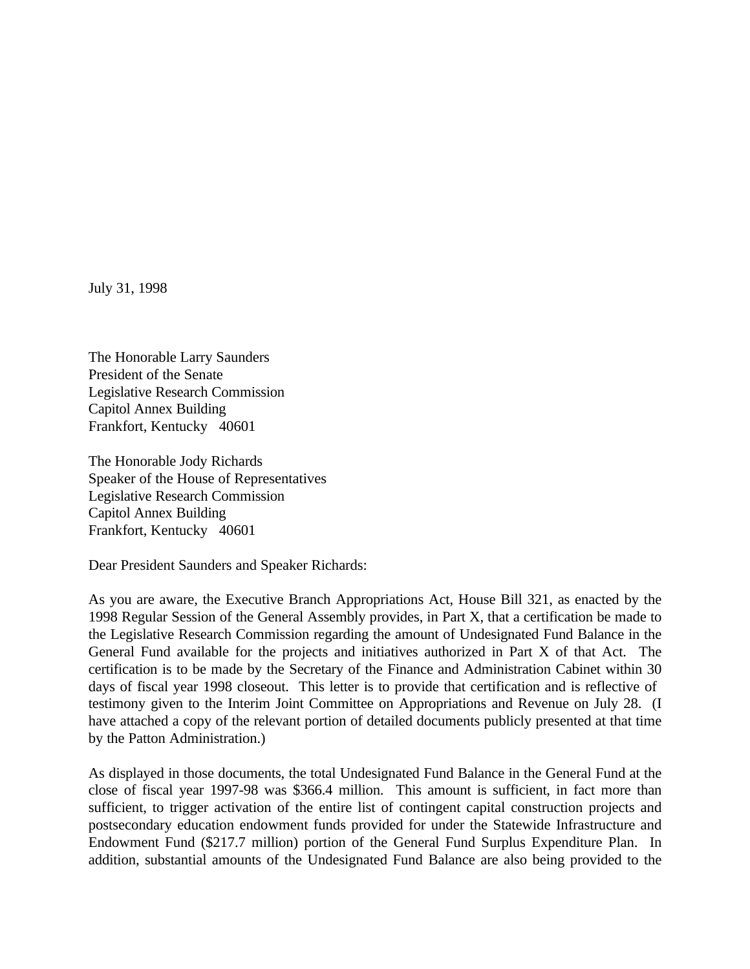July 31, 1998

The Honorable Larry Saunders President of the Senate Legislative Research Commission Capitol Annex Building Frankfort, Kentucky 40601

The Honorable Jody Richards Speaker of the House of Representatives Legislative Research Commission Capitol Annex Building Frankfort, Kentucky 40601

Dear President Saunders and Speaker Richards:

As you are aware, the Executive Branch Appropriations Act, House Bill 321, as enacted by the 1998 Regular Session of the General Assembly provides, in Part X, that a certification be made to the Legislative Research Commission regarding the amount of Undesignated Fund Balance in the General Fund available for the projects and initiatives authorized in Part X of that Act. The certification is to be made by the Secretary of the Finance and Administration Cabinet within 30 days of fiscal year 1998 closeout. This letter is to provide that certification and is reflective of testimony given to the Interim Joint Committee on Appropriations and Revenue on July 28. (I have attached a copy of the relevant portion of detailed documents publicly presented at that time by the Patton Administration.)

As displayed in those documents, the total Undesignated Fund Balance in the General Fund at the close of fiscal year 1997-98 was \$366.4 million. This amount is sufficient, in fact more than sufficient, to trigger activation of the entire list of contingent capital construction projects and postsecondary education endowment funds provided for under the Statewide Infrastructure and Endowment Fund (\$217.7 million) portion of the General Fund Surplus Expenditure Plan. In addition, substantial amounts of the Undesignated Fund Balance are also being provided to the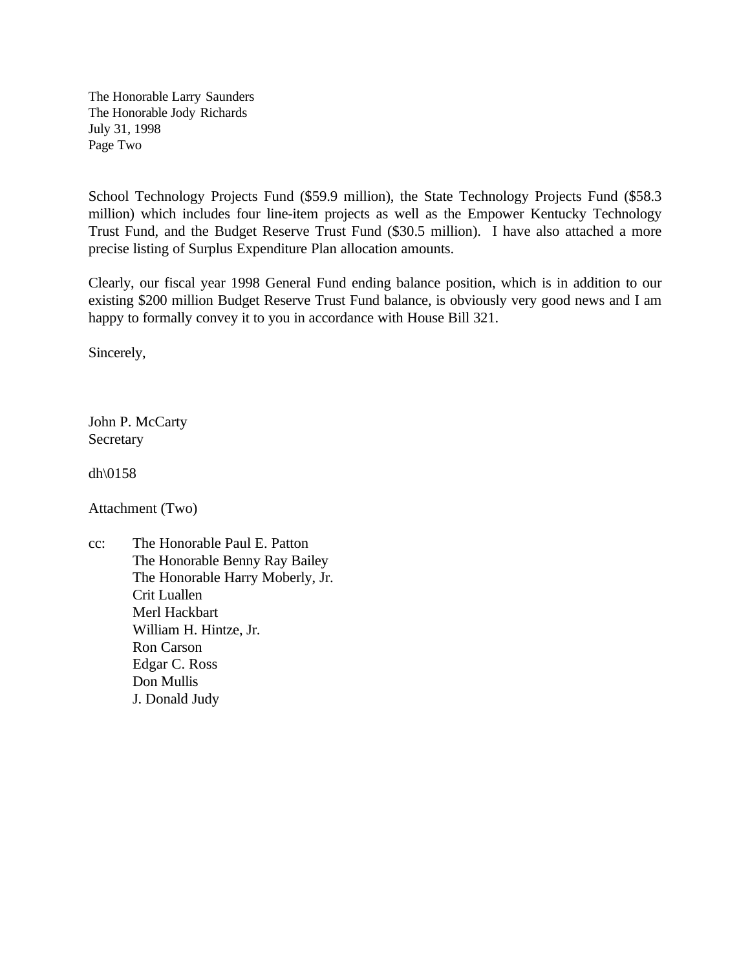The Honorable Larry Saunders The Honorable Jody Richards July 31, 1998 Page Two

School Technology Projects Fund (\$59.9 million), the State Technology Projects Fund (\$58.3 million) which includes four line-item projects as well as the Empower Kentucky Technology Trust Fund, and the Budget Reserve Trust Fund (\$30.5 million). I have also attached a more precise listing of Surplus Expenditure Plan allocation amounts.

Clearly, our fiscal year 1998 General Fund ending balance position, which is in addition to our existing \$200 million Budget Reserve Trust Fund balance, is obviously very good news and I am happy to formally convey it to you in accordance with House Bill 321.

Sincerely,

John P. McCarty Secretary

dh\0158

Attachment (Two)

cc: The Honorable Paul E. Patton The Honorable Benny Ray Bailey The Honorable Harry Moberly, Jr. Crit Luallen Merl Hackbart William H. Hintze, Jr. Ron Carson Edgar C. Ross Don Mullis J. Donald Judy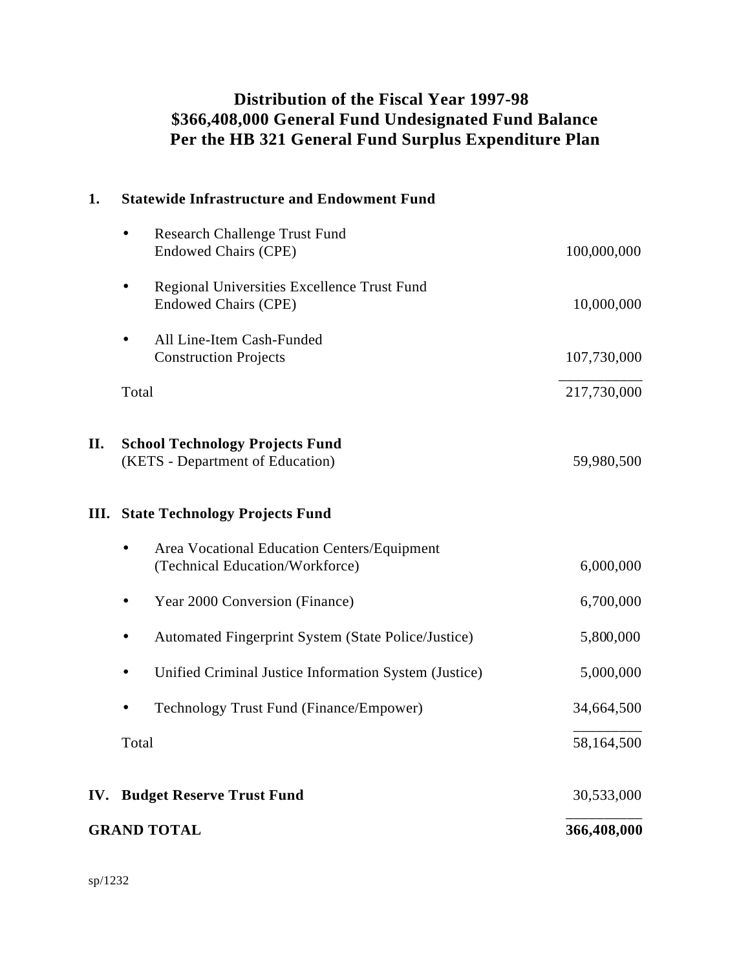### **Distribution of the Fiscal Year 1997-98 \$366,408,000 General Fund Undesignated Fund Balance Per the HB 321 General Fund Surplus Expenditure Plan**

| 1.  | <b>Statewide Infrastructure and Endowment Fund</b>                                      |             |
|-----|-----------------------------------------------------------------------------------------|-------------|
|     | <b>Research Challenge Trust Fund</b><br>$\bullet$<br><b>Endowed Chairs (CPE)</b>        | 100,000,000 |
|     | Regional Universities Excellence Trust Fund<br>$\bullet$<br><b>Endowed Chairs (CPE)</b> | 10,000,000  |
|     | All Line-Item Cash-Funded<br><b>Construction Projects</b>                               | 107,730,000 |
|     | Total                                                                                   | 217,730,000 |
| II. | <b>School Technology Projects Fund</b><br>(KETS - Department of Education)              | 59,980,500  |
|     | <b>III.</b> State Technology Projects Fund                                              |             |
|     | Area Vocational Education Centers/Equipment<br>(Technical Education/Workforce)          | 6,000,000   |
|     | Year 2000 Conversion (Finance)<br>$\bullet$                                             | 6,700,000   |
|     | Automated Fingerprint System (State Police/Justice)                                     | 5,800,000   |
|     | Unified Criminal Justice Information System (Justice)                                   | 5,000,000   |
|     | Technology Trust Fund (Finance/Empower)                                                 | 34,664,500  |
|     | Total                                                                                   | 58,164,500  |
|     | <b>IV. Budget Reserve Trust Fund</b>                                                    | 30,533,000  |
|     | <b>GRAND TOTAL</b>                                                                      | 366,408,000 |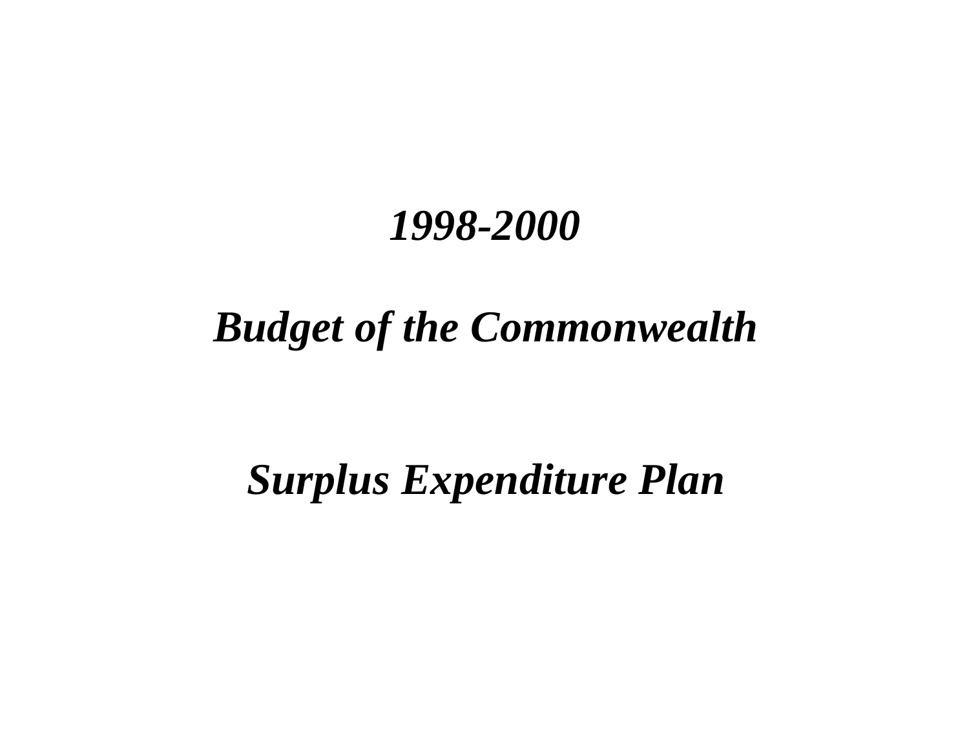# *Budget of the Commonwealth*

# *Surplus Expenditure Plan*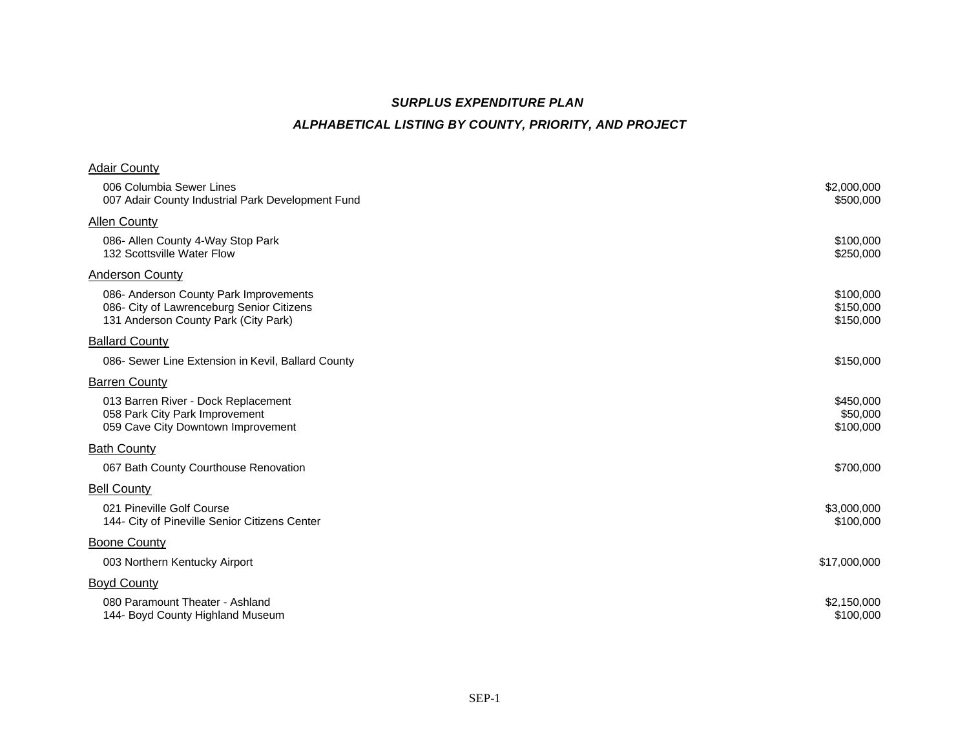### *SURPLUS EXPENDITURE PLAN ALPHABETICAL LISTING BY COUNTY, PRIORITY, AND PROJECT*

| <b>Adair County</b>                                                                                                         |                                     |
|-----------------------------------------------------------------------------------------------------------------------------|-------------------------------------|
| 006 Columbia Sewer Lines<br>007 Adair County Industrial Park Development Fund                                               | \$2,000,000<br>\$500,000            |
| <b>Allen County</b>                                                                                                         |                                     |
| 086- Allen County 4-Way Stop Park<br>132 Scottsville Water Flow                                                             | \$100,000<br>\$250,000              |
| <b>Anderson County</b>                                                                                                      |                                     |
| 086- Anderson County Park Improvements<br>086- City of Lawrenceburg Senior Citizens<br>131 Anderson County Park (City Park) | \$100,000<br>\$150,000<br>\$150,000 |
| <b>Ballard County</b>                                                                                                       |                                     |
| 086- Sewer Line Extension in Kevil, Ballard County                                                                          | \$150,000                           |
| <b>Barren County</b>                                                                                                        |                                     |
| 013 Barren River - Dock Replacement<br>058 Park City Park Improvement<br>059 Cave City Downtown Improvement                 | \$450,000<br>\$50,000<br>\$100,000  |
| <b>Bath County</b>                                                                                                          |                                     |
| 067 Bath County Courthouse Renovation                                                                                       | \$700,000                           |
| <b>Bell County</b>                                                                                                          |                                     |
| 021 Pineville Golf Course<br>144- City of Pineville Senior Citizens Center                                                  | \$3,000,000<br>\$100,000            |
| <b>Boone County</b>                                                                                                         |                                     |
| 003 Northern Kentucky Airport                                                                                               | \$17,000,000                        |
| <b>Boyd County</b>                                                                                                          |                                     |
| 080 Paramount Theater - Ashland<br>144- Boyd County Highland Museum                                                         | \$2,150,000<br>\$100,000            |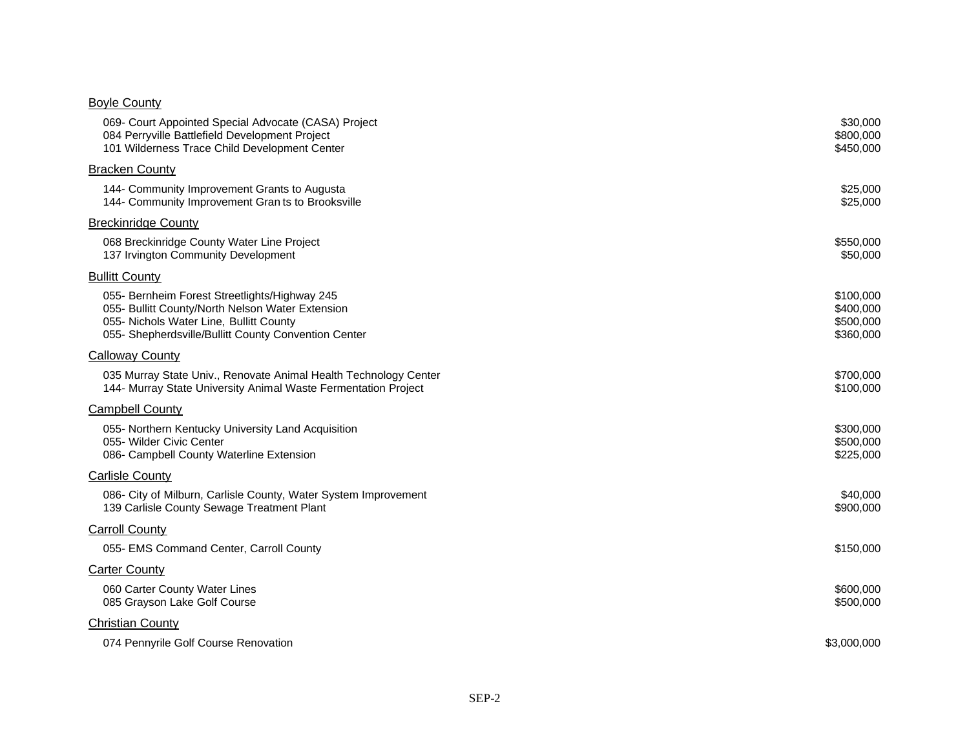#### Boyle County

| 069- Court Appointed Special Advocate (CASA) Project<br>084 Perryville Battlefield Development Project<br>101 Wilderness Trace Child Development Center                                              | \$30,000<br>\$800,000<br>\$450,000               |
|------------------------------------------------------------------------------------------------------------------------------------------------------------------------------------------------------|--------------------------------------------------|
| <b>Bracken County</b>                                                                                                                                                                                |                                                  |
| 144- Community Improvement Grants to Augusta<br>144- Community Improvement Gran ts to Brooksville                                                                                                    | \$25,000<br>\$25,000                             |
| <b>Breckinridge County</b>                                                                                                                                                                           |                                                  |
| 068 Breckinridge County Water Line Project<br>137 Irvington Community Development                                                                                                                    | \$550,000<br>\$50,000                            |
| <b>Bullitt County</b>                                                                                                                                                                                |                                                  |
| 055- Bernheim Forest Streetlights/Highway 245<br>055- Bullitt County/North Nelson Water Extension<br>055- Nichols Water Line, Bullitt County<br>055- Shepherdsville/Bullitt County Convention Center | \$100,000<br>\$400,000<br>\$500,000<br>\$360,000 |
| <b>Calloway County</b>                                                                                                                                                                               |                                                  |
| 035 Murray State Univ., Renovate Animal Health Technology Center<br>144- Murray State University Animal Waste Fermentation Project                                                                   | \$700,000<br>\$100,000                           |
| <b>Campbell County</b>                                                                                                                                                                               |                                                  |
| 055- Northern Kentucky University Land Acquisition<br>055- Wilder Civic Center<br>086- Campbell County Waterline Extension                                                                           | \$300,000<br>\$500,000<br>\$225,000              |
| Carlisle County                                                                                                                                                                                      |                                                  |
| 086- City of Milburn, Carlisle County, Water System Improvement<br>139 Carlisle County Sewage Treatment Plant                                                                                        | \$40,000<br>\$900,000                            |
| <b>Carroll County</b>                                                                                                                                                                                |                                                  |
| 055- EMS Command Center, Carroll County                                                                                                                                                              | \$150,000                                        |
| <b>Carter County</b>                                                                                                                                                                                 |                                                  |
| 060 Carter County Water Lines<br>085 Grayson Lake Golf Course                                                                                                                                        | \$600,000<br>\$500,000                           |
| <b>Christian County</b>                                                                                                                                                                              |                                                  |
| 074 Pennyrile Golf Course Renovation                                                                                                                                                                 | \$3,000,000                                      |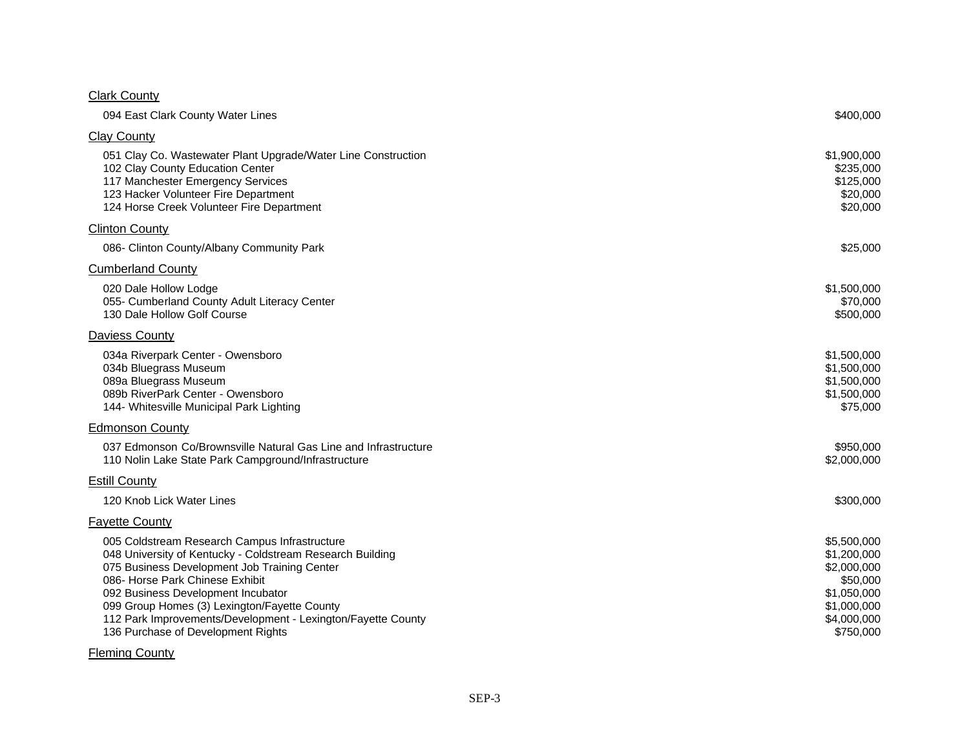#### **Clark County**

| 094 East Clark County Water Lines                                                                                                                                                                                                                                                                                                                                                         | \$400,000                                                                                                       |
|-------------------------------------------------------------------------------------------------------------------------------------------------------------------------------------------------------------------------------------------------------------------------------------------------------------------------------------------------------------------------------------------|-----------------------------------------------------------------------------------------------------------------|
| <b>Clay County</b>                                                                                                                                                                                                                                                                                                                                                                        |                                                                                                                 |
| 051 Clay Co. Wastewater Plant Upgrade/Water Line Construction<br>102 Clay County Education Center<br>117 Manchester Emergency Services<br>123 Hacker Volunteer Fire Department<br>124 Horse Creek Volunteer Fire Department                                                                                                                                                               | \$1,900,000<br>\$235,000<br>\$125,000<br>\$20,000<br>\$20,000                                                   |
| <b>Clinton County</b>                                                                                                                                                                                                                                                                                                                                                                     |                                                                                                                 |
| 086- Clinton County/Albany Community Park                                                                                                                                                                                                                                                                                                                                                 | \$25,000                                                                                                        |
| <b>Cumberland County</b>                                                                                                                                                                                                                                                                                                                                                                  |                                                                                                                 |
| 020 Dale Hollow Lodge<br>055- Cumberland County Adult Literacy Center<br>130 Dale Hollow Golf Course                                                                                                                                                                                                                                                                                      | \$1,500,000<br>\$70,000<br>\$500,000                                                                            |
| Daviess County                                                                                                                                                                                                                                                                                                                                                                            |                                                                                                                 |
| 034a Riverpark Center - Owensboro<br>034b Bluegrass Museum<br>089a Bluegrass Museum<br>089b RiverPark Center - Owensboro<br>144- Whitesville Municipal Park Lighting                                                                                                                                                                                                                      | \$1,500,000<br>\$1,500,000<br>\$1,500,000<br>\$1,500,000<br>\$75,000                                            |
| <b>Edmonson County</b>                                                                                                                                                                                                                                                                                                                                                                    |                                                                                                                 |
| 037 Edmonson Co/Brownsville Natural Gas Line and Infrastructure<br>110 Nolin Lake State Park Campground/Infrastructure                                                                                                                                                                                                                                                                    | \$950,000<br>\$2,000,000                                                                                        |
| <b>Estill County</b>                                                                                                                                                                                                                                                                                                                                                                      |                                                                                                                 |
| 120 Knob Lick Water Lines                                                                                                                                                                                                                                                                                                                                                                 | \$300,000                                                                                                       |
| <b>Fayette County</b>                                                                                                                                                                                                                                                                                                                                                                     |                                                                                                                 |
| 005 Coldstream Research Campus Infrastructure<br>048 University of Kentucky - Coldstream Research Building<br>075 Business Development Job Training Center<br>086- Horse Park Chinese Exhibit<br>092 Business Development Incubator<br>099 Group Homes (3) Lexington/Fayette County<br>112 Park Improvements/Development - Lexington/Fayette County<br>136 Purchase of Development Rights | \$5,500,000<br>\$1,200,000<br>\$2,000,000<br>\$50,000<br>\$1,050,000<br>\$1,000,000<br>\$4,000,000<br>\$750,000 |

#### **Fleming County**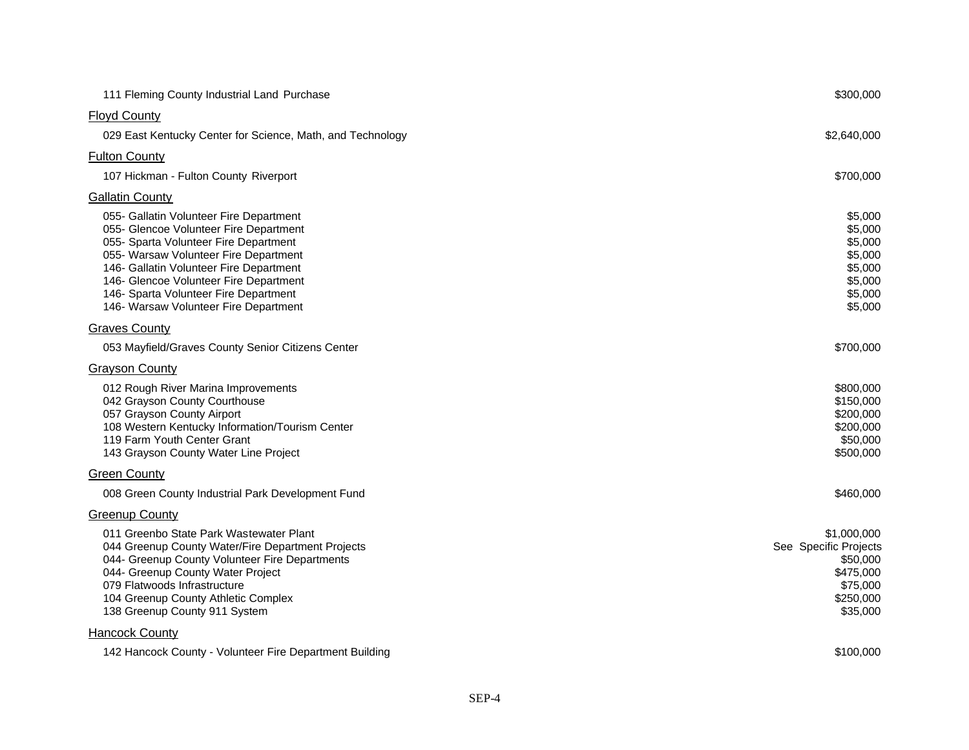| 111 Fleming County Industrial Land Purchase                                                                                                                                                                                                                                                                                                | \$300,000                                                                                          |
|--------------------------------------------------------------------------------------------------------------------------------------------------------------------------------------------------------------------------------------------------------------------------------------------------------------------------------------------|----------------------------------------------------------------------------------------------------|
| <b>Floyd County</b>                                                                                                                                                                                                                                                                                                                        |                                                                                                    |
| 029 East Kentucky Center for Science, Math, and Technology                                                                                                                                                                                                                                                                                 | \$2,640,000                                                                                        |
| <b>Fulton County</b>                                                                                                                                                                                                                                                                                                                       |                                                                                                    |
| 107 Hickman - Fulton County Riverport                                                                                                                                                                                                                                                                                                      | \$700,000                                                                                          |
| <b>Gallatin County</b>                                                                                                                                                                                                                                                                                                                     |                                                                                                    |
| 055- Gallatin Volunteer Fire Department<br>055- Glencoe Volunteer Fire Department<br>055- Sparta Volunteer Fire Department<br>055- Warsaw Volunteer Fire Department<br>146- Gallatin Volunteer Fire Department<br>146- Glencoe Volunteer Fire Department<br>146- Sparta Volunteer Fire Department<br>146- Warsaw Volunteer Fire Department | \$5,000<br>\$5,000<br>\$5,000<br>\$5,000<br>\$5,000<br>\$5,000<br>\$5,000<br>\$5,000               |
| <b>Graves County</b>                                                                                                                                                                                                                                                                                                                       |                                                                                                    |
| 053 Mayfield/Graves County Senior Citizens Center                                                                                                                                                                                                                                                                                          | \$700,000                                                                                          |
| <b>Grayson County</b>                                                                                                                                                                                                                                                                                                                      |                                                                                                    |
| 012 Rough River Marina Improvements<br>042 Grayson County Courthouse<br>057 Grayson County Airport<br>108 Western Kentucky Information/Tourism Center<br>119 Farm Youth Center Grant<br>143 Grayson County Water Line Project                                                                                                              | \$800,000<br>\$150,000<br>\$200,000<br>\$200,000<br>\$50,000<br>\$500,000                          |
| <b>Green County</b>                                                                                                                                                                                                                                                                                                                        |                                                                                                    |
| 008 Green County Industrial Park Development Fund                                                                                                                                                                                                                                                                                          | \$460,000                                                                                          |
| <b>Greenup County</b>                                                                                                                                                                                                                                                                                                                      |                                                                                                    |
| 011 Greenbo State Park Wastewater Plant<br>044 Greenup County Water/Fire Department Projects<br>044- Greenup County Volunteer Fire Departments<br>044- Greenup County Water Project<br>079 Flatwoods Infrastructure<br>104 Greenup County Athletic Complex<br>138 Greenup County 911 System                                                | \$1,000,000<br>See Specific Projects<br>\$50,000<br>\$475,000<br>\$75,000<br>\$250,000<br>\$35,000 |
| <b>Hancock County</b>                                                                                                                                                                                                                                                                                                                      |                                                                                                    |
| 142 Hancock County - Volunteer Fire Department Building                                                                                                                                                                                                                                                                                    | \$100,000                                                                                          |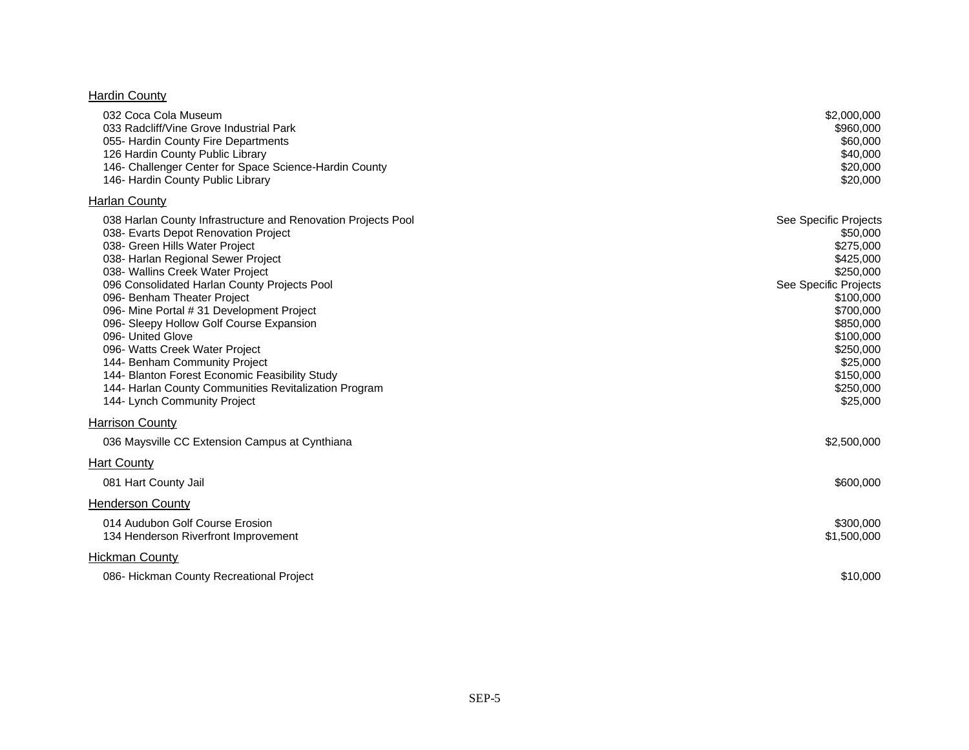#### **Hardin County**

| 032 Coca Cola Museum<br>033 Radcliff/Vine Grove Industrial Park<br>055- Hardin County Fire Departments<br>126 Hardin County Public Library<br>146- Challenger Center for Space Science-Hardin County<br>146- Hardin County Public Library                                                                                                                                                                                                                                                                                                                                                                                    | \$2,000,000<br>\$960,000<br>\$60,000<br>\$40,000<br>\$20,000<br>\$20,000                                                                                                                                             |
|------------------------------------------------------------------------------------------------------------------------------------------------------------------------------------------------------------------------------------------------------------------------------------------------------------------------------------------------------------------------------------------------------------------------------------------------------------------------------------------------------------------------------------------------------------------------------------------------------------------------------|----------------------------------------------------------------------------------------------------------------------------------------------------------------------------------------------------------------------|
| <b>Harlan County</b>                                                                                                                                                                                                                                                                                                                                                                                                                                                                                                                                                                                                         |                                                                                                                                                                                                                      |
| 038 Harlan County Infrastructure and Renovation Projects Pool<br>038- Evarts Depot Renovation Project<br>038- Green Hills Water Project<br>038- Harlan Regional Sewer Project<br>038- Wallins Creek Water Project<br>096 Consolidated Harlan County Projects Pool<br>096- Benham Theater Project<br>096- Mine Portal # 31 Development Project<br>096- Sleepy Hollow Golf Course Expansion<br>096- United Glove<br>096- Watts Creek Water Project<br>144- Benham Community Project<br>144- Blanton Forest Economic Feasibility Study<br>144- Harlan County Communities Revitalization Program<br>144- Lynch Community Project | See Specific Projects<br>\$50,000<br>\$275,000<br>\$425,000<br>\$250,000<br>See Specific Projects<br>\$100,000<br>\$700,000<br>\$850,000<br>\$100,000<br>\$250,000<br>\$25,000<br>\$150,000<br>\$250,000<br>\$25,000 |
| <b>Harrison County</b>                                                                                                                                                                                                                                                                                                                                                                                                                                                                                                                                                                                                       |                                                                                                                                                                                                                      |
| 036 Maysville CC Extension Campus at Cynthiana                                                                                                                                                                                                                                                                                                                                                                                                                                                                                                                                                                               | \$2,500,000                                                                                                                                                                                                          |
| <b>Hart County</b>                                                                                                                                                                                                                                                                                                                                                                                                                                                                                                                                                                                                           |                                                                                                                                                                                                                      |
| 081 Hart County Jail                                                                                                                                                                                                                                                                                                                                                                                                                                                                                                                                                                                                         | \$600,000                                                                                                                                                                                                            |
| <b>Henderson County</b>                                                                                                                                                                                                                                                                                                                                                                                                                                                                                                                                                                                                      |                                                                                                                                                                                                                      |
| 014 Audubon Golf Course Erosion<br>134 Henderson Riverfront Improvement                                                                                                                                                                                                                                                                                                                                                                                                                                                                                                                                                      | \$300,000<br>\$1,500,000                                                                                                                                                                                             |
| <b>Hickman County</b>                                                                                                                                                                                                                                                                                                                                                                                                                                                                                                                                                                                                        |                                                                                                                                                                                                                      |
| 086- Hickman County Recreational Project                                                                                                                                                                                                                                                                                                                                                                                                                                                                                                                                                                                     | \$10,000                                                                                                                                                                                                             |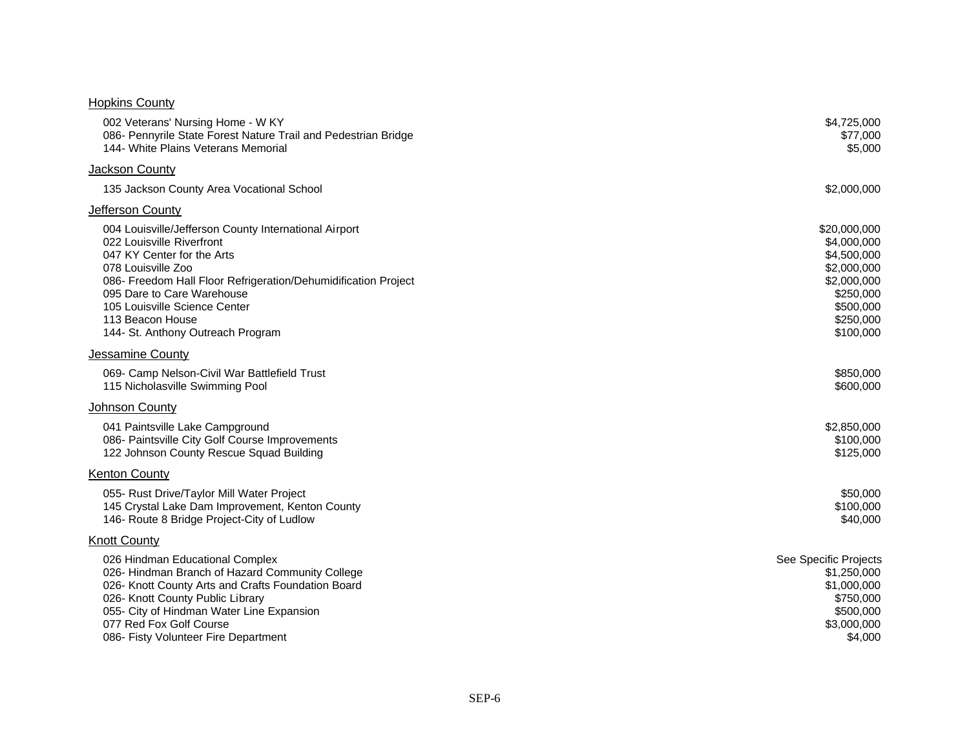#### **Hopkins County**

| 002 Veterans' Nursing Home - W KY<br>086- Pennyrile State Forest Nature Trail and Pedestrian Bridge<br>144- White Plains Veterans Memorial                                                                                                                                                                                       | \$4,725,000<br>\$77,000<br>\$5,000                                                                                           |
|----------------------------------------------------------------------------------------------------------------------------------------------------------------------------------------------------------------------------------------------------------------------------------------------------------------------------------|------------------------------------------------------------------------------------------------------------------------------|
| Jackson County                                                                                                                                                                                                                                                                                                                   |                                                                                                                              |
| 135 Jackson County Area Vocational School                                                                                                                                                                                                                                                                                        | \$2,000,000                                                                                                                  |
| Jefferson County                                                                                                                                                                                                                                                                                                                 |                                                                                                                              |
| 004 Louisville/Jefferson County International Airport<br>022 Louisville Riverfront<br>047 KY Center for the Arts<br>078 Louisville Zoo<br>086- Freedom Hall Floor Refrigeration/Dehumidification Project<br>095 Dare to Care Warehouse<br>105 Louisville Science Center<br>113 Beacon House<br>144- St. Anthony Outreach Program | \$20,000,000<br>\$4,000,000<br>\$4,500,000<br>\$2,000,000<br>\$2,000,000<br>\$250,000<br>\$500,000<br>\$250,000<br>\$100,000 |
| Jessamine County                                                                                                                                                                                                                                                                                                                 |                                                                                                                              |
| 069- Camp Nelson-Civil War Battlefield Trust<br>115 Nicholasville Swimming Pool                                                                                                                                                                                                                                                  | \$850,000<br>\$600,000                                                                                                       |
| Johnson County                                                                                                                                                                                                                                                                                                                   |                                                                                                                              |
| 041 Paintsville Lake Campground<br>086- Paintsville City Golf Course Improvements<br>122 Johnson County Rescue Squad Building                                                                                                                                                                                                    | \$2,850,000<br>\$100,000<br>\$125,000                                                                                        |
| <b>Kenton County</b>                                                                                                                                                                                                                                                                                                             |                                                                                                                              |
| 055- Rust Drive/Taylor Mill Water Project<br>145 Crystal Lake Dam Improvement, Kenton County<br>146- Route 8 Bridge Project-City of Ludlow                                                                                                                                                                                       | \$50,000<br>\$100,000<br>\$40,000                                                                                            |
| <b>Knott County</b>                                                                                                                                                                                                                                                                                                              |                                                                                                                              |
| 026 Hindman Educational Complex<br>026- Hindman Branch of Hazard Community College<br>026- Knott County Arts and Crafts Foundation Board<br>026- Knott County Public Library<br>055- City of Hindman Water Line Expansion<br>077 Red Fox Golf Course<br>086- Fisty Volunteer Fire Department                                     | See Specific Projects<br>\$1,250,000<br>\$1,000,000<br>\$750,000<br>\$500,000<br>\$3,000,000<br>\$4,000                      |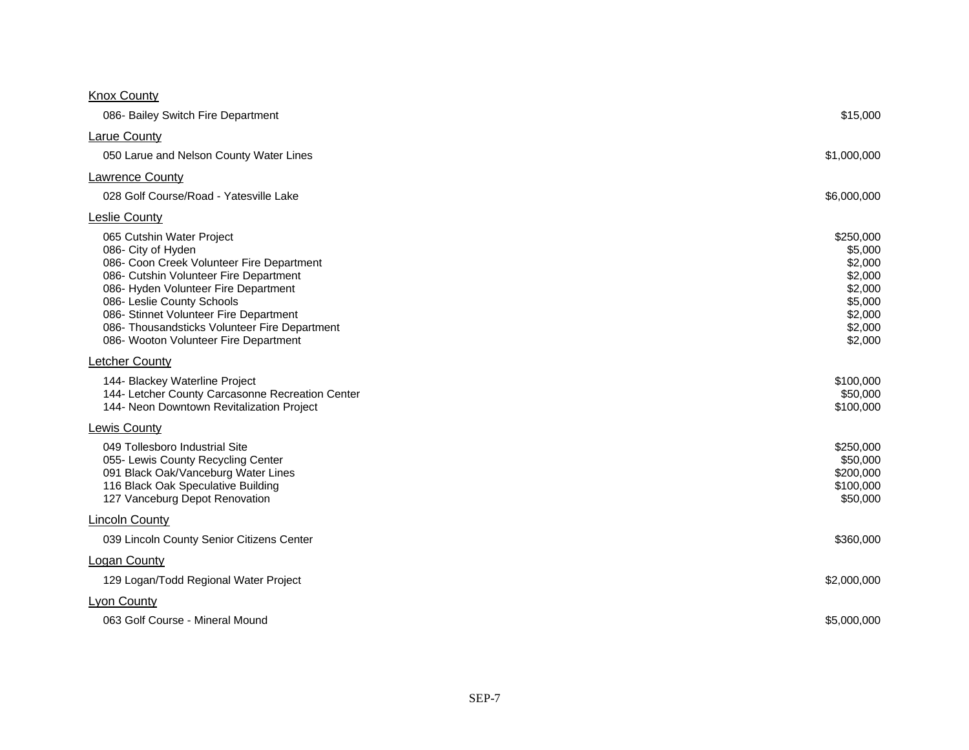| <b>Knox County</b>                                                                                                                                                                                                                                                                                                                               |                                                                                                   |
|--------------------------------------------------------------------------------------------------------------------------------------------------------------------------------------------------------------------------------------------------------------------------------------------------------------------------------------------------|---------------------------------------------------------------------------------------------------|
| 086- Bailey Switch Fire Department                                                                                                                                                                                                                                                                                                               | \$15,000                                                                                          |
| <b>Larue County</b>                                                                                                                                                                                                                                                                                                                              |                                                                                                   |
| 050 Larue and Nelson County Water Lines                                                                                                                                                                                                                                                                                                          | \$1,000,000                                                                                       |
| <b>Lawrence County</b>                                                                                                                                                                                                                                                                                                                           |                                                                                                   |
| 028 Golf Course/Road - Yatesville Lake                                                                                                                                                                                                                                                                                                           | \$6,000,000                                                                                       |
| <b>Leslie County</b>                                                                                                                                                                                                                                                                                                                             |                                                                                                   |
| 065 Cutshin Water Project<br>086- City of Hyden<br>086- Coon Creek Volunteer Fire Department<br>086- Cutshin Volunteer Fire Department<br>086- Hyden Volunteer Fire Department<br>086- Leslie County Schools<br>086- Stinnet Volunteer Fire Department<br>086- Thousandsticks Volunteer Fire Department<br>086- Wooton Volunteer Fire Department | \$250,000<br>\$5,000<br>\$2,000<br>\$2,000<br>\$2,000<br>\$5,000<br>\$2,000<br>\$2,000<br>\$2,000 |
| <b>Letcher County</b>                                                                                                                                                                                                                                                                                                                            |                                                                                                   |
| 144- Blackey Waterline Project<br>144- Letcher County Carcasonne Recreation Center<br>144- Neon Downtown Revitalization Project                                                                                                                                                                                                                  | \$100,000<br>\$50,000<br>\$100,000                                                                |
| <b>Lewis County</b>                                                                                                                                                                                                                                                                                                                              |                                                                                                   |
| 049 Tollesboro Industrial Site<br>055- Lewis County Recycling Center<br>091 Black Oak/Vanceburg Water Lines<br>116 Black Oak Speculative Building<br>127 Vanceburg Depot Renovation                                                                                                                                                              | \$250,000<br>\$50,000<br>\$200,000<br>\$100,000<br>\$50,000                                       |
| <b>Lincoln County</b>                                                                                                                                                                                                                                                                                                                            |                                                                                                   |
| 039 Lincoln County Senior Citizens Center                                                                                                                                                                                                                                                                                                        | \$360,000                                                                                         |
| <b>Logan County</b>                                                                                                                                                                                                                                                                                                                              |                                                                                                   |
| 129 Logan/Todd Regional Water Project                                                                                                                                                                                                                                                                                                            | \$2,000,000                                                                                       |
| Lyon County                                                                                                                                                                                                                                                                                                                                      |                                                                                                   |
| 063 Golf Course - Mineral Mound                                                                                                                                                                                                                                                                                                                  | \$5,000,000                                                                                       |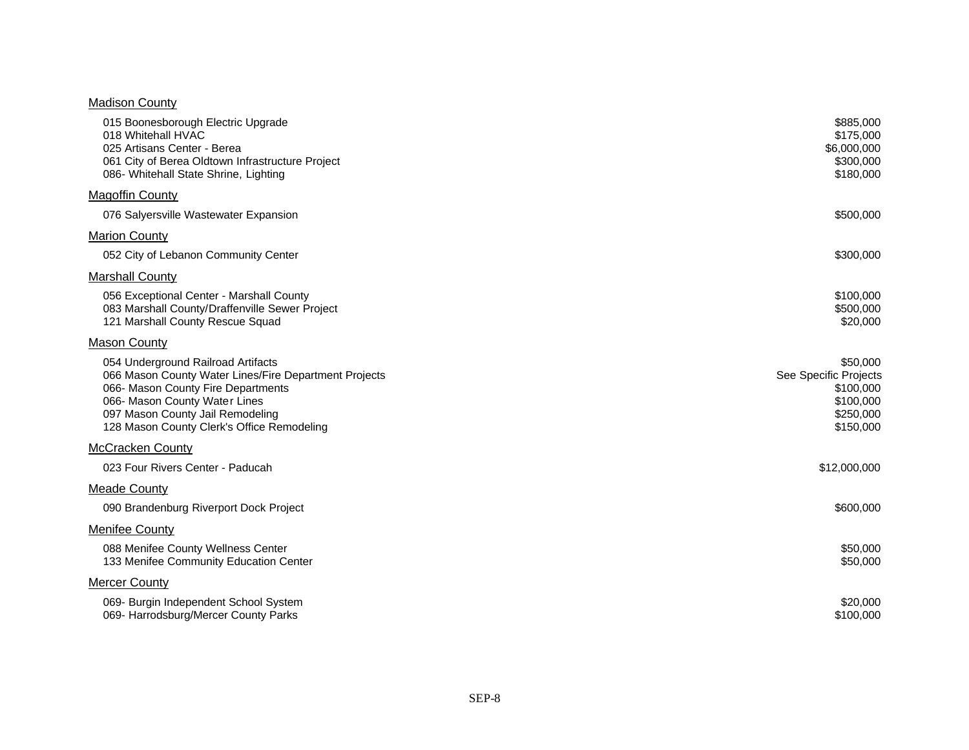#### **Madison County**

| 015 Boonesborough Electric Upgrade<br>018 Whitehall HVAC<br>025 Artisans Center - Berea<br>061 City of Berea Oldtown Infrastructure Project<br>086- Whitehall State Shrine, Lighting                                                                 | \$885,000<br>\$175,000<br>\$6,000,000<br>\$300,000<br>\$180,000                       |
|------------------------------------------------------------------------------------------------------------------------------------------------------------------------------------------------------------------------------------------------------|---------------------------------------------------------------------------------------|
| Magoffin County                                                                                                                                                                                                                                      |                                                                                       |
| 076 Salyersville Wastewater Expansion                                                                                                                                                                                                                | \$500,000                                                                             |
| Marion County                                                                                                                                                                                                                                        |                                                                                       |
| 052 City of Lebanon Community Center                                                                                                                                                                                                                 | \$300,000                                                                             |
| <b>Marshall County</b>                                                                                                                                                                                                                               |                                                                                       |
| 056 Exceptional Center - Marshall County<br>083 Marshall County/Draffenville Sewer Project<br>121 Marshall County Rescue Squad                                                                                                                       | \$100,000<br>\$500,000<br>\$20,000                                                    |
| <b>Mason County</b>                                                                                                                                                                                                                                  |                                                                                       |
| 054 Underground Railroad Artifacts<br>066 Mason County Water Lines/Fire Department Projects<br>066- Mason County Fire Departments<br>066- Mason County Water Lines<br>097 Mason County Jail Remodeling<br>128 Mason County Clerk's Office Remodeling | \$50,000<br>See Specific Projects<br>\$100,000<br>\$100,000<br>\$250,000<br>\$150,000 |
| <b>McCracken County</b>                                                                                                                                                                                                                              |                                                                                       |
| 023 Four Rivers Center - Paducah                                                                                                                                                                                                                     | \$12,000,000                                                                          |
| <b>Meade County</b>                                                                                                                                                                                                                                  |                                                                                       |
| 090 Brandenburg Riverport Dock Project                                                                                                                                                                                                               | \$600,000                                                                             |
| <b>Menifee County</b>                                                                                                                                                                                                                                |                                                                                       |
| 088 Menifee County Wellness Center<br>133 Menifee Community Education Center                                                                                                                                                                         | \$50,000<br>\$50,000                                                                  |
| Mercer County                                                                                                                                                                                                                                        |                                                                                       |
| 069- Burgin Independent School System<br>069- Harrodsburg/Mercer County Parks                                                                                                                                                                        | \$20,000<br>\$100,000                                                                 |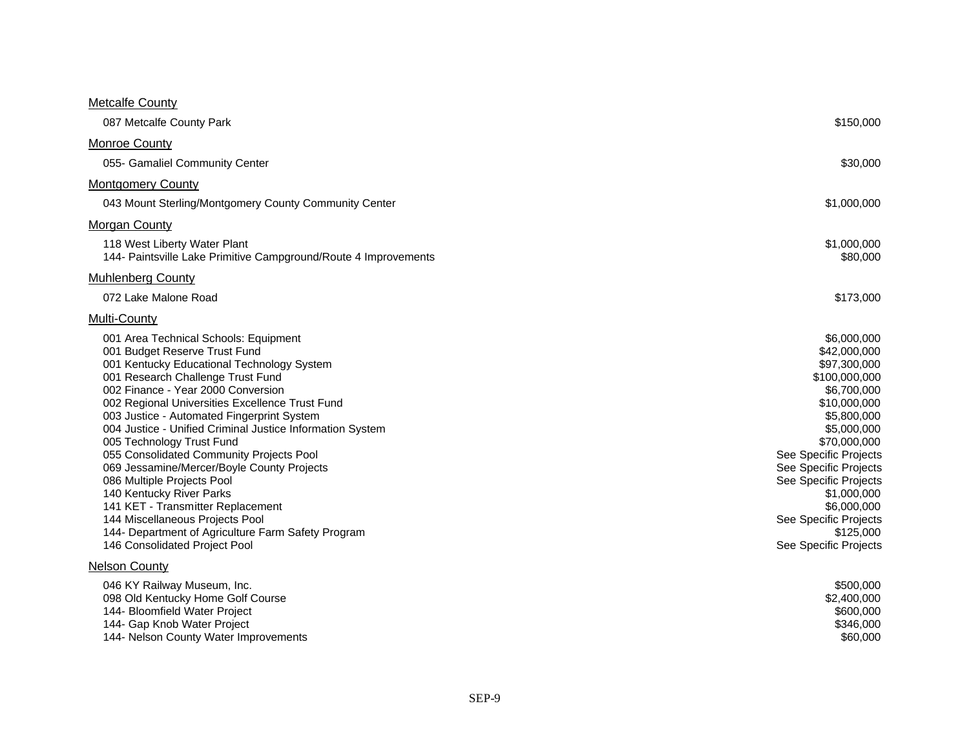#### **Metcalfe County**

| 087 Metcalfe County Park                                                                                                                                                                                                                                                                                                                                                                                                                                                                                                                                                                                                                                                                                      | \$150,000                                                                                                                                                                                                                                                                                                         |
|---------------------------------------------------------------------------------------------------------------------------------------------------------------------------------------------------------------------------------------------------------------------------------------------------------------------------------------------------------------------------------------------------------------------------------------------------------------------------------------------------------------------------------------------------------------------------------------------------------------------------------------------------------------------------------------------------------------|-------------------------------------------------------------------------------------------------------------------------------------------------------------------------------------------------------------------------------------------------------------------------------------------------------------------|
| Monroe County                                                                                                                                                                                                                                                                                                                                                                                                                                                                                                                                                                                                                                                                                                 |                                                                                                                                                                                                                                                                                                                   |
| 055- Gamaliel Community Center                                                                                                                                                                                                                                                                                                                                                                                                                                                                                                                                                                                                                                                                                | \$30,000                                                                                                                                                                                                                                                                                                          |
| <b>Montgomery County</b>                                                                                                                                                                                                                                                                                                                                                                                                                                                                                                                                                                                                                                                                                      |                                                                                                                                                                                                                                                                                                                   |
| 043 Mount Sterling/Montgomery County Community Center                                                                                                                                                                                                                                                                                                                                                                                                                                                                                                                                                                                                                                                         | \$1,000,000                                                                                                                                                                                                                                                                                                       |
| <b>Morgan County</b>                                                                                                                                                                                                                                                                                                                                                                                                                                                                                                                                                                                                                                                                                          |                                                                                                                                                                                                                                                                                                                   |
| 118 West Liberty Water Plant<br>144- Paintsville Lake Primitive Campground/Route 4 Improvements                                                                                                                                                                                                                                                                                                                                                                                                                                                                                                                                                                                                               | \$1,000,000<br>\$80,000                                                                                                                                                                                                                                                                                           |
| <b>Muhlenberg County</b>                                                                                                                                                                                                                                                                                                                                                                                                                                                                                                                                                                                                                                                                                      |                                                                                                                                                                                                                                                                                                                   |
| 072 Lake Malone Road                                                                                                                                                                                                                                                                                                                                                                                                                                                                                                                                                                                                                                                                                          | \$173,000                                                                                                                                                                                                                                                                                                         |
| Multi-County                                                                                                                                                                                                                                                                                                                                                                                                                                                                                                                                                                                                                                                                                                  |                                                                                                                                                                                                                                                                                                                   |
| 001 Area Technical Schools: Equipment<br>001 Budget Reserve Trust Fund<br>001 Kentucky Educational Technology System<br>001 Research Challenge Trust Fund<br>002 Finance - Year 2000 Conversion<br>002 Regional Universities Excellence Trust Fund<br>003 Justice - Automated Fingerprint System<br>004 Justice - Unified Criminal Justice Information System<br>005 Technology Trust Fund<br>055 Consolidated Community Projects Pool<br>069 Jessamine/Mercer/Boyle County Projects<br>086 Multiple Projects Pool<br>140 Kentucky River Parks<br>141 KET - Transmitter Replacement<br>144 Miscellaneous Projects Pool<br>144- Department of Agriculture Farm Safety Program<br>146 Consolidated Project Pool | \$6,000,000<br>\$42,000,000<br>\$97,300,000<br>\$100,000,000<br>\$6,700,000<br>\$10,000,000<br>\$5,800,000<br>\$5,000,000<br>\$70,000,000<br>See Specific Projects<br>See Specific Projects<br>See Specific Projects<br>\$1,000,000<br>\$6,000,000<br>See Specific Projects<br>\$125,000<br>See Specific Projects |
| <b>Nelson County</b><br>046 KY Railway Museum, Inc.<br>098 Old Kentucky Home Golf Course<br>144- Bloomfield Water Project<br>144- Gap Knob Water Project<br>144- Nelson County Water Improvements                                                                                                                                                                                                                                                                                                                                                                                                                                                                                                             | \$500,000<br>\$2,400,000<br>\$600,000<br>\$346,000<br>\$60,000                                                                                                                                                                                                                                                    |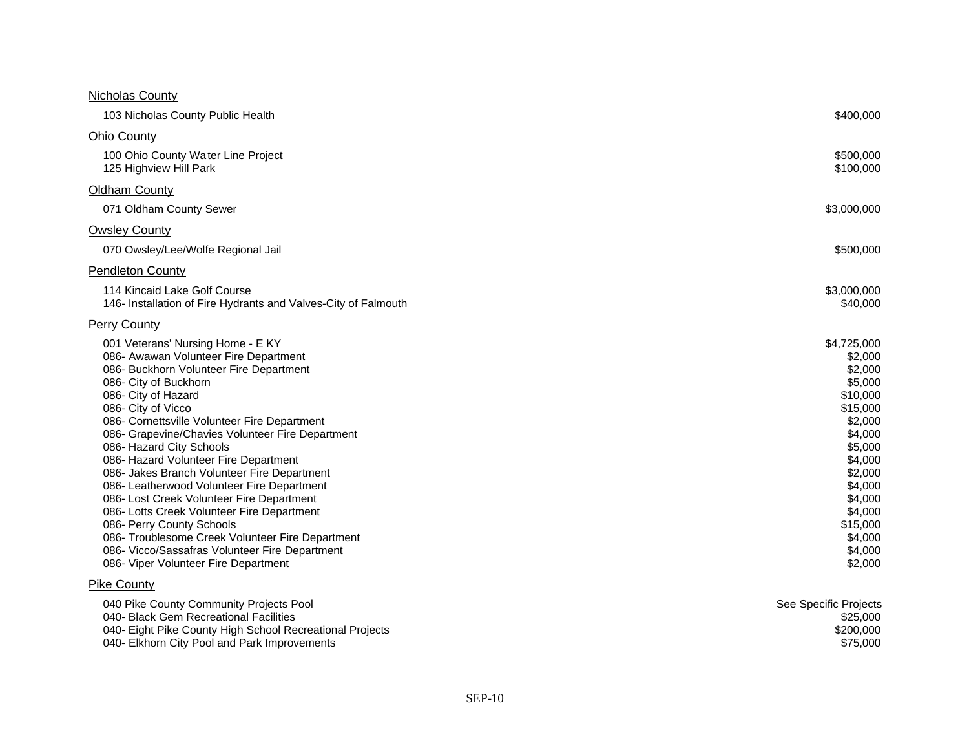#### Nicholas County

| 103 Nicholas County Public Health                                                                                                                                                                                                                                                                                                                                                                                                                                                                                                                                                                                                                                                                                                       | \$400,000                                                                                                                                                                                                 |
|-----------------------------------------------------------------------------------------------------------------------------------------------------------------------------------------------------------------------------------------------------------------------------------------------------------------------------------------------------------------------------------------------------------------------------------------------------------------------------------------------------------------------------------------------------------------------------------------------------------------------------------------------------------------------------------------------------------------------------------------|-----------------------------------------------------------------------------------------------------------------------------------------------------------------------------------------------------------|
| <b>Ohio County</b>                                                                                                                                                                                                                                                                                                                                                                                                                                                                                                                                                                                                                                                                                                                      |                                                                                                                                                                                                           |
| 100 Ohio County Water Line Project<br>125 Highview Hill Park                                                                                                                                                                                                                                                                                                                                                                                                                                                                                                                                                                                                                                                                            | \$500,000<br>\$100,000                                                                                                                                                                                    |
| <b>Oldham County</b>                                                                                                                                                                                                                                                                                                                                                                                                                                                                                                                                                                                                                                                                                                                    |                                                                                                                                                                                                           |
| 071 Oldham County Sewer                                                                                                                                                                                                                                                                                                                                                                                                                                                                                                                                                                                                                                                                                                                 | \$3,000,000                                                                                                                                                                                               |
| <b>Owsley County</b>                                                                                                                                                                                                                                                                                                                                                                                                                                                                                                                                                                                                                                                                                                                    |                                                                                                                                                                                                           |
| 070 Owsley/Lee/Wolfe Regional Jail                                                                                                                                                                                                                                                                                                                                                                                                                                                                                                                                                                                                                                                                                                      | \$500,000                                                                                                                                                                                                 |
| <b>Pendleton County</b>                                                                                                                                                                                                                                                                                                                                                                                                                                                                                                                                                                                                                                                                                                                 |                                                                                                                                                                                                           |
| 114 Kincaid Lake Golf Course<br>146- Installation of Fire Hydrants and Valves-City of Falmouth                                                                                                                                                                                                                                                                                                                                                                                                                                                                                                                                                                                                                                          | \$3,000,000<br>\$40,000                                                                                                                                                                                   |
| <b>Perry County</b>                                                                                                                                                                                                                                                                                                                                                                                                                                                                                                                                                                                                                                                                                                                     |                                                                                                                                                                                                           |
| 001 Veterans' Nursing Home - E KY<br>086- Awawan Volunteer Fire Department<br>086- Buckhorn Volunteer Fire Department<br>086- City of Buckhorn<br>086- City of Hazard<br>086- City of Vicco<br>086- Cornettsville Volunteer Fire Department<br>086- Grapevine/Chavies Volunteer Fire Department<br>086- Hazard City Schools<br>086- Hazard Volunteer Fire Department<br>086- Jakes Branch Volunteer Fire Department<br>086- Leatherwood Volunteer Fire Department<br>086- Lost Creek Volunteer Fire Department<br>086- Lotts Creek Volunteer Fire Department<br>086- Perry County Schools<br>086- Troublesome Creek Volunteer Fire Department<br>086- Vicco/Sassafras Volunteer Fire Department<br>086- Viper Volunteer Fire Department | \$4,725,000<br>\$2,000<br>\$2,000<br>\$5,000<br>\$10,000<br>\$15,000<br>\$2,000<br>\$4,000<br>\$5,000<br>\$4,000<br>\$2,000<br>\$4,000<br>\$4,000<br>\$4,000<br>\$15,000<br>\$4,000<br>\$4,000<br>\$2,000 |
| <b>Pike County</b><br>040 Pike County Community Projects Pool<br>040- Black Gem Recreational Facilities<br>040- Eight Pike County High School Recreational Projects                                                                                                                                                                                                                                                                                                                                                                                                                                                                                                                                                                     | See Specific Projects<br>\$25,000<br>\$200,000                                                                                                                                                            |

040- Elkhorn City Pool and Park Improvements \$75,000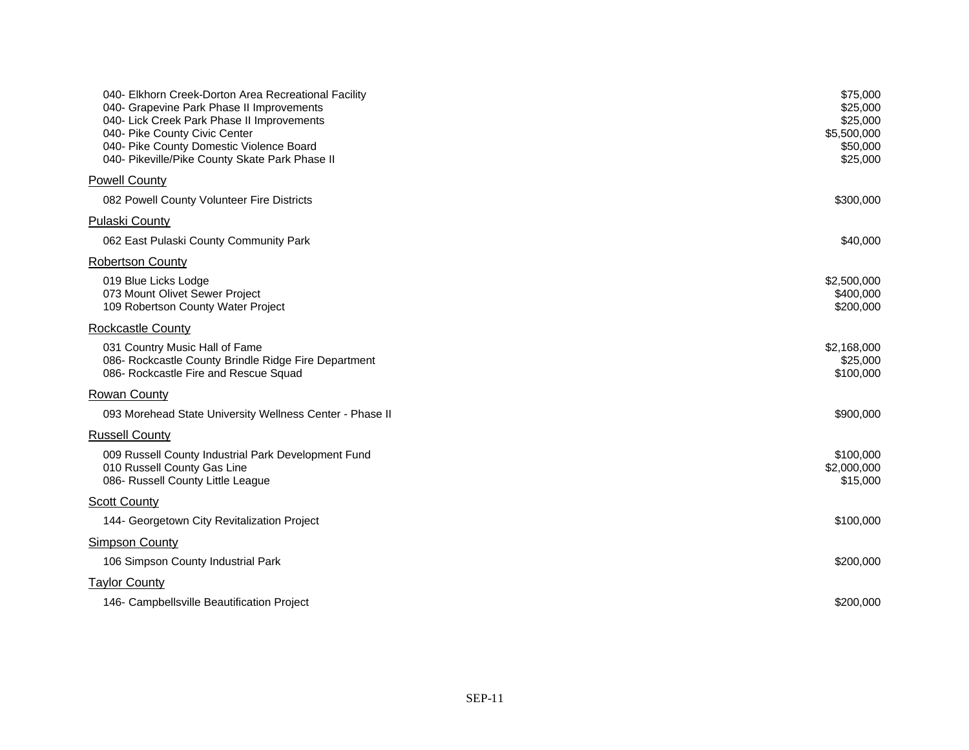| 040- Elkhorn Creek-Dorton Area Recreational Facility<br>040- Grapevine Park Phase II Improvements<br>040- Lick Creek Park Phase II Improvements<br>040- Pike County Civic Center<br>040- Pike County Domestic Violence Board<br>040- Pikeville/Pike County Skate Park Phase II | \$75,000<br>\$25,000<br>\$25,000<br>\$5,500,000<br>\$50,000<br>\$25,000 |
|--------------------------------------------------------------------------------------------------------------------------------------------------------------------------------------------------------------------------------------------------------------------------------|-------------------------------------------------------------------------|
| <b>Powell County</b>                                                                                                                                                                                                                                                           |                                                                         |
| 082 Powell County Volunteer Fire Districts                                                                                                                                                                                                                                     | \$300,000                                                               |
| <b>Pulaski County</b>                                                                                                                                                                                                                                                          |                                                                         |
| 062 East Pulaski County Community Park                                                                                                                                                                                                                                         | \$40,000                                                                |
| <b>Robertson County</b>                                                                                                                                                                                                                                                        |                                                                         |
| 019 Blue Licks Lodge<br>073 Mount Olivet Sewer Project<br>109 Robertson County Water Project                                                                                                                                                                                   | \$2,500,000<br>\$400,000<br>\$200,000                                   |
| <b>Rockcastle County</b>                                                                                                                                                                                                                                                       |                                                                         |
| 031 Country Music Hall of Fame<br>086- Rockcastle County Brindle Ridge Fire Department<br>086- Rockcastle Fire and Rescue Squad                                                                                                                                                | \$2,168,000<br>\$25,000<br>\$100,000                                    |
| <b>Rowan County</b>                                                                                                                                                                                                                                                            |                                                                         |
| 093 Morehead State University Wellness Center - Phase II                                                                                                                                                                                                                       | \$900,000                                                               |
| <b>Russell County</b>                                                                                                                                                                                                                                                          |                                                                         |
| 009 Russell County Industrial Park Development Fund<br>010 Russell County Gas Line<br>086- Russell County Little League                                                                                                                                                        | \$100,000<br>\$2,000,000<br>\$15,000                                    |
| <b>Scott County</b>                                                                                                                                                                                                                                                            |                                                                         |
| 144- Georgetown City Revitalization Project                                                                                                                                                                                                                                    | \$100,000                                                               |
| <b>Simpson County</b>                                                                                                                                                                                                                                                          |                                                                         |
| 106 Simpson County Industrial Park                                                                                                                                                                                                                                             | \$200,000                                                               |
| <b>Taylor County</b>                                                                                                                                                                                                                                                           |                                                                         |
| 146- Campbellsville Beautification Project                                                                                                                                                                                                                                     | \$200,000                                                               |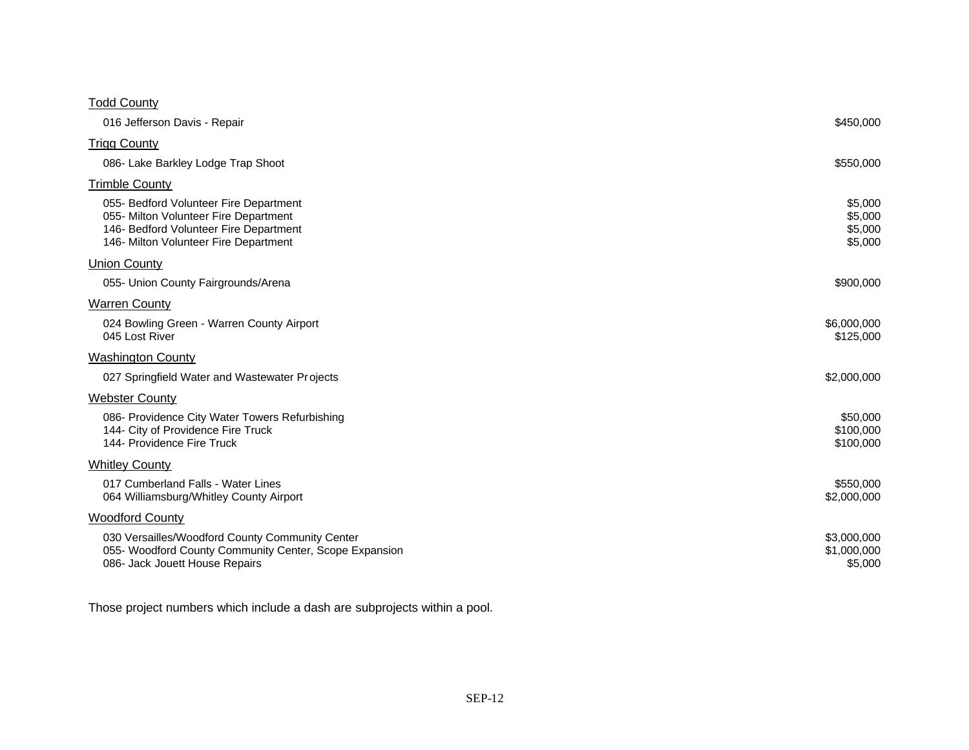| <b>Todd County</b>                                                                                                                                                 |                                          |
|--------------------------------------------------------------------------------------------------------------------------------------------------------------------|------------------------------------------|
| 016 Jefferson Davis - Repair                                                                                                                                       | \$450,000                                |
| <b>Trigg County</b>                                                                                                                                                |                                          |
| 086- Lake Barkley Lodge Trap Shoot                                                                                                                                 | \$550,000                                |
| <b>Trimble County</b>                                                                                                                                              |                                          |
| 055- Bedford Volunteer Fire Department<br>055- Milton Volunteer Fire Department<br>146- Bedford Volunteer Fire Department<br>146- Milton Volunteer Fire Department | \$5,000<br>\$5,000<br>\$5,000<br>\$5,000 |
| <b>Union County</b>                                                                                                                                                |                                          |
| 055- Union County Fairgrounds/Arena                                                                                                                                | \$900,000                                |
| <b>Warren County</b>                                                                                                                                               |                                          |
| 024 Bowling Green - Warren County Airport<br>045 Lost River                                                                                                        | \$6,000,000<br>\$125,000                 |
| <b>Washington County</b>                                                                                                                                           |                                          |
| 027 Springfield Water and Wastewater Projects                                                                                                                      | \$2,000,000                              |
| <b>Webster County</b>                                                                                                                                              |                                          |
| 086- Providence City Water Towers Refurbishing<br>144- City of Providence Fire Truck<br>144- Providence Fire Truck                                                 | \$50,000<br>\$100,000<br>\$100,000       |
| <b>Whitley County</b>                                                                                                                                              |                                          |
| 017 Cumberland Falls - Water Lines<br>064 Williamsburg/Whitley County Airport                                                                                      | \$550,000<br>\$2,000,000                 |
| <b>Woodford County</b>                                                                                                                                             |                                          |
| 030 Versailles/Woodford County Community Center<br>055- Woodford County Community Center, Scope Expansion<br>086- Jack Jouett House Repairs                        | \$3,000,000<br>\$1,000,000<br>\$5,000    |

Those project numbers which include a dash are subprojects within a pool.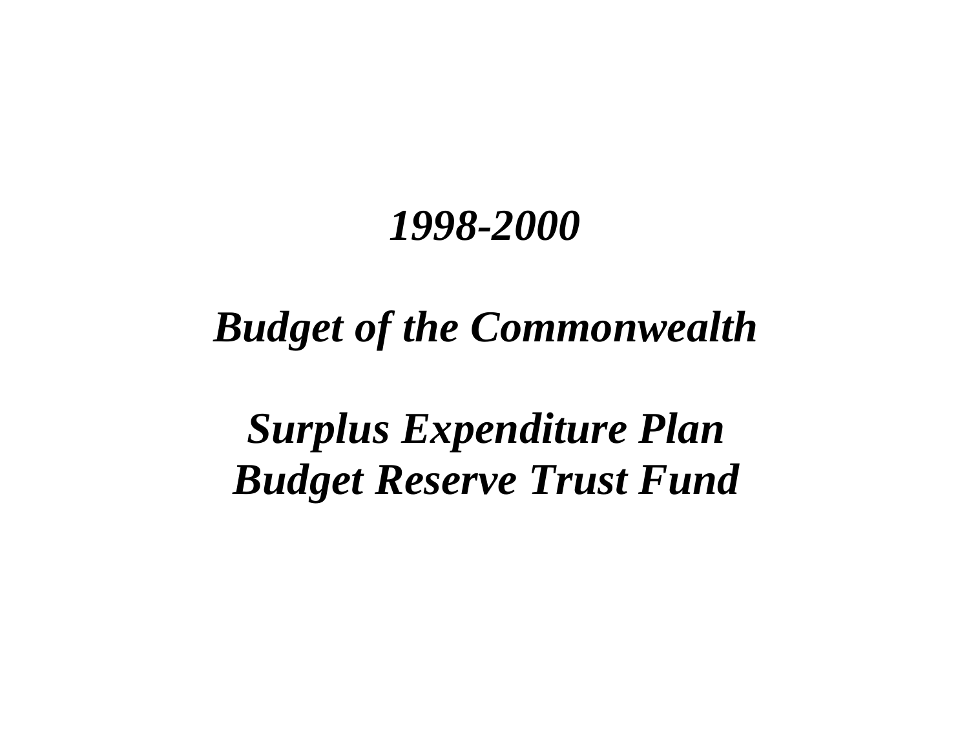# *Budget of the Commonwealth*

*Surplus Expenditure Plan Budget Reserve Trust Fund*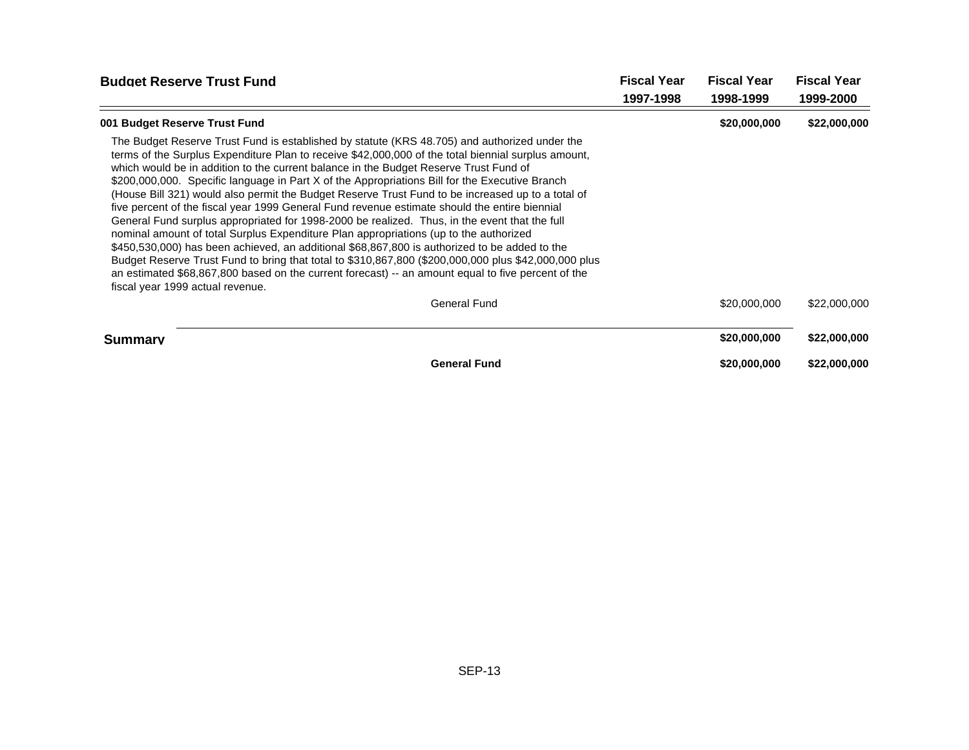| <b>Budget Reserve Trust Fund</b>                                                                                                                                                                                                                                                                                                                                                                                                                                                                                                                                                                                                                                                                                                                                                                                                                                                                                                                                                                                                                                                                                                                   | <b>Fiscal Year</b> | <b>Fiscal Year</b> | <b>Fiscal Year</b> |
|----------------------------------------------------------------------------------------------------------------------------------------------------------------------------------------------------------------------------------------------------------------------------------------------------------------------------------------------------------------------------------------------------------------------------------------------------------------------------------------------------------------------------------------------------------------------------------------------------------------------------------------------------------------------------------------------------------------------------------------------------------------------------------------------------------------------------------------------------------------------------------------------------------------------------------------------------------------------------------------------------------------------------------------------------------------------------------------------------------------------------------------------------|--------------------|--------------------|--------------------|
|                                                                                                                                                                                                                                                                                                                                                                                                                                                                                                                                                                                                                                                                                                                                                                                                                                                                                                                                                                                                                                                                                                                                                    | 1997-1998          | 1998-1999          | 1999-2000          |
| 001 Budget Reserve Trust Fund                                                                                                                                                                                                                                                                                                                                                                                                                                                                                                                                                                                                                                                                                                                                                                                                                                                                                                                                                                                                                                                                                                                      |                    | \$20,000,000       | \$22,000,000       |
| The Budget Reserve Trust Fund is established by statute (KRS 48.705) and authorized under the<br>terms of the Surplus Expenditure Plan to receive \$42,000,000 of the total biennial surplus amount,<br>which would be in addition to the current balance in the Budget Reserve Trust Fund of<br>\$200,000,000. Specific language in Part X of the Appropriations Bill for the Executive Branch<br>(House Bill 321) would also permit the Budget Reserve Trust Fund to be increased up to a total of<br>five percent of the fiscal year 1999 General Fund revenue estimate should the entire biennial<br>General Fund surplus appropriated for 1998-2000 be realized. Thus, in the event that the full<br>nominal amount of total Surplus Expenditure Plan appropriations (up to the authorized<br>\$450,530,000) has been achieved, an additional \$68,867,800 is authorized to be added to the<br>Budget Reserve Trust Fund to bring that total to \$310,867,800 (\$200,000,000 plus \$42,000,000 plus<br>an estimated \$68,867,800 based on the current forecast) -- an amount equal to five percent of the<br>fiscal year 1999 actual revenue. |                    |                    |                    |
| <b>General Fund</b>                                                                                                                                                                                                                                                                                                                                                                                                                                                                                                                                                                                                                                                                                                                                                                                                                                                                                                                                                                                                                                                                                                                                |                    | \$20,000,000       | \$22,000,000       |
| <b>Summary</b>                                                                                                                                                                                                                                                                                                                                                                                                                                                                                                                                                                                                                                                                                                                                                                                                                                                                                                                                                                                                                                                                                                                                     |                    | \$20,000,000       | \$22,000,000       |
| <b>General Fund</b>                                                                                                                                                                                                                                                                                                                                                                                                                                                                                                                                                                                                                                                                                                                                                                                                                                                                                                                                                                                                                                                                                                                                |                    | \$20,000,000       | \$22,000,000       |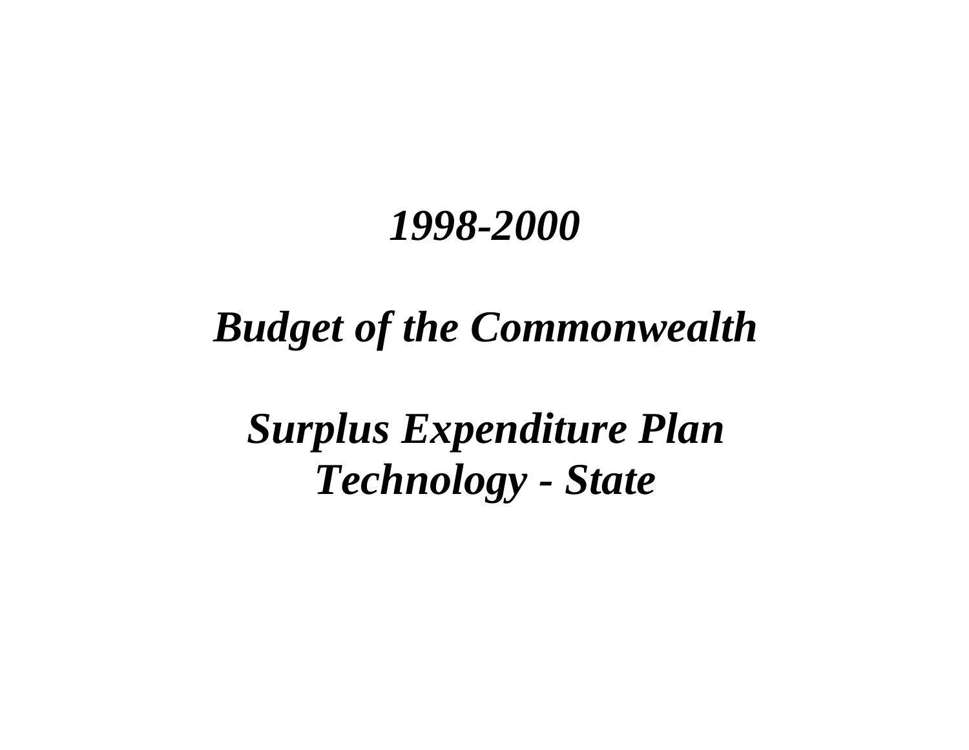# *Budget of the Commonwealth*

*Surplus Expenditure Plan Technology - State*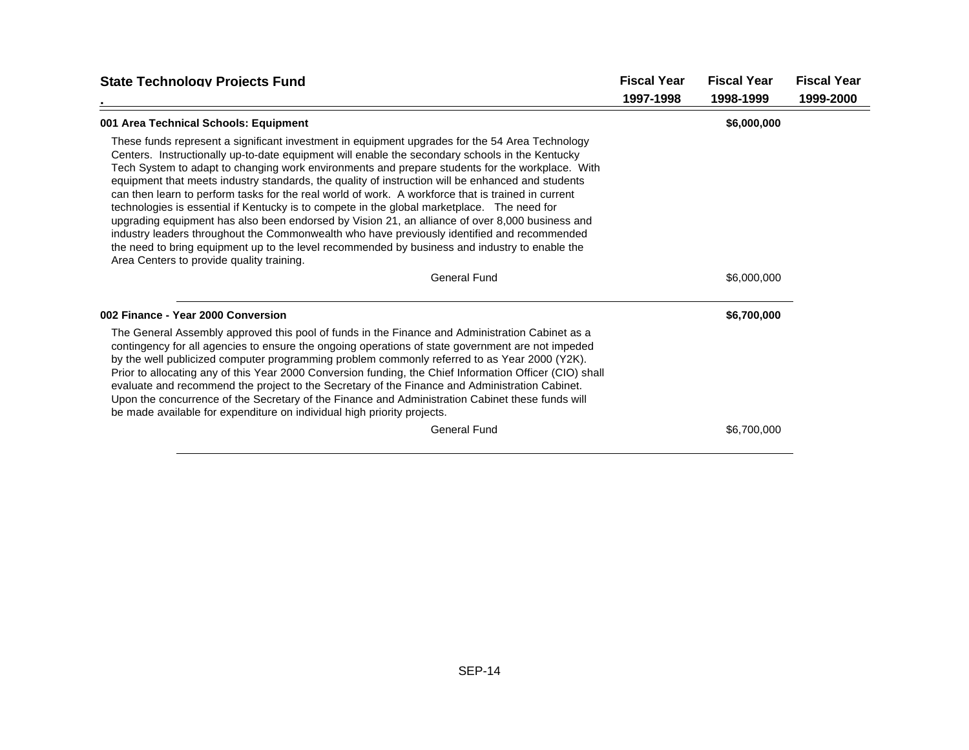| <b>State Technology Projects Fund</b>                                                                                                                                                                                                                                                                                                                                                                                                                                                                                                                                                                                                                                                                                                                                                                                                                                                                                                                            | <b>Fiscal Year</b> | <b>Fiscal Year</b> | <b>Fiscal Year</b> |
|------------------------------------------------------------------------------------------------------------------------------------------------------------------------------------------------------------------------------------------------------------------------------------------------------------------------------------------------------------------------------------------------------------------------------------------------------------------------------------------------------------------------------------------------------------------------------------------------------------------------------------------------------------------------------------------------------------------------------------------------------------------------------------------------------------------------------------------------------------------------------------------------------------------------------------------------------------------|--------------------|--------------------|--------------------|
|                                                                                                                                                                                                                                                                                                                                                                                                                                                                                                                                                                                                                                                                                                                                                                                                                                                                                                                                                                  | 1997-1998          | 1998-1999          | 1999-2000          |
| 001 Area Technical Schools: Equipment                                                                                                                                                                                                                                                                                                                                                                                                                                                                                                                                                                                                                                                                                                                                                                                                                                                                                                                            |                    | \$6,000,000        |                    |
| These funds represent a significant investment in equipment upgrades for the 54 Area Technology<br>Centers. Instructionally up-to-date equipment will enable the secondary schools in the Kentucky<br>Tech System to adapt to changing work environments and prepare students for the workplace. With<br>equipment that meets industry standards, the quality of instruction will be enhanced and students<br>can then learn to perform tasks for the real world of work. A workforce that is trained in current<br>technologies is essential if Kentucky is to compete in the global marketplace. The need for<br>upgrading equipment has also been endorsed by Vision 21, an alliance of over 8,000 business and<br>industry leaders throughout the Commonwealth who have previously identified and recommended<br>the need to bring equipment up to the level recommended by business and industry to enable the<br>Area Centers to provide quality training. |                    |                    |                    |
| General Fund                                                                                                                                                                                                                                                                                                                                                                                                                                                                                                                                                                                                                                                                                                                                                                                                                                                                                                                                                     |                    | \$6,000,000        |                    |
| 002 Finance - Year 2000 Conversion                                                                                                                                                                                                                                                                                                                                                                                                                                                                                                                                                                                                                                                                                                                                                                                                                                                                                                                               |                    | \$6,700,000        |                    |
| The General Assembly approved this pool of funds in the Finance and Administration Cabinet as a<br>contingency for all agencies to ensure the ongoing operations of state government are not impeded<br>by the well publicized computer programming problem commonly referred to as Year 2000 (Y2K).<br>Prior to allocating any of this Year 2000 Conversion funding, the Chief Information Officer (CIO) shall<br>evaluate and recommend the project to the Secretary of the Finance and Administration Cabinet.<br>Upon the concurrence of the Secretary of the Finance and Administration Cabinet these funds will<br>be made available for expenditure on individual high priority projects.                                                                                                                                                                                                                                                                 |                    |                    |                    |
| <b>General Fund</b>                                                                                                                                                                                                                                                                                                                                                                                                                                                                                                                                                                                                                                                                                                                                                                                                                                                                                                                                              |                    | \$6,700,000        |                    |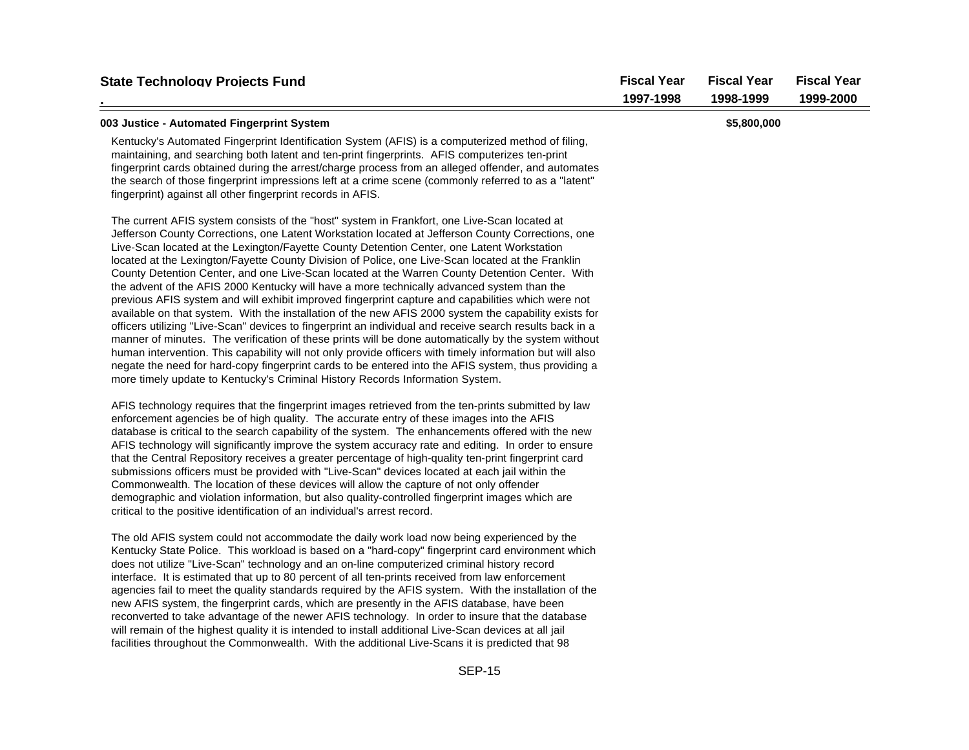| <b>State Technology Projects Fund</b>                                                                                                                                                                                                                                                                                                                                                                                                                                                                                                                                                                                                                                                                                                                                                                                                                                                                                                                                                                                                                                                                                                                                                                                                                                                                                                        | <b>Fiscal Year</b><br>1997-1998 | <b>Fiscal Year</b><br>1998-1999 | <b>Fiscal Year</b><br>1999-2000 |
|----------------------------------------------------------------------------------------------------------------------------------------------------------------------------------------------------------------------------------------------------------------------------------------------------------------------------------------------------------------------------------------------------------------------------------------------------------------------------------------------------------------------------------------------------------------------------------------------------------------------------------------------------------------------------------------------------------------------------------------------------------------------------------------------------------------------------------------------------------------------------------------------------------------------------------------------------------------------------------------------------------------------------------------------------------------------------------------------------------------------------------------------------------------------------------------------------------------------------------------------------------------------------------------------------------------------------------------------|---------------------------------|---------------------------------|---------------------------------|
| 003 Justice - Automated Fingerprint System                                                                                                                                                                                                                                                                                                                                                                                                                                                                                                                                                                                                                                                                                                                                                                                                                                                                                                                                                                                                                                                                                                                                                                                                                                                                                                   |                                 | \$5,800,000                     |                                 |
| Kentucky's Automated Fingerprint Identification System (AFIS) is a computerized method of filing,<br>maintaining, and searching both latent and ten-print fingerprints. AFIS computerizes ten-print<br>fingerprint cards obtained during the arrest/charge process from an alleged offender, and automates<br>the search of those fingerprint impressions left at a crime scene (commonly referred to as a "latent"<br>fingerprint) against all other fingerprint records in AFIS.                                                                                                                                                                                                                                                                                                                                                                                                                                                                                                                                                                                                                                                                                                                                                                                                                                                           |                                 |                                 |                                 |
| The current AFIS system consists of the "host" system in Frankfort, one Live-Scan located at<br>Jefferson County Corrections, one Latent Workstation located at Jefferson County Corrections, one<br>Live-Scan located at the Lexington/Fayette County Detention Center, one Latent Workstation<br>located at the Lexington/Fayette County Division of Police, one Live-Scan located at the Franklin<br>County Detention Center, and one Live-Scan located at the Warren County Detention Center. With<br>the advent of the AFIS 2000 Kentucky will have a more technically advanced system than the<br>previous AFIS system and will exhibit improved fingerprint capture and capabilities which were not<br>available on that system. With the installation of the new AFIS 2000 system the capability exists for<br>officers utilizing "Live-Scan" devices to fingerprint an individual and receive search results back in a<br>manner of minutes. The verification of these prints will be done automatically by the system without<br>human intervention. This capability will not only provide officers with timely information but will also<br>negate the need for hard-copy fingerprint cards to be entered into the AFIS system, thus providing a<br>more timely update to Kentucky's Criminal History Records Information System. |                                 |                                 |                                 |
| AFIS technology requires that the fingerprint images retrieved from the ten-prints submitted by law<br>enforcement agencies be of high quality. The accurate entry of these images into the AFIS<br>database is critical to the search capability of the system. The enhancements offered with the new<br>AFIS technology will significantly improve the system accuracy rate and editing. In order to ensure<br>that the Central Repository receives a greater percentage of high-quality ten-print fingerprint card<br>submissions officers must be provided with "Live-Scan" devices located at each jail within the<br>Commonwealth. The location of these devices will allow the capture of not only offender<br>demographic and violation information, but also quality-controlled fingerprint images which are<br>critical to the positive identification of an individual's arrest record.                                                                                                                                                                                                                                                                                                                                                                                                                                           |                                 |                                 |                                 |
| The old AFIS system could not accommodate the daily work load now being experienced by the<br>Kentucky State Police. This workload is based on a "hard-copy" fingerprint card environment which<br>does not utilize "Live-Scan" technology and an on-line computerized criminal history record<br>interface. It is estimated that up to 80 percent of all ten-prints received from law enforcement<br>agencies fail to meet the quality standards required by the AFIS system. With the installation of the<br>new AFIS system, the fingerprint cards, which are presently in the AFIS database, have been<br>reconverted to take advantage of the newer AFIS technology. In order to insure that the database<br>will remain of the highest quality it is intended to install additional Live-Scan devices at all jail<br>facilities throughout the Commonwealth. With the additional Live-Scans it is predicted that 98                                                                                                                                                                                                                                                                                                                                                                                                                    |                                 |                                 |                                 |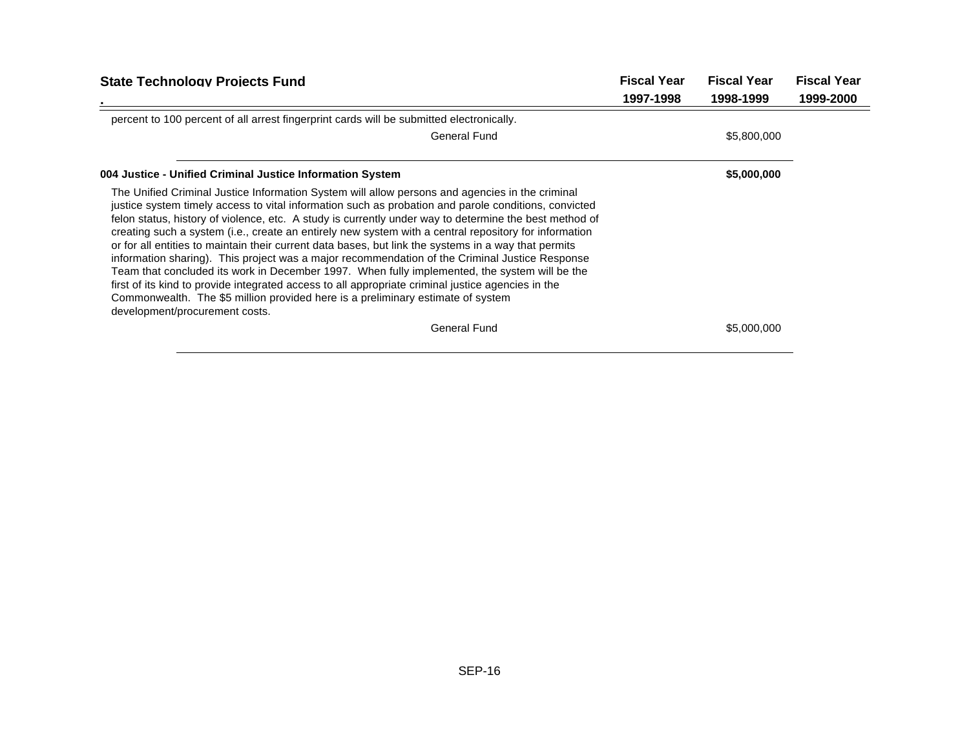| <b>State Technology Projects Fund</b>                                                                                                                                                                                                                                                                                                                                                                                                                                                                                                                                                                                                                                                                                                                                                                                                                                                                                                                            |           | <b>Fiscal Year</b> | <b>Fiscal Year</b> |
|------------------------------------------------------------------------------------------------------------------------------------------------------------------------------------------------------------------------------------------------------------------------------------------------------------------------------------------------------------------------------------------------------------------------------------------------------------------------------------------------------------------------------------------------------------------------------------------------------------------------------------------------------------------------------------------------------------------------------------------------------------------------------------------------------------------------------------------------------------------------------------------------------------------------------------------------------------------|-----------|--------------------|--------------------|
|                                                                                                                                                                                                                                                                                                                                                                                                                                                                                                                                                                                                                                                                                                                                                                                                                                                                                                                                                                  | 1997-1998 | 1998-1999          | 1999-2000          |
| percent to 100 percent of all arrest fingerprint cards will be submitted electronically.                                                                                                                                                                                                                                                                                                                                                                                                                                                                                                                                                                                                                                                                                                                                                                                                                                                                         |           |                    |                    |
| <b>General Fund</b>                                                                                                                                                                                                                                                                                                                                                                                                                                                                                                                                                                                                                                                                                                                                                                                                                                                                                                                                              |           | \$5,800,000        |                    |
| 004 Justice - Unified Criminal Justice Information System                                                                                                                                                                                                                                                                                                                                                                                                                                                                                                                                                                                                                                                                                                                                                                                                                                                                                                        |           | \$5,000,000        |                    |
| The Unified Criminal Justice Information System will allow persons and agencies in the criminal<br>justice system timely access to vital information such as probation and parole conditions, convicted<br>felon status, history of violence, etc. A study is currently under way to determine the best method of<br>creating such a system (i.e., create an entirely new system with a central repository for information<br>or for all entities to maintain their current data bases, but link the systems in a way that permits<br>information sharing). This project was a major recommendation of the Criminal Justice Response<br>Team that concluded its work in December 1997. When fully implemented, the system will be the<br>first of its kind to provide integrated access to all appropriate criminal justice agencies in the<br>Commonwealth. The \$5 million provided here is a preliminary estimate of system<br>development/procurement costs. |           |                    |                    |
| <b>General Fund</b>                                                                                                                                                                                                                                                                                                                                                                                                                                                                                                                                                                                                                                                                                                                                                                                                                                                                                                                                              |           | \$5,000,000        |                    |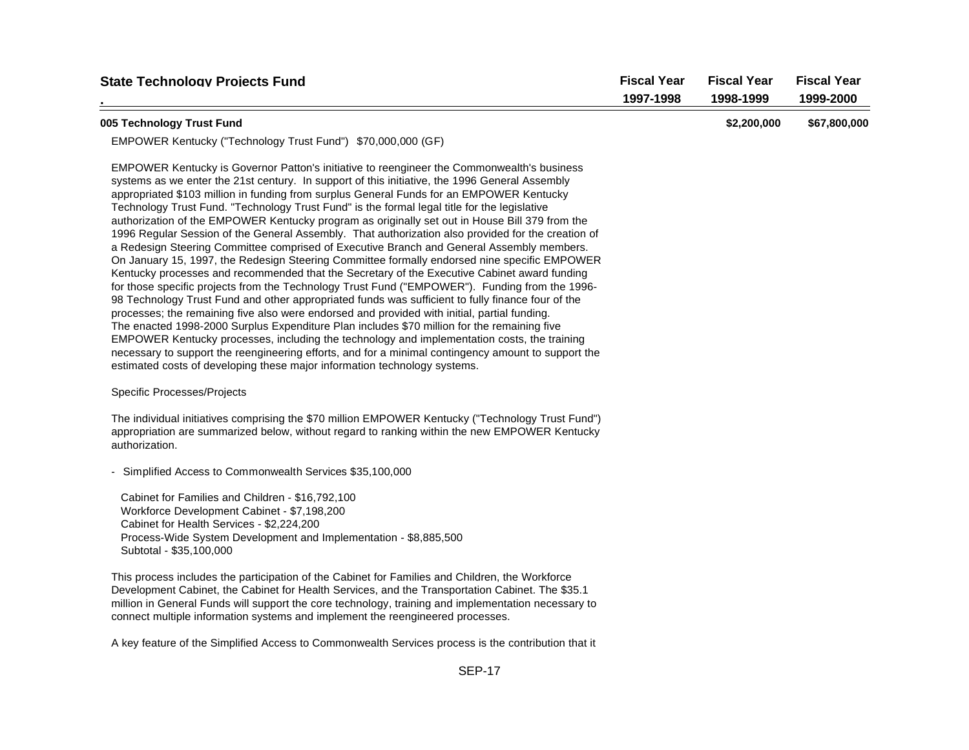| <b>State Technology Proiects Fund</b>                                                                                                                                                                                                                                                                                                                                                                                                                                                                                                                                                                                                                                                                                                                                                                                                                                                                                                                                                                                                                                                                                                                                                                                                                                                                                                                                                                                                                                                                                                                                                  | <b>Fiscal Year</b><br>1997-1998 | <b>Fiscal Year</b><br>1998-1999 | <b>Fiscal Year</b><br>1999-2000 |
|----------------------------------------------------------------------------------------------------------------------------------------------------------------------------------------------------------------------------------------------------------------------------------------------------------------------------------------------------------------------------------------------------------------------------------------------------------------------------------------------------------------------------------------------------------------------------------------------------------------------------------------------------------------------------------------------------------------------------------------------------------------------------------------------------------------------------------------------------------------------------------------------------------------------------------------------------------------------------------------------------------------------------------------------------------------------------------------------------------------------------------------------------------------------------------------------------------------------------------------------------------------------------------------------------------------------------------------------------------------------------------------------------------------------------------------------------------------------------------------------------------------------------------------------------------------------------------------|---------------------------------|---------------------------------|---------------------------------|
| 005 Technology Trust Fund                                                                                                                                                                                                                                                                                                                                                                                                                                                                                                                                                                                                                                                                                                                                                                                                                                                                                                                                                                                                                                                                                                                                                                                                                                                                                                                                                                                                                                                                                                                                                              |                                 | \$2,200,000                     | \$67,800,000                    |
| EMPOWER Kentucky ("Technology Trust Fund") \$70,000,000 (GF)                                                                                                                                                                                                                                                                                                                                                                                                                                                                                                                                                                                                                                                                                                                                                                                                                                                                                                                                                                                                                                                                                                                                                                                                                                                                                                                                                                                                                                                                                                                           |                                 |                                 |                                 |
| EMPOWER Kentucky is Governor Patton's initiative to reengineer the Commonwealth's business<br>systems as we enter the 21st century. In support of this initiative, the 1996 General Assembly<br>appropriated \$103 million in funding from surplus General Funds for an EMPOWER Kentucky<br>Technology Trust Fund. "Technology Trust Fund" is the formal legal title for the legislative<br>authorization of the EMPOWER Kentucky program as originally set out in House Bill 379 from the<br>1996 Regular Session of the General Assembly. That authorization also provided for the creation of<br>a Redesign Steering Committee comprised of Executive Branch and General Assembly members.<br>On January 15, 1997, the Redesign Steering Committee formally endorsed nine specific EMPOWER<br>Kentucky processes and recommended that the Secretary of the Executive Cabinet award funding<br>for those specific projects from the Technology Trust Fund ("EMPOWER"). Funding from the 1996-<br>98 Technology Trust Fund and other appropriated funds was sufficient to fully finance four of the<br>processes; the remaining five also were endorsed and provided with initial, partial funding.<br>The enacted 1998-2000 Surplus Expenditure Plan includes \$70 million for the remaining five<br>EMPOWER Kentucky processes, including the technology and implementation costs, the training<br>necessary to support the reengineering efforts, and for a minimal contingency amount to support the<br>estimated costs of developing these major information technology systems. |                                 |                                 |                                 |
| Specific Processes/Projects                                                                                                                                                                                                                                                                                                                                                                                                                                                                                                                                                                                                                                                                                                                                                                                                                                                                                                                                                                                                                                                                                                                                                                                                                                                                                                                                                                                                                                                                                                                                                            |                                 |                                 |                                 |
| The individual initiatives comprising the \$70 million EMPOWER Kentucky ("Technology Trust Fund")<br>appropriation are summarized below, without regard to ranking within the new EMPOWER Kentucky<br>authorization.                                                                                                                                                                                                                                                                                                                                                                                                                                                                                                                                                                                                                                                                                                                                                                                                                                                                                                                                                                                                                                                                                                                                                                                                                                                                                                                                                                   |                                 |                                 |                                 |
| - Simplified Access to Commonwealth Services \$35,100,000                                                                                                                                                                                                                                                                                                                                                                                                                                                                                                                                                                                                                                                                                                                                                                                                                                                                                                                                                                                                                                                                                                                                                                                                                                                                                                                                                                                                                                                                                                                              |                                 |                                 |                                 |
| Cabinet for Families and Children - \$16,792,100<br>Workforce Development Cabinet - \$7,198,200<br>Cabinet for Health Services - \$2,224,200<br>Process-Wide System Development and Implementation - \$8,885,500<br>Subtotal - \$35,100,000                                                                                                                                                                                                                                                                                                                                                                                                                                                                                                                                                                                                                                                                                                                                                                                                                                                                                                                                                                                                                                                                                                                                                                                                                                                                                                                                            |                                 |                                 |                                 |
| This process includes the participation of the Cabinet for Families and Children, the Workforce<br>Development Cabinet, the Cabinet for Health Services, and the Transportation Cabinet. The \$35.1<br>million in General Funds will support the core technology, training and implementation necessary to<br>connect multiple information systems and implement the reengineered processes.                                                                                                                                                                                                                                                                                                                                                                                                                                                                                                                                                                                                                                                                                                                                                                                                                                                                                                                                                                                                                                                                                                                                                                                           |                                 |                                 |                                 |

A key feature of the Simplified Access to Commonwealth Services process is the contribution that it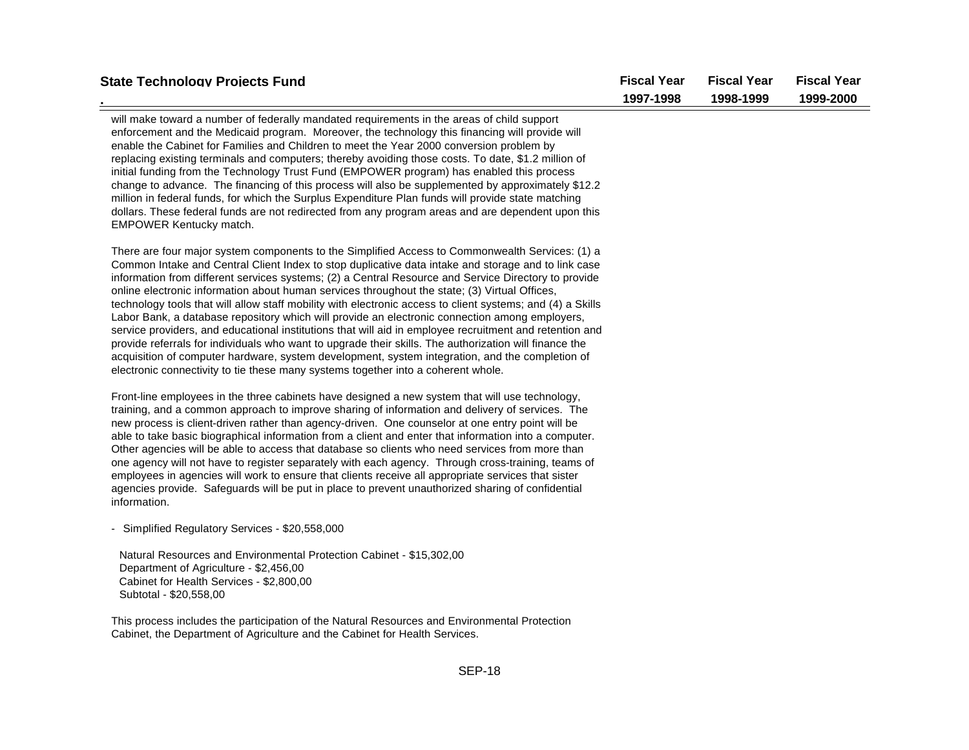| <b>State Technology Projects Fund</b>                                                                                                                                                                                                                                                                                                                                                                                                                                                                                                                                                                                                                                                                                                                                                                                                                                                                                                                                                                                                        | <b>Fiscal Year</b><br>1997-1998 | <b>Fiscal Year</b><br>1998-1999 | <b>Fiscal Year</b><br>1999-2000 |
|----------------------------------------------------------------------------------------------------------------------------------------------------------------------------------------------------------------------------------------------------------------------------------------------------------------------------------------------------------------------------------------------------------------------------------------------------------------------------------------------------------------------------------------------------------------------------------------------------------------------------------------------------------------------------------------------------------------------------------------------------------------------------------------------------------------------------------------------------------------------------------------------------------------------------------------------------------------------------------------------------------------------------------------------|---------------------------------|---------------------------------|---------------------------------|
|                                                                                                                                                                                                                                                                                                                                                                                                                                                                                                                                                                                                                                                                                                                                                                                                                                                                                                                                                                                                                                              |                                 |                                 |                                 |
| will make toward a number of federally mandated requirements in the areas of child support<br>enforcement and the Medicaid program. Moreover, the technology this financing will provide will<br>enable the Cabinet for Families and Children to meet the Year 2000 conversion problem by<br>replacing existing terminals and computers; thereby avoiding those costs. To date, \$1.2 million of<br>initial funding from the Technology Trust Fund (EMPOWER program) has enabled this process<br>change to advance. The financing of this process will also be supplemented by approximately \$12.2<br>million in federal funds, for which the Surplus Expenditure Plan funds will provide state matching<br>dollars. These federal funds are not redirected from any program areas and are dependent upon this<br>EMPOWER Kentucky match.                                                                                                                                                                                                   |                                 |                                 |                                 |
| There are four major system components to the Simplified Access to Commonwealth Services: (1) a<br>Common Intake and Central Client Index to stop duplicative data intake and storage and to link case<br>information from different services systems; (2) a Central Resource and Service Directory to provide<br>online electronic information about human services throughout the state; (3) Virtual Offices,<br>technology tools that will allow staff mobility with electronic access to client systems; and (4) a Skills<br>Labor Bank, a database repository which will provide an electronic connection among employers,<br>service providers, and educational institutions that will aid in employee recruitment and retention and<br>provide referrals for individuals who want to upgrade their skills. The authorization will finance the<br>acquisition of computer hardware, system development, system integration, and the completion of<br>electronic connectivity to tie these many systems together into a coherent whole. |                                 |                                 |                                 |
| Front-line employees in the three cabinets have designed a new system that will use technology,<br>training, and a common approach to improve sharing of information and delivery of services. The<br>new process is client-driven rather than agency-driven. One counselor at one entry point will be<br>able to take basic biographical information from a client and enter that information into a computer.<br>Other agencies will be able to access that database so clients who need services from more than<br>one agency will not have to register separately with each agency. Through cross-training, teams of<br>employees in agencies will work to ensure that clients receive all appropriate services that sister<br>agencies provide. Safeguards will be put in place to prevent unauthorized sharing of confidential<br>information.                                                                                                                                                                                         |                                 |                                 |                                 |
| - Simplified Regulatory Services - \$20,558,000                                                                                                                                                                                                                                                                                                                                                                                                                                                                                                                                                                                                                                                                                                                                                                                                                                                                                                                                                                                              |                                 |                                 |                                 |
| Natural Resources and Environmental Protection Cabinet - \$15,302,00<br>Department of Agriculture - \$2,456,00<br>Cabinet for Health Services - \$2,800,00<br>Subtotal - \$20,558,00                                                                                                                                                                                                                                                                                                                                                                                                                                                                                                                                                                                                                                                                                                                                                                                                                                                         |                                 |                                 |                                 |
|                                                                                                                                                                                                                                                                                                                                                                                                                                                                                                                                                                                                                                                                                                                                                                                                                                                                                                                                                                                                                                              |                                 |                                 |                                 |

This process includes the participation of the Natural Resources and Environmental Protection Cabinet, the Department of Agriculture and the Cabinet for Health Services.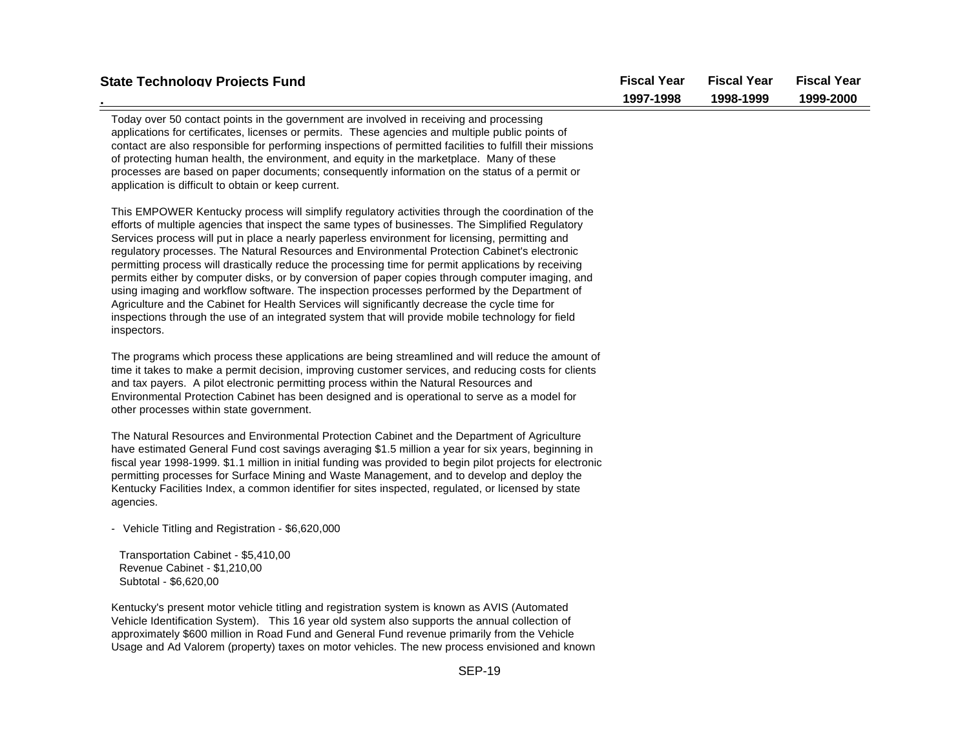| <b>State Technology Projects Fund</b>                                                                                                                                                                                                                                                                                                                                                                                                                                                                                                                                                                                                                                                                                                                                                                                                                                                                                                       | <b>Fiscal Year</b><br>1997-1998 | <b>Fiscal Year</b><br>1998-1999 | <b>Fiscal Year</b><br>1999-2000 |
|---------------------------------------------------------------------------------------------------------------------------------------------------------------------------------------------------------------------------------------------------------------------------------------------------------------------------------------------------------------------------------------------------------------------------------------------------------------------------------------------------------------------------------------------------------------------------------------------------------------------------------------------------------------------------------------------------------------------------------------------------------------------------------------------------------------------------------------------------------------------------------------------------------------------------------------------|---------------------------------|---------------------------------|---------------------------------|
| Today over 50 contact points in the government are involved in receiving and processing<br>applications for certificates, licenses or permits. These agencies and multiple public points of<br>contact are also responsible for performing inspections of permitted facilities to fulfill their missions<br>of protecting human health, the environment, and equity in the marketplace. Many of these<br>processes are based on paper documents; consequently information on the status of a permit or<br>application is difficult to obtain or keep current.                                                                                                                                                                                                                                                                                                                                                                               |                                 |                                 |                                 |
| This EMPOWER Kentucky process will simplify regulatory activities through the coordination of the<br>efforts of multiple agencies that inspect the same types of businesses. The Simplified Regulatory<br>Services process will put in place a nearly paperless environment for licensing, permitting and<br>regulatory processes. The Natural Resources and Environmental Protection Cabinet's electronic<br>permitting process will drastically reduce the processing time for permit applications by receiving<br>permits either by computer disks, or by conversion of paper copies through computer imaging, and<br>using imaging and workflow software. The inspection processes performed by the Department of<br>Agriculture and the Cabinet for Health Services will significantly decrease the cycle time for<br>inspections through the use of an integrated system that will provide mobile technology for field<br>inspectors. |                                 |                                 |                                 |
| The programs which process these applications are being streamlined and will reduce the amount of<br>time it takes to make a permit decision, improving customer services, and reducing costs for clients<br>and tax payers. A pilot electronic permitting process within the Natural Resources and<br>Environmental Protection Cabinet has been designed and is operational to serve as a model for<br>other processes within state government.                                                                                                                                                                                                                                                                                                                                                                                                                                                                                            |                                 |                                 |                                 |
| The Natural Resources and Environmental Protection Cabinet and the Department of Agriculture<br>have estimated General Fund cost savings averaging \$1.5 million a year for six years, beginning in<br>fiscal year 1998-1999. \$1.1 million in initial funding was provided to begin pilot projects for electronic<br>permitting processes for Surface Mining and Waste Management, and to develop and deploy the<br>Kentucky Facilities Index, a common identifier for sites inspected, regulated, or licensed by state<br>agencies.                                                                                                                                                                                                                                                                                                                                                                                                       |                                 |                                 |                                 |
| - Vehicle Titling and Registration - \$6,620,000                                                                                                                                                                                                                                                                                                                                                                                                                                                                                                                                                                                                                                                                                                                                                                                                                                                                                            |                                 |                                 |                                 |
| Transportation Cabinet - \$5,410,00<br>Revenue Cabinet - \$1,210,00<br>Subtotal - \$6,620,00                                                                                                                                                                                                                                                                                                                                                                                                                                                                                                                                                                                                                                                                                                                                                                                                                                                |                                 |                                 |                                 |
| Kentucky's present motor vehicle titling and registration system is known as AVIS (Automated<br>Vehicle Identification System). This 16 year old system also supports the annual collection of<br>approximately \$600 million in Road Fund and General Fund revenue primarily from the Vehicle                                                                                                                                                                                                                                                                                                                                                                                                                                                                                                                                                                                                                                              |                                 |                                 |                                 |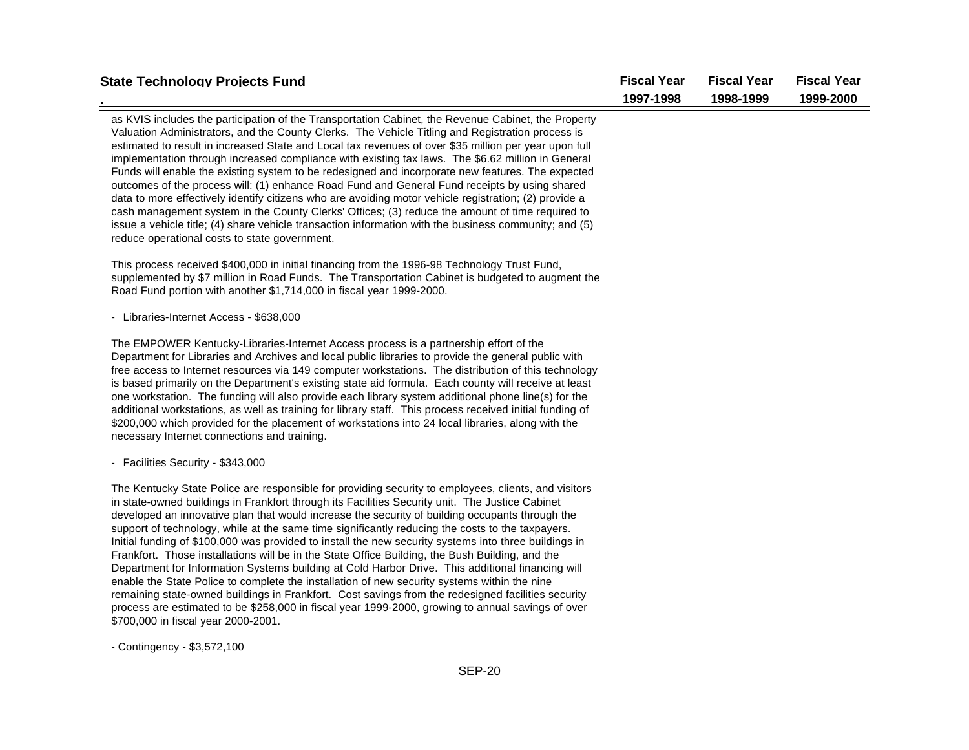| <b>State Technology Projects Fund</b>                                                                                                                                                                                                                                                                                                                                                                                                                                                                                                                                                                                                                                                                                                                                                                                                                                                                                                                                                                                                                                            | <b>Fiscal Year</b> | <b>Fiscal Year</b> | <b>Fiscal Year</b> |
|----------------------------------------------------------------------------------------------------------------------------------------------------------------------------------------------------------------------------------------------------------------------------------------------------------------------------------------------------------------------------------------------------------------------------------------------------------------------------------------------------------------------------------------------------------------------------------------------------------------------------------------------------------------------------------------------------------------------------------------------------------------------------------------------------------------------------------------------------------------------------------------------------------------------------------------------------------------------------------------------------------------------------------------------------------------------------------|--------------------|--------------------|--------------------|
|                                                                                                                                                                                                                                                                                                                                                                                                                                                                                                                                                                                                                                                                                                                                                                                                                                                                                                                                                                                                                                                                                  | 1997-1998          | 1998-1999          | 1999-2000          |
| as KVIS includes the participation of the Transportation Cabinet, the Revenue Cabinet, the Property<br>Valuation Administrators, and the County Clerks. The Vehicle Titling and Registration process is<br>estimated to result in increased State and Local tax revenues of over \$35 million per year upon full<br>implementation through increased compliance with existing tax laws. The \$6.62 million in General<br>Funds will enable the existing system to be redesigned and incorporate new features. The expected<br>outcomes of the process will: (1) enhance Road Fund and General Fund receipts by using shared<br>data to more effectively identify citizens who are avoiding motor vehicle registration; (2) provide a<br>cash management system in the County Clerks' Offices; (3) reduce the amount of time required to<br>issue a vehicle title; (4) share vehicle transaction information with the business community; and (5)<br>reduce operational costs to state government.                                                                                |                    |                    |                    |
| This process received \$400,000 in initial financing from the 1996-98 Technology Trust Fund,<br>supplemented by \$7 million in Road Funds. The Transportation Cabinet is budgeted to augment the<br>Road Fund portion with another \$1,714,000 in fiscal year 1999-2000.                                                                                                                                                                                                                                                                                                                                                                                                                                                                                                                                                                                                                                                                                                                                                                                                         |                    |                    |                    |
| - Libraries-Internet Access - \$638,000                                                                                                                                                                                                                                                                                                                                                                                                                                                                                                                                                                                                                                                                                                                                                                                                                                                                                                                                                                                                                                          |                    |                    |                    |
| The EMPOWER Kentucky-Libraries-Internet Access process is a partnership effort of the<br>Department for Libraries and Archives and local public libraries to provide the general public with<br>free access to Internet resources via 149 computer workstations. The distribution of this technology<br>is based primarily on the Department's existing state aid formula. Each county will receive at least<br>one workstation. The funding will also provide each library system additional phone line(s) for the<br>additional workstations, as well as training for library staff. This process received initial funding of<br>\$200,000 which provided for the placement of workstations into 24 local libraries, along with the<br>necessary Internet connections and training.                                                                                                                                                                                                                                                                                            |                    |                    |                    |
| - Facilities Security - \$343,000                                                                                                                                                                                                                                                                                                                                                                                                                                                                                                                                                                                                                                                                                                                                                                                                                                                                                                                                                                                                                                                |                    |                    |                    |
| The Kentucky State Police are responsible for providing security to employees, clients, and visitors<br>in state-owned buildings in Frankfort through its Facilities Security unit. The Justice Cabinet<br>developed an innovative plan that would increase the security of building occupants through the<br>support of technology, while at the same time significantly reducing the costs to the taxpayers.<br>Initial funding of \$100,000 was provided to install the new security systems into three buildings in<br>Frankfort. Those installations will be in the State Office Building, the Bush Building, and the<br>Department for Information Systems building at Cold Harbor Drive. This additional financing will<br>enable the State Police to complete the installation of new security systems within the nine<br>remaining state-owned buildings in Frankfort. Cost savings from the redesigned facilities security<br>process are estimated to be \$258,000 in fiscal year 1999-2000, growing to annual savings of over<br>\$700,000 in fiscal year 2000-2001. |                    |                    |                    |

- Contingency - \$3,572,100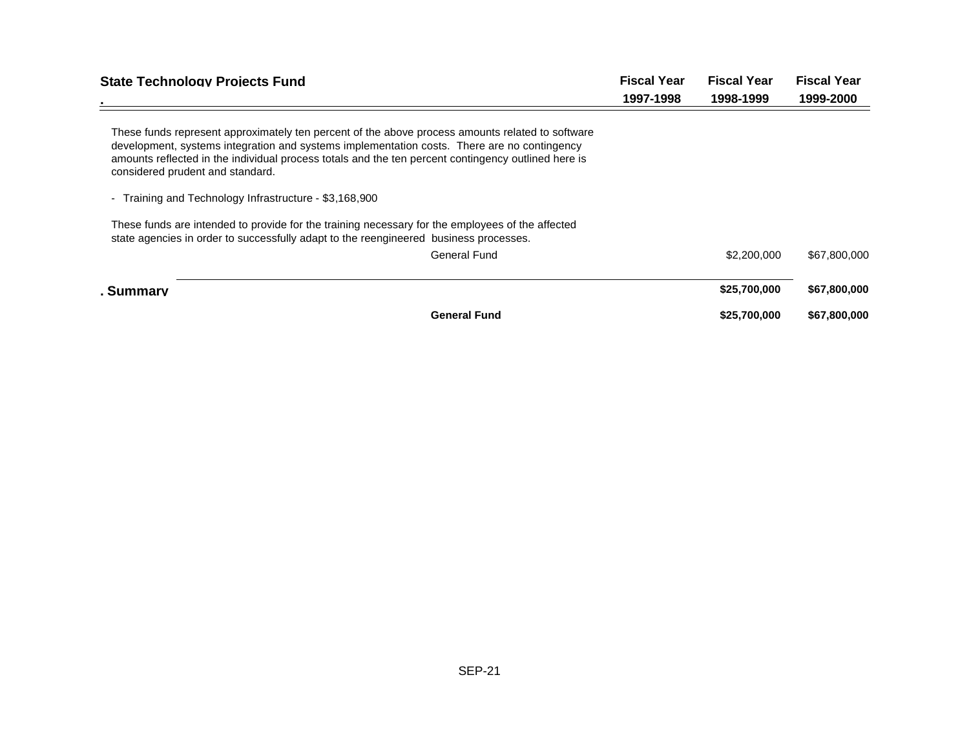| <b>State Technology Projects Fund</b>                                                                                                                                                                                                                                                                                                      | <b>Fiscal Year</b> |              | <b>Fiscal Year</b> |  | <b>Fiscal Year</b> |
|--------------------------------------------------------------------------------------------------------------------------------------------------------------------------------------------------------------------------------------------------------------------------------------------------------------------------------------------|--------------------|--------------|--------------------|--|--------------------|
|                                                                                                                                                                                                                                                                                                                                            | 1997-1998          | 1998-1999    | 1999-2000          |  |                    |
| These funds represent approximately ten percent of the above process amounts related to software<br>development, systems integration and systems implementation costs. There are no contingency<br>amounts reflected in the individual process totals and the ten percent contingency outlined here is<br>considered prudent and standard. |                    |              |                    |  |                    |
| Training and Technology Infrastructure - \$3,168,900                                                                                                                                                                                                                                                                                       |                    |              |                    |  |                    |
| These funds are intended to provide for the training necessary for the employees of the affected<br>state agencies in order to successfully adapt to the reengineered business processes.                                                                                                                                                  |                    |              |                    |  |                    |
| <b>General Fund</b>                                                                                                                                                                                                                                                                                                                        |                    | \$2,200,000  | \$67,800,000       |  |                    |
| . Summarv                                                                                                                                                                                                                                                                                                                                  |                    | \$25,700,000 | \$67,800,000       |  |                    |
| <b>General Fund</b>                                                                                                                                                                                                                                                                                                                        |                    | \$25,700,000 | \$67,800,000       |  |                    |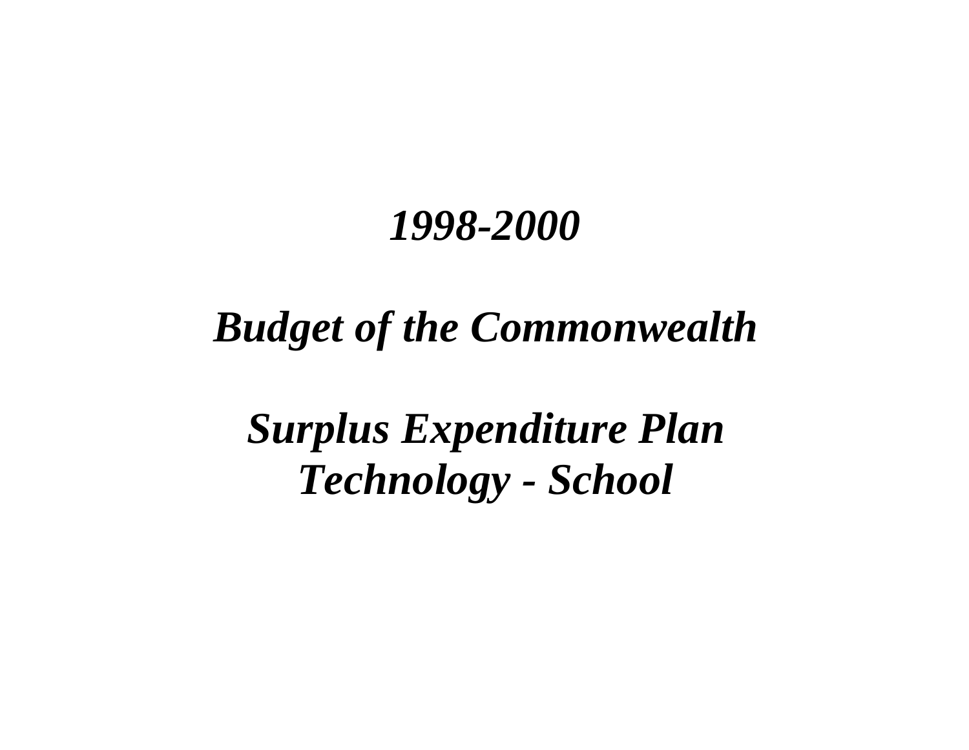# *Budget of the Commonwealth*

*Surplus Expenditure Plan Technology - School*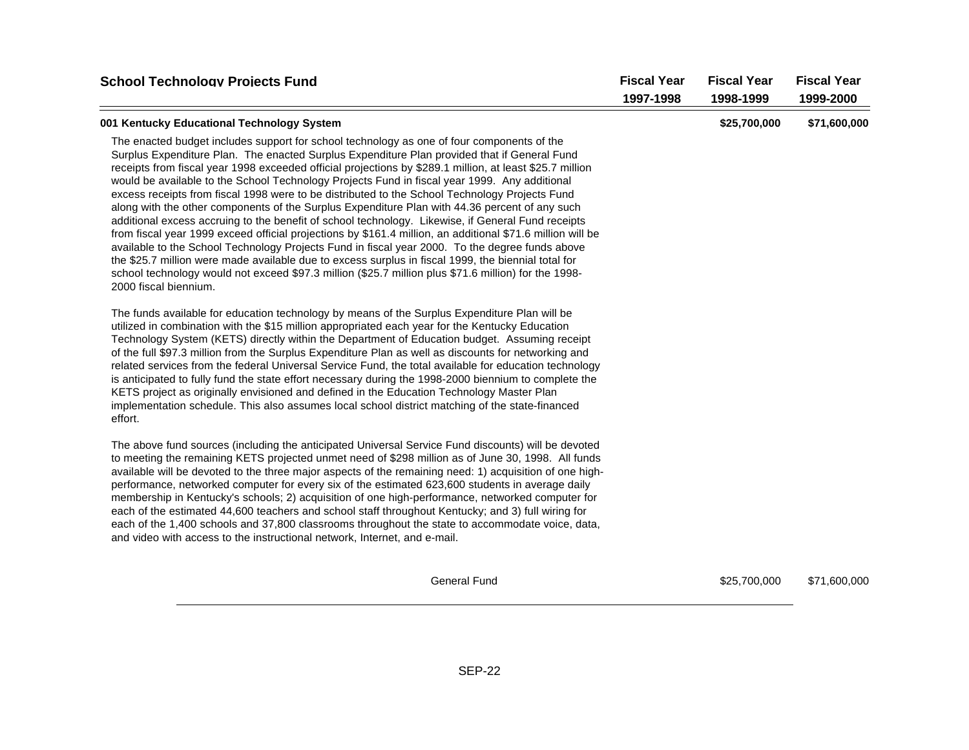| <b>School Technology Projects Fund</b>                                                                                                                                                                                                                                                                                                                                                                                                                                                                                                                                                                                                                                                                                                                                                                                                                                                                                                                                           | <b>Fiscal Year</b><br>1997-1998 | <b>Fiscal Year</b><br>1998-1999 | <b>Fiscal Year</b><br>1999-2000 |
|----------------------------------------------------------------------------------------------------------------------------------------------------------------------------------------------------------------------------------------------------------------------------------------------------------------------------------------------------------------------------------------------------------------------------------------------------------------------------------------------------------------------------------------------------------------------------------------------------------------------------------------------------------------------------------------------------------------------------------------------------------------------------------------------------------------------------------------------------------------------------------------------------------------------------------------------------------------------------------|---------------------------------|---------------------------------|---------------------------------|
| 001 Kentucky Educational Technology System<br>The enacted budget includes support for school technology as one of four components of the<br>Surplus Expenditure Plan. The enacted Surplus Expenditure Plan provided that if General Fund<br>receipts from fiscal year 1998 exceeded official projections by \$289.1 million, at least \$25.7 million<br>would be available to the School Technology Projects Fund in fiscal year 1999. Any additional<br>excess receipts from fiscal 1998 were to be distributed to the School Technology Projects Fund<br>along with the other components of the Surplus Expenditure Plan with 44.36 percent of any such<br>additional excess accruing to the benefit of school technology. Likewise, if General Fund receipts<br>from fiscal year 1999 exceed official projections by \$161.4 million, an additional \$71.6 million will be<br>available to the School Technology Projects Fund in fiscal year 2000. To the degree funds above |                                 | \$25,700,000                    | \$71,600,000                    |
| the \$25.7 million were made available due to excess surplus in fiscal 1999, the biennial total for<br>school technology would not exceed \$97.3 million (\$25.7 million plus \$71.6 million) for the 1998-<br>2000 fiscal biennium.                                                                                                                                                                                                                                                                                                                                                                                                                                                                                                                                                                                                                                                                                                                                             |                                 |                                 |                                 |
| The funds available for education technology by means of the Surplus Expenditure Plan will be<br>utilized in combination with the \$15 million appropriated each year for the Kentucky Education<br>Technology System (KETS) directly within the Department of Education budget. Assuming receipt<br>of the full \$97.3 million from the Surplus Expenditure Plan as well as discounts for networking and<br>related services from the federal Universal Service Fund, the total available for education technology<br>is anticipated to fully fund the state effort necessary during the 1998-2000 biennium to complete the<br>KETS project as originally envisioned and defined in the Education Technology Master Plan<br>implementation schedule. This also assumes local school district matching of the state-financed<br>effort.                                                                                                                                          |                                 |                                 |                                 |
| The above fund sources (including the anticipated Universal Service Fund discounts) will be devoted<br>to meeting the remaining KETS projected unmet need of \$298 million as of June 30, 1998. All funds<br>available will be devoted to the three major aspects of the remaining need: 1) acquisition of one high-<br>performance, networked computer for every six of the estimated 623,600 students in average daily<br>membership in Kentucky's schools; 2) acquisition of one high-performance, networked computer for<br>each of the estimated 44,600 teachers and school staff throughout Kentucky; and 3) full wiring for<br>each of the 1,400 schools and 37,800 classrooms throughout the state to accommodate voice, data,<br>and video with access to the instructional network, Internet, and e-mail.                                                                                                                                                              |                                 |                                 |                                 |
| <b>General Fund</b>                                                                                                                                                                                                                                                                                                                                                                                                                                                                                                                                                                                                                                                                                                                                                                                                                                                                                                                                                              |                                 | \$25,700,000                    | \$71,600,000                    |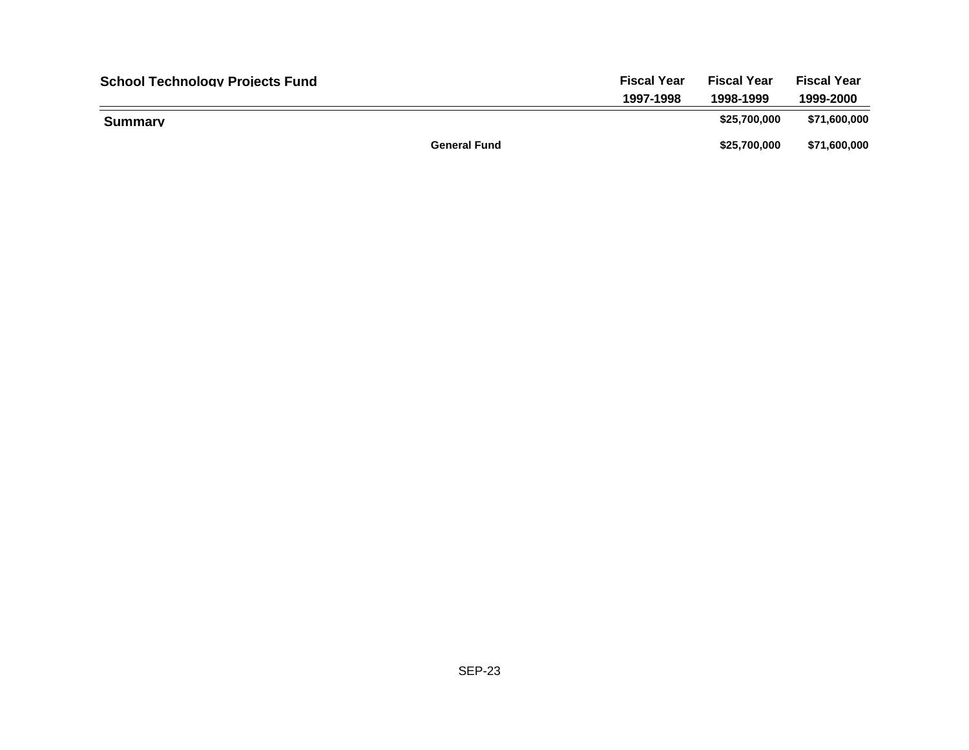| <b>School Technology Projects Fund</b> | <b>Fiscal Year</b>  | <b>Fiscal Year</b> | <b>Fiscal Year</b> |
|----------------------------------------|---------------------|--------------------|--------------------|
|                                        | 1997-1998           | 1998-1999          | 1999-2000          |
| Summarv                                |                     | \$25.700.000       | \$71,600,000       |
|                                        | <b>General Fund</b> | \$25,700,000       | \$71,600,000       |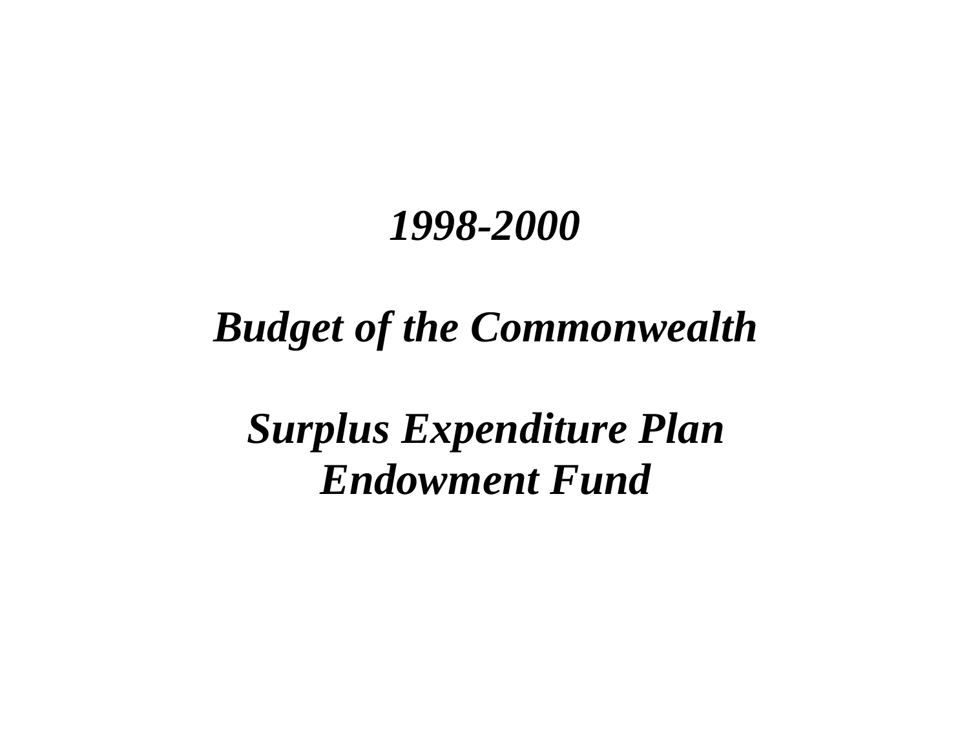# *Budget of the Commonwealth*

*Surplus Expenditure Plan Endowment Fund*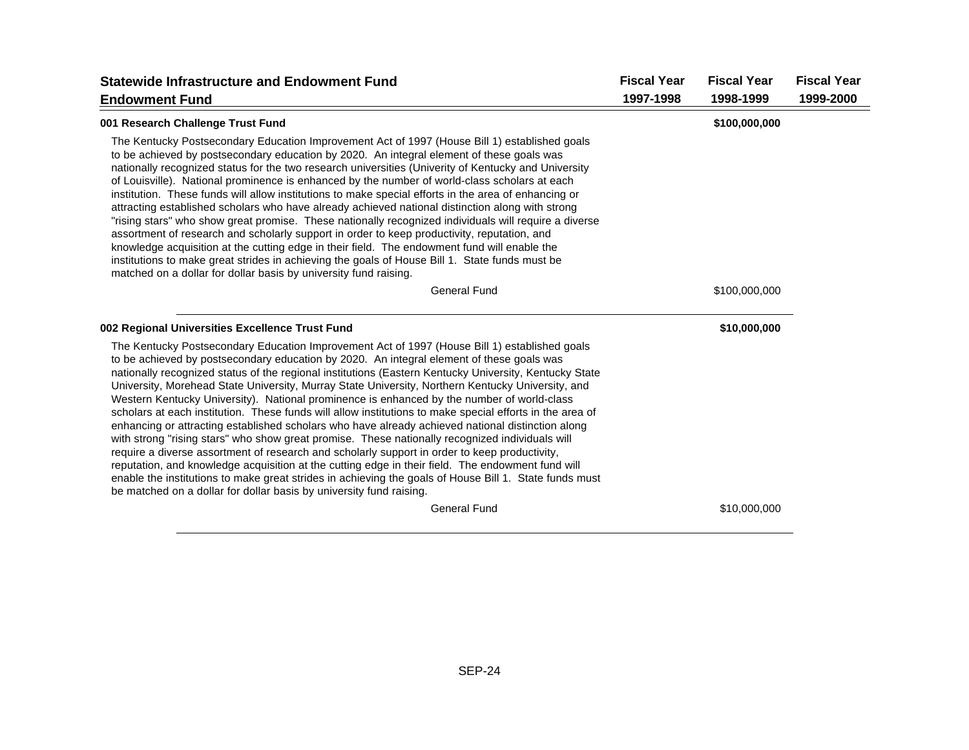| <b>Statewide Infrastructure and Endowment Fund</b>                                                                                                                                                                                                                                                                                                                                                                                                                                                                                                                                                                                                                                                                                                                                                                                                                                                                                                                                                                                                                                                                                                                                                                 | <b>Fiscal Year</b> | <b>Fiscal Year</b> | <b>Fiscal Year</b> |
|--------------------------------------------------------------------------------------------------------------------------------------------------------------------------------------------------------------------------------------------------------------------------------------------------------------------------------------------------------------------------------------------------------------------------------------------------------------------------------------------------------------------------------------------------------------------------------------------------------------------------------------------------------------------------------------------------------------------------------------------------------------------------------------------------------------------------------------------------------------------------------------------------------------------------------------------------------------------------------------------------------------------------------------------------------------------------------------------------------------------------------------------------------------------------------------------------------------------|--------------------|--------------------|--------------------|
| <b>Endowment Fund</b>                                                                                                                                                                                                                                                                                                                                                                                                                                                                                                                                                                                                                                                                                                                                                                                                                                                                                                                                                                                                                                                                                                                                                                                              | 1997-1998          | 1998-1999          | 1999-2000          |
| 001 Research Challenge Trust Fund                                                                                                                                                                                                                                                                                                                                                                                                                                                                                                                                                                                                                                                                                                                                                                                                                                                                                                                                                                                                                                                                                                                                                                                  |                    | \$100,000,000      |                    |
| The Kentucky Postsecondary Education Improvement Act of 1997 (House Bill 1) established goals<br>to be achieved by postsecondary education by 2020. An integral element of these goals was<br>nationally recognized status for the two research universities (Univerity of Kentucky and University<br>of Louisville). National prominence is enhanced by the number of world-class scholars at each<br>institution. These funds will allow institutions to make special efforts in the area of enhancing or<br>attracting established scholars who have already achieved national distinction along with strong<br>"rising stars" who show great promise. These nationally recognized individuals will require a diverse<br>assortment of research and scholarly support in order to keep productivity, reputation, and<br>knowledge acquisition at the cutting edge in their field. The endowment fund will enable the<br>institutions to make great strides in achieving the goals of House Bill 1. State funds must be<br>matched on a dollar for dollar basis by university fund raising.                                                                                                                      |                    |                    |                    |
| <b>General Fund</b>                                                                                                                                                                                                                                                                                                                                                                                                                                                                                                                                                                                                                                                                                                                                                                                                                                                                                                                                                                                                                                                                                                                                                                                                |                    | \$100,000,000      |                    |
| 002 Regional Universities Excellence Trust Fund                                                                                                                                                                                                                                                                                                                                                                                                                                                                                                                                                                                                                                                                                                                                                                                                                                                                                                                                                                                                                                                                                                                                                                    |                    | \$10,000,000       |                    |
| The Kentucky Postsecondary Education Improvement Act of 1997 (House Bill 1) established goals<br>to be achieved by postsecondary education by 2020. An integral element of these goals was<br>nationally recognized status of the regional institutions (Eastern Kentucky University, Kentucky State<br>University, Morehead State University, Murray State University, Northern Kentucky University, and<br>Western Kentucky University). National prominence is enhanced by the number of world-class<br>scholars at each institution. These funds will allow institutions to make special efforts in the area of<br>enhancing or attracting established scholars who have already achieved national distinction along<br>with strong "rising stars" who show great promise. These nationally recognized individuals will<br>require a diverse assortment of research and scholarly support in order to keep productivity,<br>reputation, and knowledge acquisition at the cutting edge in their field. The endowment fund will<br>enable the institutions to make great strides in achieving the goals of House Bill 1. State funds must<br>be matched on a dollar for dollar basis by university fund raising. |                    |                    |                    |
| <b>General Fund</b>                                                                                                                                                                                                                                                                                                                                                                                                                                                                                                                                                                                                                                                                                                                                                                                                                                                                                                                                                                                                                                                                                                                                                                                                |                    | \$10,000,000       |                    |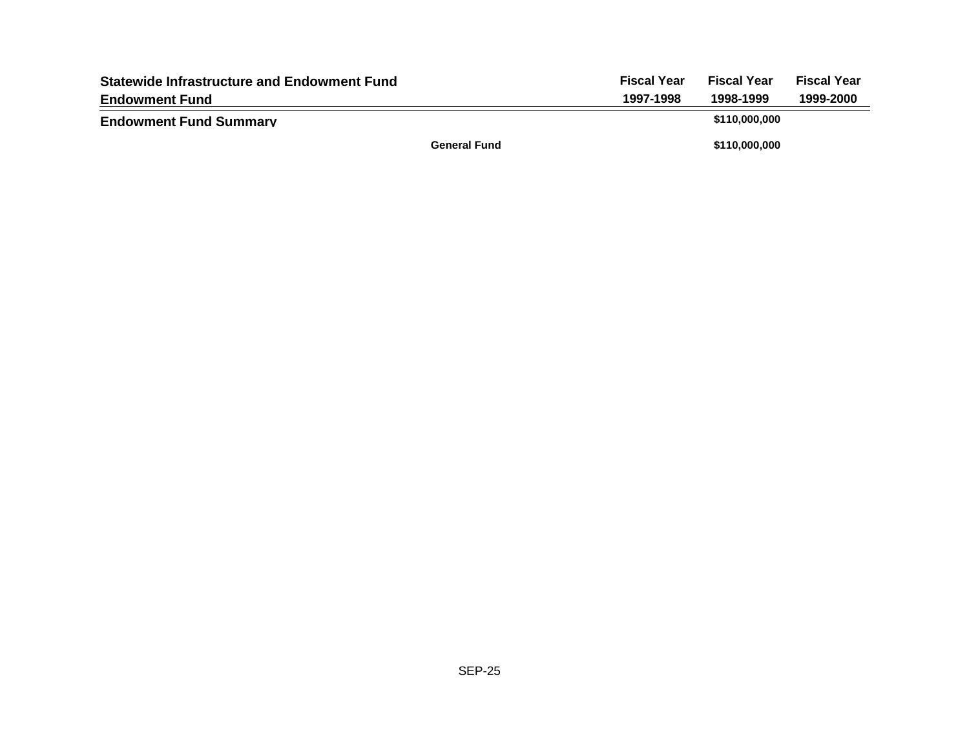| <b>Statewide Infrastructure and Endowment Fund</b> |                     | <b>Fiscal Year</b> | <b>Fiscal Year</b> | <b>Fiscal Year</b> |
|----------------------------------------------------|---------------------|--------------------|--------------------|--------------------|
| <b>Endowment Fund</b>                              |                     | 1997-1998          | 1998-1999          | 1999-2000          |
| <b>Endowment Fund Summary</b>                      |                     |                    | \$110,000,000      |                    |
|                                                    | <b>General Fund</b> |                    | \$110,000,000      |                    |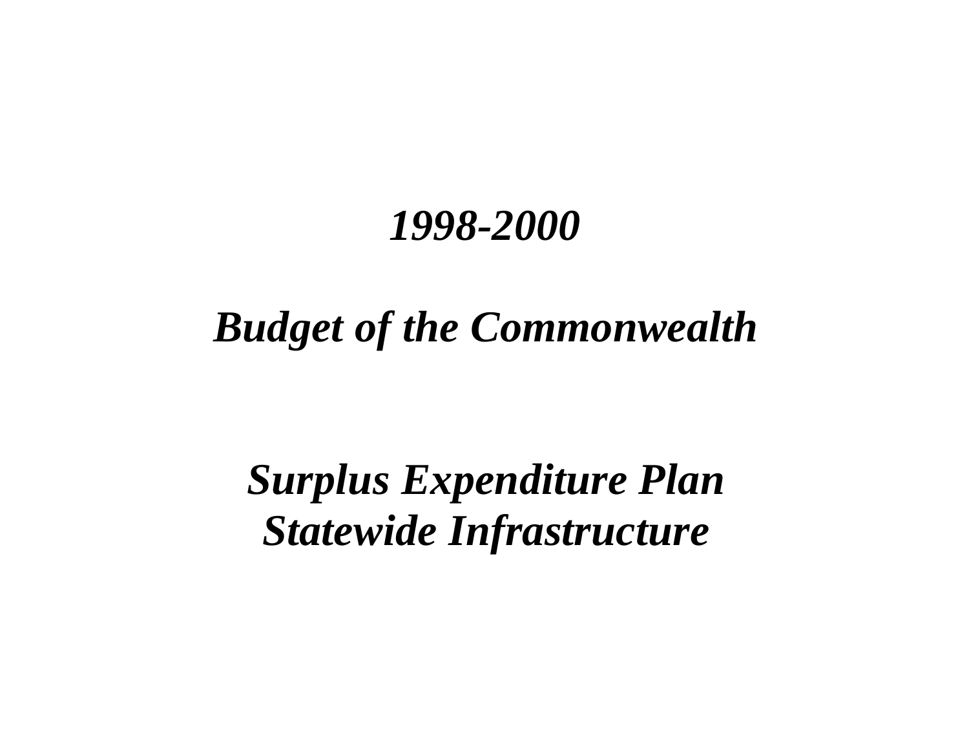# *Budget of the Commonwealth*

*Surplus Expenditure Plan Statewide Infrastructure*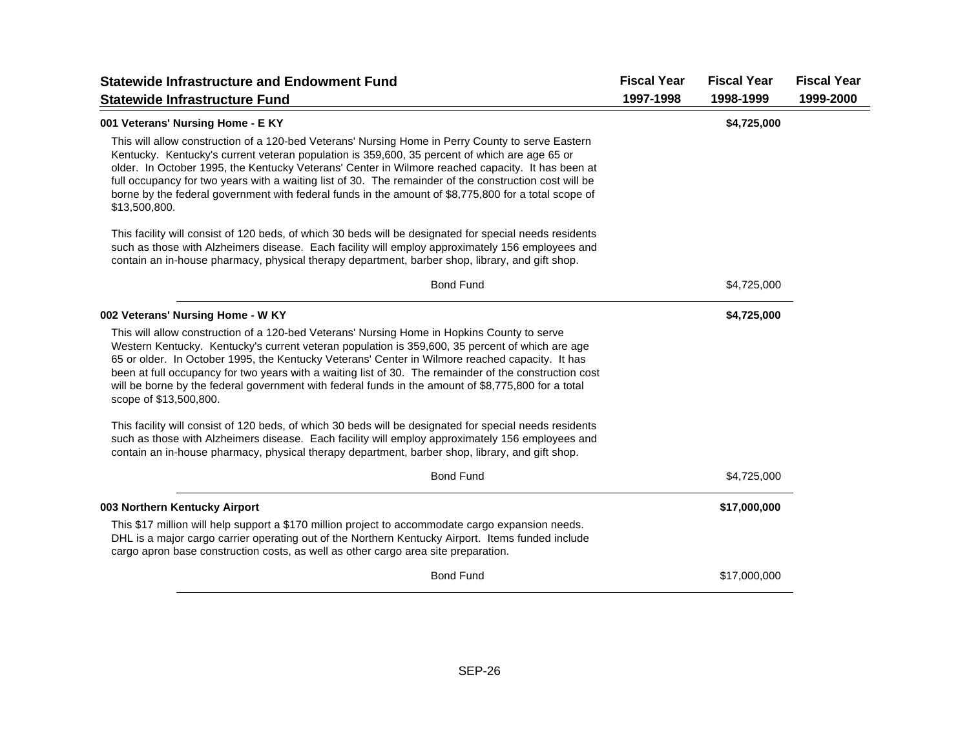| <b>Statewide Infrastructure and Endowment Fund</b>                                                                                                                                                                                                                                                                                                                                                                                                                                                                                           | <b>Fiscal Year</b> | <b>Fiscal Year</b> | <b>Fiscal Year</b> |
|----------------------------------------------------------------------------------------------------------------------------------------------------------------------------------------------------------------------------------------------------------------------------------------------------------------------------------------------------------------------------------------------------------------------------------------------------------------------------------------------------------------------------------------------|--------------------|--------------------|--------------------|
| <b>Statewide Infrastructure Fund</b>                                                                                                                                                                                                                                                                                                                                                                                                                                                                                                         | 1997-1998          | 1998-1999          | 1999-2000          |
| 001 Veterans' Nursing Home - E KY                                                                                                                                                                                                                                                                                                                                                                                                                                                                                                            |                    | \$4,725,000        |                    |
| This will allow construction of a 120-bed Veterans' Nursing Home in Perry County to serve Eastern<br>Kentucky. Kentucky's current veteran population is 359,600, 35 percent of which are age 65 or<br>older. In October 1995, the Kentucky Veterans' Center in Wilmore reached capacity. It has been at<br>full occupancy for two years with a waiting list of 30. The remainder of the construction cost will be<br>borne by the federal government with federal funds in the amount of \$8,775,800 for a total scope of<br>\$13,500,800.   |                    |                    |                    |
| This facility will consist of 120 beds, of which 30 beds will be designated for special needs residents<br>such as those with Alzheimers disease. Each facility will employ approximately 156 employees and<br>contain an in-house pharmacy, physical therapy department, barber shop, library, and gift shop.                                                                                                                                                                                                                               |                    |                    |                    |
| <b>Bond Fund</b>                                                                                                                                                                                                                                                                                                                                                                                                                                                                                                                             |                    | \$4,725,000        |                    |
| 002 Veterans' Nursing Home - W KY                                                                                                                                                                                                                                                                                                                                                                                                                                                                                                            |                    | \$4,725,000        |                    |
| This will allow construction of a 120-bed Veterans' Nursing Home in Hopkins County to serve<br>Western Kentucky. Kentucky's current veteran population is 359,600, 35 percent of which are age<br>65 or older. In October 1995, the Kentucky Veterans' Center in Wilmore reached capacity. It has<br>been at full occupancy for two years with a waiting list of 30. The remainder of the construction cost<br>will be borne by the federal government with federal funds in the amount of \$8,775,800 for a total<br>scope of \$13,500,800. |                    |                    |                    |
| This facility will consist of 120 beds, of which 30 beds will be designated for special needs residents<br>such as those with Alzheimers disease. Each facility will employ approximately 156 employees and<br>contain an in-house pharmacy, physical therapy department, barber shop, library, and gift shop.                                                                                                                                                                                                                               |                    |                    |                    |
| <b>Bond Fund</b>                                                                                                                                                                                                                                                                                                                                                                                                                                                                                                                             |                    | \$4,725,000        |                    |
| 003 Northern Kentucky Airport                                                                                                                                                                                                                                                                                                                                                                                                                                                                                                                |                    | \$17,000,000       |                    |
| This \$17 million will help support a \$170 million project to accommodate cargo expansion needs.<br>DHL is a major cargo carrier operating out of the Northern Kentucky Airport. Items funded include<br>cargo apron base construction costs, as well as other cargo area site preparation.                                                                                                                                                                                                                                                 |                    |                    |                    |
| <b>Bond Fund</b>                                                                                                                                                                                                                                                                                                                                                                                                                                                                                                                             |                    | \$17,000,000       |                    |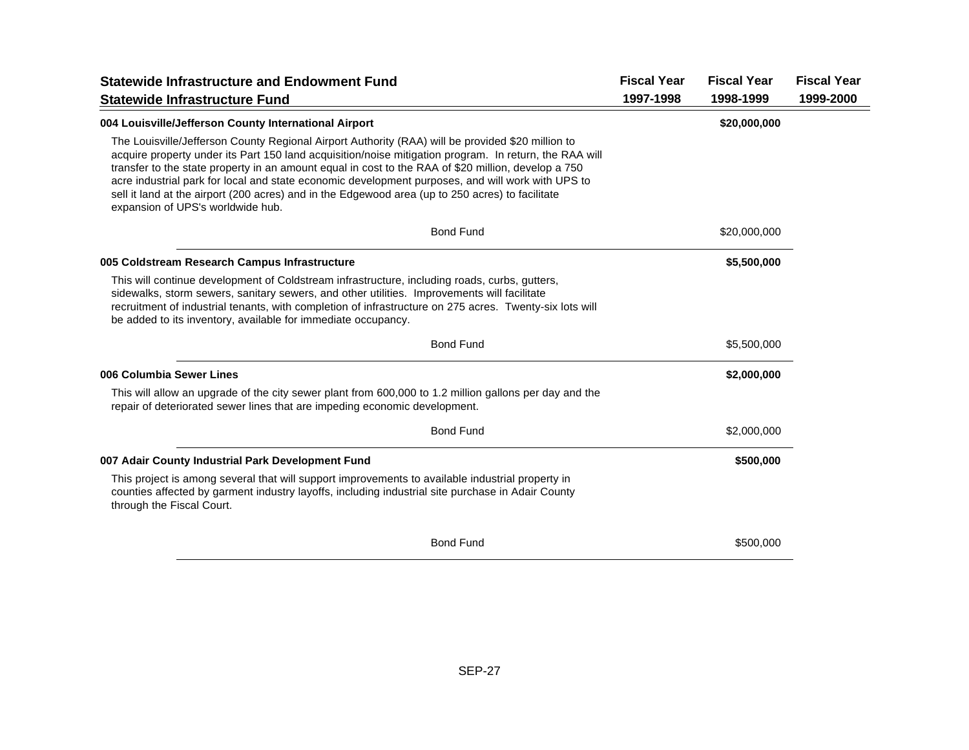| <b>Statewide Infrastructure and Endowment Fund</b>                                                                                                                                                                                                                                                                                                                                                                                                                                                                                                               | <b>Fiscal Year</b> | <b>Fiscal Year</b> | <b>Fiscal Year</b> |
|------------------------------------------------------------------------------------------------------------------------------------------------------------------------------------------------------------------------------------------------------------------------------------------------------------------------------------------------------------------------------------------------------------------------------------------------------------------------------------------------------------------------------------------------------------------|--------------------|--------------------|--------------------|
| <b>Statewide Infrastructure Fund</b>                                                                                                                                                                                                                                                                                                                                                                                                                                                                                                                             | 1997-1998          | 1998-1999          | 1999-2000          |
| 004 Louisville/Jefferson County International Airport                                                                                                                                                                                                                                                                                                                                                                                                                                                                                                            |                    | \$20,000,000       |                    |
| The Louisville/Jefferson County Regional Airport Authority (RAA) will be provided \$20 million to<br>acquire property under its Part 150 land acquisition/noise mitigation program. In return, the RAA will<br>transfer to the state property in an amount equal in cost to the RAA of \$20 million, develop a 750<br>acre industrial park for local and state economic development purposes, and will work with UPS to<br>sell it land at the airport (200 acres) and in the Edgewood area (up to 250 acres) to facilitate<br>expansion of UPS's worldwide hub. |                    |                    |                    |
| <b>Bond Fund</b>                                                                                                                                                                                                                                                                                                                                                                                                                                                                                                                                                 |                    | \$20,000,000       |                    |
| 005 Coldstream Research Campus Infrastructure                                                                                                                                                                                                                                                                                                                                                                                                                                                                                                                    |                    | \$5,500,000        |                    |
| This will continue development of Coldstream infrastructure, including roads, curbs, gutters,<br>sidewalks, storm sewers, sanitary sewers, and other utilities. Improvements will facilitate<br>recruitment of industrial tenants, with completion of infrastructure on 275 acres. Twenty-six lots will<br>be added to its inventory, available for immediate occupancy.                                                                                                                                                                                         |                    |                    |                    |
| <b>Bond Fund</b>                                                                                                                                                                                                                                                                                                                                                                                                                                                                                                                                                 |                    | \$5,500,000        |                    |
| 006 Columbia Sewer Lines                                                                                                                                                                                                                                                                                                                                                                                                                                                                                                                                         |                    | \$2,000,000        |                    |
| This will allow an upgrade of the city sewer plant from 600,000 to 1.2 million gallons per day and the<br>repair of deteriorated sewer lines that are impeding economic development.                                                                                                                                                                                                                                                                                                                                                                             |                    |                    |                    |
| <b>Bond Fund</b>                                                                                                                                                                                                                                                                                                                                                                                                                                                                                                                                                 |                    | \$2,000,000        |                    |
| 007 Adair County Industrial Park Development Fund                                                                                                                                                                                                                                                                                                                                                                                                                                                                                                                |                    | \$500,000          |                    |
| This project is among several that will support improvements to available industrial property in<br>counties affected by garment industry layoffs, including industrial site purchase in Adair County<br>through the Fiscal Court.                                                                                                                                                                                                                                                                                                                               |                    |                    |                    |
| <b>Bond Fund</b>                                                                                                                                                                                                                                                                                                                                                                                                                                                                                                                                                 |                    | \$500,000          |                    |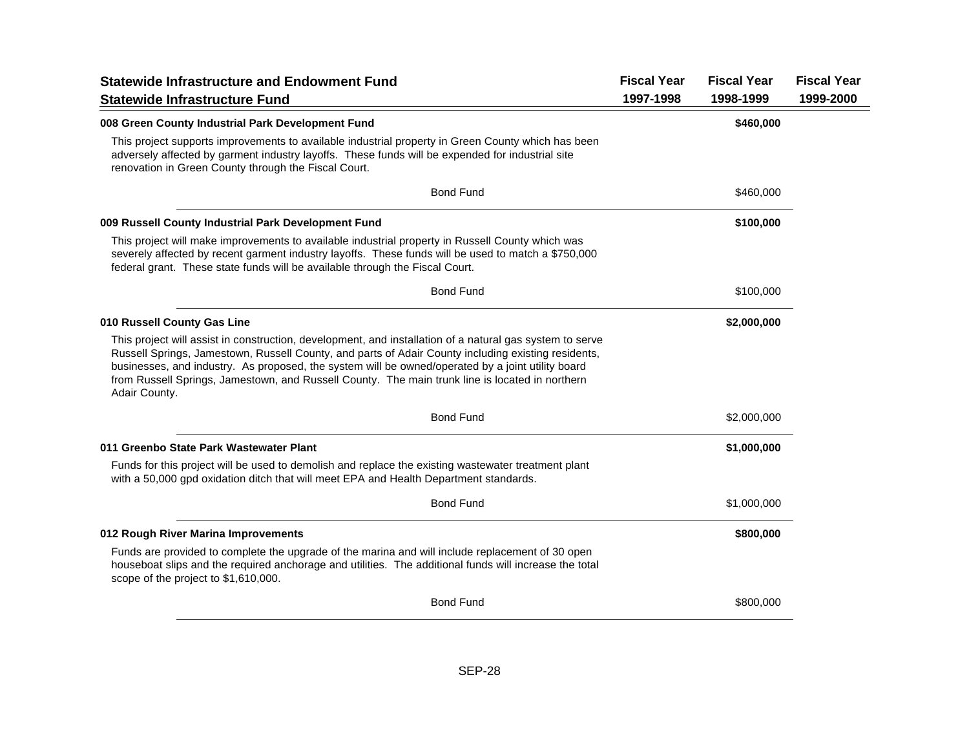| <b>Statewide Infrastructure and Endowment Fund</b><br><b>Statewide Infrastructure Fund</b>                                                                                                                                                                                                                                                                                                                                               | <b>Fiscal Year</b><br>1997-1998 | <b>Fiscal Year</b><br>1998-1999 | <b>Fiscal Year</b><br>1999-2000 |
|------------------------------------------------------------------------------------------------------------------------------------------------------------------------------------------------------------------------------------------------------------------------------------------------------------------------------------------------------------------------------------------------------------------------------------------|---------------------------------|---------------------------------|---------------------------------|
| 008 Green County Industrial Park Development Fund                                                                                                                                                                                                                                                                                                                                                                                        |                                 | \$460,000                       |                                 |
| This project supports improvements to available industrial property in Green County which has been<br>adversely affected by garment industry layoffs. These funds will be expended for industrial site<br>renovation in Green County through the Fiscal Court.                                                                                                                                                                           |                                 |                                 |                                 |
| <b>Bond Fund</b>                                                                                                                                                                                                                                                                                                                                                                                                                         |                                 | \$460,000                       |                                 |
| 009 Russell County Industrial Park Development Fund                                                                                                                                                                                                                                                                                                                                                                                      |                                 | \$100,000                       |                                 |
| This project will make improvements to available industrial property in Russell County which was<br>severely affected by recent garment industry layoffs. These funds will be used to match a \$750,000<br>federal grant. These state funds will be available through the Fiscal Court.                                                                                                                                                  |                                 |                                 |                                 |
| <b>Bond Fund</b>                                                                                                                                                                                                                                                                                                                                                                                                                         |                                 | \$100,000                       |                                 |
| 010 Russell County Gas Line                                                                                                                                                                                                                                                                                                                                                                                                              |                                 | \$2,000,000                     |                                 |
| This project will assist in construction, development, and installation of a natural gas system to serve<br>Russell Springs, Jamestown, Russell County, and parts of Adair County including existing residents,<br>businesses, and industry. As proposed, the system will be owned/operated by a joint utility board<br>from Russell Springs, Jamestown, and Russell County. The main trunk line is located in northern<br>Adair County. |                                 |                                 |                                 |
| <b>Bond Fund</b>                                                                                                                                                                                                                                                                                                                                                                                                                         |                                 | \$2,000,000                     |                                 |
| 011 Greenbo State Park Wastewater Plant                                                                                                                                                                                                                                                                                                                                                                                                  |                                 | \$1,000,000                     |                                 |
| Funds for this project will be used to demolish and replace the existing wastewater treatment plant<br>with a 50,000 gpd oxidation ditch that will meet EPA and Health Department standards.                                                                                                                                                                                                                                             |                                 |                                 |                                 |
| <b>Bond Fund</b>                                                                                                                                                                                                                                                                                                                                                                                                                         |                                 | \$1,000,000                     |                                 |
| 012 Rough River Marina Improvements                                                                                                                                                                                                                                                                                                                                                                                                      |                                 | \$800,000                       |                                 |
| Funds are provided to complete the upgrade of the marina and will include replacement of 30 open<br>houseboat slips and the required anchorage and utilities. The additional funds will increase the total<br>scope of the project to \$1,610,000.                                                                                                                                                                                       |                                 |                                 |                                 |
| <b>Bond Fund</b>                                                                                                                                                                                                                                                                                                                                                                                                                         |                                 | \$800,000                       |                                 |
|                                                                                                                                                                                                                                                                                                                                                                                                                                          |                                 |                                 |                                 |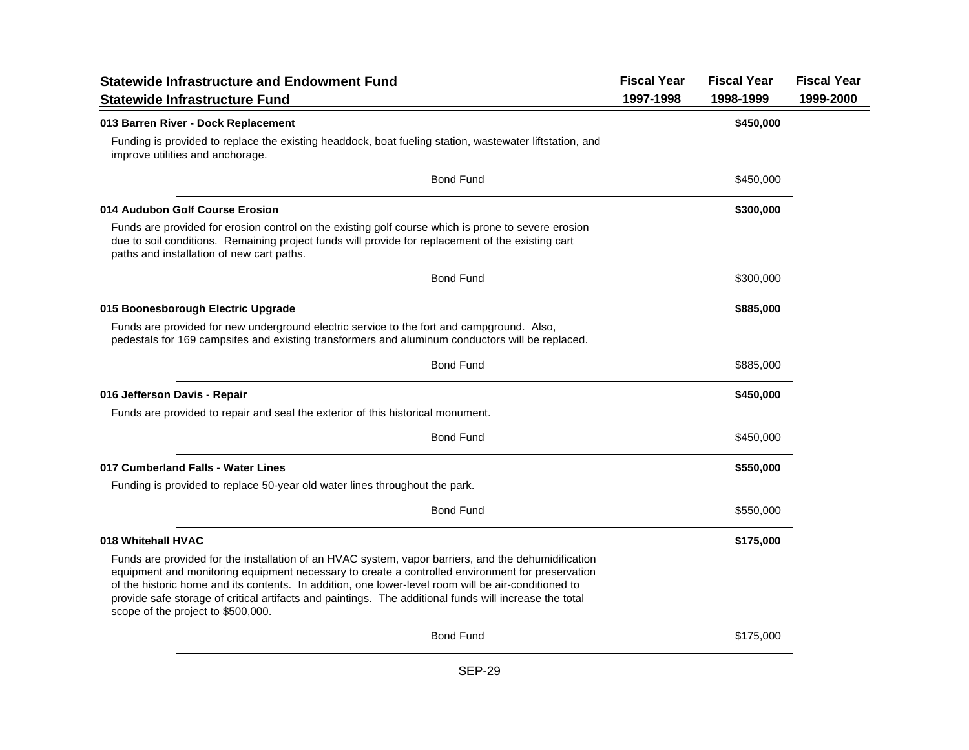| <b>Statewide Infrastructure and Endowment Fund</b>                                                                                                                                                                                                                                                                                                                                                                                                             | <b>Fiscal Year</b> | <b>Fiscal Year</b> | <b>Fiscal Year</b> |
|----------------------------------------------------------------------------------------------------------------------------------------------------------------------------------------------------------------------------------------------------------------------------------------------------------------------------------------------------------------------------------------------------------------------------------------------------------------|--------------------|--------------------|--------------------|
| <b>Statewide Infrastructure Fund</b>                                                                                                                                                                                                                                                                                                                                                                                                                           | 1997-1998          | 1998-1999          | 1999-2000          |
| 013 Barren River - Dock Replacement                                                                                                                                                                                                                                                                                                                                                                                                                            |                    | \$450,000          |                    |
| Funding is provided to replace the existing headdock, boat fueling station, wastewater liftstation, and<br>improve utilities and anchorage.                                                                                                                                                                                                                                                                                                                    |                    |                    |                    |
| <b>Bond Fund</b>                                                                                                                                                                                                                                                                                                                                                                                                                                               |                    | \$450,000          |                    |
| 014 Audubon Golf Course Erosion                                                                                                                                                                                                                                                                                                                                                                                                                                |                    | \$300,000          |                    |
| Funds are provided for erosion control on the existing golf course which is prone to severe erosion<br>due to soil conditions. Remaining project funds will provide for replacement of the existing cart<br>paths and installation of new cart paths.                                                                                                                                                                                                          |                    |                    |                    |
| <b>Bond Fund</b>                                                                                                                                                                                                                                                                                                                                                                                                                                               |                    | \$300,000          |                    |
| 015 Boonesborough Electric Upgrade                                                                                                                                                                                                                                                                                                                                                                                                                             |                    | \$885,000          |                    |
| Funds are provided for new underground electric service to the fort and campground. Also,<br>pedestals for 169 campsites and existing transformers and aluminum conductors will be replaced.                                                                                                                                                                                                                                                                   |                    |                    |                    |
| <b>Bond Fund</b>                                                                                                                                                                                                                                                                                                                                                                                                                                               |                    | \$885,000          |                    |
| 016 Jefferson Davis - Repair                                                                                                                                                                                                                                                                                                                                                                                                                                   |                    | \$450,000          |                    |
| Funds are provided to repair and seal the exterior of this historical monument.                                                                                                                                                                                                                                                                                                                                                                                |                    |                    |                    |
| <b>Bond Fund</b>                                                                                                                                                                                                                                                                                                                                                                                                                                               |                    | \$450,000          |                    |
| 017 Cumberland Falls - Water Lines                                                                                                                                                                                                                                                                                                                                                                                                                             |                    | \$550,000          |                    |
| Funding is provided to replace 50-year old water lines throughout the park.                                                                                                                                                                                                                                                                                                                                                                                    |                    |                    |                    |
| <b>Bond Fund</b>                                                                                                                                                                                                                                                                                                                                                                                                                                               |                    | \$550,000          |                    |
| 018 Whitehall HVAC                                                                                                                                                                                                                                                                                                                                                                                                                                             |                    | \$175,000          |                    |
| Funds are provided for the installation of an HVAC system, vapor barriers, and the dehumidification<br>equipment and monitoring equipment necessary to create a controlled environment for preservation<br>of the historic home and its contents. In addition, one lower-level room will be air-conditioned to<br>provide safe storage of critical artifacts and paintings. The additional funds will increase the total<br>scope of the project to \$500,000. |                    |                    |                    |
| <b>Bond Fund</b>                                                                                                                                                                                                                                                                                                                                                                                                                                               |                    | \$175,000          |                    |
| <b>SEP-29</b>                                                                                                                                                                                                                                                                                                                                                                                                                                                  |                    |                    |                    |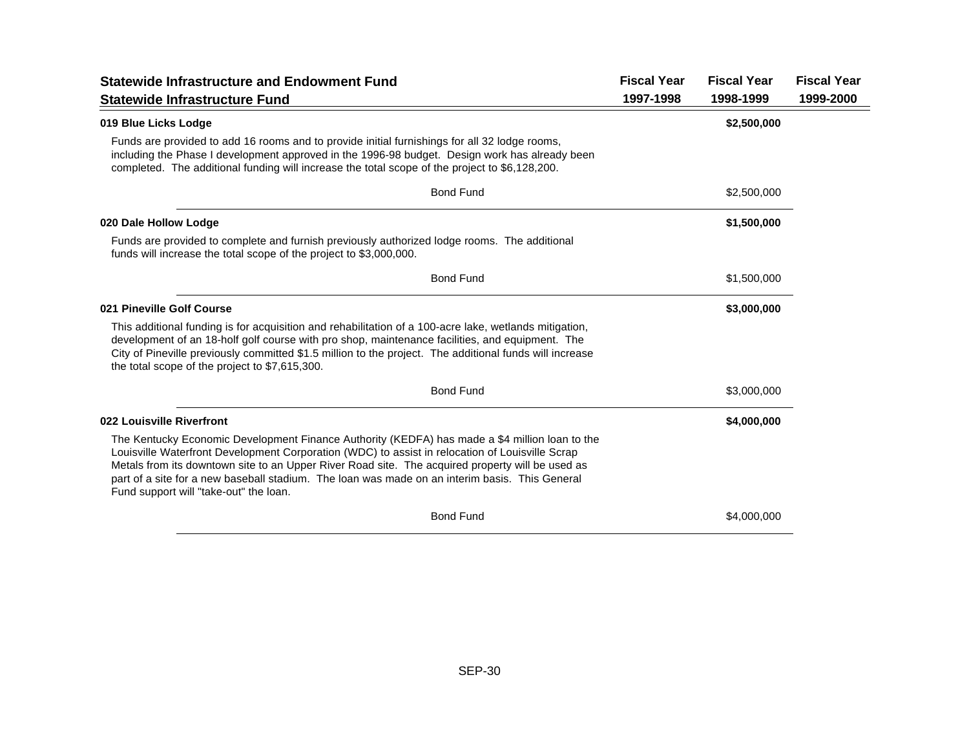| <b>Statewide Infrastructure and Endowment Fund</b>                                                                                                                                                                                                                                                                                                                                                                                                | <b>Fiscal Year</b> | <b>Fiscal Year</b> | <b>Fiscal Year</b> |
|---------------------------------------------------------------------------------------------------------------------------------------------------------------------------------------------------------------------------------------------------------------------------------------------------------------------------------------------------------------------------------------------------------------------------------------------------|--------------------|--------------------|--------------------|
| <b>Statewide Infrastructure Fund</b>                                                                                                                                                                                                                                                                                                                                                                                                              | 1997-1998          | 1998-1999          | 1999-2000          |
| 019 Blue Licks Lodge                                                                                                                                                                                                                                                                                                                                                                                                                              |                    | \$2,500,000        |                    |
| Funds are provided to add 16 rooms and to provide initial furnishings for all 32 lodge rooms,<br>including the Phase I development approved in the 1996-98 budget. Design work has already been<br>completed. The additional funding will increase the total scope of the project to \$6,128,200.                                                                                                                                                 |                    |                    |                    |
| <b>Bond Fund</b>                                                                                                                                                                                                                                                                                                                                                                                                                                  |                    | \$2,500,000        |                    |
| 020 Dale Hollow Lodge                                                                                                                                                                                                                                                                                                                                                                                                                             |                    | \$1,500,000        |                    |
| Funds are provided to complete and furnish previously authorized lodge rooms. The additional<br>funds will increase the total scope of the project to \$3,000,000.                                                                                                                                                                                                                                                                                |                    |                    |                    |
| <b>Bond Fund</b>                                                                                                                                                                                                                                                                                                                                                                                                                                  |                    | \$1,500,000        |                    |
| 021 Pineville Golf Course                                                                                                                                                                                                                                                                                                                                                                                                                         |                    | \$3,000,000        |                    |
| This additional funding is for acquisition and rehabilitation of a 100-acre lake, wetlands mitigation,<br>development of an 18-holf golf course with pro shop, maintenance facilities, and equipment. The<br>City of Pineville previously committed \$1.5 million to the project. The additional funds will increase<br>the total scope of the project to \$7,615,300.                                                                            |                    |                    |                    |
| <b>Bond Fund</b>                                                                                                                                                                                                                                                                                                                                                                                                                                  |                    | \$3,000,000        |                    |
| 022 Louisville Riverfront                                                                                                                                                                                                                                                                                                                                                                                                                         |                    | \$4,000,000        |                    |
| The Kentucky Economic Development Finance Authority (KEDFA) has made a \$4 million loan to the<br>Louisville Waterfront Development Corporation (WDC) to assist in relocation of Louisville Scrap<br>Metals from its downtown site to an Upper River Road site. The acquired property will be used as<br>part of a site for a new baseball stadium. The loan was made on an interim basis. This General<br>Fund support will "take-out" the loan. |                    |                    |                    |
| <b>Bond Fund</b>                                                                                                                                                                                                                                                                                                                                                                                                                                  |                    | \$4,000,000        |                    |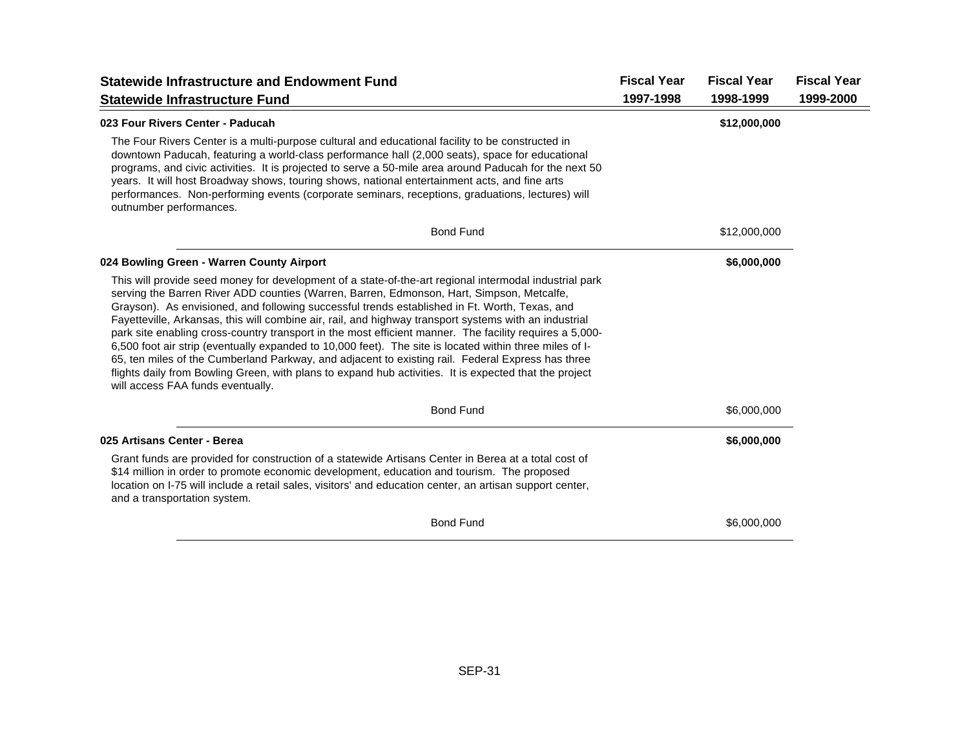| <b>Statewide Infrastructure and Endowment Fund</b>                                                                                                                                                                                                                                                                                                                                                                                                                                                                                                                                                                                                                                                                                                                                                                                                                                      | <b>Fiscal Year</b> | <b>Fiscal Year</b> | <b>Fiscal Year</b> |
|-----------------------------------------------------------------------------------------------------------------------------------------------------------------------------------------------------------------------------------------------------------------------------------------------------------------------------------------------------------------------------------------------------------------------------------------------------------------------------------------------------------------------------------------------------------------------------------------------------------------------------------------------------------------------------------------------------------------------------------------------------------------------------------------------------------------------------------------------------------------------------------------|--------------------|--------------------|--------------------|
| <b>Statewide Infrastructure Fund</b>                                                                                                                                                                                                                                                                                                                                                                                                                                                                                                                                                                                                                                                                                                                                                                                                                                                    | 1997-1998          | 1998-1999          | 1999-2000          |
| 023 Four Rivers Center - Paducah                                                                                                                                                                                                                                                                                                                                                                                                                                                                                                                                                                                                                                                                                                                                                                                                                                                        |                    | \$12,000,000       |                    |
| The Four Rivers Center is a multi-purpose cultural and educational facility to be constructed in<br>downtown Paducah, featuring a world-class performance hall (2,000 seats), space for educational<br>programs, and civic activities. It is projected to serve a 50-mile area around Paducah for the next 50<br>years. It will host Broadway shows, touring shows, national entertainment acts, and fine arts<br>performances. Non-performing events (corporate seminars, receptions, graduations, lectures) will<br>outnumber performances.                                                                                                                                                                                                                                                                                                                                           |                    |                    |                    |
| <b>Bond Fund</b>                                                                                                                                                                                                                                                                                                                                                                                                                                                                                                                                                                                                                                                                                                                                                                                                                                                                        |                    | \$12,000,000       |                    |
| 024 Bowling Green - Warren County Airport                                                                                                                                                                                                                                                                                                                                                                                                                                                                                                                                                                                                                                                                                                                                                                                                                                               |                    | \$6,000,000        |                    |
| This will provide seed money for development of a state-of-the-art regional intermodal industrial park<br>serving the Barren River ADD counties (Warren, Barren, Edmonson, Hart, Simpson, Metcalfe,<br>Grayson). As envisioned, and following successful trends established in Ft. Worth, Texas, and<br>Fayetteville, Arkansas, this will combine air, rail, and highway transport systems with an industrial<br>park site enabling cross-country transport in the most efficient manner. The facility requires a 5,000-<br>6,500 foot air strip (eventually expanded to 10,000 feet). The site is located within three miles of I-<br>65, ten miles of the Cumberland Parkway, and adjacent to existing rail. Federal Express has three<br>flights daily from Bowling Green, with plans to expand hub activities. It is expected that the project<br>will access FAA funds eventually. |                    |                    |                    |
| <b>Bond Fund</b>                                                                                                                                                                                                                                                                                                                                                                                                                                                                                                                                                                                                                                                                                                                                                                                                                                                                        |                    | \$6,000,000        |                    |
| 025 Artisans Center - Berea                                                                                                                                                                                                                                                                                                                                                                                                                                                                                                                                                                                                                                                                                                                                                                                                                                                             |                    | \$6,000,000        |                    |
| Grant funds are provided for construction of a statewide Artisans Center in Berea at a total cost of<br>\$14 million in order to promote economic development, education and tourism. The proposed<br>location on I-75 will include a retail sales, visitors' and education center, an artisan support center,<br>and a transportation system.                                                                                                                                                                                                                                                                                                                                                                                                                                                                                                                                          |                    |                    |                    |
| <b>Bond Fund</b>                                                                                                                                                                                                                                                                                                                                                                                                                                                                                                                                                                                                                                                                                                                                                                                                                                                                        |                    | \$6,000,000        |                    |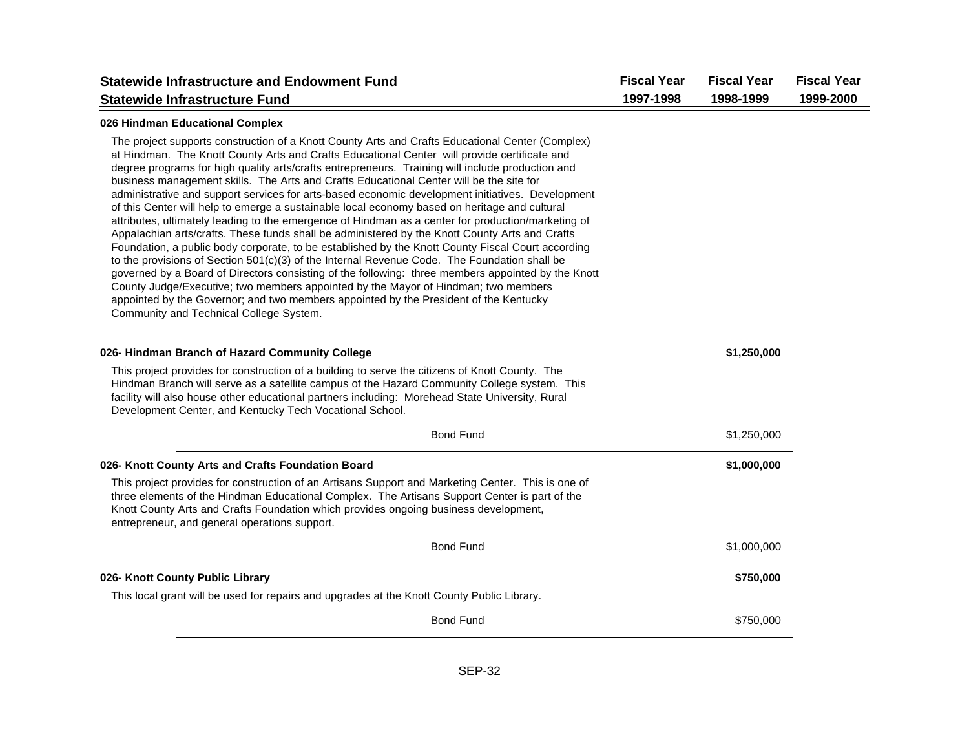|                                                                                                                                                                                                                                                                                                                                                                                                                                                                                                                                                                                                                                                                                                                                                                                                                                                                                                                                                                                                                                                                                                                                                                                                                                                                                                                                                   |           | <b>Fiscal Year</b> | <b>Fiscal Year</b> |
|---------------------------------------------------------------------------------------------------------------------------------------------------------------------------------------------------------------------------------------------------------------------------------------------------------------------------------------------------------------------------------------------------------------------------------------------------------------------------------------------------------------------------------------------------------------------------------------------------------------------------------------------------------------------------------------------------------------------------------------------------------------------------------------------------------------------------------------------------------------------------------------------------------------------------------------------------------------------------------------------------------------------------------------------------------------------------------------------------------------------------------------------------------------------------------------------------------------------------------------------------------------------------------------------------------------------------------------------------|-----------|--------------------|--------------------|
| <b>Statewide Infrastructure Fund</b>                                                                                                                                                                                                                                                                                                                                                                                                                                                                                                                                                                                                                                                                                                                                                                                                                                                                                                                                                                                                                                                                                                                                                                                                                                                                                                              | 1997-1998 | 1998-1999          | 1999-2000          |
| 026 Hindman Educational Complex                                                                                                                                                                                                                                                                                                                                                                                                                                                                                                                                                                                                                                                                                                                                                                                                                                                                                                                                                                                                                                                                                                                                                                                                                                                                                                                   |           |                    |                    |
| The project supports construction of a Knott County Arts and Crafts Educational Center (Complex)<br>at Hindman. The Knott County Arts and Crafts Educational Center will provide certificate and<br>degree programs for high quality arts/crafts entrepreneurs. Training will include production and<br>business management skills. The Arts and Crafts Educational Center will be the site for<br>administrative and support services for arts-based economic development initiatives. Development<br>of this Center will help to emerge a sustainable local economy based on heritage and cultural<br>attributes, ultimately leading to the emergence of Hindman as a center for production/marketing of<br>Appalachian arts/crafts. These funds shall be administered by the Knott County Arts and Crafts<br>Foundation, a public body corporate, to be established by the Knott County Fiscal Court according<br>to the provisions of Section 501(c)(3) of the Internal Revenue Code. The Foundation shall be<br>governed by a Board of Directors consisting of the following: three members appointed by the Knott<br>County Judge/Executive; two members appointed by the Mayor of Hindman; two members<br>appointed by the Governor; and two members appointed by the President of the Kentucky<br>Community and Technical College System. |           |                    |                    |
| 026- Hindman Branch of Hazard Community College                                                                                                                                                                                                                                                                                                                                                                                                                                                                                                                                                                                                                                                                                                                                                                                                                                                                                                                                                                                                                                                                                                                                                                                                                                                                                                   |           | \$1,250,000        |                    |
| This project provides for construction of a building to serve the citizens of Knott County. The<br>Hindman Branch will serve as a satellite campus of the Hazard Community College system. This<br>facility will also house other educational partners including: Morehead State University, Rural<br>Development Center, and Kentucky Tech Vocational School.                                                                                                                                                                                                                                                                                                                                                                                                                                                                                                                                                                                                                                                                                                                                                                                                                                                                                                                                                                                    |           |                    |                    |
| <b>Bond Fund</b>                                                                                                                                                                                                                                                                                                                                                                                                                                                                                                                                                                                                                                                                                                                                                                                                                                                                                                                                                                                                                                                                                                                                                                                                                                                                                                                                  |           | \$1,250,000        |                    |
| 026- Knott County Arts and Crafts Foundation Board                                                                                                                                                                                                                                                                                                                                                                                                                                                                                                                                                                                                                                                                                                                                                                                                                                                                                                                                                                                                                                                                                                                                                                                                                                                                                                |           | \$1,000,000        |                    |
| This project provides for construction of an Artisans Support and Marketing Center. This is one of<br>three elements of the Hindman Educational Complex. The Artisans Support Center is part of the<br>Knott County Arts and Crafts Foundation which provides ongoing business development,<br>entrepreneur, and general operations support.                                                                                                                                                                                                                                                                                                                                                                                                                                                                                                                                                                                                                                                                                                                                                                                                                                                                                                                                                                                                      |           |                    |                    |
| <b>Bond Fund</b>                                                                                                                                                                                                                                                                                                                                                                                                                                                                                                                                                                                                                                                                                                                                                                                                                                                                                                                                                                                                                                                                                                                                                                                                                                                                                                                                  |           | \$1,000,000        |                    |
| 026- Knott County Public Library                                                                                                                                                                                                                                                                                                                                                                                                                                                                                                                                                                                                                                                                                                                                                                                                                                                                                                                                                                                                                                                                                                                                                                                                                                                                                                                  |           | \$750,000          |                    |
| This local grant will be used for repairs and upgrades at the Knott County Public Library.                                                                                                                                                                                                                                                                                                                                                                                                                                                                                                                                                                                                                                                                                                                                                                                                                                                                                                                                                                                                                                                                                                                                                                                                                                                        |           |                    |                    |
| <b>Bond Fund</b>                                                                                                                                                                                                                                                                                                                                                                                                                                                                                                                                                                                                                                                                                                                                                                                                                                                                                                                                                                                                                                                                                                                                                                                                                                                                                                                                  |           | \$750,000          |                    |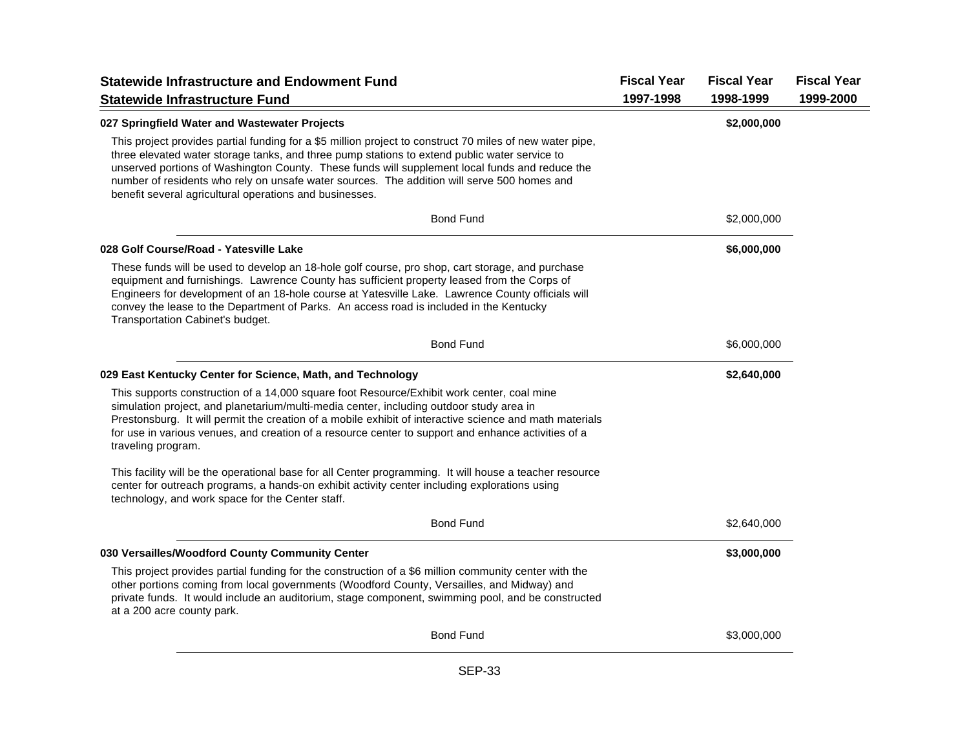| <b>Statewide Infrastructure and Endowment Fund</b>                                                                                                                                                                                                                                                                                                                                                                                                                    | <b>Fiscal Year</b> | <b>Fiscal Year</b> | <b>Fiscal Year</b> |
|-----------------------------------------------------------------------------------------------------------------------------------------------------------------------------------------------------------------------------------------------------------------------------------------------------------------------------------------------------------------------------------------------------------------------------------------------------------------------|--------------------|--------------------|--------------------|
| <b>Statewide Infrastructure Fund</b>                                                                                                                                                                                                                                                                                                                                                                                                                                  | 1997-1998          | 1998-1999          | 1999-2000          |
| 027 Springfield Water and Wastewater Projects                                                                                                                                                                                                                                                                                                                                                                                                                         |                    | \$2,000,000        |                    |
| This project provides partial funding for a \$5 million project to construct 70 miles of new water pipe,<br>three elevated water storage tanks, and three pump stations to extend public water service to<br>unserved portions of Washington County. These funds will supplement local funds and reduce the<br>number of residents who rely on unsafe water sources. The addition will serve 500 homes and<br>benefit several agricultural operations and businesses. |                    |                    |                    |
| <b>Bond Fund</b>                                                                                                                                                                                                                                                                                                                                                                                                                                                      |                    | \$2,000,000        |                    |
| 028 Golf Course/Road - Yatesville Lake                                                                                                                                                                                                                                                                                                                                                                                                                                |                    | \$6,000,000        |                    |
| These funds will be used to develop an 18-hole golf course, pro shop, cart storage, and purchase<br>equipment and furnishings. Lawrence County has sufficient property leased from the Corps of<br>Engineers for development of an 18-hole course at Yatesville Lake. Lawrence County officials will<br>convey the lease to the Department of Parks. An access road is included in the Kentucky<br>Transportation Cabinet's budget.                                   |                    |                    |                    |
| <b>Bond Fund</b>                                                                                                                                                                                                                                                                                                                                                                                                                                                      |                    | \$6,000,000        |                    |
| 029 East Kentucky Center for Science, Math, and Technology                                                                                                                                                                                                                                                                                                                                                                                                            |                    | \$2,640,000        |                    |
| This supports construction of a 14,000 square foot Resource/Exhibit work center, coal mine<br>simulation project, and planetarium/multi-media center, including outdoor study area in<br>Prestonsburg. It will permit the creation of a mobile exhibit of interactive science and math materials<br>for use in various venues, and creation of a resource center to support and enhance activities of a<br>traveling program.                                         |                    |                    |                    |
| This facility will be the operational base for all Center programming. It will house a teacher resource<br>center for outreach programs, a hands-on exhibit activity center including explorations using<br>technology, and work space for the Center staff.                                                                                                                                                                                                          |                    |                    |                    |
| <b>Bond Fund</b>                                                                                                                                                                                                                                                                                                                                                                                                                                                      |                    | \$2,640,000        |                    |
| 030 Versailles/Woodford County Community Center                                                                                                                                                                                                                                                                                                                                                                                                                       |                    | \$3,000,000        |                    |
| This project provides partial funding for the construction of a \$6 million community center with the<br>other portions coming from local governments (Woodford County, Versailles, and Midway) and<br>private funds. It would include an auditorium, stage component, swimming pool, and be constructed<br>at a 200 acre county park.                                                                                                                                |                    |                    |                    |
| <b>Bond Fund</b>                                                                                                                                                                                                                                                                                                                                                                                                                                                      |                    | \$3,000,000        |                    |
|                                                                                                                                                                                                                                                                                                                                                                                                                                                                       |                    |                    |                    |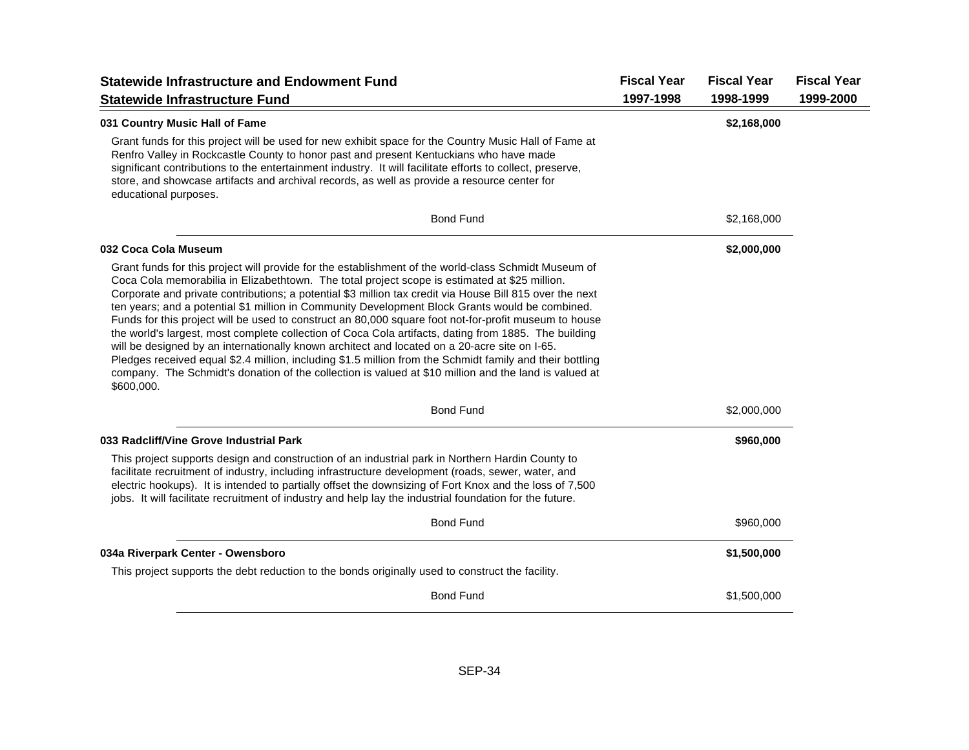| <b>Statewide Infrastructure and Endowment Fund</b>                                                                                                                                                                                                                                                                                                                                                                                                                                                                                                                                                                                                                                                                                                                                                                                                                                                                                                                        | <b>Fiscal Year</b> | <b>Fiscal Year</b> | <b>Fiscal Year</b> |
|---------------------------------------------------------------------------------------------------------------------------------------------------------------------------------------------------------------------------------------------------------------------------------------------------------------------------------------------------------------------------------------------------------------------------------------------------------------------------------------------------------------------------------------------------------------------------------------------------------------------------------------------------------------------------------------------------------------------------------------------------------------------------------------------------------------------------------------------------------------------------------------------------------------------------------------------------------------------------|--------------------|--------------------|--------------------|
| <b>Statewide Infrastructure Fund</b>                                                                                                                                                                                                                                                                                                                                                                                                                                                                                                                                                                                                                                                                                                                                                                                                                                                                                                                                      | 1997-1998          | 1998-1999          | 1999-2000          |
| 031 Country Music Hall of Fame                                                                                                                                                                                                                                                                                                                                                                                                                                                                                                                                                                                                                                                                                                                                                                                                                                                                                                                                            |                    | \$2,168,000        |                    |
| Grant funds for this project will be used for new exhibit space for the Country Music Hall of Fame at<br>Renfro Valley in Rockcastle County to honor past and present Kentuckians who have made<br>significant contributions to the entertainment industry. It will facilitate efforts to collect, preserve,<br>store, and showcase artifacts and archival records, as well as provide a resource center for<br>educational purposes.                                                                                                                                                                                                                                                                                                                                                                                                                                                                                                                                     |                    |                    |                    |
| <b>Bond Fund</b>                                                                                                                                                                                                                                                                                                                                                                                                                                                                                                                                                                                                                                                                                                                                                                                                                                                                                                                                                          |                    | \$2,168,000        |                    |
| 032 Coca Cola Museum                                                                                                                                                                                                                                                                                                                                                                                                                                                                                                                                                                                                                                                                                                                                                                                                                                                                                                                                                      |                    | \$2,000,000        |                    |
| Grant funds for this project will provide for the establishment of the world-class Schmidt Museum of<br>Coca Cola memorabilia in Elizabethtown. The total project scope is estimated at \$25 million.<br>Corporate and private contributions; a potential \$3 million tax credit via House Bill 815 over the next<br>ten years; and a potential \$1 million in Community Development Block Grants would be combined.<br>Funds for this project will be used to construct an 80,000 square foot not-for-profit museum to house<br>the world's largest, most complete collection of Coca Cola artifacts, dating from 1885. The building<br>will be designed by an internationally known architect and located on a 20-acre site on I-65.<br>Pledges received equal \$2.4 million, including \$1.5 million from the Schmidt family and their bottling<br>company. The Schmidt's donation of the collection is valued at \$10 million and the land is valued at<br>\$600,000. |                    |                    |                    |
| <b>Bond Fund</b>                                                                                                                                                                                                                                                                                                                                                                                                                                                                                                                                                                                                                                                                                                                                                                                                                                                                                                                                                          |                    | \$2,000,000        |                    |
| 033 Radcliff/Vine Grove Industrial Park                                                                                                                                                                                                                                                                                                                                                                                                                                                                                                                                                                                                                                                                                                                                                                                                                                                                                                                                   |                    | \$960,000          |                    |
| This project supports design and construction of an industrial park in Northern Hardin County to<br>facilitate recruitment of industry, including infrastructure development (roads, sewer, water, and<br>electric hookups). It is intended to partially offset the downsizing of Fort Knox and the loss of 7,500<br>jobs. It will facilitate recruitment of industry and help lay the industrial foundation for the future.                                                                                                                                                                                                                                                                                                                                                                                                                                                                                                                                              |                    |                    |                    |
| <b>Bond Fund</b>                                                                                                                                                                                                                                                                                                                                                                                                                                                                                                                                                                                                                                                                                                                                                                                                                                                                                                                                                          |                    | \$960,000          |                    |
| 034a Riverpark Center - Owensboro                                                                                                                                                                                                                                                                                                                                                                                                                                                                                                                                                                                                                                                                                                                                                                                                                                                                                                                                         |                    | \$1,500,000        |                    |
| This project supports the debt reduction to the bonds originally used to construct the facility.                                                                                                                                                                                                                                                                                                                                                                                                                                                                                                                                                                                                                                                                                                                                                                                                                                                                          |                    |                    |                    |
| <b>Bond Fund</b>                                                                                                                                                                                                                                                                                                                                                                                                                                                                                                                                                                                                                                                                                                                                                                                                                                                                                                                                                          |                    | \$1,500,000        |                    |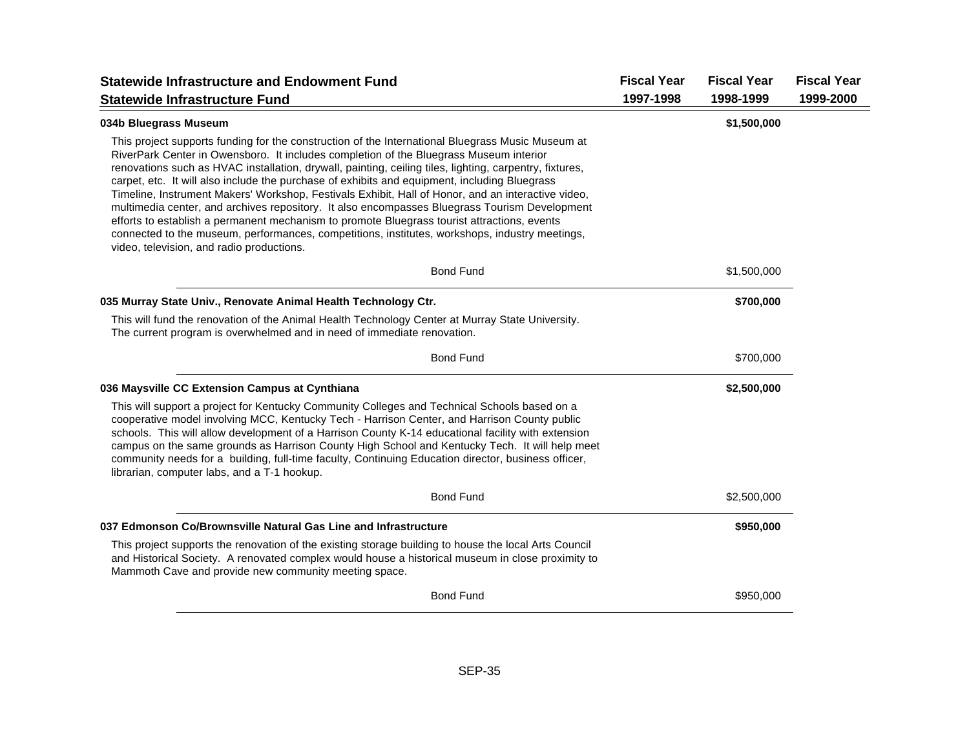| <b>Statewide Infrastructure and Endowment Fund</b>                                                                                                                                                                                                                                                                                                                                                                                                                                                                                                                                                                                                                                                                                                                                                                                                           | <b>Fiscal Year</b> | <b>Fiscal Year</b> | <b>Fiscal Year</b> |
|--------------------------------------------------------------------------------------------------------------------------------------------------------------------------------------------------------------------------------------------------------------------------------------------------------------------------------------------------------------------------------------------------------------------------------------------------------------------------------------------------------------------------------------------------------------------------------------------------------------------------------------------------------------------------------------------------------------------------------------------------------------------------------------------------------------------------------------------------------------|--------------------|--------------------|--------------------|
| <b>Statewide Infrastructure Fund</b>                                                                                                                                                                                                                                                                                                                                                                                                                                                                                                                                                                                                                                                                                                                                                                                                                         | 1997-1998          | 1998-1999          | 1999-2000          |
| 034b Bluegrass Museum                                                                                                                                                                                                                                                                                                                                                                                                                                                                                                                                                                                                                                                                                                                                                                                                                                        |                    | \$1,500,000        |                    |
| This project supports funding for the construction of the International Bluegrass Music Museum at<br>RiverPark Center in Owensboro. It includes completion of the Bluegrass Museum interior<br>renovations such as HVAC installation, drywall, painting, ceiling tiles, lighting, carpentry, fixtures,<br>carpet, etc. It will also include the purchase of exhibits and equipment, including Bluegrass<br>Timeline, Instrument Makers' Workshop, Festivals Exhibit, Hall of Honor, and an interactive video,<br>multimedia center, and archives repository. It also encompasses Bluegrass Tourism Development<br>efforts to establish a permanent mechanism to promote Bluegrass tourist attractions, events<br>connected to the museum, performances, competitions, institutes, workshops, industry meetings,<br>video, television, and radio productions. |                    |                    |                    |
| <b>Bond Fund</b>                                                                                                                                                                                                                                                                                                                                                                                                                                                                                                                                                                                                                                                                                                                                                                                                                                             |                    | \$1,500,000        |                    |
| 035 Murray State Univ., Renovate Animal Health Technology Ctr.                                                                                                                                                                                                                                                                                                                                                                                                                                                                                                                                                                                                                                                                                                                                                                                               |                    | \$700,000          |                    |
| This will fund the renovation of the Animal Health Technology Center at Murray State University.<br>The current program is overwhelmed and in need of immediate renovation.                                                                                                                                                                                                                                                                                                                                                                                                                                                                                                                                                                                                                                                                                  |                    |                    |                    |
| <b>Bond Fund</b>                                                                                                                                                                                                                                                                                                                                                                                                                                                                                                                                                                                                                                                                                                                                                                                                                                             |                    | \$700,000          |                    |
| 036 Maysville CC Extension Campus at Cynthiana                                                                                                                                                                                                                                                                                                                                                                                                                                                                                                                                                                                                                                                                                                                                                                                                               |                    | \$2,500,000        |                    |
| This will support a project for Kentucky Community Colleges and Technical Schools based on a<br>cooperative model involving MCC, Kentucky Tech - Harrison Center, and Harrison County public<br>schools. This will allow development of a Harrison County K-14 educational facility with extension<br>campus on the same grounds as Harrison County High School and Kentucky Tech. It will help meet<br>community needs for a building, full-time faculty, Continuing Education director, business officer,<br>librarian, computer labs, and a T-1 hookup.                                                                                                                                                                                                                                                                                                   |                    |                    |                    |
| <b>Bond Fund</b>                                                                                                                                                                                                                                                                                                                                                                                                                                                                                                                                                                                                                                                                                                                                                                                                                                             |                    | \$2,500,000        |                    |
| 037 Edmonson Co/Brownsville Natural Gas Line and Infrastructure                                                                                                                                                                                                                                                                                                                                                                                                                                                                                                                                                                                                                                                                                                                                                                                              |                    | \$950,000          |                    |
| This project supports the renovation of the existing storage building to house the local Arts Council<br>and Historical Society. A renovated complex would house a historical museum in close proximity to<br>Mammoth Cave and provide new community meeting space.                                                                                                                                                                                                                                                                                                                                                                                                                                                                                                                                                                                          |                    |                    |                    |
| <b>Bond Fund</b>                                                                                                                                                                                                                                                                                                                                                                                                                                                                                                                                                                                                                                                                                                                                                                                                                                             |                    | \$950,000          |                    |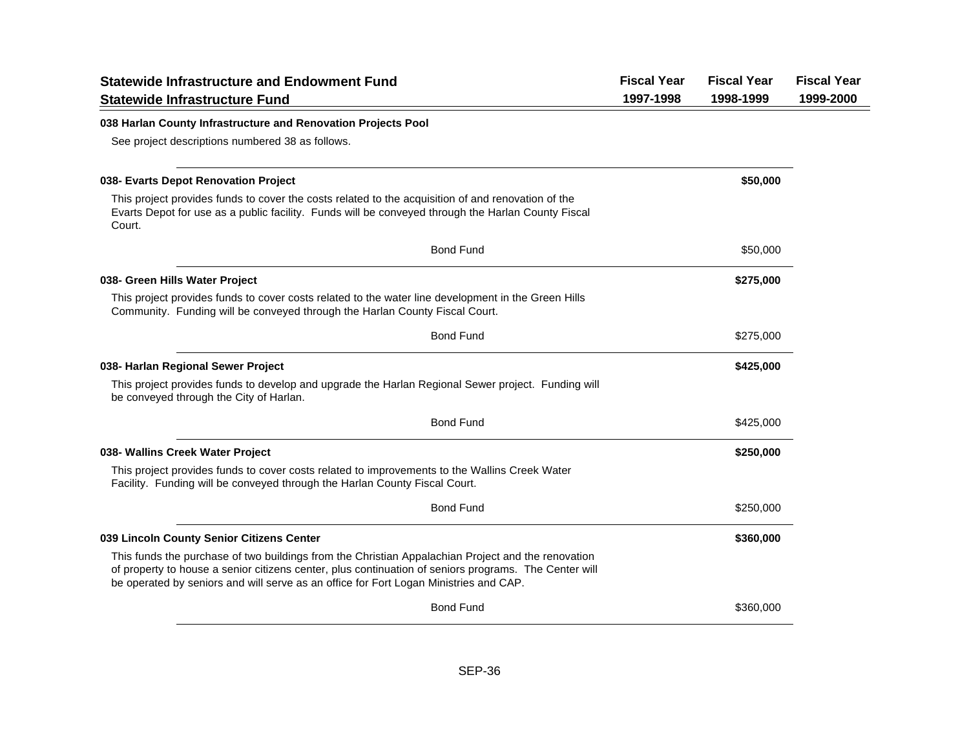| <b>Statewide Infrastructure and Endowment Fund</b>                                                                                                                                                                                                                                                   | <b>Fiscal Year</b> | <b>Fiscal Year</b> | <b>Fiscal Year</b> |
|------------------------------------------------------------------------------------------------------------------------------------------------------------------------------------------------------------------------------------------------------------------------------------------------------|--------------------|--------------------|--------------------|
| <b>Statewide Infrastructure Fund</b>                                                                                                                                                                                                                                                                 | 1997-1998          | 1998-1999          | 1999-2000          |
| 038 Harlan County Infrastructure and Renovation Projects Pool                                                                                                                                                                                                                                        |                    |                    |                    |
| See project descriptions numbered 38 as follows.                                                                                                                                                                                                                                                     |                    |                    |                    |
| 038- Evarts Depot Renovation Project                                                                                                                                                                                                                                                                 |                    | \$50,000           |                    |
| This project provides funds to cover the costs related to the acquisition of and renovation of the<br>Evarts Depot for use as a public facility. Funds will be conveyed through the Harlan County Fiscal<br>Court.                                                                                   |                    |                    |                    |
| <b>Bond Fund</b>                                                                                                                                                                                                                                                                                     |                    | \$50,000           |                    |
| 038- Green Hills Water Project                                                                                                                                                                                                                                                                       |                    | \$275,000          |                    |
| This project provides funds to cover costs related to the water line development in the Green Hills<br>Community. Funding will be conveyed through the Harlan County Fiscal Court.                                                                                                                   |                    |                    |                    |
| <b>Bond Fund</b>                                                                                                                                                                                                                                                                                     |                    | \$275,000          |                    |
| 038- Harlan Regional Sewer Project                                                                                                                                                                                                                                                                   |                    | \$425,000          |                    |
| This project provides funds to develop and upgrade the Harlan Regional Sewer project. Funding will<br>be conveyed through the City of Harlan.                                                                                                                                                        |                    |                    |                    |
| <b>Bond Fund</b>                                                                                                                                                                                                                                                                                     |                    | \$425,000          |                    |
| 038- Wallins Creek Water Project                                                                                                                                                                                                                                                                     |                    | \$250,000          |                    |
| This project provides funds to cover costs related to improvements to the Wallins Creek Water<br>Facility. Funding will be conveyed through the Harlan County Fiscal Court.                                                                                                                          |                    |                    |                    |
| <b>Bond Fund</b>                                                                                                                                                                                                                                                                                     |                    | \$250,000          |                    |
| 039 Lincoln County Senior Citizens Center                                                                                                                                                                                                                                                            |                    | \$360,000          |                    |
| This funds the purchase of two buildings from the Christian Appalachian Project and the renovation<br>of property to house a senior citizens center, plus continuation of seniors programs. The Center will<br>be operated by seniors and will serve as an office for Fort Logan Ministries and CAP. |                    |                    |                    |
| <b>Bond Fund</b>                                                                                                                                                                                                                                                                                     |                    | \$360,000          |                    |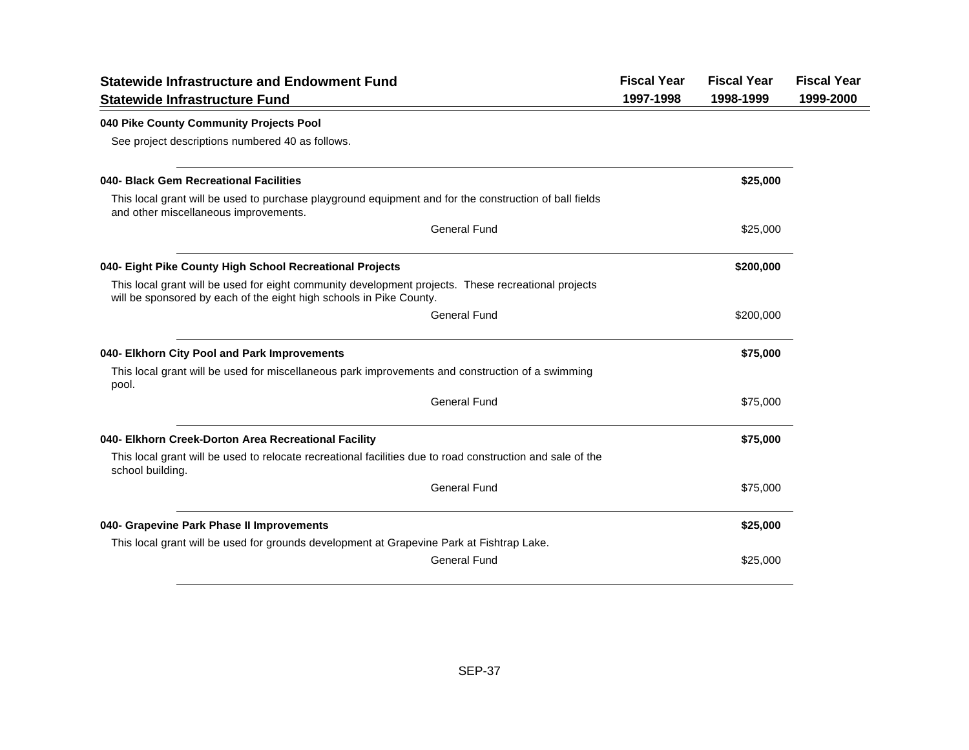| <b>Statewide Infrastructure and Endowment Fund</b>                                                                                                                         | <b>Fiscal Year</b> | <b>Fiscal Year</b> | <b>Fiscal Year</b> |
|----------------------------------------------------------------------------------------------------------------------------------------------------------------------------|--------------------|--------------------|--------------------|
| <b>Statewide Infrastructure Fund</b>                                                                                                                                       | 1997-1998          | 1998-1999          | 1999-2000          |
| 040 Pike County Community Projects Pool                                                                                                                                    |                    |                    |                    |
| See project descriptions numbered 40 as follows.                                                                                                                           |                    |                    |                    |
| 040- Black Gem Recreational Facilities                                                                                                                                     |                    | \$25,000           |                    |
| This local grant will be used to purchase playground equipment and for the construction of ball fields<br>and other miscellaneous improvements.                            |                    |                    |                    |
| <b>General Fund</b>                                                                                                                                                        |                    | \$25,000           |                    |
| 040- Eight Pike County High School Recreational Projects                                                                                                                   |                    | \$200,000          |                    |
| This local grant will be used for eight community development projects. These recreational projects<br>will be sponsored by each of the eight high schools in Pike County. |                    |                    |                    |
| <b>General Fund</b>                                                                                                                                                        |                    | \$200,000          |                    |
| 040- Elkhorn City Pool and Park Improvements                                                                                                                               |                    | \$75,000           |                    |
| This local grant will be used for miscellaneous park improvements and construction of a swimming<br>pool.                                                                  |                    |                    |                    |
| <b>General Fund</b>                                                                                                                                                        |                    | \$75,000           |                    |
| 040- Elkhorn Creek-Dorton Area Recreational Facility                                                                                                                       |                    | \$75,000           |                    |
| This local grant will be used to relocate recreational facilities due to road construction and sale of the<br>school building.                                             |                    |                    |                    |
| <b>General Fund</b>                                                                                                                                                        |                    | \$75,000           |                    |
| 040- Grapevine Park Phase II Improvements                                                                                                                                  |                    | \$25,000           |                    |
| This local grant will be used for grounds development at Grapevine Park at Fishtrap Lake.                                                                                  |                    |                    |                    |
| <b>General Fund</b>                                                                                                                                                        |                    | \$25,000           |                    |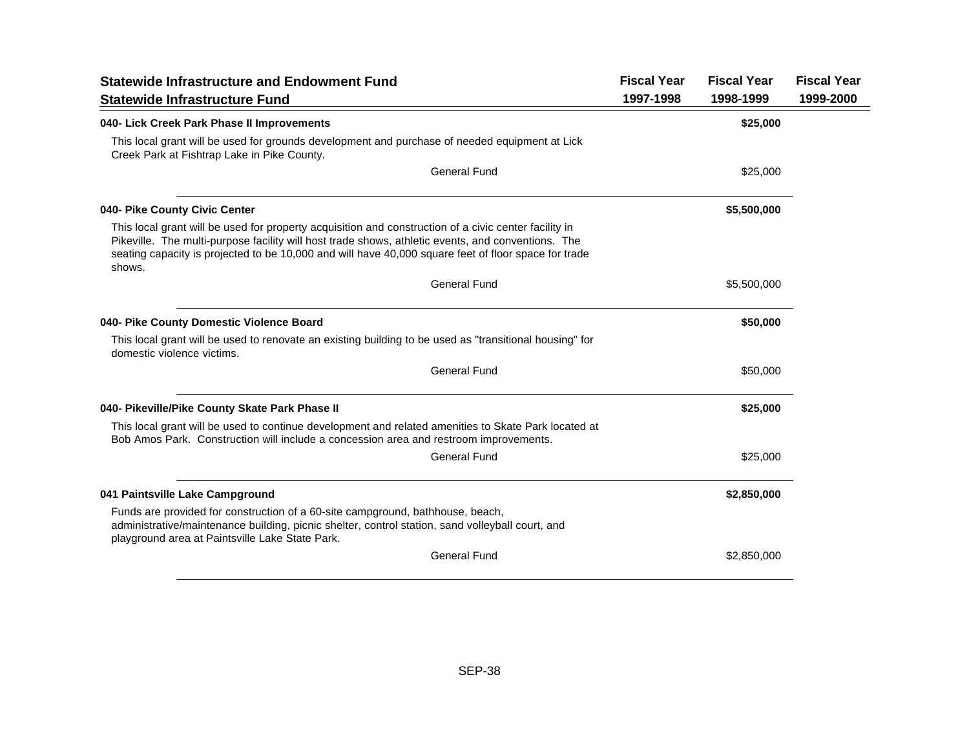| <b>Statewide Infrastructure and Endowment Fund</b>                                                                                                                                                                                                                                                                            | <b>Fiscal Year</b> | <b>Fiscal Year</b> | <b>Fiscal Year</b> |
|-------------------------------------------------------------------------------------------------------------------------------------------------------------------------------------------------------------------------------------------------------------------------------------------------------------------------------|--------------------|--------------------|--------------------|
| <b>Statewide Infrastructure Fund</b>                                                                                                                                                                                                                                                                                          | 1997-1998          | 1998-1999          | 1999-2000          |
| 040- Lick Creek Park Phase II Improvements                                                                                                                                                                                                                                                                                    |                    | \$25,000           |                    |
| This local grant will be used for grounds development and purchase of needed equipment at Lick<br>Creek Park at Fishtrap Lake in Pike County.                                                                                                                                                                                 |                    |                    |                    |
| <b>General Fund</b>                                                                                                                                                                                                                                                                                                           |                    | \$25,000           |                    |
| 040- Pike County Civic Center                                                                                                                                                                                                                                                                                                 |                    | \$5,500,000        |                    |
| This local grant will be used for property acquisition and construction of a civic center facility in<br>Pikeville. The multi-purpose facility will host trade shows, athletic events, and conventions. The<br>seating capacity is projected to be 10,000 and will have 40,000 square feet of floor space for trade<br>shows. |                    |                    |                    |
| <b>General Fund</b>                                                                                                                                                                                                                                                                                                           |                    | \$5,500,000        |                    |
| 040- Pike County Domestic Violence Board                                                                                                                                                                                                                                                                                      |                    | \$50,000           |                    |
| This local grant will be used to renovate an existing building to be used as "transitional housing" for<br>domestic violence victims.                                                                                                                                                                                         |                    |                    |                    |
| <b>General Fund</b>                                                                                                                                                                                                                                                                                                           |                    | \$50,000           |                    |
| 040- Pikeville/Pike County Skate Park Phase II                                                                                                                                                                                                                                                                                |                    | \$25,000           |                    |
| This local grant will be used to continue development and related amenities to Skate Park located at<br>Bob Amos Park. Construction will include a concession area and restroom improvements.                                                                                                                                 |                    |                    |                    |
| <b>General Fund</b>                                                                                                                                                                                                                                                                                                           |                    | \$25,000           |                    |
| 041 Paintsville Lake Campground                                                                                                                                                                                                                                                                                               |                    | \$2,850,000        |                    |
| Funds are provided for construction of a 60-site campground, bathhouse, beach,<br>administrative/maintenance building, picnic shelter, control station, sand volleyball court, and<br>playground area at Paintsville Lake State Park.                                                                                         |                    |                    |                    |
| <b>General Fund</b>                                                                                                                                                                                                                                                                                                           |                    | \$2,850,000        |                    |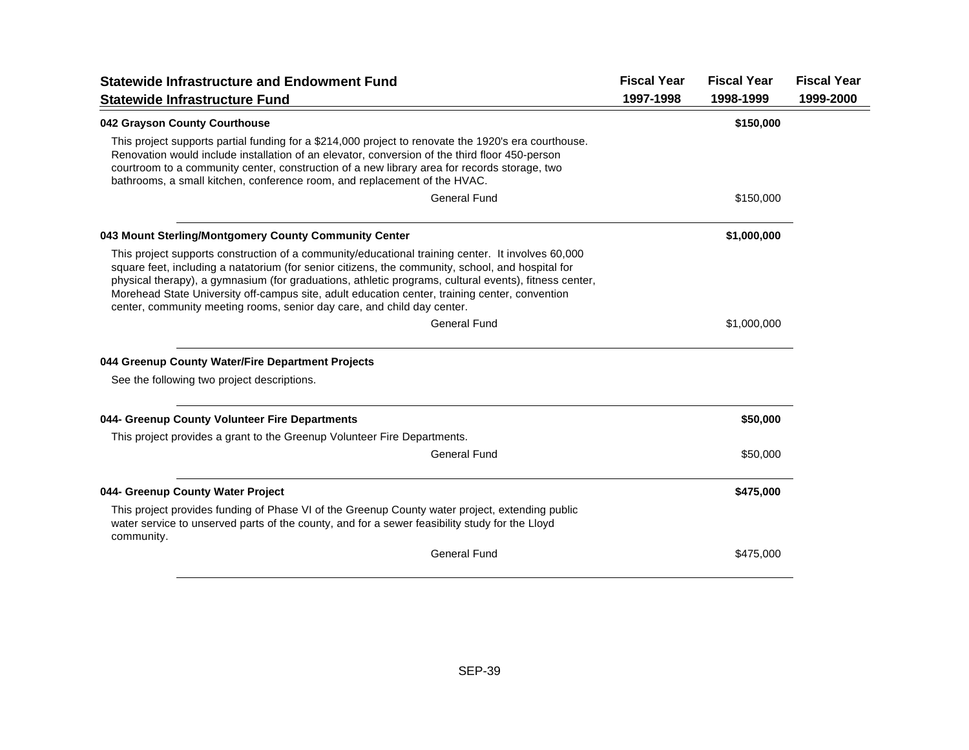| <b>Statewide Infrastructure and Endowment Fund</b>                                                                                                                                                                                                                                                                                                                                                                                                                                           | <b>Fiscal Year</b> | <b>Fiscal Year</b> | <b>Fiscal Year</b> |
|----------------------------------------------------------------------------------------------------------------------------------------------------------------------------------------------------------------------------------------------------------------------------------------------------------------------------------------------------------------------------------------------------------------------------------------------------------------------------------------------|--------------------|--------------------|--------------------|
| <b>Statewide Infrastructure Fund</b>                                                                                                                                                                                                                                                                                                                                                                                                                                                         | 1997-1998          | 1998-1999          | 1999-2000          |
| 042 Grayson County Courthouse                                                                                                                                                                                                                                                                                                                                                                                                                                                                |                    | \$150,000          |                    |
| This project supports partial funding for a \$214,000 project to renovate the 1920's era courthouse.<br>Renovation would include installation of an elevator, conversion of the third floor 450-person<br>courtroom to a community center, construction of a new library area for records storage, two<br>bathrooms, a small kitchen, conference room, and replacement of the HVAC.                                                                                                          |                    |                    |                    |
| General Fund                                                                                                                                                                                                                                                                                                                                                                                                                                                                                 |                    | \$150,000          |                    |
| 043 Mount Sterling/Montgomery County Community Center                                                                                                                                                                                                                                                                                                                                                                                                                                        |                    | \$1,000,000        |                    |
| This project supports construction of a community/educational training center. It involves 60,000<br>square feet, including a natatorium (for senior citizens, the community, school, and hospital for<br>physical therapy), a gymnasium (for graduations, athletic programs, cultural events), fitness center,<br>Morehead State University off-campus site, adult education center, training center, convention<br>center, community meeting rooms, senior day care, and child day center. |                    |                    |                    |
| <b>General Fund</b>                                                                                                                                                                                                                                                                                                                                                                                                                                                                          |                    | \$1,000,000        |                    |
| 044 Greenup County Water/Fire Department Projects                                                                                                                                                                                                                                                                                                                                                                                                                                            |                    |                    |                    |
| See the following two project descriptions.                                                                                                                                                                                                                                                                                                                                                                                                                                                  |                    |                    |                    |
| 044- Greenup County Volunteer Fire Departments                                                                                                                                                                                                                                                                                                                                                                                                                                               |                    | \$50,000           |                    |
| This project provides a grant to the Greenup Volunteer Fire Departments.                                                                                                                                                                                                                                                                                                                                                                                                                     |                    |                    |                    |
| <b>General Fund</b>                                                                                                                                                                                                                                                                                                                                                                                                                                                                          |                    | \$50,000           |                    |
| 044- Greenup County Water Project                                                                                                                                                                                                                                                                                                                                                                                                                                                            |                    | \$475,000          |                    |
| This project provides funding of Phase VI of the Greenup County water project, extending public<br>water service to unserved parts of the county, and for a sewer feasibility study for the Lloyd<br>community.                                                                                                                                                                                                                                                                              |                    |                    |                    |
| <b>General Fund</b>                                                                                                                                                                                                                                                                                                                                                                                                                                                                          |                    | \$475,000          |                    |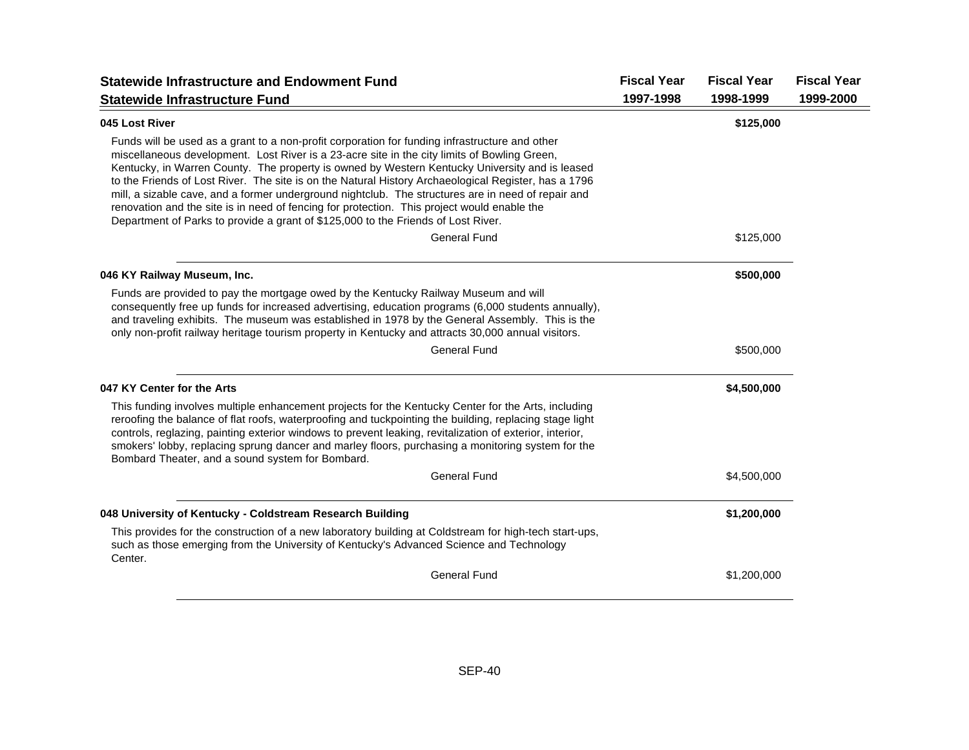| <b>Statewide Infrastructure and Endowment Fund</b>                                                                                                                                                                                                                                                                                                                                                                                                                                                                                                                                                                                                                                                 | <b>Fiscal Year</b> | <b>Fiscal Year</b> | <b>Fiscal Year</b> |
|----------------------------------------------------------------------------------------------------------------------------------------------------------------------------------------------------------------------------------------------------------------------------------------------------------------------------------------------------------------------------------------------------------------------------------------------------------------------------------------------------------------------------------------------------------------------------------------------------------------------------------------------------------------------------------------------------|--------------------|--------------------|--------------------|
| <b>Statewide Infrastructure Fund</b>                                                                                                                                                                                                                                                                                                                                                                                                                                                                                                                                                                                                                                                               | 1997-1998          | 1998-1999          | 1999-2000          |
| 045 Lost River                                                                                                                                                                                                                                                                                                                                                                                                                                                                                                                                                                                                                                                                                     |                    | \$125,000          |                    |
| Funds will be used as a grant to a non-profit corporation for funding infrastructure and other<br>miscellaneous development. Lost River is a 23-acre site in the city limits of Bowling Green,<br>Kentucky, in Warren County. The property is owned by Western Kentucky University and is leased<br>to the Friends of Lost River. The site is on the Natural History Archaeological Register, has a 1796<br>mill, a sizable cave, and a former underground nightclub. The structures are in need of repair and<br>renovation and the site is in need of fencing for protection. This project would enable the<br>Department of Parks to provide a grant of \$125,000 to the Friends of Lost River. |                    |                    |                    |
| <b>General Fund</b>                                                                                                                                                                                                                                                                                                                                                                                                                                                                                                                                                                                                                                                                                |                    | \$125,000          |                    |
| 046 KY Railway Museum, Inc.                                                                                                                                                                                                                                                                                                                                                                                                                                                                                                                                                                                                                                                                        |                    | \$500,000          |                    |
| Funds are provided to pay the mortgage owed by the Kentucky Railway Museum and will<br>consequently free up funds for increased advertising, education programs (6,000 students annually),<br>and traveling exhibits. The museum was established in 1978 by the General Assembly. This is the<br>only non-profit railway heritage tourism property in Kentucky and attracts 30,000 annual visitors.                                                                                                                                                                                                                                                                                                |                    |                    |                    |
| <b>General Fund</b>                                                                                                                                                                                                                                                                                                                                                                                                                                                                                                                                                                                                                                                                                |                    | \$500,000          |                    |
| 047 KY Center for the Arts                                                                                                                                                                                                                                                                                                                                                                                                                                                                                                                                                                                                                                                                         |                    | \$4,500,000        |                    |
| This funding involves multiple enhancement projects for the Kentucky Center for the Arts, including<br>reroofing the balance of flat roofs, waterproofing and tuckpointing the building, replacing stage light<br>controls, reglazing, painting exterior windows to prevent leaking, revitalization of exterior, interior,<br>smokers' lobby, replacing sprung dancer and marley floors, purchasing a monitoring system for the<br>Bombard Theater, and a sound system for Bombard.                                                                                                                                                                                                                |                    |                    |                    |
| <b>General Fund</b>                                                                                                                                                                                                                                                                                                                                                                                                                                                                                                                                                                                                                                                                                |                    | \$4,500,000        |                    |
| 048 University of Kentucky - Coldstream Research Building                                                                                                                                                                                                                                                                                                                                                                                                                                                                                                                                                                                                                                          |                    | \$1,200,000        |                    |
| This provides for the construction of a new laboratory building at Coldstream for high-tech start-ups,<br>such as those emerging from the University of Kentucky's Advanced Science and Technology<br>Center.                                                                                                                                                                                                                                                                                                                                                                                                                                                                                      |                    |                    |                    |
| <b>General Fund</b>                                                                                                                                                                                                                                                                                                                                                                                                                                                                                                                                                                                                                                                                                |                    | \$1,200,000        |                    |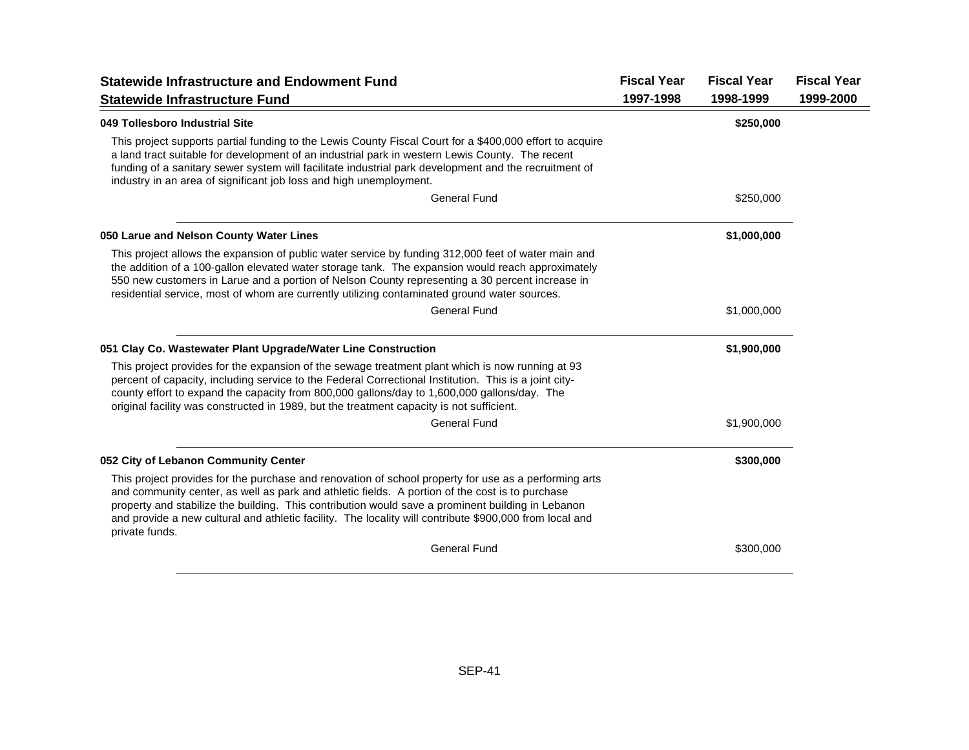| <b>Statewide Infrastructure and Endowment Fund</b>                                                                                                                                                                                                                                                                                                                                                                                         | <b>Fiscal Year</b> | <b>Fiscal Year</b> | <b>Fiscal Year</b> |
|--------------------------------------------------------------------------------------------------------------------------------------------------------------------------------------------------------------------------------------------------------------------------------------------------------------------------------------------------------------------------------------------------------------------------------------------|--------------------|--------------------|--------------------|
| <b>Statewide Infrastructure Fund</b>                                                                                                                                                                                                                                                                                                                                                                                                       | 1997-1998          | 1998-1999          | 1999-2000          |
| 049 Tollesboro Industrial Site                                                                                                                                                                                                                                                                                                                                                                                                             |                    | \$250,000          |                    |
| This project supports partial funding to the Lewis County Fiscal Court for a \$400,000 effort to acquire<br>a land tract suitable for development of an industrial park in western Lewis County. The recent<br>funding of a sanitary sewer system will facilitate industrial park development and the recruitment of<br>industry in an area of significant job loss and high unemployment.                                                 |                    |                    |                    |
| <b>General Fund</b>                                                                                                                                                                                                                                                                                                                                                                                                                        |                    | \$250,000          |                    |
| 050 Larue and Nelson County Water Lines                                                                                                                                                                                                                                                                                                                                                                                                    |                    | \$1,000,000        |                    |
| This project allows the expansion of public water service by funding 312,000 feet of water main and<br>the addition of a 100-gallon elevated water storage tank. The expansion would reach approximately<br>550 new customers in Larue and a portion of Nelson County representing a 30 percent increase in<br>residential service, most of whom are currently utilizing contaminated ground water sources.                                |                    |                    |                    |
| <b>General Fund</b>                                                                                                                                                                                                                                                                                                                                                                                                                        |                    | \$1,000,000        |                    |
| 051 Clay Co. Wastewater Plant Upgrade/Water Line Construction                                                                                                                                                                                                                                                                                                                                                                              |                    | \$1,900,000        |                    |
| This project provides for the expansion of the sewage treatment plant which is now running at 93<br>percent of capacity, including service to the Federal Correctional Institution. This is a joint city-<br>county effort to expand the capacity from 800,000 gallons/day to 1,600,000 gallons/day. The<br>original facility was constructed in 1989, but the treatment capacity is not sufficient.                                       |                    |                    |                    |
| <b>General Fund</b>                                                                                                                                                                                                                                                                                                                                                                                                                        |                    | \$1,900,000        |                    |
| 052 City of Lebanon Community Center                                                                                                                                                                                                                                                                                                                                                                                                       |                    | \$300,000          |                    |
| This project provides for the purchase and renovation of school property for use as a performing arts<br>and community center, as well as park and athletic fields. A portion of the cost is to purchase<br>property and stabilize the building. This contribution would save a prominent building in Lebanon<br>and provide a new cultural and athletic facility. The locality will contribute \$900,000 from local and<br>private funds. |                    |                    |                    |
| <b>General Fund</b>                                                                                                                                                                                                                                                                                                                                                                                                                        |                    | \$300,000          |                    |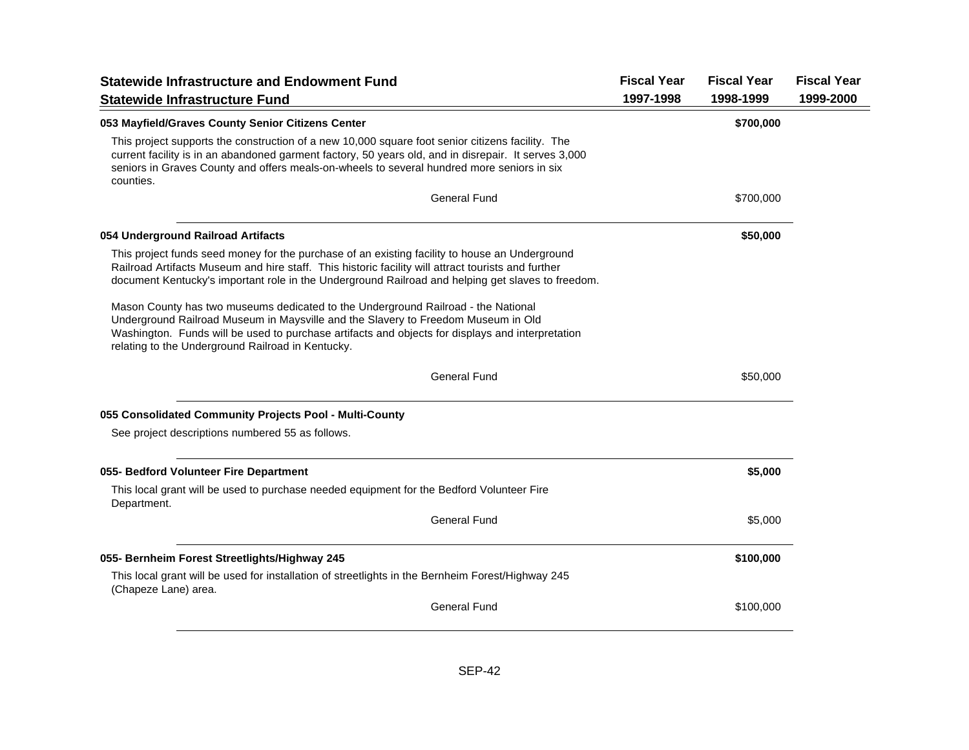| <b>Statewide Infrastructure and Endowment Fund</b>                                                                                                                                                                                                                                                                              | <b>Fiscal Year</b> | <b>Fiscal Year</b> | <b>Fiscal Year</b> |
|---------------------------------------------------------------------------------------------------------------------------------------------------------------------------------------------------------------------------------------------------------------------------------------------------------------------------------|--------------------|--------------------|--------------------|
| <b>Statewide Infrastructure Fund</b>                                                                                                                                                                                                                                                                                            | 1997-1998          | 1998-1999          | 1999-2000          |
| 053 Mayfield/Graves County Senior Citizens Center                                                                                                                                                                                                                                                                               |                    | \$700,000          |                    |
| This project supports the construction of a new 10,000 square foot senior citizens facility. The<br>current facility is in an abandoned garment factory, 50 years old, and in disrepair. It serves 3,000<br>seniors in Graves County and offers meals-on-wheels to several hundred more seniors in six<br>counties.             |                    |                    |                    |
| <b>General Fund</b>                                                                                                                                                                                                                                                                                                             |                    | \$700,000          |                    |
| 054 Underground Railroad Artifacts                                                                                                                                                                                                                                                                                              |                    | \$50,000           |                    |
| This project funds seed money for the purchase of an existing facility to house an Underground<br>Railroad Artifacts Museum and hire staff. This historic facility will attract tourists and further<br>document Kentucky's important role in the Underground Railroad and helping get slaves to freedom.                       |                    |                    |                    |
| Mason County has two museums dedicated to the Underground Railroad - the National<br>Underground Railroad Museum in Maysville and the Slavery to Freedom Museum in Old<br>Washington. Funds will be used to purchase artifacts and objects for displays and interpretation<br>relating to the Underground Railroad in Kentucky. |                    |                    |                    |
| <b>General Fund</b>                                                                                                                                                                                                                                                                                                             |                    | \$50,000           |                    |
| 055 Consolidated Community Projects Pool - Multi-County                                                                                                                                                                                                                                                                         |                    |                    |                    |
| See project descriptions numbered 55 as follows.                                                                                                                                                                                                                                                                                |                    |                    |                    |
| 055- Bedford Volunteer Fire Department                                                                                                                                                                                                                                                                                          |                    | \$5,000            |                    |
| This local grant will be used to purchase needed equipment for the Bedford Volunteer Fire<br>Department.                                                                                                                                                                                                                        |                    |                    |                    |
| <b>General Fund</b>                                                                                                                                                                                                                                                                                                             |                    | \$5,000            |                    |
| 055- Bernheim Forest Streetlights/Highway 245                                                                                                                                                                                                                                                                                   |                    | \$100,000          |                    |
| This local grant will be used for installation of streetlights in the Bernheim Forest/Highway 245<br>(Chapeze Lane) area.                                                                                                                                                                                                       |                    |                    |                    |
| <b>General Fund</b>                                                                                                                                                                                                                                                                                                             |                    | \$100,000          |                    |
|                                                                                                                                                                                                                                                                                                                                 |                    |                    |                    |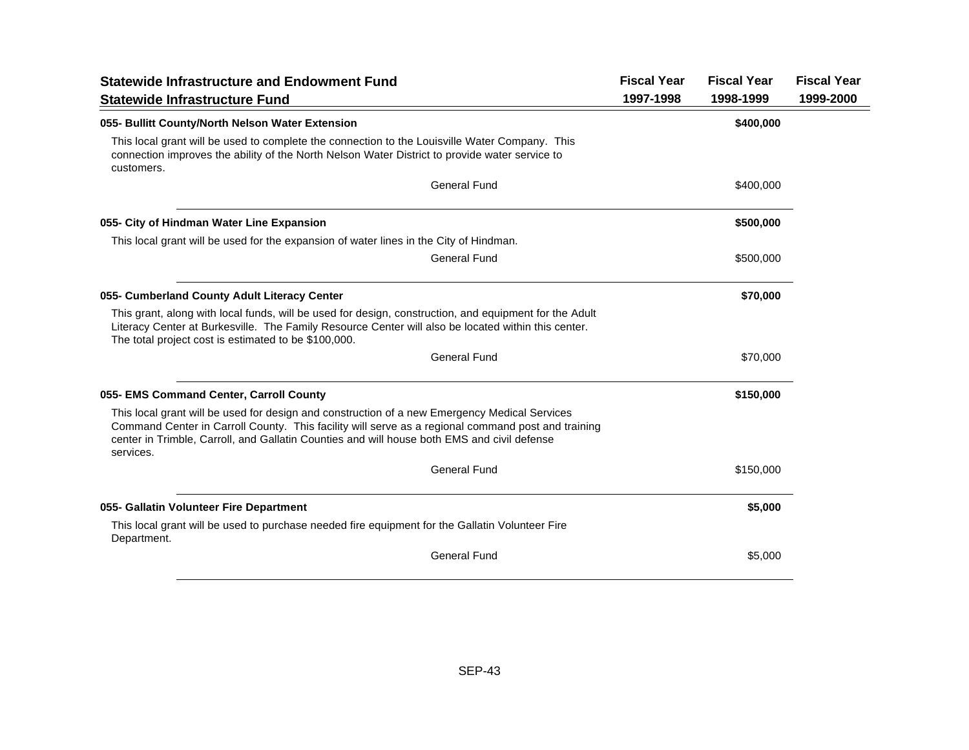| <b>Statewide Infrastructure and Endowment Fund</b>                                                                                                                                                                                                                                                              | <b>Fiscal Year</b> | <b>Fiscal Year</b> | <b>Fiscal Year</b> |
|-----------------------------------------------------------------------------------------------------------------------------------------------------------------------------------------------------------------------------------------------------------------------------------------------------------------|--------------------|--------------------|--------------------|
| <b>Statewide Infrastructure Fund</b>                                                                                                                                                                                                                                                                            | 1997-1998          | 1998-1999          | 1999-2000          |
| 055- Bullitt County/North Nelson Water Extension                                                                                                                                                                                                                                                                |                    | \$400,000          |                    |
| This local grant will be used to complete the connection to the Louisville Water Company. This<br>connection improves the ability of the North Nelson Water District to provide water service to<br>customers.                                                                                                  |                    |                    |                    |
| <b>General Fund</b>                                                                                                                                                                                                                                                                                             |                    | \$400,000          |                    |
| 055- City of Hindman Water Line Expansion                                                                                                                                                                                                                                                                       |                    | \$500,000          |                    |
| This local grant will be used for the expansion of water lines in the City of Hindman.                                                                                                                                                                                                                          |                    |                    |                    |
| <b>General Fund</b>                                                                                                                                                                                                                                                                                             |                    | \$500,000          |                    |
| 055- Cumberland County Adult Literacy Center                                                                                                                                                                                                                                                                    |                    | \$70,000           |                    |
| This grant, along with local funds, will be used for design, construction, and equipment for the Adult<br>Literacy Center at Burkesville. The Family Resource Center will also be located within this center.<br>The total project cost is estimated to be \$100,000.                                           |                    |                    |                    |
| <b>General Fund</b>                                                                                                                                                                                                                                                                                             |                    | \$70,000           |                    |
| 055- EMS Command Center, Carroll County                                                                                                                                                                                                                                                                         |                    | \$150,000          |                    |
| This local grant will be used for design and construction of a new Emergency Medical Services<br>Command Center in Carroll County. This facility will serve as a regional command post and training<br>center in Trimble, Carroll, and Gallatin Counties and will house both EMS and civil defense<br>services. |                    |                    |                    |
| <b>General Fund</b>                                                                                                                                                                                                                                                                                             |                    | \$150,000          |                    |
| 055- Gallatin Volunteer Fire Department                                                                                                                                                                                                                                                                         |                    | \$5,000            |                    |
| This local grant will be used to purchase needed fire equipment for the Gallatin Volunteer Fire<br>Department.                                                                                                                                                                                                  |                    |                    |                    |
| <b>General Fund</b>                                                                                                                                                                                                                                                                                             |                    | \$5,000            |                    |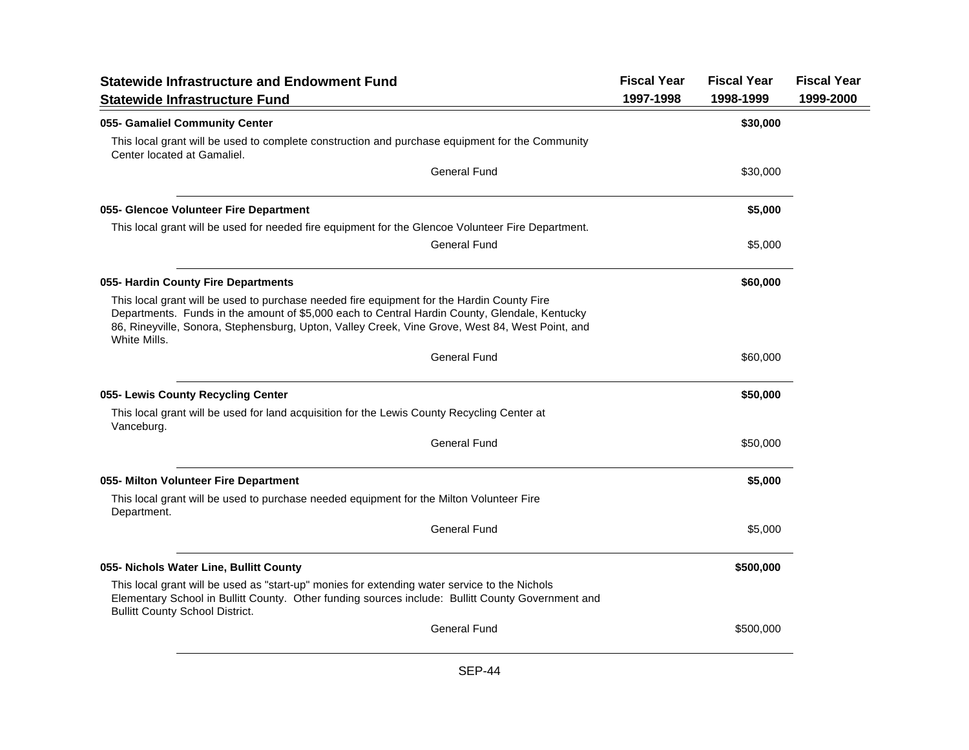| <b>Statewide Infrastructure and Endowment Fund</b><br><b>Statewide Infrastructure Fund</b>                                                                                                                                                                                                                     | <b>Fiscal Year</b><br>1997-1998 | <b>Fiscal Year</b><br>1998-1999 | <b>Fiscal Year</b><br>1999-2000 |
|----------------------------------------------------------------------------------------------------------------------------------------------------------------------------------------------------------------------------------------------------------------------------------------------------------------|---------------------------------|---------------------------------|---------------------------------|
| 055- Gamaliel Community Center                                                                                                                                                                                                                                                                                 |                                 | \$30,000                        |                                 |
| This local grant will be used to complete construction and purchase equipment for the Community<br>Center located at Gamaliel.                                                                                                                                                                                 |                                 |                                 |                                 |
| <b>General Fund</b>                                                                                                                                                                                                                                                                                            |                                 | \$30,000                        |                                 |
| 055- Glencoe Volunteer Fire Department                                                                                                                                                                                                                                                                         |                                 | \$5,000                         |                                 |
| This local grant will be used for needed fire equipment for the Glencoe Volunteer Fire Department.                                                                                                                                                                                                             |                                 |                                 |                                 |
| <b>General Fund</b>                                                                                                                                                                                                                                                                                            |                                 | \$5,000                         |                                 |
| 055- Hardin County Fire Departments                                                                                                                                                                                                                                                                            |                                 | \$60,000                        |                                 |
| This local grant will be used to purchase needed fire equipment for the Hardin County Fire<br>Departments. Funds in the amount of \$5,000 each to Central Hardin County, Glendale, Kentucky<br>86, Rineyville, Sonora, Stephensburg, Upton, Valley Creek, Vine Grove, West 84, West Point, and<br>White Mills. |                                 |                                 |                                 |
| <b>General Fund</b>                                                                                                                                                                                                                                                                                            |                                 | \$60,000                        |                                 |
| 055- Lewis County Recycling Center                                                                                                                                                                                                                                                                             |                                 | \$50,000                        |                                 |
| This local grant will be used for land acquisition for the Lewis County Recycling Center at<br>Vanceburg.                                                                                                                                                                                                      |                                 |                                 |                                 |
| <b>General Fund</b>                                                                                                                                                                                                                                                                                            |                                 | \$50,000                        |                                 |
| 055- Milton Volunteer Fire Department                                                                                                                                                                                                                                                                          |                                 | \$5,000                         |                                 |
| This local grant will be used to purchase needed equipment for the Milton Volunteer Fire<br>Department.                                                                                                                                                                                                        |                                 |                                 |                                 |
| <b>General Fund</b>                                                                                                                                                                                                                                                                                            |                                 | \$5,000                         |                                 |
| 055- Nichols Water Line, Bullitt County                                                                                                                                                                                                                                                                        |                                 | \$500,000                       |                                 |
| This local grant will be used as "start-up" monies for extending water service to the Nichols<br>Elementary School in Bullitt County. Other funding sources include: Bullitt County Government and<br><b>Bullitt County School District.</b>                                                                   |                                 |                                 |                                 |
| <b>General Fund</b>                                                                                                                                                                                                                                                                                            |                                 | \$500,000                       |                                 |
|                                                                                                                                                                                                                                                                                                                |                                 |                                 |                                 |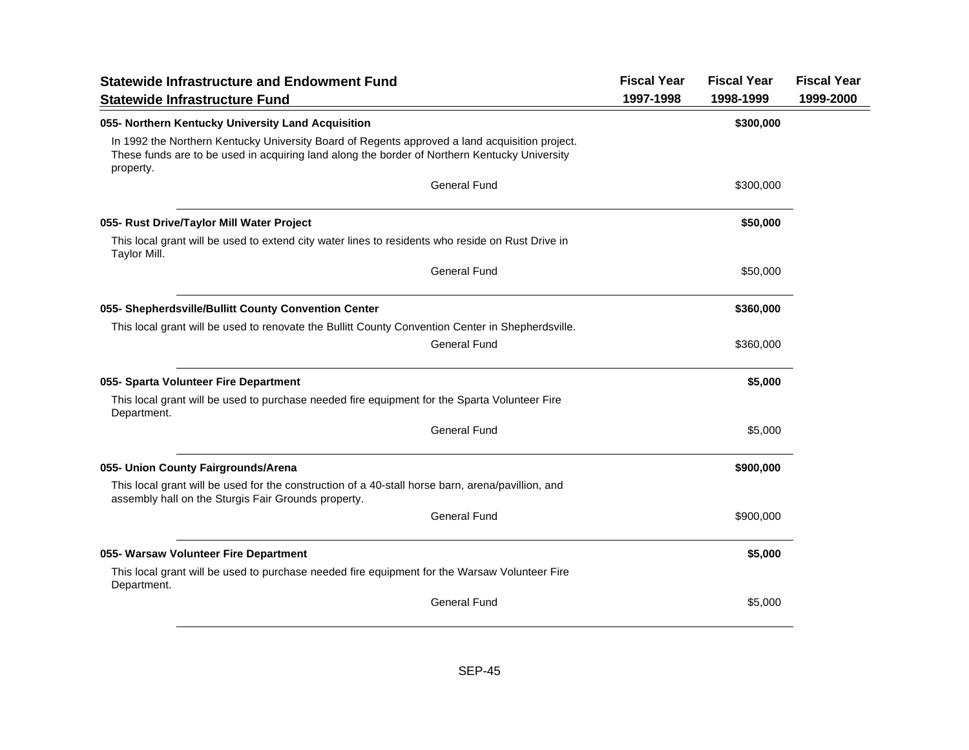| <b>Statewide Infrastructure and Endowment Fund</b>                                                                                                                                                           | <b>Fiscal Year</b> | <b>Fiscal Year</b> | <b>Fiscal Year</b> |
|--------------------------------------------------------------------------------------------------------------------------------------------------------------------------------------------------------------|--------------------|--------------------|--------------------|
| <b>Statewide Infrastructure Fund</b>                                                                                                                                                                         | 1997-1998          | 1998-1999          | 1999-2000          |
| 055- Northern Kentucky University Land Acquisition                                                                                                                                                           |                    | \$300,000          |                    |
| In 1992 the Northern Kentucky University Board of Regents approved a land acquisition project.<br>These funds are to be used in acquiring land along the border of Northern Kentucky University<br>property. |                    |                    |                    |
| <b>General Fund</b>                                                                                                                                                                                          |                    | \$300,000          |                    |
| 055- Rust Drive/Taylor Mill Water Project                                                                                                                                                                    |                    | \$50,000           |                    |
| This local grant will be used to extend city water lines to residents who reside on Rust Drive in<br>Taylor Mill.                                                                                            |                    |                    |                    |
| <b>General Fund</b>                                                                                                                                                                                          |                    | \$50,000           |                    |
| 055- Shepherdsville/Bullitt County Convention Center                                                                                                                                                         |                    | \$360,000          |                    |
| This local grant will be used to renovate the Bullitt County Convention Center in Shepherdsville.                                                                                                            |                    |                    |                    |
| <b>General Fund</b>                                                                                                                                                                                          |                    | \$360,000          |                    |
| 055- Sparta Volunteer Fire Department                                                                                                                                                                        |                    | \$5,000            |                    |
| This local grant will be used to purchase needed fire equipment for the Sparta Volunteer Fire<br>Department.                                                                                                 |                    |                    |                    |
| <b>General Fund</b>                                                                                                                                                                                          |                    | \$5,000            |                    |
| 055- Union County Fairgrounds/Arena                                                                                                                                                                          |                    | \$900,000          |                    |
| This local grant will be used for the construction of a 40-stall horse barn, arena/pavillion, and<br>assembly hall on the Sturgis Fair Grounds property.                                                     |                    |                    |                    |
| <b>General Fund</b>                                                                                                                                                                                          |                    | \$900,000          |                    |
| 055- Warsaw Volunteer Fire Department                                                                                                                                                                        |                    | \$5,000            |                    |
| This local grant will be used to purchase needed fire equipment for the Warsaw Volunteer Fire<br>Department.                                                                                                 |                    |                    |                    |
| <b>General Fund</b>                                                                                                                                                                                          |                    | \$5,000            |                    |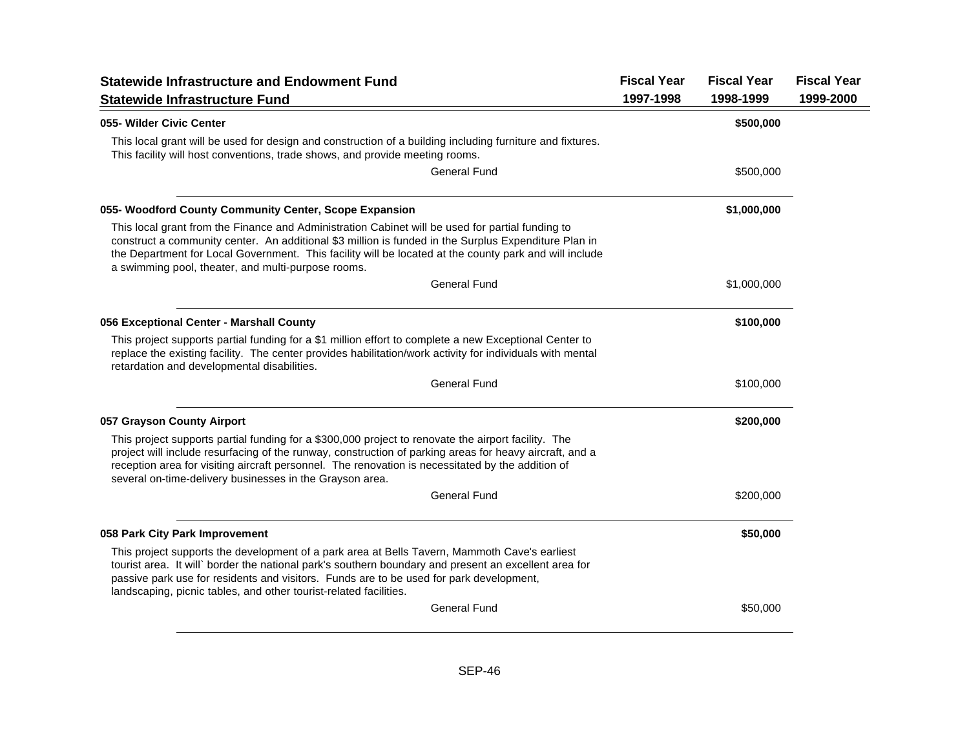| <b>Statewide Infrastructure and Endowment Fund</b><br><b>Statewide Infrastructure Fund</b>                                                                                                                                                                                                                                                                                      | <b>Fiscal Year</b><br>1997-1998 | <b>Fiscal Year</b><br>1998-1999 | <b>Fiscal Year</b><br>1999-2000 |
|---------------------------------------------------------------------------------------------------------------------------------------------------------------------------------------------------------------------------------------------------------------------------------------------------------------------------------------------------------------------------------|---------------------------------|---------------------------------|---------------------------------|
| 055- Wilder Civic Center                                                                                                                                                                                                                                                                                                                                                        |                                 | \$500,000                       |                                 |
| This local grant will be used for design and construction of a building including furniture and fixtures.<br>This facility will host conventions, trade shows, and provide meeting rooms.                                                                                                                                                                                       |                                 |                                 |                                 |
| <b>General Fund</b>                                                                                                                                                                                                                                                                                                                                                             |                                 | \$500,000                       |                                 |
| 055- Woodford County Community Center, Scope Expansion                                                                                                                                                                                                                                                                                                                          |                                 | \$1,000,000                     |                                 |
| This local grant from the Finance and Administration Cabinet will be used for partial funding to<br>construct a community center. An additional \$3 million is funded in the Surplus Expenditure Plan in<br>the Department for Local Government. This facility will be located at the county park and will include<br>a swimming pool, theater, and multi-purpose rooms.        |                                 |                                 |                                 |
| <b>General Fund</b>                                                                                                                                                                                                                                                                                                                                                             |                                 | \$1,000,000                     |                                 |
| 056 Exceptional Center - Marshall County                                                                                                                                                                                                                                                                                                                                        |                                 | \$100,000                       |                                 |
| This project supports partial funding for a \$1 million effort to complete a new Exceptional Center to<br>replace the existing facility. The center provides habilitation/work activity for individuals with mental<br>retardation and developmental disabilities.                                                                                                              |                                 |                                 |                                 |
| <b>General Fund</b>                                                                                                                                                                                                                                                                                                                                                             |                                 | \$100,000                       |                                 |
| 057 Grayson County Airport                                                                                                                                                                                                                                                                                                                                                      |                                 | \$200,000                       |                                 |
| This project supports partial funding for a \$300,000 project to renovate the airport facility. The<br>project will include resurfacing of the runway, construction of parking areas for heavy aircraft, and a<br>reception area for visiting aircraft personnel. The renovation is necessitated by the addition of<br>several on-time-delivery businesses in the Grayson area. |                                 |                                 |                                 |
| <b>General Fund</b>                                                                                                                                                                                                                                                                                                                                                             |                                 | \$200,000                       |                                 |
| 058 Park City Park Improvement                                                                                                                                                                                                                                                                                                                                                  |                                 | \$50,000                        |                                 |
| This project supports the development of a park area at Bells Tavern, Mammoth Cave's earliest<br>tourist area. It will` border the national park's southern boundary and present an excellent area for<br>passive park use for residents and visitors. Funds are to be used for park development,<br>landscaping, picnic tables, and other tourist-related facilities.          |                                 |                                 |                                 |
| <b>General Fund</b>                                                                                                                                                                                                                                                                                                                                                             |                                 | \$50,000                        |                                 |
|                                                                                                                                                                                                                                                                                                                                                                                 |                                 |                                 |                                 |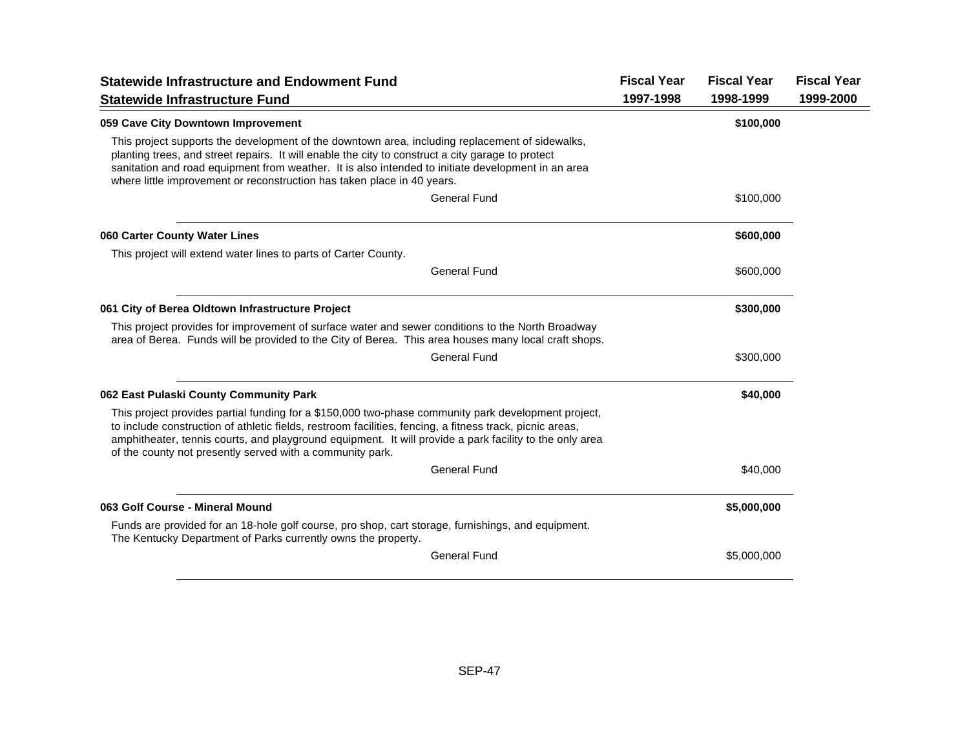| <b>Statewide Infrastructure and Endowment Fund</b>                                                                                                                                                                                                                                                                                                                                      | <b>Fiscal Year</b> | <b>Fiscal Year</b> | <b>Fiscal Year</b> |
|-----------------------------------------------------------------------------------------------------------------------------------------------------------------------------------------------------------------------------------------------------------------------------------------------------------------------------------------------------------------------------------------|--------------------|--------------------|--------------------|
| <b>Statewide Infrastructure Fund</b>                                                                                                                                                                                                                                                                                                                                                    | 1997-1998          | 1998-1999          | 1999-2000          |
| 059 Cave City Downtown Improvement                                                                                                                                                                                                                                                                                                                                                      |                    | \$100,000          |                    |
| This project supports the development of the downtown area, including replacement of sidewalks,<br>planting trees, and street repairs. It will enable the city to construct a city garage to protect<br>sanitation and road equipment from weather. It is also intended to initiate development in an area<br>where little improvement or reconstruction has taken place in 40 years.   |                    |                    |                    |
| General Fund                                                                                                                                                                                                                                                                                                                                                                            |                    | \$100,000          |                    |
| 060 Carter County Water Lines                                                                                                                                                                                                                                                                                                                                                           |                    | \$600,000          |                    |
| This project will extend water lines to parts of Carter County.                                                                                                                                                                                                                                                                                                                         |                    |                    |                    |
| General Fund                                                                                                                                                                                                                                                                                                                                                                            |                    | \$600,000          |                    |
| 061 City of Berea Oldtown Infrastructure Project                                                                                                                                                                                                                                                                                                                                        |                    | \$300,000          |                    |
| This project provides for improvement of surface water and sewer conditions to the North Broadway<br>area of Berea. Funds will be provided to the City of Berea. This area houses many local craft shops.                                                                                                                                                                               |                    |                    |                    |
| <b>General Fund</b>                                                                                                                                                                                                                                                                                                                                                                     |                    | \$300,000          |                    |
| 062 East Pulaski County Community Park                                                                                                                                                                                                                                                                                                                                                  |                    | \$40,000           |                    |
| This project provides partial funding for a \$150,000 two-phase community park development project,<br>to include construction of athletic fields, restroom facilities, fencing, a fitness track, picnic areas,<br>amphitheater, tennis courts, and playground equipment. It will provide a park facility to the only area<br>of the county not presently served with a community park. |                    |                    |                    |
| <b>General Fund</b>                                                                                                                                                                                                                                                                                                                                                                     |                    | \$40,000           |                    |
| 063 Golf Course - Mineral Mound                                                                                                                                                                                                                                                                                                                                                         |                    | \$5,000,000        |                    |
| Funds are provided for an 18-hole golf course, pro shop, cart storage, furnishings, and equipment.<br>The Kentucky Department of Parks currently owns the property.                                                                                                                                                                                                                     |                    |                    |                    |
| <b>General Fund</b>                                                                                                                                                                                                                                                                                                                                                                     |                    | \$5,000,000        |                    |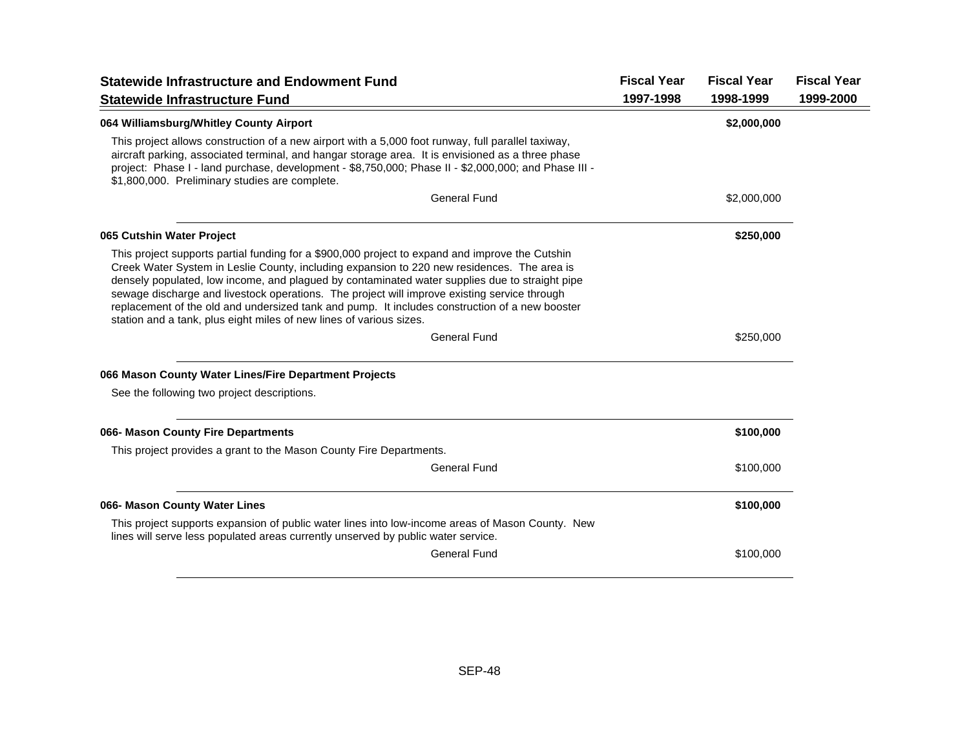| <b>Statewide Infrastructure and Endowment Fund</b>                                                                                                                                                                                                                                                                                                                                                                                                                                                                                                                        | <b>Fiscal Year</b> | <b>Fiscal Year</b> | <b>Fiscal Year</b> |
|---------------------------------------------------------------------------------------------------------------------------------------------------------------------------------------------------------------------------------------------------------------------------------------------------------------------------------------------------------------------------------------------------------------------------------------------------------------------------------------------------------------------------------------------------------------------------|--------------------|--------------------|--------------------|
| <b>Statewide Infrastructure Fund</b>                                                                                                                                                                                                                                                                                                                                                                                                                                                                                                                                      | 1997-1998          | 1998-1999          | 1999-2000          |
| 064 Williamsburg/Whitley County Airport                                                                                                                                                                                                                                                                                                                                                                                                                                                                                                                                   |                    | \$2,000,000        |                    |
| This project allows construction of a new airport with a 5,000 foot runway, full parallel taxiway,<br>aircraft parking, associated terminal, and hangar storage area. It is envisioned as a three phase<br>project: Phase I - land purchase, development - \$8,750,000; Phase II - \$2,000,000; and Phase III -<br>\$1,800,000. Preliminary studies are complete.                                                                                                                                                                                                         |                    |                    |                    |
| <b>General Fund</b>                                                                                                                                                                                                                                                                                                                                                                                                                                                                                                                                                       |                    | \$2,000,000        |                    |
| 065 Cutshin Water Project                                                                                                                                                                                                                                                                                                                                                                                                                                                                                                                                                 |                    | \$250,000          |                    |
| This project supports partial funding for a \$900,000 project to expand and improve the Cutshin<br>Creek Water System in Leslie County, including expansion to 220 new residences. The area is<br>densely populated, low income, and plagued by contaminated water supplies due to straight pipe<br>sewage discharge and livestock operations. The project will improve existing service through<br>replacement of the old and undersized tank and pump. It includes construction of a new booster<br>station and a tank, plus eight miles of new lines of various sizes. |                    |                    |                    |
| <b>General Fund</b>                                                                                                                                                                                                                                                                                                                                                                                                                                                                                                                                                       |                    | \$250,000          |                    |
| 066 Mason County Water Lines/Fire Department Projects                                                                                                                                                                                                                                                                                                                                                                                                                                                                                                                     |                    |                    |                    |
| See the following two project descriptions.                                                                                                                                                                                                                                                                                                                                                                                                                                                                                                                               |                    |                    |                    |
| 066- Mason County Fire Departments                                                                                                                                                                                                                                                                                                                                                                                                                                                                                                                                        |                    | \$100,000          |                    |
| This project provides a grant to the Mason County Fire Departments.                                                                                                                                                                                                                                                                                                                                                                                                                                                                                                       |                    |                    |                    |
| General Fund                                                                                                                                                                                                                                                                                                                                                                                                                                                                                                                                                              |                    | \$100,000          |                    |
| 066- Mason County Water Lines                                                                                                                                                                                                                                                                                                                                                                                                                                                                                                                                             |                    | \$100,000          |                    |
| This project supports expansion of public water lines into low-income areas of Mason County. New<br>lines will serve less populated areas currently unserved by public water service.                                                                                                                                                                                                                                                                                                                                                                                     |                    |                    |                    |
| <b>General Fund</b>                                                                                                                                                                                                                                                                                                                                                                                                                                                                                                                                                       |                    | \$100,000          |                    |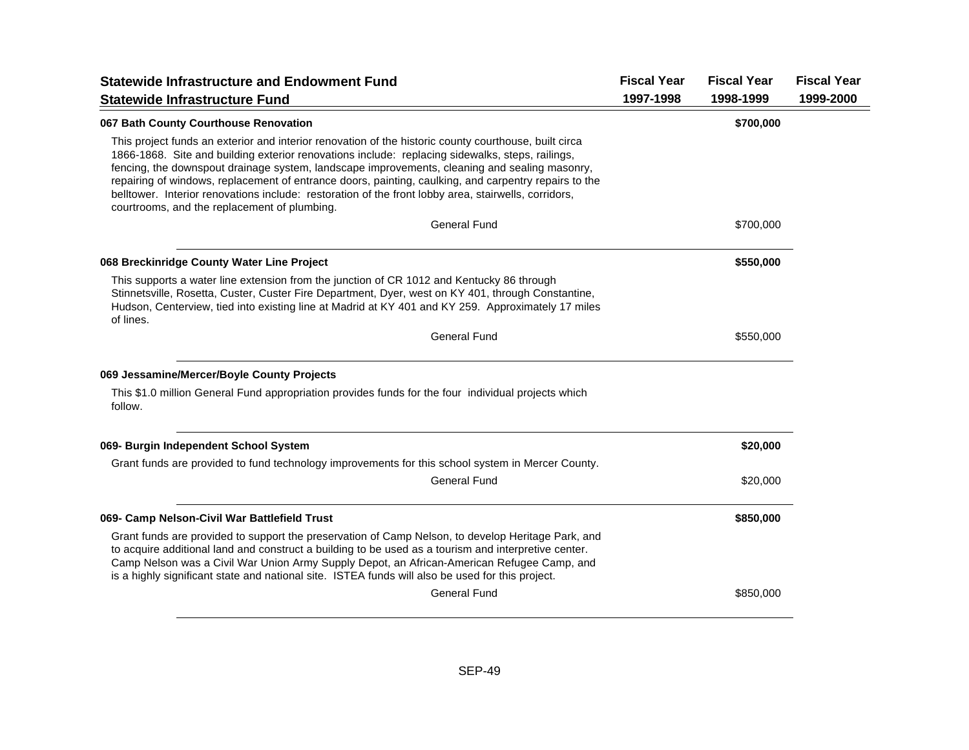| <b>Statewide Infrastructure and Endowment Fund</b>                                                                                                                                                                                                                                                                                                                                                                                                                                                                                                                          | <b>Fiscal Year</b> | <b>Fiscal Year</b> | <b>Fiscal Year</b> |
|-----------------------------------------------------------------------------------------------------------------------------------------------------------------------------------------------------------------------------------------------------------------------------------------------------------------------------------------------------------------------------------------------------------------------------------------------------------------------------------------------------------------------------------------------------------------------------|--------------------|--------------------|--------------------|
| <b>Statewide Infrastructure Fund</b>                                                                                                                                                                                                                                                                                                                                                                                                                                                                                                                                        | 1997-1998          | 1998-1999          | 1999-2000          |
| 067 Bath County Courthouse Renovation                                                                                                                                                                                                                                                                                                                                                                                                                                                                                                                                       |                    | \$700,000          |                    |
| This project funds an exterior and interior renovation of the historic county courthouse, built circa<br>1866-1868. Site and building exterior renovations include: replacing sidewalks, steps, railings,<br>fencing, the downspout drainage system, landscape improvements, cleaning and sealing masonry,<br>repairing of windows, replacement of entrance doors, painting, caulking, and carpentry repairs to the<br>belltower. Interior renovations include: restoration of the front lobby area, stairwells, corridors,<br>courtrooms, and the replacement of plumbing. |                    |                    |                    |
| <b>General Fund</b>                                                                                                                                                                                                                                                                                                                                                                                                                                                                                                                                                         |                    | \$700,000          |                    |
| 068 Breckinridge County Water Line Project                                                                                                                                                                                                                                                                                                                                                                                                                                                                                                                                  |                    | \$550,000          |                    |
| This supports a water line extension from the junction of CR 1012 and Kentucky 86 through<br>Stinnetsville, Rosetta, Custer, Custer Fire Department, Dyer, west on KY 401, through Constantine,<br>Hudson, Centerview, tied into existing line at Madrid at KY 401 and KY 259. Approximately 17 miles<br>of lines.                                                                                                                                                                                                                                                          |                    |                    |                    |
| <b>General Fund</b>                                                                                                                                                                                                                                                                                                                                                                                                                                                                                                                                                         |                    | \$550,000          |                    |
| 069 Jessamine/Mercer/Boyle County Projects                                                                                                                                                                                                                                                                                                                                                                                                                                                                                                                                  |                    |                    |                    |
| This \$1.0 million General Fund appropriation provides funds for the four individual projects which<br>follow.                                                                                                                                                                                                                                                                                                                                                                                                                                                              |                    |                    |                    |
| 069- Burgin Independent School System                                                                                                                                                                                                                                                                                                                                                                                                                                                                                                                                       |                    | \$20,000           |                    |
| Grant funds are provided to fund technology improvements for this school system in Mercer County.                                                                                                                                                                                                                                                                                                                                                                                                                                                                           |                    |                    |                    |
| <b>General Fund</b>                                                                                                                                                                                                                                                                                                                                                                                                                                                                                                                                                         |                    | \$20,000           |                    |
| 069- Camp Nelson-Civil War Battlefield Trust                                                                                                                                                                                                                                                                                                                                                                                                                                                                                                                                |                    | \$850,000          |                    |
| Grant funds are provided to support the preservation of Camp Nelson, to develop Heritage Park, and<br>to acquire additional land and construct a building to be used as a tourism and interpretive center.<br>Camp Nelson was a Civil War Union Army Supply Depot, an African-American Refugee Camp, and<br>is a highly significant state and national site. ISTEA funds will also be used for this project.<br><b>General Fund</b>                                                                                                                                         |                    |                    |                    |
|                                                                                                                                                                                                                                                                                                                                                                                                                                                                                                                                                                             |                    | \$850,000          |                    |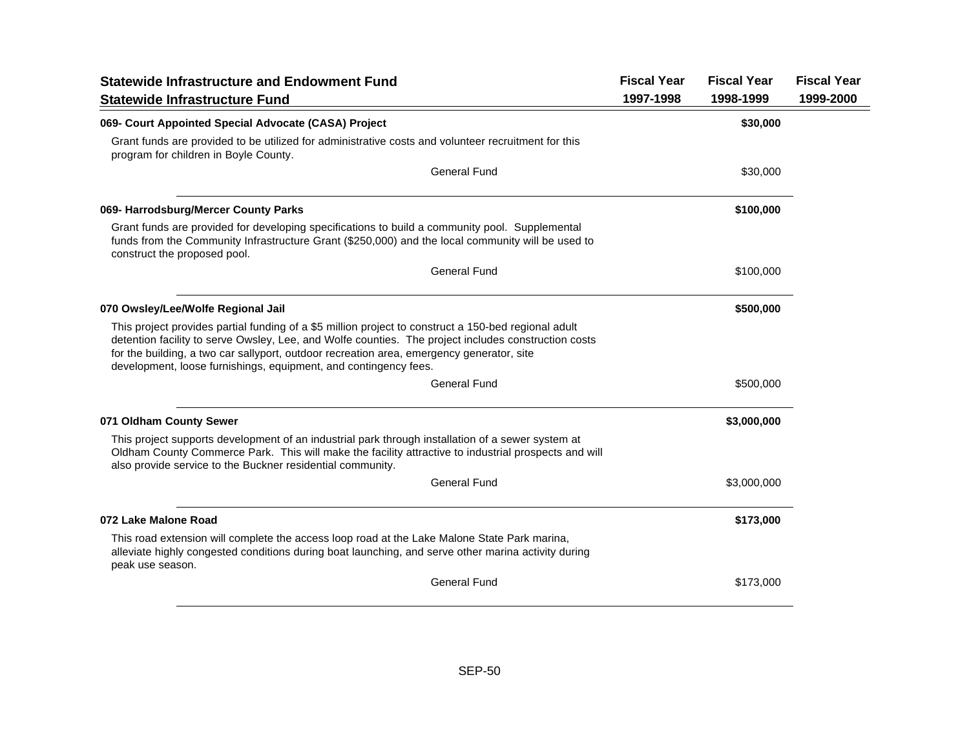| <b>Statewide Infrastructure and Endowment Fund</b>                                                                                                                                                                                                                                                                                                                            | <b>Fiscal Year</b> | <b>Fiscal Year</b> | <b>Fiscal Year</b> |
|-------------------------------------------------------------------------------------------------------------------------------------------------------------------------------------------------------------------------------------------------------------------------------------------------------------------------------------------------------------------------------|--------------------|--------------------|--------------------|
| <b>Statewide Infrastructure Fund</b>                                                                                                                                                                                                                                                                                                                                          | 1997-1998          | 1998-1999          | 1999-2000          |
| 069- Court Appointed Special Advocate (CASA) Project                                                                                                                                                                                                                                                                                                                          |                    | \$30,000           |                    |
| Grant funds are provided to be utilized for administrative costs and volunteer recruitment for this<br>program for children in Boyle County.                                                                                                                                                                                                                                  |                    |                    |                    |
| <b>General Fund</b>                                                                                                                                                                                                                                                                                                                                                           |                    | \$30,000           |                    |
| 069- Harrodsburg/Mercer County Parks                                                                                                                                                                                                                                                                                                                                          |                    | \$100,000          |                    |
| Grant funds are provided for developing specifications to build a community pool. Supplemental<br>funds from the Community Infrastructure Grant (\$250,000) and the local community will be used to<br>construct the proposed pool.                                                                                                                                           |                    |                    |                    |
| <b>General Fund</b>                                                                                                                                                                                                                                                                                                                                                           |                    | \$100,000          |                    |
| 070 Owsley/Lee/Wolfe Regional Jail                                                                                                                                                                                                                                                                                                                                            |                    | \$500,000          |                    |
| This project provides partial funding of a \$5 million project to construct a 150-bed regional adult<br>detention facility to serve Owsley, Lee, and Wolfe counties. The project includes construction costs<br>for the building, a two car sallyport, outdoor recreation area, emergency generator, site<br>development, loose furnishings, equipment, and contingency fees. |                    |                    |                    |
| <b>General Fund</b>                                                                                                                                                                                                                                                                                                                                                           |                    | \$500,000          |                    |
| 071 Oldham County Sewer                                                                                                                                                                                                                                                                                                                                                       |                    | \$3,000,000        |                    |
| This project supports development of an industrial park through installation of a sewer system at<br>Oldham County Commerce Park. This will make the facility attractive to industrial prospects and will<br>also provide service to the Buckner residential community.                                                                                                       |                    |                    |                    |
| <b>General Fund</b>                                                                                                                                                                                                                                                                                                                                                           |                    | \$3,000,000        |                    |
| 072 Lake Malone Road                                                                                                                                                                                                                                                                                                                                                          |                    | \$173,000          |                    |
| This road extension will complete the access loop road at the Lake Malone State Park marina,<br>alleviate highly congested conditions during boat launching, and serve other marina activity during<br>peak use season.                                                                                                                                                       |                    |                    |                    |
| <b>General Fund</b>                                                                                                                                                                                                                                                                                                                                                           |                    | \$173,000          |                    |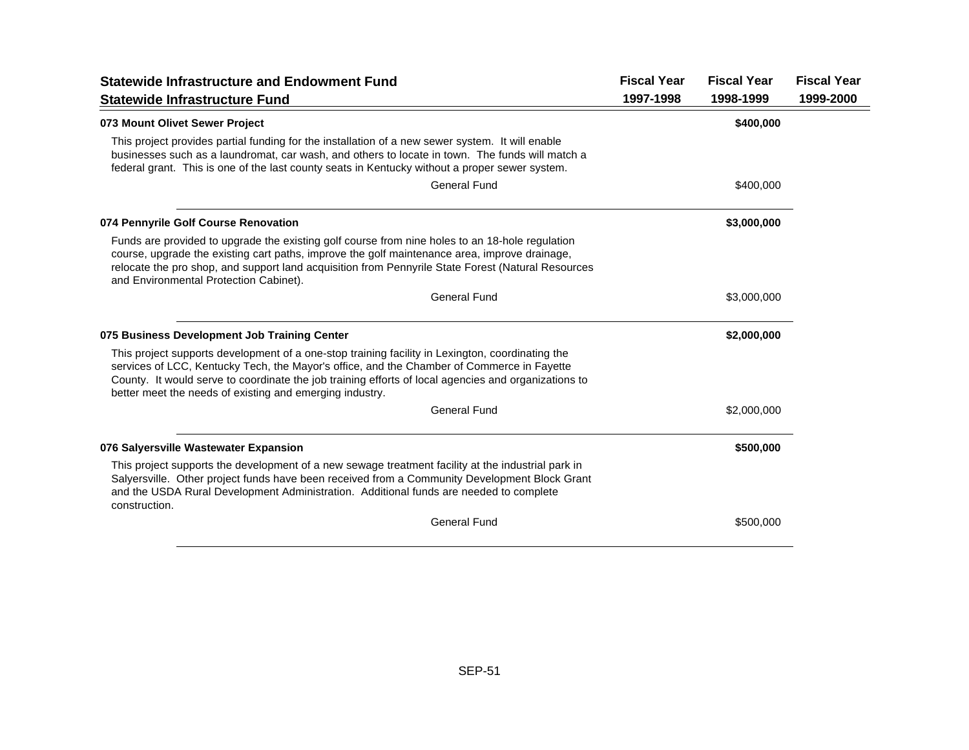| <b>Statewide Infrastructure and Endowment Fund</b>                                                                                                                                                                                                                                                                                                                 |           | <b>Fiscal Year</b><br><b>Fiscal Year</b> | <b>Fiscal Year</b> |
|--------------------------------------------------------------------------------------------------------------------------------------------------------------------------------------------------------------------------------------------------------------------------------------------------------------------------------------------------------------------|-----------|------------------------------------------|--------------------|
| <b>Statewide Infrastructure Fund</b>                                                                                                                                                                                                                                                                                                                               | 1997-1998 | 1998-1999                                | 1999-2000          |
| 073 Mount Olivet Sewer Project                                                                                                                                                                                                                                                                                                                                     |           | \$400,000                                |                    |
| This project provides partial funding for the installation of a new sewer system. It will enable<br>businesses such as a laundromat, car wash, and others to locate in town. The funds will match a<br>federal grant. This is one of the last county seats in Kentucky without a proper sewer system.                                                              |           |                                          |                    |
| <b>General Fund</b>                                                                                                                                                                                                                                                                                                                                                |           | \$400,000                                |                    |
| 074 Pennyrile Golf Course Renovation                                                                                                                                                                                                                                                                                                                               |           | \$3,000,000                              |                    |
| Funds are provided to upgrade the existing golf course from nine holes to an 18-hole regulation<br>course, upgrade the existing cart paths, improve the golf maintenance area, improve drainage,<br>relocate the pro shop, and support land acquisition from Pennyrile State Forest (Natural Resources<br>and Environmental Protection Cabinet).                   |           |                                          |                    |
| <b>General Fund</b>                                                                                                                                                                                                                                                                                                                                                |           | \$3,000,000                              |                    |
| 075 Business Development Job Training Center                                                                                                                                                                                                                                                                                                                       |           | \$2,000,000                              |                    |
| This project supports development of a one-stop training facility in Lexington, coordinating the<br>services of LCC, Kentucky Tech, the Mayor's office, and the Chamber of Commerce in Fayette<br>County. It would serve to coordinate the job training efforts of local agencies and organizations to<br>better meet the needs of existing and emerging industry. |           |                                          |                    |
| <b>General Fund</b>                                                                                                                                                                                                                                                                                                                                                |           | \$2,000,000                              |                    |
| 076 Salversville Wastewater Expansion                                                                                                                                                                                                                                                                                                                              |           | \$500,000                                |                    |
| This project supports the development of a new sewage treatment facility at the industrial park in<br>Salyersville. Other project funds have been received from a Community Development Block Grant<br>and the USDA Rural Development Administration. Additional funds are needed to complete<br>construction.                                                     |           |                                          |                    |
| <b>General Fund</b>                                                                                                                                                                                                                                                                                                                                                |           | \$500,000                                |                    |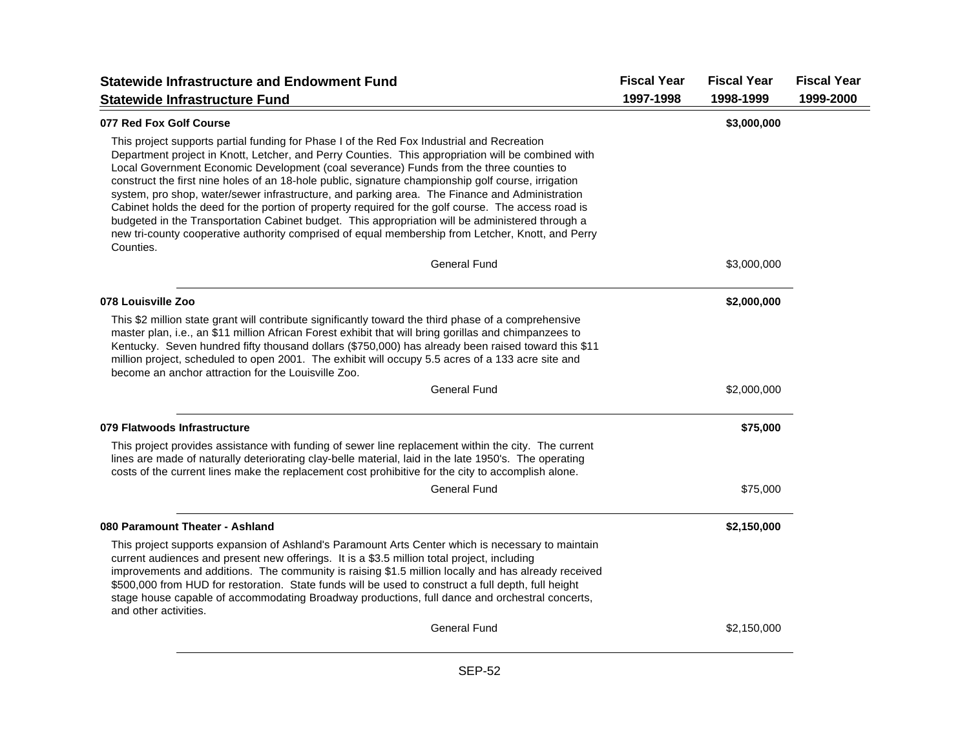| <b>Statewide Infrastructure and Endowment Fund</b>                                                                                                                                                                                                                                                                                                                                                                                                                                                                                                                                                                                                                                                                                                                                                                                | <b>Fiscal Year</b> | <b>Fiscal Year</b> | <b>Fiscal Year</b> |
|-----------------------------------------------------------------------------------------------------------------------------------------------------------------------------------------------------------------------------------------------------------------------------------------------------------------------------------------------------------------------------------------------------------------------------------------------------------------------------------------------------------------------------------------------------------------------------------------------------------------------------------------------------------------------------------------------------------------------------------------------------------------------------------------------------------------------------------|--------------------|--------------------|--------------------|
| <b>Statewide Infrastructure Fund</b>                                                                                                                                                                                                                                                                                                                                                                                                                                                                                                                                                                                                                                                                                                                                                                                              | 1997-1998          | 1998-1999          | 1999-2000          |
| 077 Red Fox Golf Course                                                                                                                                                                                                                                                                                                                                                                                                                                                                                                                                                                                                                                                                                                                                                                                                           |                    | \$3,000,000        |                    |
| This project supports partial funding for Phase I of the Red Fox Industrial and Recreation<br>Department project in Knott, Letcher, and Perry Counties. This appropriation will be combined with<br>Local Government Economic Development (coal severance) Funds from the three counties to<br>construct the first nine holes of an 18-hole public, signature championship golf course, irrigation<br>system, pro shop, water/sewer infrastructure, and parking area. The Finance and Administration<br>Cabinet holds the deed for the portion of property required for the golf course. The access road is<br>budgeted in the Transportation Cabinet budget. This appropriation will be administered through a<br>new tri-county cooperative authority comprised of equal membership from Letcher, Knott, and Perry<br>Counties. |                    |                    |                    |
| <b>General Fund</b>                                                                                                                                                                                                                                                                                                                                                                                                                                                                                                                                                                                                                                                                                                                                                                                                               |                    | \$3,000,000        |                    |
| 078 Louisville Zoo                                                                                                                                                                                                                                                                                                                                                                                                                                                                                                                                                                                                                                                                                                                                                                                                                |                    | \$2,000,000        |                    |
| This \$2 million state grant will contribute significantly toward the third phase of a comprehensive<br>master plan, i.e., an \$11 million African Forest exhibit that will bring gorillas and chimpanzees to<br>Kentucky. Seven hundred fifty thousand dollars (\$750,000) has already been raised toward this \$11<br>million project, scheduled to open 2001. The exhibit will occupy 5.5 acres of a 133 acre site and<br>become an anchor attraction for the Louisville Zoo.                                                                                                                                                                                                                                                                                                                                                  |                    |                    |                    |
| <b>General Fund</b>                                                                                                                                                                                                                                                                                                                                                                                                                                                                                                                                                                                                                                                                                                                                                                                                               |                    | \$2,000,000        |                    |
| 079 Flatwoods Infrastructure                                                                                                                                                                                                                                                                                                                                                                                                                                                                                                                                                                                                                                                                                                                                                                                                      |                    | \$75,000           |                    |
| This project provides assistance with funding of sewer line replacement within the city. The current<br>lines are made of naturally deteriorating clay-belle material, laid in the late 1950's. The operating<br>costs of the current lines make the replacement cost prohibitive for the city to accomplish alone.                                                                                                                                                                                                                                                                                                                                                                                                                                                                                                               |                    |                    |                    |
| <b>General Fund</b>                                                                                                                                                                                                                                                                                                                                                                                                                                                                                                                                                                                                                                                                                                                                                                                                               |                    | \$75,000           |                    |
| 080 Paramount Theater - Ashland                                                                                                                                                                                                                                                                                                                                                                                                                                                                                                                                                                                                                                                                                                                                                                                                   |                    | \$2,150,000        |                    |
| This project supports expansion of Ashland's Paramount Arts Center which is necessary to maintain<br>current audiences and present new offerings. It is a \$3.5 million total project, including<br>improvements and additions. The community is raising \$1.5 million locally and has already received<br>\$500,000 from HUD for restoration. State funds will be used to construct a full depth, full height<br>stage house capable of accommodating Broadway productions, full dance and orchestral concerts,<br>and other activities.                                                                                                                                                                                                                                                                                         |                    |                    |                    |
| <b>General Fund</b>                                                                                                                                                                                                                                                                                                                                                                                                                                                                                                                                                                                                                                                                                                                                                                                                               |                    | \$2,150,000        |                    |
|                                                                                                                                                                                                                                                                                                                                                                                                                                                                                                                                                                                                                                                                                                                                                                                                                                   |                    |                    |                    |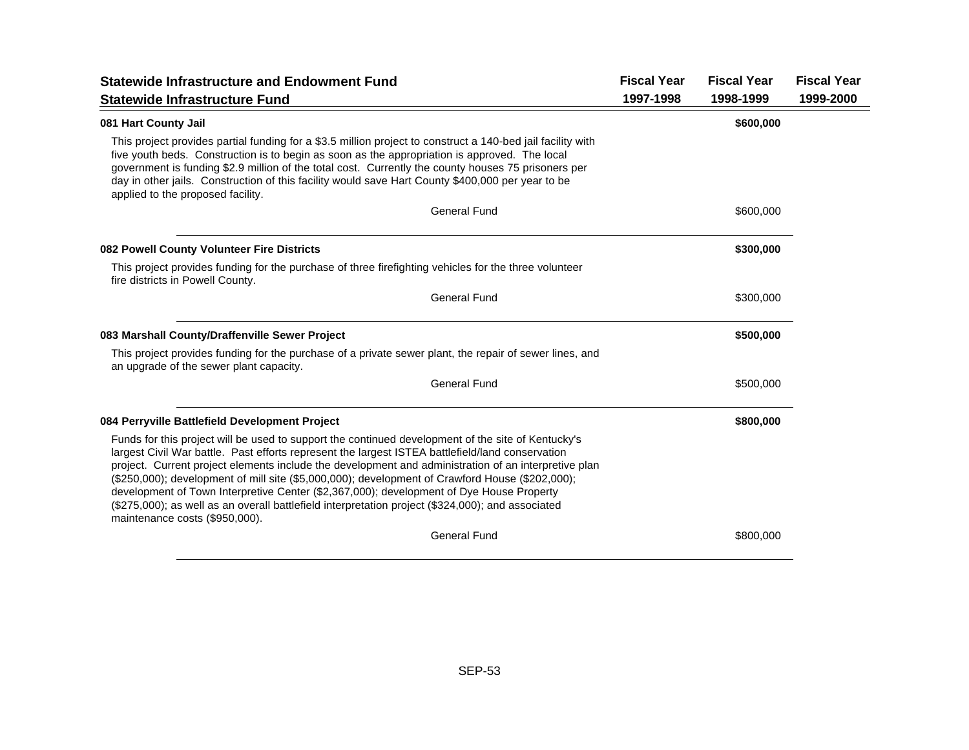| <b>Statewide Infrastructure and Endowment Fund</b>                                                                                                                                                                                                                                                                                                                                                                                                                                                                                                                                                                                                   | <b>Fiscal Year</b> | <b>Fiscal Year</b> | <b>Fiscal Year</b> |
|------------------------------------------------------------------------------------------------------------------------------------------------------------------------------------------------------------------------------------------------------------------------------------------------------------------------------------------------------------------------------------------------------------------------------------------------------------------------------------------------------------------------------------------------------------------------------------------------------------------------------------------------------|--------------------|--------------------|--------------------|
| <b>Statewide Infrastructure Fund</b>                                                                                                                                                                                                                                                                                                                                                                                                                                                                                                                                                                                                                 | 1997-1998          | 1998-1999          | 1999-2000          |
| 081 Hart County Jail                                                                                                                                                                                                                                                                                                                                                                                                                                                                                                                                                                                                                                 |                    | \$600,000          |                    |
| This project provides partial funding for a \$3.5 million project to construct a 140-bed jail facility with<br>five youth beds. Construction is to begin as soon as the appropriation is approved. The local<br>government is funding \$2.9 million of the total cost. Currently the county houses 75 prisoners per<br>day in other jails. Construction of this facility would save Hart County \$400,000 per year to be<br>applied to the proposed facility.                                                                                                                                                                                        |                    |                    |                    |
| <b>General Fund</b>                                                                                                                                                                                                                                                                                                                                                                                                                                                                                                                                                                                                                                  |                    | \$600,000          |                    |
| 082 Powell County Volunteer Fire Districts                                                                                                                                                                                                                                                                                                                                                                                                                                                                                                                                                                                                           |                    | \$300,000          |                    |
| This project provides funding for the purchase of three firefighting vehicles for the three volunteer<br>fire districts in Powell County.                                                                                                                                                                                                                                                                                                                                                                                                                                                                                                            |                    |                    |                    |
| <b>General Fund</b>                                                                                                                                                                                                                                                                                                                                                                                                                                                                                                                                                                                                                                  |                    | \$300,000          |                    |
| 083 Marshall County/Draffenville Sewer Project                                                                                                                                                                                                                                                                                                                                                                                                                                                                                                                                                                                                       |                    | \$500,000          |                    |
| This project provides funding for the purchase of a private sewer plant, the repair of sewer lines, and<br>an upgrade of the sewer plant capacity.                                                                                                                                                                                                                                                                                                                                                                                                                                                                                                   |                    |                    |                    |
| <b>General Fund</b>                                                                                                                                                                                                                                                                                                                                                                                                                                                                                                                                                                                                                                  |                    | \$500,000          |                    |
| 084 Perryville Battlefield Development Project                                                                                                                                                                                                                                                                                                                                                                                                                                                                                                                                                                                                       |                    | \$800,000          |                    |
| Funds for this project will be used to support the continued development of the site of Kentucky's<br>largest Civil War battle. Past efforts represent the largest ISTEA battlefield/land conservation<br>project. Current project elements include the development and administration of an interpretive plan<br>(\$250,000); development of mill site (\$5,000,000); development of Crawford House (\$202,000);<br>development of Town Interpretive Center (\$2,367,000); development of Dye House Property<br>(\$275,000); as well as an overall battlefield interpretation project (\$324,000); and associated<br>maintenance costs (\$950,000). |                    |                    |                    |
| <b>General Fund</b>                                                                                                                                                                                                                                                                                                                                                                                                                                                                                                                                                                                                                                  |                    | \$800,000          |                    |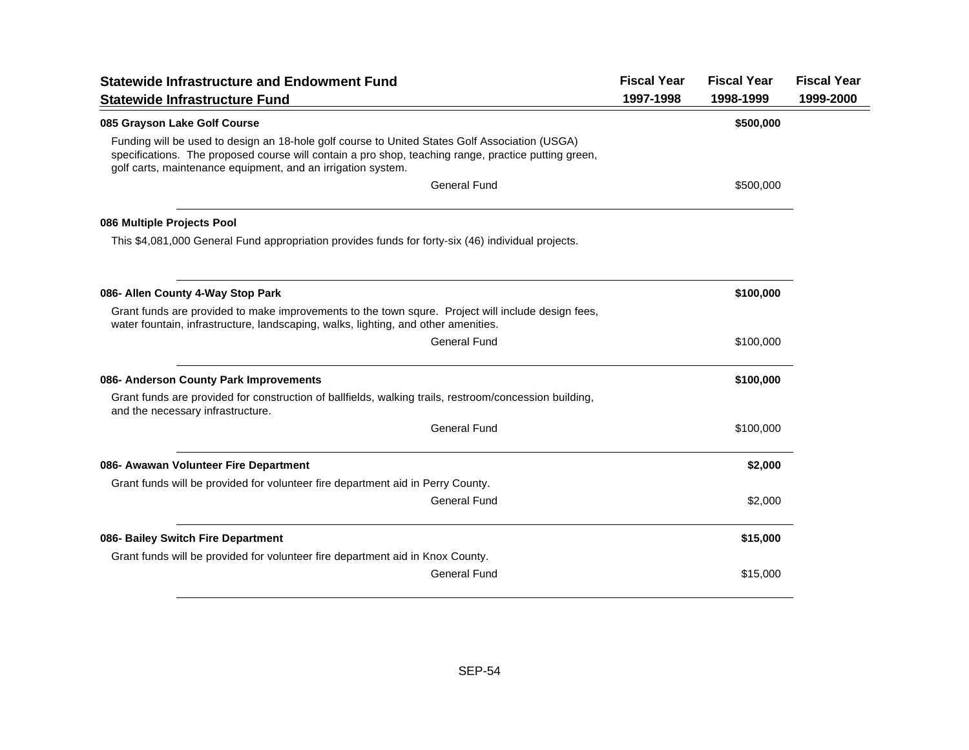| <b>Statewide Infrastructure and Endowment Fund</b>                                                                                                                                                                                                                     | <b>Fiscal Year</b> | <b>Fiscal Year</b> | <b>Fiscal Year</b> |
|------------------------------------------------------------------------------------------------------------------------------------------------------------------------------------------------------------------------------------------------------------------------|--------------------|--------------------|--------------------|
| <b>Statewide Infrastructure Fund</b>                                                                                                                                                                                                                                   | 1997-1998          | 1998-1999          | 1999-2000          |
| 085 Grayson Lake Golf Course                                                                                                                                                                                                                                           |                    | \$500,000          |                    |
| Funding will be used to design an 18-hole golf course to United States Golf Association (USGA)<br>specifications. The proposed course will contain a pro shop, teaching range, practice putting green,<br>golf carts, maintenance equipment, and an irrigation system. |                    |                    |                    |
| <b>General Fund</b>                                                                                                                                                                                                                                                    |                    | \$500,000          |                    |
| 086 Multiple Projects Pool                                                                                                                                                                                                                                             |                    |                    |                    |
| This \$4,081,000 General Fund appropriation provides funds for forty-six (46) individual projects.                                                                                                                                                                     |                    |                    |                    |
| 086- Allen County 4-Way Stop Park                                                                                                                                                                                                                                      |                    | \$100,000          |                    |
| Grant funds are provided to make improvements to the town squre. Project will include design fees,<br>water fountain, infrastructure, landscaping, walks, lighting, and other amenities.                                                                               |                    |                    |                    |
| <b>General Fund</b>                                                                                                                                                                                                                                                    |                    | \$100,000          |                    |
| 086- Anderson County Park Improvements                                                                                                                                                                                                                                 |                    | \$100,000          |                    |
| Grant funds are provided for construction of ballfields, walking trails, restroom/concession building,<br>and the necessary infrastructure.                                                                                                                            |                    |                    |                    |
| <b>General Fund</b>                                                                                                                                                                                                                                                    |                    | \$100,000          |                    |
| 086- Awawan Volunteer Fire Department                                                                                                                                                                                                                                  |                    | \$2,000            |                    |
| Grant funds will be provided for volunteer fire department aid in Perry County.                                                                                                                                                                                        |                    |                    |                    |
| <b>General Fund</b>                                                                                                                                                                                                                                                    |                    | \$2,000            |                    |
| 086- Bailey Switch Fire Department                                                                                                                                                                                                                                     |                    | \$15,000           |                    |
| Grant funds will be provided for volunteer fire department aid in Knox County.                                                                                                                                                                                         |                    |                    |                    |
| <b>General Fund</b>                                                                                                                                                                                                                                                    |                    | \$15,000           |                    |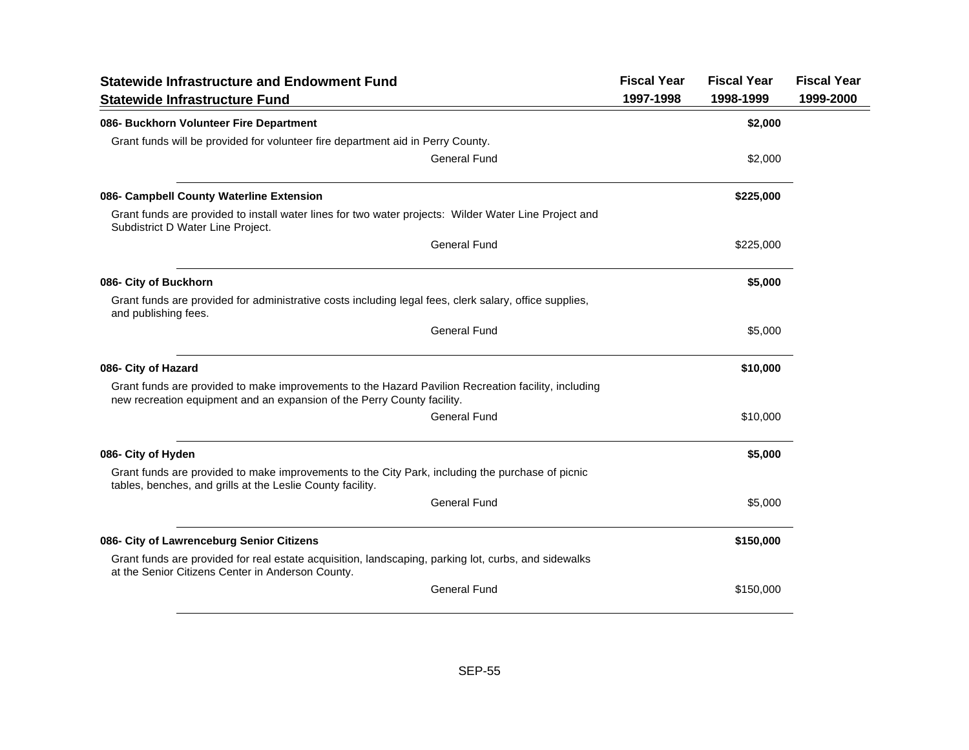| <b>Statewide Infrastructure and Endowment Fund</b>                                                                                                                             | <b>Fiscal Year</b> | <b>Fiscal Year</b> | <b>Fiscal Year</b> |
|--------------------------------------------------------------------------------------------------------------------------------------------------------------------------------|--------------------|--------------------|--------------------|
| <b>Statewide Infrastructure Fund</b>                                                                                                                                           | 1997-1998          | 1998-1999          | 1999-2000          |
| 086- Buckhorn Volunteer Fire Department                                                                                                                                        |                    | \$2,000            |                    |
| Grant funds will be provided for volunteer fire department aid in Perry County.                                                                                                |                    |                    |                    |
| <b>General Fund</b>                                                                                                                                                            |                    | \$2,000            |                    |
| 086- Campbell County Waterline Extension                                                                                                                                       |                    | \$225,000          |                    |
| Grant funds are provided to install water lines for two water projects: Wilder Water Line Project and<br>Subdistrict D Water Line Project.                                     |                    |                    |                    |
| <b>General Fund</b>                                                                                                                                                            |                    | \$225,000          |                    |
| 086- City of Buckhorn                                                                                                                                                          |                    | \$5,000            |                    |
| Grant funds are provided for administrative costs including legal fees, clerk salary, office supplies,<br>and publishing fees.                                                 |                    |                    |                    |
| <b>General Fund</b>                                                                                                                                                            |                    | \$5,000            |                    |
| 086- City of Hazard                                                                                                                                                            |                    | \$10,000           |                    |
| Grant funds are provided to make improvements to the Hazard Pavilion Recreation facility, including<br>new recreation equipment and an expansion of the Perry County facility. |                    |                    |                    |
| <b>General Fund</b>                                                                                                                                                            |                    | \$10,000           |                    |
| 086- City of Hyden                                                                                                                                                             |                    | \$5,000            |                    |
| Grant funds are provided to make improvements to the City Park, including the purchase of picnic<br>tables, benches, and grills at the Leslie County facility.                 |                    |                    |                    |
| <b>General Fund</b>                                                                                                                                                            |                    | \$5,000            |                    |
| 086- City of Lawrenceburg Senior Citizens                                                                                                                                      |                    | \$150,000          |                    |
| Grant funds are provided for real estate acquisition, landscaping, parking lot, curbs, and sidewalks<br>at the Senior Citizens Center in Anderson County.                      |                    |                    |                    |
| <b>General Fund</b>                                                                                                                                                            |                    | \$150,000          |                    |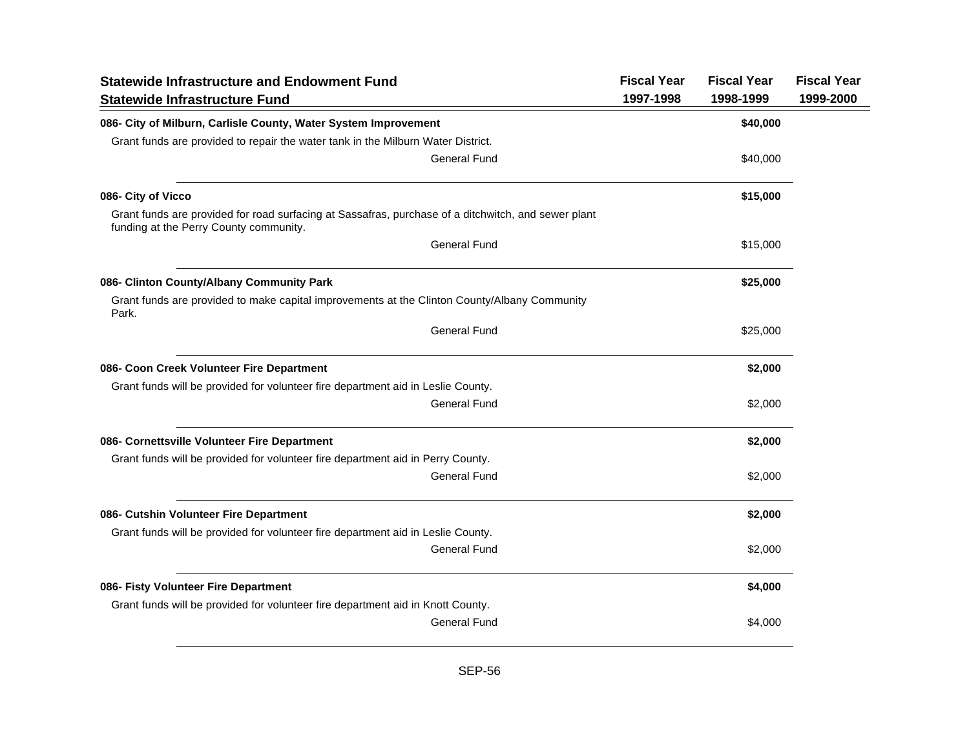| <b>Statewide Infrastructure and Endowment Fund</b><br><b>Statewide Infrastructure Fund</b>                                                    | <b>Fiscal Year</b><br>1997-1998 | <b>Fiscal Year</b><br>1998-1999 | <b>Fiscal Year</b><br>1999-2000 |
|-----------------------------------------------------------------------------------------------------------------------------------------------|---------------------------------|---------------------------------|---------------------------------|
| 086- City of Milburn, Carlisle County, Water System Improvement                                                                               |                                 | \$40,000                        |                                 |
| Grant funds are provided to repair the water tank in the Milburn Water District.                                                              |                                 |                                 |                                 |
| <b>General Fund</b>                                                                                                                           |                                 | \$40,000                        |                                 |
| 086- City of Vicco                                                                                                                            |                                 | \$15,000                        |                                 |
| Grant funds are provided for road surfacing at Sassafras, purchase of a ditchwitch, and sewer plant<br>funding at the Perry County community. |                                 |                                 |                                 |
| <b>General Fund</b>                                                                                                                           |                                 | \$15,000                        |                                 |
| 086- Clinton County/Albany Community Park                                                                                                     |                                 | \$25,000                        |                                 |
| Grant funds are provided to make capital improvements at the Clinton County/Albany Community<br>Park.                                         |                                 |                                 |                                 |
| <b>General Fund</b>                                                                                                                           |                                 | \$25,000                        |                                 |
| 086- Coon Creek Volunteer Fire Department                                                                                                     |                                 | \$2,000                         |                                 |
| Grant funds will be provided for volunteer fire department aid in Leslie County.                                                              |                                 |                                 |                                 |
| <b>General Fund</b>                                                                                                                           |                                 | \$2,000                         |                                 |
| 086- Cornettsville Volunteer Fire Department                                                                                                  |                                 | \$2,000                         |                                 |
| Grant funds will be provided for volunteer fire department aid in Perry County.                                                               |                                 |                                 |                                 |
| <b>General Fund</b>                                                                                                                           |                                 | \$2,000                         |                                 |
| 086- Cutshin Volunteer Fire Department                                                                                                        |                                 | \$2,000                         |                                 |
| Grant funds will be provided for volunteer fire department aid in Leslie County.                                                              |                                 |                                 |                                 |
| <b>General Fund</b>                                                                                                                           |                                 | \$2,000                         |                                 |
| 086- Fisty Volunteer Fire Department                                                                                                          |                                 | \$4,000                         |                                 |
| Grant funds will be provided for volunteer fire department aid in Knott County.                                                               |                                 |                                 |                                 |
| <b>General Fund</b>                                                                                                                           |                                 | \$4,000                         |                                 |
|                                                                                                                                               |                                 |                                 |                                 |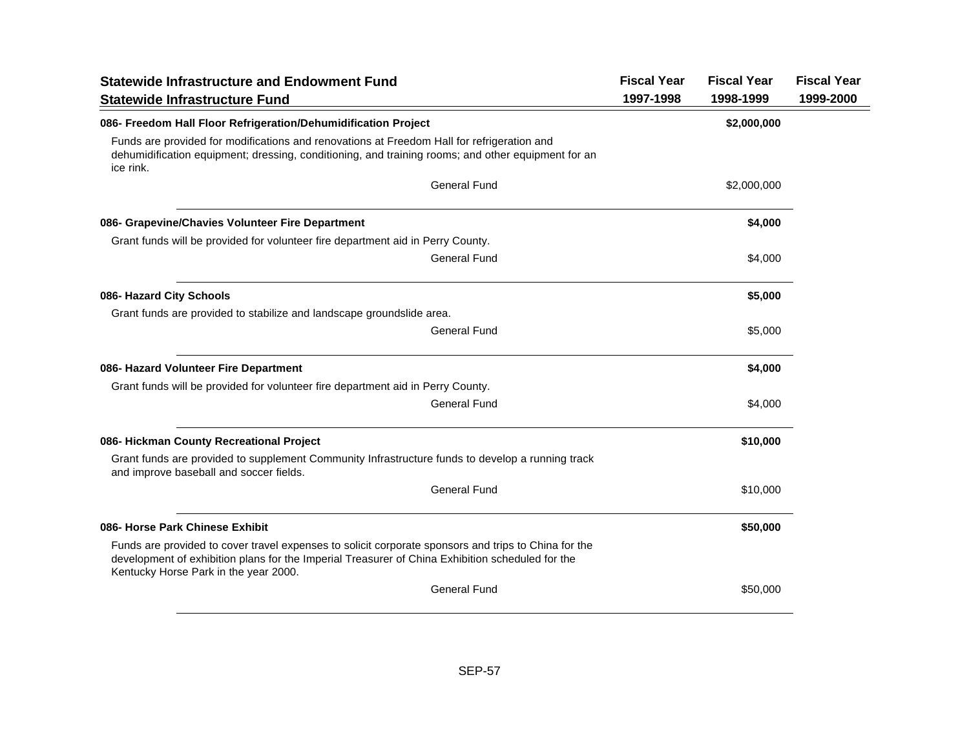| <b>Statewide Infrastructure and Endowment Fund</b><br><b>Statewide Infrastructure Fund</b>                                                                                                                                                        | <b>Fiscal Year</b><br>1997-1998 | <b>Fiscal Year</b><br>1998-1999 | <b>Fiscal Year</b><br>1999-2000 |
|---------------------------------------------------------------------------------------------------------------------------------------------------------------------------------------------------------------------------------------------------|---------------------------------|---------------------------------|---------------------------------|
| 086- Freedom Hall Floor Refrigeration/Dehumidification Project                                                                                                                                                                                    |                                 | \$2,000,000                     |                                 |
| Funds are provided for modifications and renovations at Freedom Hall for refrigeration and<br>dehumidification equipment; dressing, conditioning, and training rooms; and other equipment for an<br>ice rink.                                     |                                 |                                 |                                 |
| <b>General Fund</b>                                                                                                                                                                                                                               |                                 | \$2,000,000                     |                                 |
| 086- Grapevine/Chavies Volunteer Fire Department                                                                                                                                                                                                  |                                 | \$4,000                         |                                 |
| Grant funds will be provided for volunteer fire department aid in Perry County.                                                                                                                                                                   |                                 |                                 |                                 |
| <b>General Fund</b>                                                                                                                                                                                                                               |                                 | \$4,000                         |                                 |
| 086- Hazard City Schools                                                                                                                                                                                                                          |                                 | \$5,000                         |                                 |
| Grant funds are provided to stabilize and landscape groundslide area.                                                                                                                                                                             |                                 |                                 |                                 |
| <b>General Fund</b>                                                                                                                                                                                                                               |                                 | \$5,000                         |                                 |
| 086- Hazard Volunteer Fire Department                                                                                                                                                                                                             |                                 | \$4,000                         |                                 |
| Grant funds will be provided for volunteer fire department aid in Perry County.                                                                                                                                                                   |                                 |                                 |                                 |
| <b>General Fund</b>                                                                                                                                                                                                                               |                                 | \$4,000                         |                                 |
| 086- Hickman County Recreational Project                                                                                                                                                                                                          |                                 | \$10,000                        |                                 |
| Grant funds are provided to supplement Community Infrastructure funds to develop a running track<br>and improve baseball and soccer fields.                                                                                                       |                                 |                                 |                                 |
| <b>General Fund</b>                                                                                                                                                                                                                               |                                 | \$10,000                        |                                 |
| 086- Horse Park Chinese Exhibit                                                                                                                                                                                                                   |                                 | \$50,000                        |                                 |
| Funds are provided to cover travel expenses to solicit corporate sponsors and trips to China for the<br>development of exhibition plans for the Imperial Treasurer of China Exhibition scheduled for the<br>Kentucky Horse Park in the year 2000. |                                 |                                 |                                 |
| <b>General Fund</b>                                                                                                                                                                                                                               |                                 | \$50,000                        |                                 |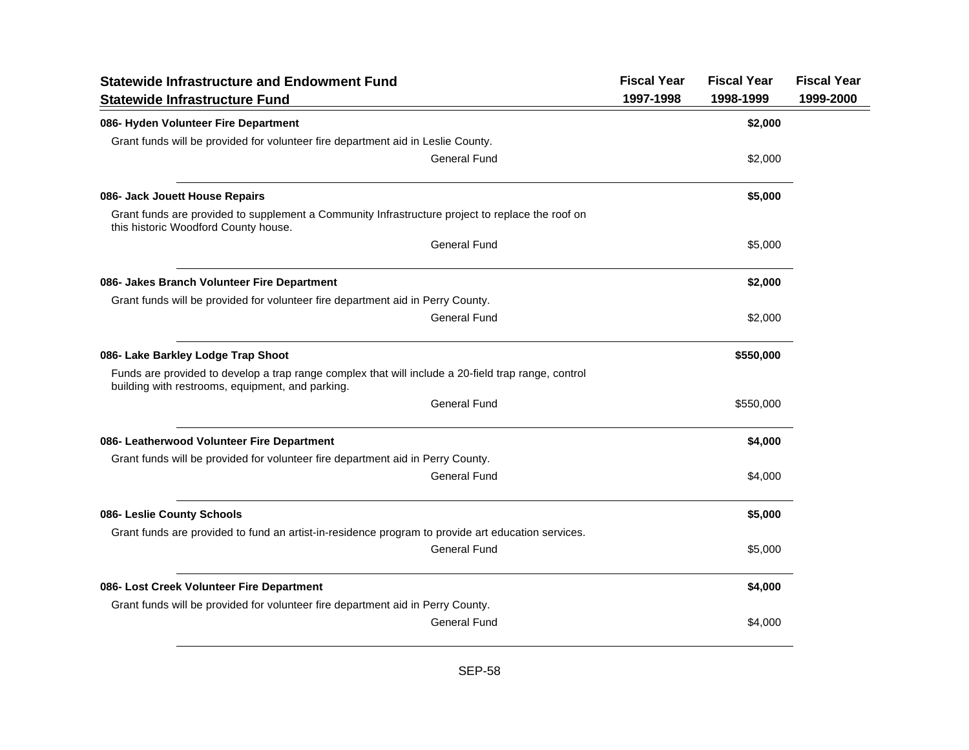| <b>Statewide Infrastructure and Endowment Fund</b>                                                                                                      | <b>Fiscal Year</b> | <b>Fiscal Year</b> | <b>Fiscal Year</b> |
|---------------------------------------------------------------------------------------------------------------------------------------------------------|--------------------|--------------------|--------------------|
| <b>Statewide Infrastructure Fund</b>                                                                                                                    | 1997-1998          | 1998-1999          | 1999-2000          |
| 086- Hyden Volunteer Fire Department                                                                                                                    |                    | \$2,000            |                    |
| Grant funds will be provided for volunteer fire department aid in Leslie County.                                                                        |                    |                    |                    |
| General Fund                                                                                                                                            |                    | \$2,000            |                    |
| 086- Jack Jouett House Repairs                                                                                                                          |                    | \$5,000            |                    |
| Grant funds are provided to supplement a Community Infrastructure project to replace the roof on<br>this historic Woodford County house.                |                    |                    |                    |
| <b>General Fund</b>                                                                                                                                     |                    | \$5,000            |                    |
| 086- Jakes Branch Volunteer Fire Department                                                                                                             |                    | \$2,000            |                    |
| Grant funds will be provided for volunteer fire department aid in Perry County.                                                                         |                    |                    |                    |
| <b>General Fund</b>                                                                                                                                     |                    | \$2,000            |                    |
| 086- Lake Barkley Lodge Trap Shoot                                                                                                                      |                    | \$550,000          |                    |
| Funds are provided to develop a trap range complex that will include a 20-field trap range, control<br>building with restrooms, equipment, and parking. |                    |                    |                    |
| <b>General Fund</b>                                                                                                                                     |                    | \$550,000          |                    |
| 086- Leatherwood Volunteer Fire Department                                                                                                              |                    | \$4,000            |                    |
| Grant funds will be provided for volunteer fire department aid in Perry County.                                                                         |                    |                    |                    |
| <b>General Fund</b>                                                                                                                                     |                    | \$4,000            |                    |
| 086- Leslie County Schools                                                                                                                              |                    | \$5,000            |                    |
| Grant funds are provided to fund an artist-in-residence program to provide art education services.                                                      |                    |                    |                    |
| <b>General Fund</b>                                                                                                                                     |                    | \$5,000            |                    |
| 086- Lost Creek Volunteer Fire Department                                                                                                               |                    | \$4,000            |                    |
| Grant funds will be provided for volunteer fire department aid in Perry County.                                                                         |                    |                    |                    |
| <b>General Fund</b>                                                                                                                                     |                    | \$4,000            |                    |
|                                                                                                                                                         |                    |                    |                    |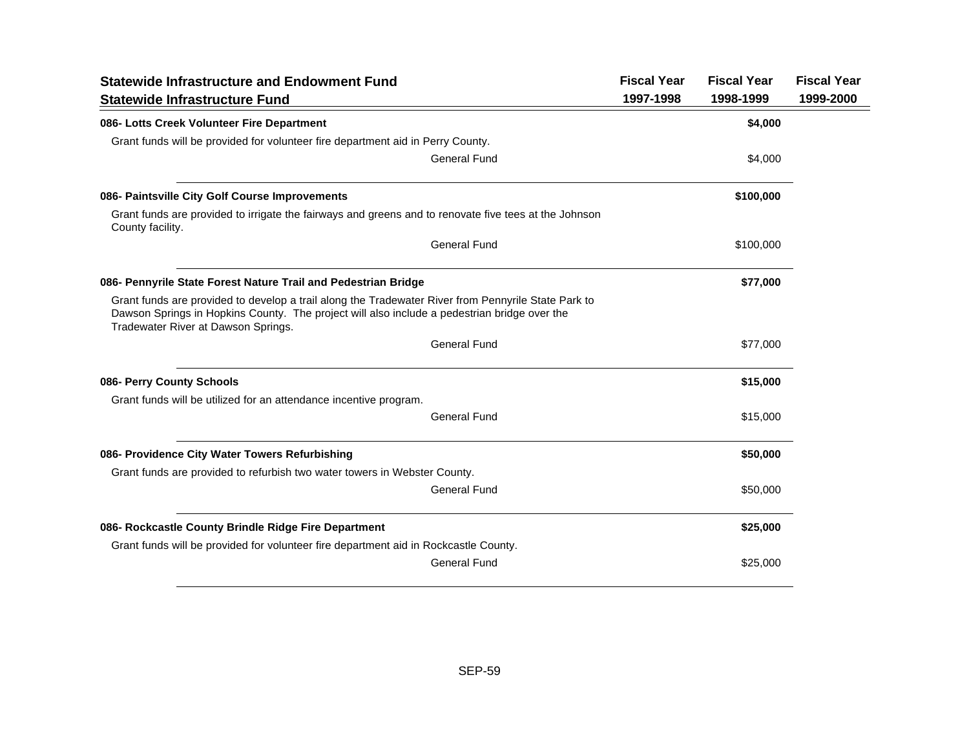| <b>Statewide Infrastructure and Endowment Fund</b>                                                                                                                                                                                         |                     | <b>Fiscal Year</b> | <b>Fiscal Year</b> | <b>Fiscal Year</b> |
|--------------------------------------------------------------------------------------------------------------------------------------------------------------------------------------------------------------------------------------------|---------------------|--------------------|--------------------|--------------------|
| <b>Statewide Infrastructure Fund</b>                                                                                                                                                                                                       |                     | 1997-1998          | 1998-1999          | 1999-2000          |
| 086- Lotts Creek Volunteer Fire Department                                                                                                                                                                                                 |                     |                    | \$4,000            |                    |
| Grant funds will be provided for volunteer fire department aid in Perry County.                                                                                                                                                            |                     |                    |                    |                    |
|                                                                                                                                                                                                                                            | General Fund        |                    | \$4,000            |                    |
| 086- Paintsville City Golf Course Improvements                                                                                                                                                                                             |                     |                    | \$100,000          |                    |
| Grant funds are provided to irrigate the fairways and greens and to renovate five tees at the Johnson<br>County facility.                                                                                                                  |                     |                    |                    |                    |
|                                                                                                                                                                                                                                            | <b>General Fund</b> |                    | \$100,000          |                    |
| 086- Pennyrile State Forest Nature Trail and Pedestrian Bridge                                                                                                                                                                             |                     |                    | \$77,000           |                    |
| Grant funds are provided to develop a trail along the Tradewater River from Pennyrile State Park to<br>Dawson Springs in Hopkins County. The project will also include a pedestrian bridge over the<br>Tradewater River at Dawson Springs. |                     |                    |                    |                    |
|                                                                                                                                                                                                                                            | <b>General Fund</b> |                    | \$77,000           |                    |
| 086- Perry County Schools                                                                                                                                                                                                                  |                     |                    | \$15,000           |                    |
| Grant funds will be utilized for an attendance incentive program.                                                                                                                                                                          |                     |                    |                    |                    |
|                                                                                                                                                                                                                                            | General Fund        |                    | \$15,000           |                    |
| 086- Providence City Water Towers Refurbishing                                                                                                                                                                                             |                     |                    | \$50,000           |                    |
| Grant funds are provided to refurbish two water towers in Webster County.                                                                                                                                                                  |                     |                    |                    |                    |
|                                                                                                                                                                                                                                            | General Fund        |                    | \$50,000           |                    |
| 086- Rockcastle County Brindle Ridge Fire Department                                                                                                                                                                                       |                     |                    | \$25,000           |                    |
| Grant funds will be provided for volunteer fire department aid in Rockcastle County.                                                                                                                                                       |                     |                    |                    |                    |
|                                                                                                                                                                                                                                            | General Fund        |                    | \$25,000           |                    |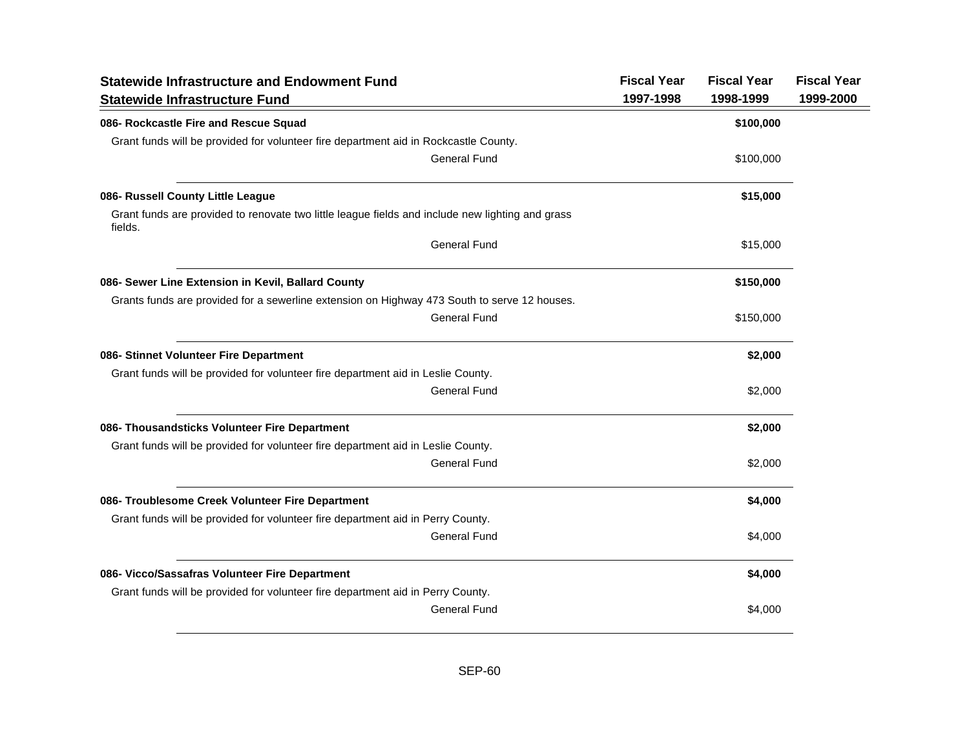| <b>Statewide Infrastructure and Endowment Fund</b>                                                          | <b>Fiscal Year</b> | <b>Fiscal Year</b> | <b>Fiscal Year</b> |
|-------------------------------------------------------------------------------------------------------------|--------------------|--------------------|--------------------|
| <b>Statewide Infrastructure Fund</b>                                                                        | 1997-1998          | 1998-1999          | 1999-2000          |
| 086- Rockcastle Fire and Rescue Squad                                                                       |                    | \$100,000          |                    |
| Grant funds will be provided for volunteer fire department aid in Rockcastle County.                        |                    |                    |                    |
| <b>General Fund</b>                                                                                         |                    | \$100,000          |                    |
| 086- Russell County Little League                                                                           |                    | \$15,000           |                    |
| Grant funds are provided to renovate two little league fields and include new lighting and grass<br>fields. |                    |                    |                    |
| <b>General Fund</b>                                                                                         |                    | \$15,000           |                    |
| 086- Sewer Line Extension in Kevil, Ballard County                                                          |                    | \$150,000          |                    |
| Grants funds are provided for a sewerline extension on Highway 473 South to serve 12 houses.                |                    |                    |                    |
| <b>General Fund</b>                                                                                         |                    | \$150,000          |                    |
| 086- Stinnet Volunteer Fire Department                                                                      |                    | \$2,000            |                    |
| Grant funds will be provided for volunteer fire department aid in Leslie County.                            |                    |                    |                    |
| <b>General Fund</b>                                                                                         |                    | \$2,000            |                    |
| 086- Thousandsticks Volunteer Fire Department                                                               |                    | \$2,000            |                    |
| Grant funds will be provided for volunteer fire department aid in Leslie County.                            |                    |                    |                    |
| <b>General Fund</b>                                                                                         |                    | \$2,000            |                    |
| 086- Troublesome Creek Volunteer Fire Department                                                            |                    | \$4,000            |                    |
| Grant funds will be provided for volunteer fire department aid in Perry County.                             |                    |                    |                    |
| <b>General Fund</b>                                                                                         |                    | \$4,000            |                    |
| 086- Vicco/Sassafras Volunteer Fire Department                                                              |                    | \$4,000            |                    |
| Grant funds will be provided for volunteer fire department aid in Perry County.                             |                    |                    |                    |
| <b>General Fund</b>                                                                                         |                    | \$4,000            |                    |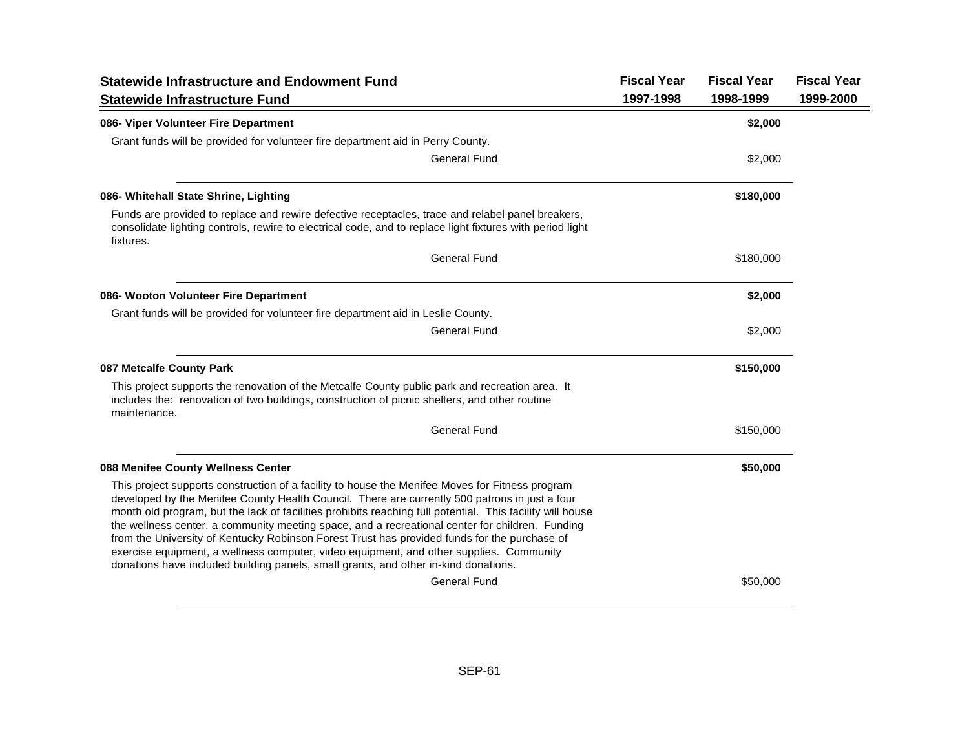| <b>Statewide Infrastructure and Endowment Fund</b>                                                                                                                                                                                                                                                                                                                                                                                                                                                                                                                                                                                                                                                  | <b>Fiscal Year</b> | <b>Fiscal Year</b> | <b>Fiscal Year</b> |
|-----------------------------------------------------------------------------------------------------------------------------------------------------------------------------------------------------------------------------------------------------------------------------------------------------------------------------------------------------------------------------------------------------------------------------------------------------------------------------------------------------------------------------------------------------------------------------------------------------------------------------------------------------------------------------------------------------|--------------------|--------------------|--------------------|
| <b>Statewide Infrastructure Fund</b>                                                                                                                                                                                                                                                                                                                                                                                                                                                                                                                                                                                                                                                                | 1997-1998          | 1998-1999          | 1999-2000          |
| 086- Viper Volunteer Fire Department                                                                                                                                                                                                                                                                                                                                                                                                                                                                                                                                                                                                                                                                |                    | \$2,000            |                    |
| Grant funds will be provided for volunteer fire department aid in Perry County.                                                                                                                                                                                                                                                                                                                                                                                                                                                                                                                                                                                                                     |                    |                    |                    |
| <b>General Fund</b>                                                                                                                                                                                                                                                                                                                                                                                                                                                                                                                                                                                                                                                                                 |                    | \$2,000            |                    |
| 086- Whitehall State Shrine, Lighting                                                                                                                                                                                                                                                                                                                                                                                                                                                                                                                                                                                                                                                               |                    | \$180,000          |                    |
| Funds are provided to replace and rewire defective receptacles, trace and relabel panel breakers,<br>consolidate lighting controls, rewire to electrical code, and to replace light fixtures with period light<br>fixtures.                                                                                                                                                                                                                                                                                                                                                                                                                                                                         |                    |                    |                    |
| <b>General Fund</b>                                                                                                                                                                                                                                                                                                                                                                                                                                                                                                                                                                                                                                                                                 |                    | \$180,000          |                    |
| 086- Wooton Volunteer Fire Department                                                                                                                                                                                                                                                                                                                                                                                                                                                                                                                                                                                                                                                               |                    | \$2,000            |                    |
| Grant funds will be provided for volunteer fire department aid in Leslie County.                                                                                                                                                                                                                                                                                                                                                                                                                                                                                                                                                                                                                    |                    |                    |                    |
| <b>General Fund</b>                                                                                                                                                                                                                                                                                                                                                                                                                                                                                                                                                                                                                                                                                 |                    | \$2,000            |                    |
| 087 Metcalfe County Park                                                                                                                                                                                                                                                                                                                                                                                                                                                                                                                                                                                                                                                                            |                    | \$150,000          |                    |
| This project supports the renovation of the Metcalfe County public park and recreation area. It<br>includes the: renovation of two buildings, construction of picnic shelters, and other routine<br>maintenance.                                                                                                                                                                                                                                                                                                                                                                                                                                                                                    |                    |                    |                    |
| <b>General Fund</b>                                                                                                                                                                                                                                                                                                                                                                                                                                                                                                                                                                                                                                                                                 |                    | \$150,000          |                    |
| 088 Menifee County Wellness Center                                                                                                                                                                                                                                                                                                                                                                                                                                                                                                                                                                                                                                                                  |                    | \$50,000           |                    |
| This project supports construction of a facility to house the Menifee Moves for Fitness program<br>developed by the Menifee County Health Council. There are currently 500 patrons in just a four<br>month old program, but the lack of facilities prohibits reaching full potential. This facility will house<br>the wellness center, a community meeting space, and a recreational center for children. Funding<br>from the University of Kentucky Robinson Forest Trust has provided funds for the purchase of<br>exercise equipment, a wellness computer, video equipment, and other supplies. Community<br>donations have included building panels, small grants, and other in-kind donations. |                    |                    |                    |
| <b>General Fund</b>                                                                                                                                                                                                                                                                                                                                                                                                                                                                                                                                                                                                                                                                                 |                    | \$50,000           |                    |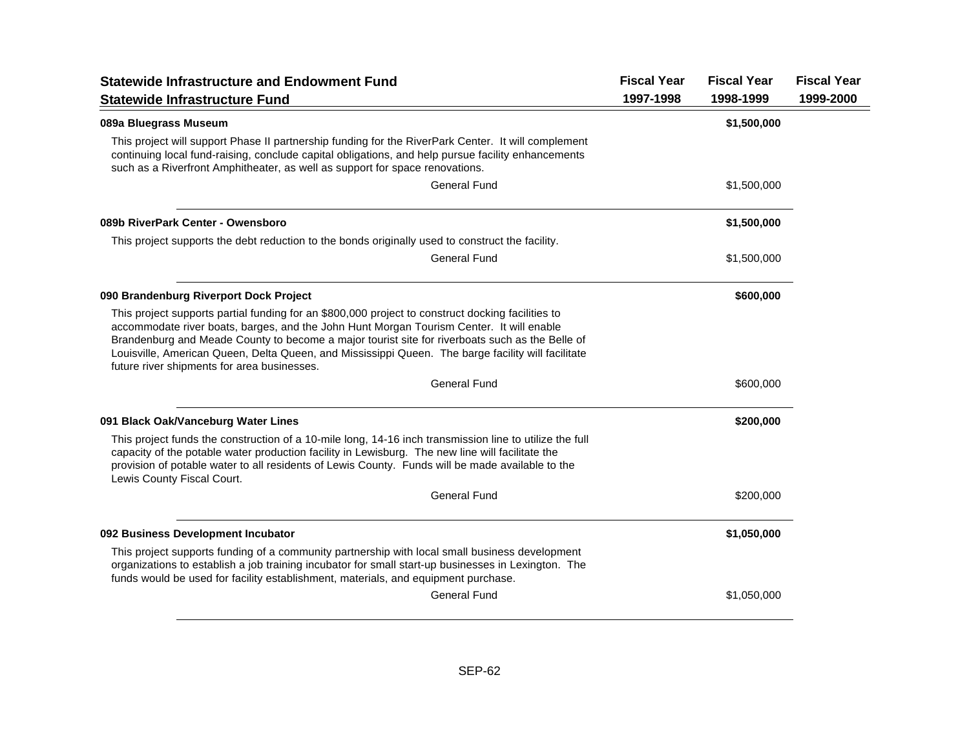| <b>Statewide Infrastructure and Endowment Fund</b>                                                                                                                                                                                                                                                                                                                                                                                                    | <b>Fiscal Year</b> | <b>Fiscal Year</b> | <b>Fiscal Year</b> |
|-------------------------------------------------------------------------------------------------------------------------------------------------------------------------------------------------------------------------------------------------------------------------------------------------------------------------------------------------------------------------------------------------------------------------------------------------------|--------------------|--------------------|--------------------|
| <b>Statewide Infrastructure Fund</b>                                                                                                                                                                                                                                                                                                                                                                                                                  | 1997-1998          | 1998-1999          | 1999-2000          |
| 089a Bluegrass Museum                                                                                                                                                                                                                                                                                                                                                                                                                                 |                    | \$1,500,000        |                    |
| This project will support Phase II partnership funding for the RiverPark Center. It will complement<br>continuing local fund-raising, conclude capital obligations, and help pursue facility enhancements<br>such as a Riverfront Amphitheater, as well as support for space renovations.                                                                                                                                                             |                    |                    |                    |
| <b>General Fund</b>                                                                                                                                                                                                                                                                                                                                                                                                                                   |                    | \$1,500,000        |                    |
| 089b RiverPark Center - Owensboro                                                                                                                                                                                                                                                                                                                                                                                                                     |                    | \$1,500,000        |                    |
| This project supports the debt reduction to the bonds originally used to construct the facility.                                                                                                                                                                                                                                                                                                                                                      |                    |                    |                    |
| <b>General Fund</b>                                                                                                                                                                                                                                                                                                                                                                                                                                   |                    | \$1,500,000        |                    |
| 090 Brandenburg Riverport Dock Project                                                                                                                                                                                                                                                                                                                                                                                                                |                    | \$600,000          |                    |
| This project supports partial funding for an \$800,000 project to construct docking facilities to<br>accommodate river boats, barges, and the John Hunt Morgan Tourism Center. It will enable<br>Brandenburg and Meade County to become a major tourist site for riverboats such as the Belle of<br>Louisville, American Queen, Delta Queen, and Mississippi Queen. The barge facility will facilitate<br>future river shipments for area businesses. |                    |                    |                    |
| <b>General Fund</b>                                                                                                                                                                                                                                                                                                                                                                                                                                   |                    | \$600,000          |                    |
| 091 Black Oak/Vanceburg Water Lines                                                                                                                                                                                                                                                                                                                                                                                                                   |                    | \$200,000          |                    |
| This project funds the construction of a 10-mile long, 14-16 inch transmission line to utilize the full<br>capacity of the potable water production facility in Lewisburg. The new line will facilitate the<br>provision of potable water to all residents of Lewis County. Funds will be made available to the<br>Lewis County Fiscal Court.                                                                                                         |                    |                    |                    |
| <b>General Fund</b>                                                                                                                                                                                                                                                                                                                                                                                                                                   |                    | \$200,000          |                    |
| 092 Business Development Incubator                                                                                                                                                                                                                                                                                                                                                                                                                    |                    | \$1,050,000        |                    |
| This project supports funding of a community partnership with local small business development<br>organizations to establish a job training incubator for small start-up businesses in Lexington. The<br>funds would be used for facility establishment, materials, and equipment purchase.                                                                                                                                                           |                    |                    |                    |
| <b>General Fund</b>                                                                                                                                                                                                                                                                                                                                                                                                                                   |                    | \$1,050,000        |                    |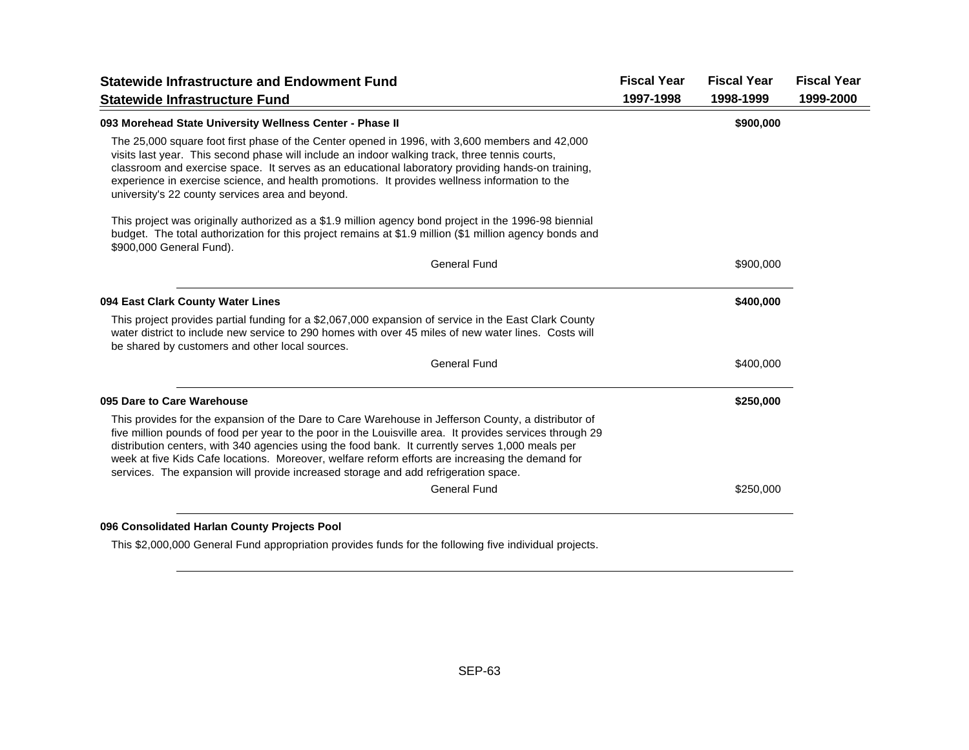| <b>Statewide Infrastructure and Endowment Fund</b>                                                                                                                                                                                                                                                                                                                                                                                                                                                             | <b>Fiscal Year</b> | <b>Fiscal Year</b> | <b>Fiscal Year</b> |
|----------------------------------------------------------------------------------------------------------------------------------------------------------------------------------------------------------------------------------------------------------------------------------------------------------------------------------------------------------------------------------------------------------------------------------------------------------------------------------------------------------------|--------------------|--------------------|--------------------|
| <b>Statewide Infrastructure Fund</b>                                                                                                                                                                                                                                                                                                                                                                                                                                                                           | 1997-1998          | 1998-1999          | 1999-2000          |
| 093 Morehead State University Wellness Center - Phase II                                                                                                                                                                                                                                                                                                                                                                                                                                                       |                    | \$900,000          |                    |
| The 25,000 square foot first phase of the Center opened in 1996, with 3,600 members and 42,000<br>visits last year. This second phase will include an indoor walking track, three tennis courts,<br>classroom and exercise space. It serves as an educational laboratory providing hands-on training,<br>experience in exercise science, and health promotions. It provides wellness information to the<br>university's 22 county services area and beyond.                                                    |                    |                    |                    |
| This project was originally authorized as a \$1.9 million agency bond project in the 1996-98 biennial<br>budget. The total authorization for this project remains at \$1.9 million (\$1 million agency bonds and<br>\$900,000 General Fund).                                                                                                                                                                                                                                                                   |                    |                    |                    |
| <b>General Fund</b>                                                                                                                                                                                                                                                                                                                                                                                                                                                                                            |                    | \$900,000          |                    |
| 094 East Clark County Water Lines                                                                                                                                                                                                                                                                                                                                                                                                                                                                              |                    | \$400,000          |                    |
| This project provides partial funding for a \$2,067,000 expansion of service in the East Clark County<br>water district to include new service to 290 homes with over 45 miles of new water lines. Costs will<br>be shared by customers and other local sources.                                                                                                                                                                                                                                               |                    |                    |                    |
| <b>General Fund</b>                                                                                                                                                                                                                                                                                                                                                                                                                                                                                            |                    | \$400,000          |                    |
| 095 Dare to Care Warehouse                                                                                                                                                                                                                                                                                                                                                                                                                                                                                     |                    | \$250,000          |                    |
| This provides for the expansion of the Dare to Care Warehouse in Jefferson County, a distributor of<br>five million pounds of food per year to the poor in the Louisville area. It provides services through 29<br>distribution centers, with 340 agencies using the food bank. It currently serves 1,000 meals per<br>week at five Kids Cafe locations. Moreover, welfare reform efforts are increasing the demand for<br>services. The expansion will provide increased storage and add refrigeration space. |                    |                    |                    |
| <b>General Fund</b>                                                                                                                                                                                                                                                                                                                                                                                                                                                                                            |                    | \$250,000          |                    |
|                                                                                                                                                                                                                                                                                                                                                                                                                                                                                                                |                    |                    |                    |

#### **096 Consolidated Harlan County Projects Pool**

This \$2,000,000 General Fund appropriation provides funds for the following five individual projects.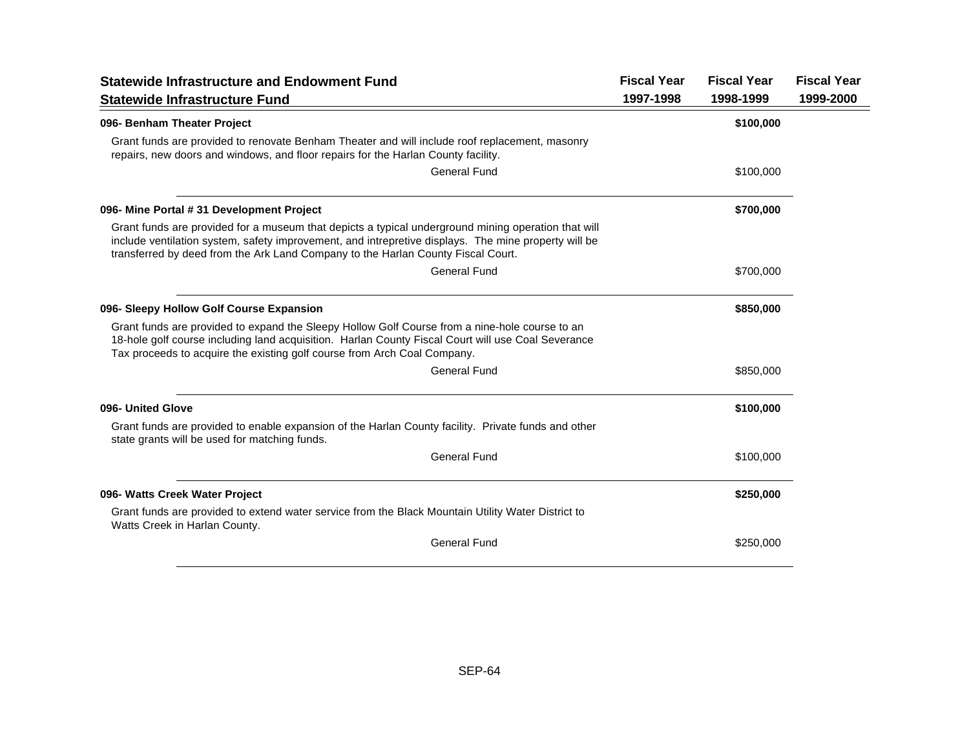| <b>Statewide Infrastructure and Endowment Fund</b>                                                                                                                                                                                                                                              | <b>Fiscal Year</b> | <b>Fiscal Year</b> | <b>Fiscal Year</b> |
|-------------------------------------------------------------------------------------------------------------------------------------------------------------------------------------------------------------------------------------------------------------------------------------------------|--------------------|--------------------|--------------------|
| <b>Statewide Infrastructure Fund</b>                                                                                                                                                                                                                                                            | 1997-1998          | 1998-1999          | 1999-2000          |
| 096- Benham Theater Project                                                                                                                                                                                                                                                                     |                    | \$100,000          |                    |
| Grant funds are provided to renovate Benham Theater and will include roof replacement, masonry<br>repairs, new doors and windows, and floor repairs for the Harlan County facility.                                                                                                             |                    |                    |                    |
| General Fund                                                                                                                                                                                                                                                                                    |                    | \$100,000          |                    |
| 096- Mine Portal # 31 Development Project                                                                                                                                                                                                                                                       |                    | \$700,000          |                    |
| Grant funds are provided for a museum that depicts a typical underground mining operation that will<br>include ventilation system, safety improvement, and intrepretive displays. The mine property will be<br>transferred by deed from the Ark Land Company to the Harlan County Fiscal Court. |                    |                    |                    |
| General Fund                                                                                                                                                                                                                                                                                    |                    | \$700,000          |                    |
| 096- Sleepy Hollow Golf Course Expansion                                                                                                                                                                                                                                                        |                    | \$850,000          |                    |
| Grant funds are provided to expand the Sleepy Hollow Golf Course from a nine-hole course to an<br>18-hole golf course including land acquisition. Harlan County Fiscal Court will use Coal Severance<br>Tax proceeds to acquire the existing golf course from Arch Coal Company.                |                    |                    |                    |
| General Fund                                                                                                                                                                                                                                                                                    |                    | \$850,000          |                    |
| 096- United Glove                                                                                                                                                                                                                                                                               |                    | \$100,000          |                    |
| Grant funds are provided to enable expansion of the Harlan County facility. Private funds and other<br>state grants will be used for matching funds.                                                                                                                                            |                    |                    |                    |
| General Fund                                                                                                                                                                                                                                                                                    |                    | \$100,000          |                    |
| 096- Watts Creek Water Project                                                                                                                                                                                                                                                                  |                    | \$250,000          |                    |
| Grant funds are provided to extend water service from the Black Mountain Utility Water District to<br>Watts Creek in Harlan County.                                                                                                                                                             |                    |                    |                    |
| <b>General Fund</b>                                                                                                                                                                                                                                                                             |                    | \$250,000          |                    |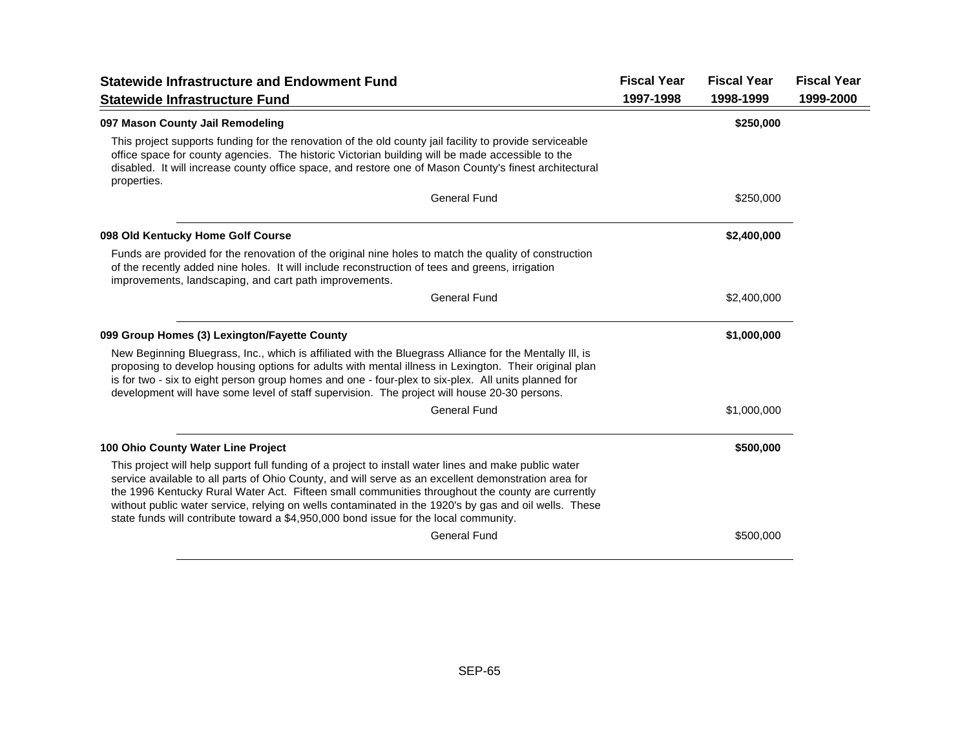| <b>Statewide Infrastructure and Endowment Fund</b>                                                                                                                                                                                                                                                                                                                                                                                                                                                                 | <b>Fiscal Year</b> | <b>Fiscal Year</b> | <b>Fiscal Year</b> |
|--------------------------------------------------------------------------------------------------------------------------------------------------------------------------------------------------------------------------------------------------------------------------------------------------------------------------------------------------------------------------------------------------------------------------------------------------------------------------------------------------------------------|--------------------|--------------------|--------------------|
| <b>Statewide Infrastructure Fund</b>                                                                                                                                                                                                                                                                                                                                                                                                                                                                               | 1997-1998          | 1998-1999          | 1999-2000          |
| 097 Mason County Jail Remodeling                                                                                                                                                                                                                                                                                                                                                                                                                                                                                   |                    | \$250,000          |                    |
| This project supports funding for the renovation of the old county jail facility to provide serviceable<br>office space for county agencies. The historic Victorian building will be made accessible to the<br>disabled. It will increase county office space, and restore one of Mason County's finest architectural<br>properties.                                                                                                                                                                               |                    |                    |                    |
| <b>General Fund</b>                                                                                                                                                                                                                                                                                                                                                                                                                                                                                                |                    | \$250,000          |                    |
| 098 Old Kentucky Home Golf Course                                                                                                                                                                                                                                                                                                                                                                                                                                                                                  |                    | \$2,400,000        |                    |
| Funds are provided for the renovation of the original nine holes to match the quality of construction<br>of the recently added nine holes. It will include reconstruction of tees and greens, irrigation<br>improvements, landscaping, and cart path improvements.                                                                                                                                                                                                                                                 |                    |                    |                    |
| <b>General Fund</b>                                                                                                                                                                                                                                                                                                                                                                                                                                                                                                |                    | \$2,400,000        |                    |
| 099 Group Homes (3) Lexington/Fayette County                                                                                                                                                                                                                                                                                                                                                                                                                                                                       |                    | \$1,000,000        |                    |
| New Beginning Bluegrass, Inc., which is affiliated with the Bluegrass Alliance for the Mentally III, is<br>proposing to develop housing options for adults with mental illness in Lexington. Their original plan<br>is for two - six to eight person group homes and one - four-plex to six-plex. All units planned for<br>development will have some level of staff supervision. The project will house 20-30 persons.                                                                                            |                    |                    |                    |
| <b>General Fund</b>                                                                                                                                                                                                                                                                                                                                                                                                                                                                                                |                    | \$1,000,000        |                    |
| 100 Ohio County Water Line Project                                                                                                                                                                                                                                                                                                                                                                                                                                                                                 |                    | \$500,000          |                    |
| This project will help support full funding of a project to install water lines and make public water<br>service available to all parts of Ohio County, and will serve as an excellent demonstration area for<br>the 1996 Kentucky Rural Water Act. Fifteen small communities throughout the county are currently<br>without public water service, relying on wells contaminated in the 1920's by gas and oil wells. These<br>state funds will contribute toward a \$4,950,000 bond issue for the local community. |                    |                    |                    |
| <b>General Fund</b>                                                                                                                                                                                                                                                                                                                                                                                                                                                                                                |                    | \$500,000          |                    |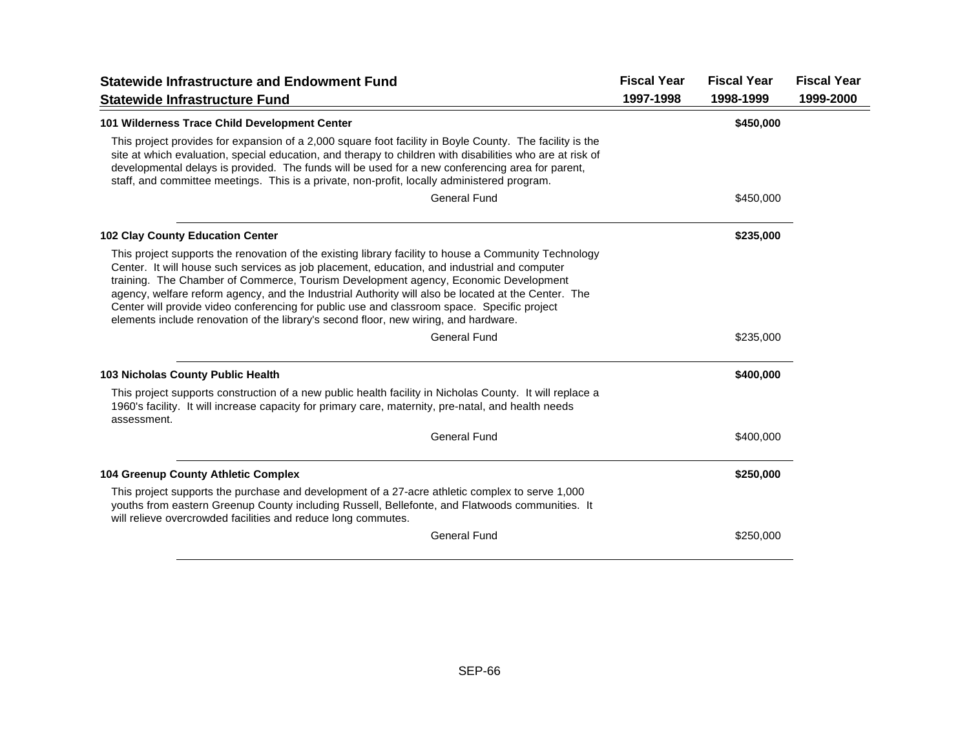| <b>Statewide Infrastructure and Endowment Fund</b>                                                                                                                                                                                                                                                                                                                                                                                                                                                                                                                                         | <b>Fiscal Year</b> | <b>Fiscal Year</b> | <b>Fiscal Year</b> |
|--------------------------------------------------------------------------------------------------------------------------------------------------------------------------------------------------------------------------------------------------------------------------------------------------------------------------------------------------------------------------------------------------------------------------------------------------------------------------------------------------------------------------------------------------------------------------------------------|--------------------|--------------------|--------------------|
| <b>Statewide Infrastructure Fund</b>                                                                                                                                                                                                                                                                                                                                                                                                                                                                                                                                                       | 1997-1998          | 1998-1999          | 1999-2000          |
| 101 Wilderness Trace Child Development Center                                                                                                                                                                                                                                                                                                                                                                                                                                                                                                                                              |                    | \$450,000          |                    |
| This project provides for expansion of a 2,000 square foot facility in Boyle County. The facility is the<br>site at which evaluation, special education, and therapy to children with disabilities who are at risk of<br>developmental delays is provided. The funds will be used for a new conferencing area for parent,<br>staff, and committee meetings. This is a private, non-profit, locally administered program.                                                                                                                                                                   |                    |                    |                    |
| <b>General Fund</b>                                                                                                                                                                                                                                                                                                                                                                                                                                                                                                                                                                        |                    | \$450,000          |                    |
| <b>102 Clay County Education Center</b>                                                                                                                                                                                                                                                                                                                                                                                                                                                                                                                                                    |                    | \$235,000          |                    |
| This project supports the renovation of the existing library facility to house a Community Technology<br>Center. It will house such services as job placement, education, and industrial and computer<br>training. The Chamber of Commerce, Tourism Development agency, Economic Development<br>agency, welfare reform agency, and the Industrial Authority will also be located at the Center. The<br>Center will provide video conferencing for public use and classroom space. Specific project<br>elements include renovation of the library's second floor, new wiring, and hardware. |                    |                    |                    |
| <b>General Fund</b>                                                                                                                                                                                                                                                                                                                                                                                                                                                                                                                                                                        |                    | \$235,000          |                    |
| <b>103 Nicholas County Public Health</b>                                                                                                                                                                                                                                                                                                                                                                                                                                                                                                                                                   |                    | \$400,000          |                    |
| This project supports construction of a new public health facility in Nicholas County. It will replace a<br>1960's facility. It will increase capacity for primary care, maternity, pre-natal, and health needs<br>assessment.                                                                                                                                                                                                                                                                                                                                                             |                    |                    |                    |
| <b>General Fund</b>                                                                                                                                                                                                                                                                                                                                                                                                                                                                                                                                                                        |                    | \$400,000          |                    |
| 104 Greenup County Athletic Complex                                                                                                                                                                                                                                                                                                                                                                                                                                                                                                                                                        |                    | \$250,000          |                    |
| This project supports the purchase and development of a 27-acre athletic complex to serve 1,000<br>youths from eastern Greenup County including Russell, Bellefonte, and Flatwoods communities. It<br>will relieve overcrowded facilities and reduce long commutes.                                                                                                                                                                                                                                                                                                                        |                    |                    |                    |
| <b>General Fund</b>                                                                                                                                                                                                                                                                                                                                                                                                                                                                                                                                                                        |                    | \$250,000          |                    |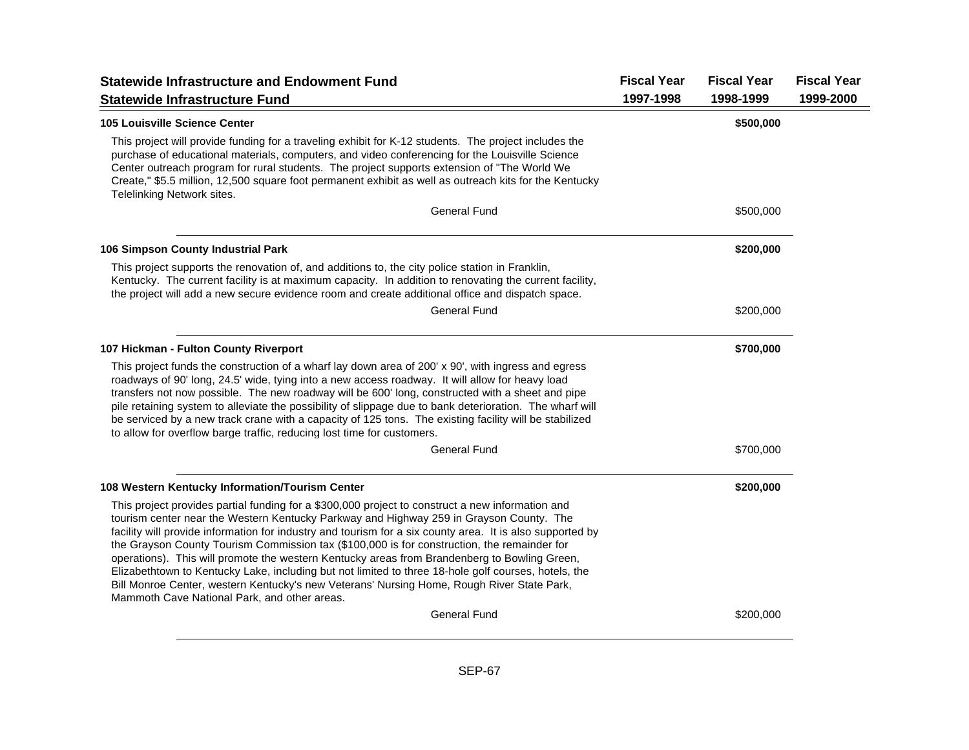| <b>Statewide Infrastructure and Endowment Fund</b><br><b>Statewide Infrastructure Fund</b>                                                                                                                                                                                                                                                                                                                                                                                                                                                                                                                                                                                                                                                                    | <b>Fiscal Year</b><br>1997-1998 | <b>Fiscal Year</b><br>1998-1999 | <b>Fiscal Year</b><br>1999-2000 |
|---------------------------------------------------------------------------------------------------------------------------------------------------------------------------------------------------------------------------------------------------------------------------------------------------------------------------------------------------------------------------------------------------------------------------------------------------------------------------------------------------------------------------------------------------------------------------------------------------------------------------------------------------------------------------------------------------------------------------------------------------------------|---------------------------------|---------------------------------|---------------------------------|
| <b>105 Louisville Science Center</b>                                                                                                                                                                                                                                                                                                                                                                                                                                                                                                                                                                                                                                                                                                                          |                                 | \$500,000                       |                                 |
| This project will provide funding for a traveling exhibit for K-12 students. The project includes the<br>purchase of educational materials, computers, and video conferencing for the Louisville Science<br>Center outreach program for rural students. The project supports extension of "The World We<br>Create," \$5.5 million, 12,500 square foot permanent exhibit as well as outreach kits for the Kentucky<br>Telelinking Network sites.                                                                                                                                                                                                                                                                                                               |                                 |                                 |                                 |
| <b>General Fund</b>                                                                                                                                                                                                                                                                                                                                                                                                                                                                                                                                                                                                                                                                                                                                           |                                 | \$500,000                       |                                 |
| 106 Simpson County Industrial Park                                                                                                                                                                                                                                                                                                                                                                                                                                                                                                                                                                                                                                                                                                                            |                                 | \$200,000                       |                                 |
| This project supports the renovation of, and additions to, the city police station in Franklin,<br>Kentucky. The current facility is at maximum capacity. In addition to renovating the current facility,<br>the project will add a new secure evidence room and create additional office and dispatch space.                                                                                                                                                                                                                                                                                                                                                                                                                                                 |                                 |                                 |                                 |
| <b>General Fund</b>                                                                                                                                                                                                                                                                                                                                                                                                                                                                                                                                                                                                                                                                                                                                           |                                 | \$200,000                       |                                 |
| 107 Hickman - Fulton County Riverport                                                                                                                                                                                                                                                                                                                                                                                                                                                                                                                                                                                                                                                                                                                         |                                 | \$700,000                       |                                 |
| This project funds the construction of a wharf lay down area of 200' x 90', with ingress and egress<br>roadways of 90' long, 24.5' wide, tying into a new access roadway. It will allow for heavy load<br>transfers not now possible. The new roadway will be 600' long, constructed with a sheet and pipe<br>pile retaining system to alleviate the possibility of slippage due to bank deterioration. The wharf will<br>be serviced by a new track crane with a capacity of 125 tons. The existing facility will be stabilized<br>to allow for overflow barge traffic, reducing lost time for customers.                                                                                                                                                    |                                 |                                 |                                 |
| <b>General Fund</b>                                                                                                                                                                                                                                                                                                                                                                                                                                                                                                                                                                                                                                                                                                                                           |                                 | \$700,000                       |                                 |
| 108 Western Kentucky Information/Tourism Center                                                                                                                                                                                                                                                                                                                                                                                                                                                                                                                                                                                                                                                                                                               |                                 | \$200,000                       |                                 |
| This project provides partial funding for a \$300,000 project to construct a new information and<br>tourism center near the Western Kentucky Parkway and Highway 259 in Grayson County. The<br>facility will provide information for industry and tourism for a six county area. It is also supported by<br>the Grayson County Tourism Commission tax (\$100,000 is for construction, the remainder for<br>operations). This will promote the western Kentucky areas from Brandenberg to Bowling Green,<br>Elizabethtown to Kentucky Lake, including but not limited to three 18-hole golf courses, hotels, the<br>Bill Monroe Center, western Kentucky's new Veterans' Nursing Home, Rough River State Park,<br>Mammoth Cave National Park, and other areas. |                                 |                                 |                                 |
| <b>General Fund</b>                                                                                                                                                                                                                                                                                                                                                                                                                                                                                                                                                                                                                                                                                                                                           |                                 | \$200,000                       |                                 |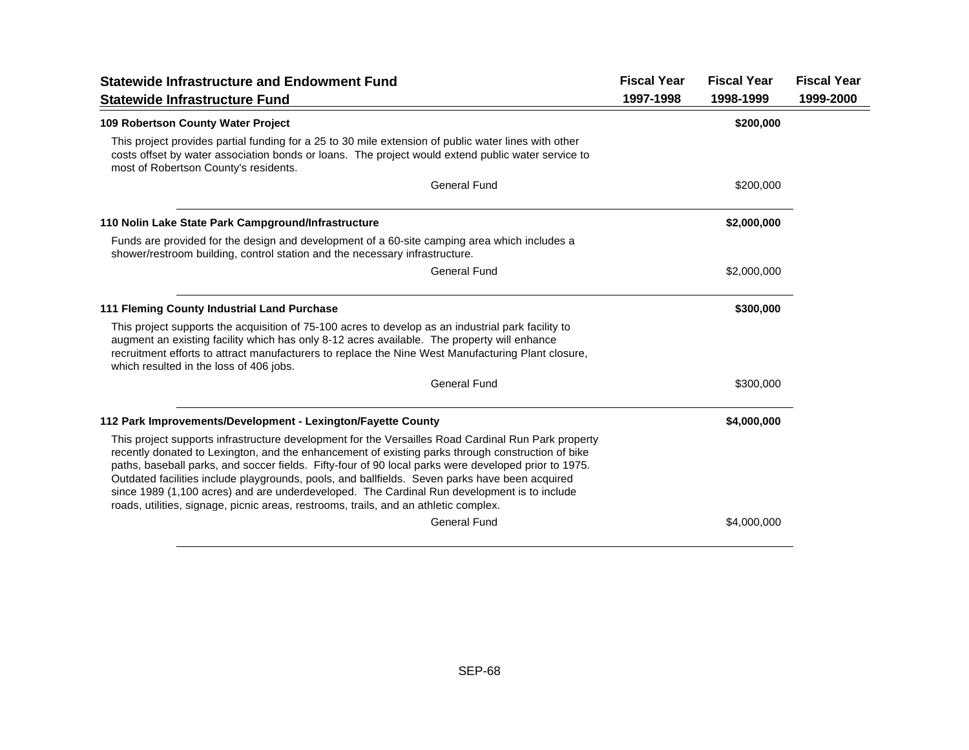| <b>Statewide Infrastructure and Endowment Fund</b>                                                                                                                                                                                                                                                                                                                                                                                                                                                                                                                                                        | <b>Fiscal Year</b> | <b>Fiscal Year</b> | <b>Fiscal Year</b> |
|-----------------------------------------------------------------------------------------------------------------------------------------------------------------------------------------------------------------------------------------------------------------------------------------------------------------------------------------------------------------------------------------------------------------------------------------------------------------------------------------------------------------------------------------------------------------------------------------------------------|--------------------|--------------------|--------------------|
| <b>Statewide Infrastructure Fund</b>                                                                                                                                                                                                                                                                                                                                                                                                                                                                                                                                                                      | 1997-1998          | 1998-1999          | 1999-2000          |
| 109 Robertson County Water Project                                                                                                                                                                                                                                                                                                                                                                                                                                                                                                                                                                        |                    | \$200,000          |                    |
| This project provides partial funding for a 25 to 30 mile extension of public water lines with other<br>costs offset by water association bonds or loans. The project would extend public water service to<br>most of Robertson County's residents.                                                                                                                                                                                                                                                                                                                                                       |                    |                    |                    |
| <b>General Fund</b>                                                                                                                                                                                                                                                                                                                                                                                                                                                                                                                                                                                       |                    | \$200,000          |                    |
| 110 Nolin Lake State Park Campground/Infrastructure                                                                                                                                                                                                                                                                                                                                                                                                                                                                                                                                                       |                    | \$2,000,000        |                    |
| Funds are provided for the design and development of a 60-site camping area which includes a<br>shower/restroom building, control station and the necessary infrastructure.                                                                                                                                                                                                                                                                                                                                                                                                                               |                    |                    |                    |
| <b>General Fund</b>                                                                                                                                                                                                                                                                                                                                                                                                                                                                                                                                                                                       |                    | \$2,000,000        |                    |
| 111 Fleming County Industrial Land Purchase                                                                                                                                                                                                                                                                                                                                                                                                                                                                                                                                                               |                    | \$300,000          |                    |
| This project supports the acquisition of 75-100 acres to develop as an industrial park facility to<br>augment an existing facility which has only 8-12 acres available. The property will enhance<br>recruitment efforts to attract manufacturers to replace the Nine West Manufacturing Plant closure,<br>which resulted in the loss of 406 jobs.                                                                                                                                                                                                                                                        |                    |                    |                    |
| <b>General Fund</b>                                                                                                                                                                                                                                                                                                                                                                                                                                                                                                                                                                                       |                    | \$300,000          |                    |
| 112 Park Improvements/Development - Lexington/Fayette County                                                                                                                                                                                                                                                                                                                                                                                                                                                                                                                                              |                    | \$4,000,000        |                    |
| This project supports infrastructure development for the Versailles Road Cardinal Run Park property<br>recently donated to Lexington, and the enhancement of existing parks through construction of bike<br>paths, baseball parks, and soccer fields. Fifty-four of 90 local parks were developed prior to 1975.<br>Outdated facilities include playgrounds, pools, and ballfields. Seven parks have been acquired<br>since 1989 (1,100 acres) and are underdeveloped. The Cardinal Run development is to include<br>roads, utilities, signage, picnic areas, restrooms, trails, and an athletic complex. |                    |                    |                    |
| <b>General Fund</b>                                                                                                                                                                                                                                                                                                                                                                                                                                                                                                                                                                                       |                    | \$4,000,000        |                    |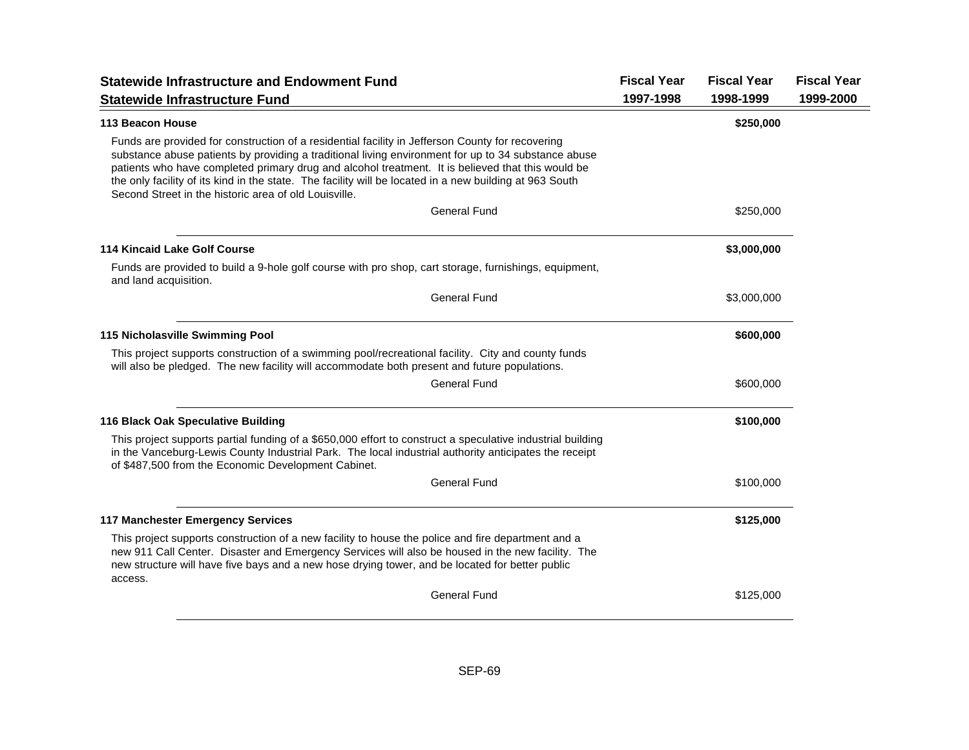| <b>Statewide Infrastructure and Endowment Fund</b><br><b>Statewide Infrastructure Fund</b>                                                                                                                                                                                                                                                                                                                                                                                       | <b>Fiscal Year</b><br>1997-1998 | <b>Fiscal Year</b><br>1998-1999 | <b>Fiscal Year</b><br>1999-2000 |
|----------------------------------------------------------------------------------------------------------------------------------------------------------------------------------------------------------------------------------------------------------------------------------------------------------------------------------------------------------------------------------------------------------------------------------------------------------------------------------|---------------------------------|---------------------------------|---------------------------------|
| 113 Beacon House                                                                                                                                                                                                                                                                                                                                                                                                                                                                 |                                 | \$250,000                       |                                 |
| Funds are provided for construction of a residential facility in Jefferson County for recovering<br>substance abuse patients by providing a traditional living environment for up to 34 substance abuse<br>patients who have completed primary drug and alcohol treatment. It is believed that this would be<br>the only facility of its kind in the state. The facility will be located in a new building at 963 South<br>Second Street in the historic area of old Louisville. |                                 |                                 |                                 |
| <b>General Fund</b>                                                                                                                                                                                                                                                                                                                                                                                                                                                              |                                 | \$250,000                       |                                 |
| <b>114 Kincaid Lake Golf Course</b>                                                                                                                                                                                                                                                                                                                                                                                                                                              |                                 | \$3,000,000                     |                                 |
| Funds are provided to build a 9-hole golf course with pro shop, cart storage, furnishings, equipment,<br>and land acquisition.                                                                                                                                                                                                                                                                                                                                                   |                                 |                                 |                                 |
| <b>General Fund</b>                                                                                                                                                                                                                                                                                                                                                                                                                                                              |                                 | \$3,000,000                     |                                 |
| 115 Nicholasville Swimming Pool                                                                                                                                                                                                                                                                                                                                                                                                                                                  |                                 | \$600,000                       |                                 |
| This project supports construction of a swimming pool/recreational facility. City and county funds<br>will also be pledged. The new facility will accommodate both present and future populations.                                                                                                                                                                                                                                                                               |                                 |                                 |                                 |
| <b>General Fund</b>                                                                                                                                                                                                                                                                                                                                                                                                                                                              |                                 | \$600,000                       |                                 |
| 116 Black Oak Speculative Building                                                                                                                                                                                                                                                                                                                                                                                                                                               |                                 | \$100,000                       |                                 |
| This project supports partial funding of a \$650,000 effort to construct a speculative industrial building<br>in the Vanceburg-Lewis County Industrial Park. The local industrial authority anticipates the receipt<br>of \$487,500 from the Economic Development Cabinet.                                                                                                                                                                                                       |                                 |                                 |                                 |
| <b>General Fund</b>                                                                                                                                                                                                                                                                                                                                                                                                                                                              |                                 | \$100,000                       |                                 |
| <b>117 Manchester Emergency Services</b>                                                                                                                                                                                                                                                                                                                                                                                                                                         |                                 | \$125,000                       |                                 |
| This project supports construction of a new facility to house the police and fire department and a<br>new 911 Call Center. Disaster and Emergency Services will also be housed in the new facility. The<br>new structure will have five bays and a new hose drying tower, and be located for better public<br>access.                                                                                                                                                            |                                 |                                 |                                 |
| <b>General Fund</b>                                                                                                                                                                                                                                                                                                                                                                                                                                                              |                                 | \$125,000                       |                                 |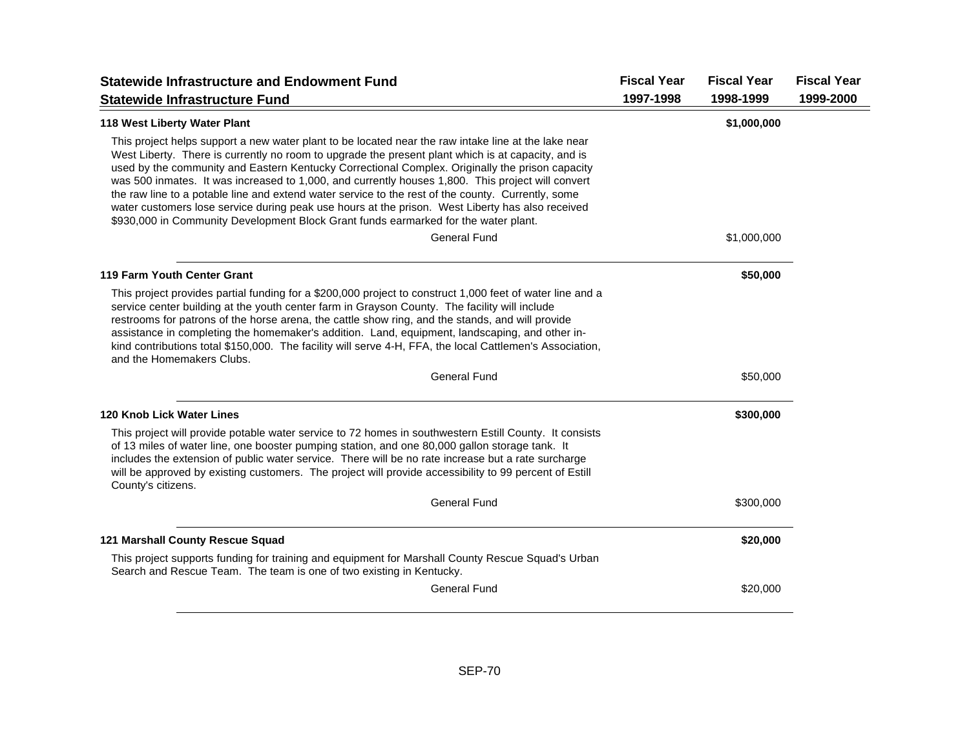| <b>Statewide Infrastructure and Endowment Fund</b>                                                                                                                                                                                                                                                                                                                                                                                                                                                                                                                                                                                                                                                                  | <b>Fiscal Year</b> | <b>Fiscal Year</b> | <b>Fiscal Year</b> |
|---------------------------------------------------------------------------------------------------------------------------------------------------------------------------------------------------------------------------------------------------------------------------------------------------------------------------------------------------------------------------------------------------------------------------------------------------------------------------------------------------------------------------------------------------------------------------------------------------------------------------------------------------------------------------------------------------------------------|--------------------|--------------------|--------------------|
| <b>Statewide Infrastructure Fund</b>                                                                                                                                                                                                                                                                                                                                                                                                                                                                                                                                                                                                                                                                                | 1997-1998          | 1998-1999          | 1999-2000          |
| <b>118 West Liberty Water Plant</b>                                                                                                                                                                                                                                                                                                                                                                                                                                                                                                                                                                                                                                                                                 |                    | \$1,000,000        |                    |
| This project helps support a new water plant to be located near the raw intake line at the lake near<br>West Liberty. There is currently no room to upgrade the present plant which is at capacity, and is<br>used by the community and Eastern Kentucky Correctional Complex. Originally the prison capacity<br>was 500 inmates. It was increased to 1,000, and currently houses 1,800. This project will convert<br>the raw line to a potable line and extend water service to the rest of the county. Currently, some<br>water customers lose service during peak use hours at the prison. West Liberty has also received<br>\$930,000 in Community Development Block Grant funds earmarked for the water plant. |                    |                    |                    |
| <b>General Fund</b>                                                                                                                                                                                                                                                                                                                                                                                                                                                                                                                                                                                                                                                                                                 |                    | \$1,000,000        |                    |
| 119 Farm Youth Center Grant                                                                                                                                                                                                                                                                                                                                                                                                                                                                                                                                                                                                                                                                                         |                    | \$50,000           |                    |
| This project provides partial funding for a \$200,000 project to construct 1,000 feet of water line and a<br>service center building at the youth center farm in Grayson County. The facility will include<br>restrooms for patrons of the horse arena, the cattle show ring, and the stands, and will provide<br>assistance in completing the homemaker's addition. Land, equipment, landscaping, and other in-<br>kind contributions total \$150,000. The facility will serve 4-H, FFA, the local Cattlemen's Association,<br>and the Homemakers Clubs.                                                                                                                                                           |                    |                    |                    |
| <b>General Fund</b>                                                                                                                                                                                                                                                                                                                                                                                                                                                                                                                                                                                                                                                                                                 |                    | \$50,000           |                    |
| 120 Knob Lick Water Lines                                                                                                                                                                                                                                                                                                                                                                                                                                                                                                                                                                                                                                                                                           |                    | \$300,000          |                    |
| This project will provide potable water service to 72 homes in southwestern Estill County. It consists<br>of 13 miles of water line, one booster pumping station, and one 80,000 gallon storage tank. It<br>includes the extension of public water service. There will be no rate increase but a rate surcharge<br>will be approved by existing customers. The project will provide accessibility to 99 percent of Estill<br>County's citizens.                                                                                                                                                                                                                                                                     |                    |                    |                    |
| <b>General Fund</b>                                                                                                                                                                                                                                                                                                                                                                                                                                                                                                                                                                                                                                                                                                 |                    | \$300,000          |                    |
| 121 Marshall County Rescue Squad                                                                                                                                                                                                                                                                                                                                                                                                                                                                                                                                                                                                                                                                                    |                    | \$20,000           |                    |
| This project supports funding for training and equipment for Marshall County Rescue Squad's Urban<br>Search and Rescue Team. The team is one of two existing in Kentucky.                                                                                                                                                                                                                                                                                                                                                                                                                                                                                                                                           |                    |                    |                    |
| <b>General Fund</b>                                                                                                                                                                                                                                                                                                                                                                                                                                                                                                                                                                                                                                                                                                 |                    | \$20,000           |                    |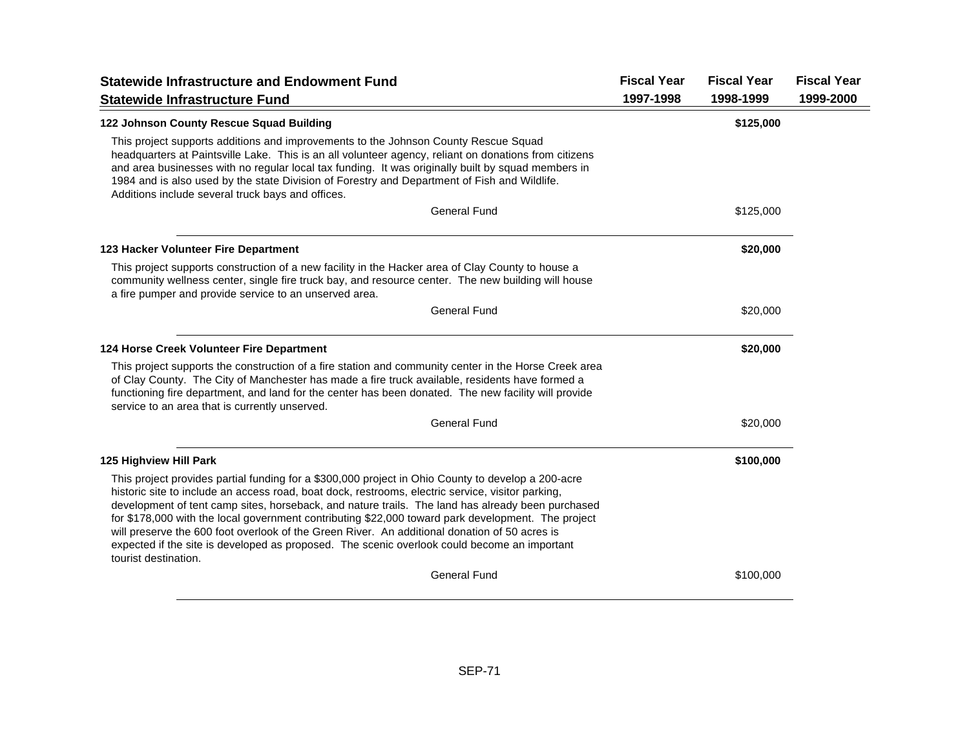| <b>Statewide Infrastructure and Endowment Fund</b>                                                                                                                                                                                                                                                                                                                                                                                                                                                                                                                                                                                          | <b>Fiscal Year</b> | <b>Fiscal Year</b> | <b>Fiscal Year</b> |
|---------------------------------------------------------------------------------------------------------------------------------------------------------------------------------------------------------------------------------------------------------------------------------------------------------------------------------------------------------------------------------------------------------------------------------------------------------------------------------------------------------------------------------------------------------------------------------------------------------------------------------------------|--------------------|--------------------|--------------------|
| <b>Statewide Infrastructure Fund</b>                                                                                                                                                                                                                                                                                                                                                                                                                                                                                                                                                                                                        | 1997-1998          | 1998-1999          | 1999-2000          |
| 122 Johnson County Rescue Squad Building                                                                                                                                                                                                                                                                                                                                                                                                                                                                                                                                                                                                    |                    | \$125,000          |                    |
| This project supports additions and improvements to the Johnson County Rescue Squad<br>headquarters at Paintsville Lake. This is an all volunteer agency, reliant on donations from citizens<br>and area businesses with no regular local tax funding. It was originally built by squad members in<br>1984 and is also used by the state Division of Forestry and Department of Fish and Wildlife.<br>Additions include several truck bays and offices.                                                                                                                                                                                     |                    |                    |                    |
| <b>General Fund</b>                                                                                                                                                                                                                                                                                                                                                                                                                                                                                                                                                                                                                         |                    | \$125,000          |                    |
| 123 Hacker Volunteer Fire Department                                                                                                                                                                                                                                                                                                                                                                                                                                                                                                                                                                                                        |                    | \$20,000           |                    |
| This project supports construction of a new facility in the Hacker area of Clay County to house a<br>community wellness center, single fire truck bay, and resource center. The new building will house<br>a fire pumper and provide service to an unserved area.                                                                                                                                                                                                                                                                                                                                                                           |                    |                    |                    |
| <b>General Fund</b>                                                                                                                                                                                                                                                                                                                                                                                                                                                                                                                                                                                                                         |                    | \$20,000           |                    |
| 124 Horse Creek Volunteer Fire Department                                                                                                                                                                                                                                                                                                                                                                                                                                                                                                                                                                                                   |                    | \$20,000           |                    |
| This project supports the construction of a fire station and community center in the Horse Creek area<br>of Clay County. The City of Manchester has made a fire truck available, residents have formed a<br>functioning fire department, and land for the center has been donated. The new facility will provide<br>service to an area that is currently unserved.                                                                                                                                                                                                                                                                          |                    |                    |                    |
| <b>General Fund</b>                                                                                                                                                                                                                                                                                                                                                                                                                                                                                                                                                                                                                         |                    | \$20,000           |                    |
| 125 Highview Hill Park                                                                                                                                                                                                                                                                                                                                                                                                                                                                                                                                                                                                                      |                    | \$100,000          |                    |
| This project provides partial funding for a \$300,000 project in Ohio County to develop a 200-acre<br>historic site to include an access road, boat dock, restrooms, electric service, visitor parking,<br>development of tent camp sites, horseback, and nature trails. The land has already been purchased<br>for \$178,000 with the local government contributing \$22,000 toward park development. The project<br>will preserve the 600 foot overlook of the Green River. An additional donation of 50 acres is<br>expected if the site is developed as proposed. The scenic overlook could become an important<br>tourist destination. |                    |                    |                    |
| <b>General Fund</b>                                                                                                                                                                                                                                                                                                                                                                                                                                                                                                                                                                                                                         |                    | \$100,000          |                    |
|                                                                                                                                                                                                                                                                                                                                                                                                                                                                                                                                                                                                                                             |                    |                    |                    |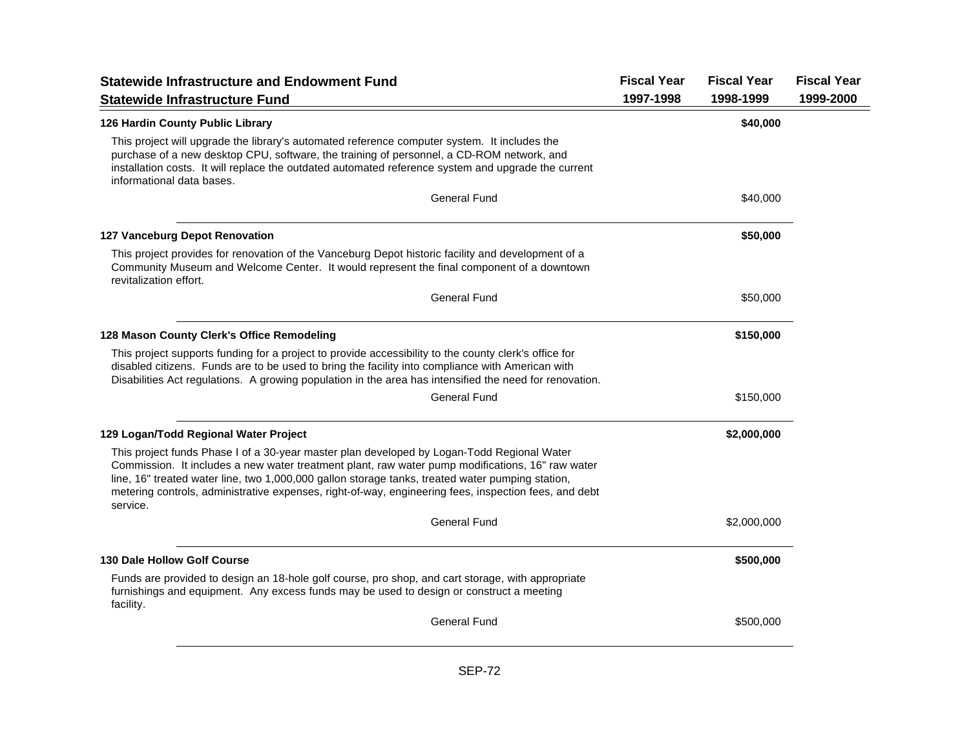| <b>Statewide Infrastructure and Endowment Fund</b>                                                                                                                                                                                                                                                                                                                                                                      | <b>Fiscal Year</b> | <b>Fiscal Year</b> | <b>Fiscal Year</b> |
|-------------------------------------------------------------------------------------------------------------------------------------------------------------------------------------------------------------------------------------------------------------------------------------------------------------------------------------------------------------------------------------------------------------------------|--------------------|--------------------|--------------------|
| <b>Statewide Infrastructure Fund</b>                                                                                                                                                                                                                                                                                                                                                                                    | 1997-1998          | 1998-1999          | 1999-2000          |
| 126 Hardin County Public Library                                                                                                                                                                                                                                                                                                                                                                                        |                    | \$40,000           |                    |
| This project will upgrade the library's automated reference computer system. It includes the<br>purchase of a new desktop CPU, software, the training of personnel, a CD-ROM network, and<br>installation costs. It will replace the outdated automated reference system and upgrade the current<br>informational data bases.                                                                                           |                    |                    |                    |
| General Fund                                                                                                                                                                                                                                                                                                                                                                                                            |                    | \$40,000           |                    |
| <b>127 Vanceburg Depot Renovation</b>                                                                                                                                                                                                                                                                                                                                                                                   |                    | \$50,000           |                    |
| This project provides for renovation of the Vanceburg Depot historic facility and development of a<br>Community Museum and Welcome Center. It would represent the final component of a downtown<br>revitalization effort.                                                                                                                                                                                               |                    |                    |                    |
| <b>General Fund</b>                                                                                                                                                                                                                                                                                                                                                                                                     |                    | \$50,000           |                    |
| 128 Mason County Clerk's Office Remodeling                                                                                                                                                                                                                                                                                                                                                                              |                    | \$150,000          |                    |
| This project supports funding for a project to provide accessibility to the county clerk's office for<br>disabled citizens. Funds are to be used to bring the facility into compliance with American with<br>Disabilities Act regulations. A growing population in the area has intensified the need for renovation.                                                                                                    |                    |                    |                    |
| <b>General Fund</b>                                                                                                                                                                                                                                                                                                                                                                                                     |                    | \$150,000          |                    |
| 129 Logan/Todd Regional Water Project                                                                                                                                                                                                                                                                                                                                                                                   |                    | \$2,000,000        |                    |
| This project funds Phase I of a 30-year master plan developed by Logan-Todd Regional Water<br>Commission. It includes a new water treatment plant, raw water pump modifications, 16" raw water<br>line, 16" treated water line, two 1,000,000 gallon storage tanks, treated water pumping station,<br>metering controls, administrative expenses, right-of-way, engineering fees, inspection fees, and debt<br>service. |                    |                    |                    |
| <b>General Fund</b>                                                                                                                                                                                                                                                                                                                                                                                                     |                    | \$2,000,000        |                    |
| <b>130 Dale Hollow Golf Course</b>                                                                                                                                                                                                                                                                                                                                                                                      |                    | \$500,000          |                    |
| Funds are provided to design an 18-hole golf course, pro shop, and cart storage, with appropriate<br>furnishings and equipment. Any excess funds may be used to design or construct a meeting<br>facility.                                                                                                                                                                                                              |                    |                    |                    |
| <b>General Fund</b>                                                                                                                                                                                                                                                                                                                                                                                                     |                    | \$500,000          |                    |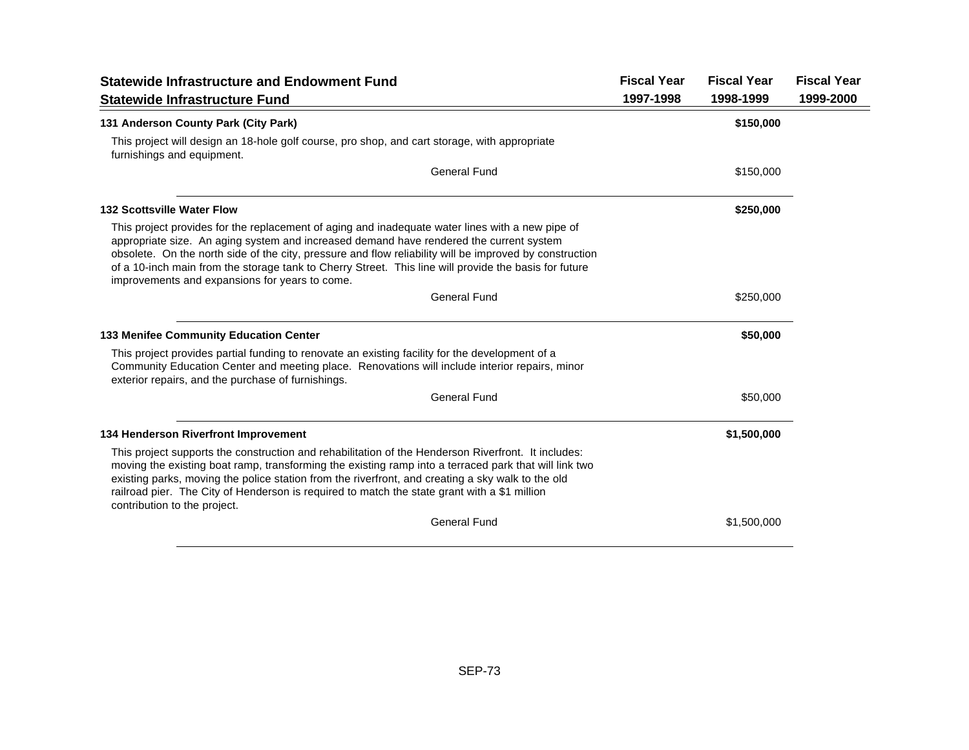| <b>Statewide Infrastructure and Endowment Fund</b>                                                                                                                                                                                                                                                                                                                                                                                                                | <b>Fiscal Year</b> | <b>Fiscal Year</b> | <b>Fiscal Year</b> |
|-------------------------------------------------------------------------------------------------------------------------------------------------------------------------------------------------------------------------------------------------------------------------------------------------------------------------------------------------------------------------------------------------------------------------------------------------------------------|--------------------|--------------------|--------------------|
| <b>Statewide Infrastructure Fund</b>                                                                                                                                                                                                                                                                                                                                                                                                                              | 1997-1998          | 1998-1999          | 1999-2000          |
| 131 Anderson County Park (City Park)                                                                                                                                                                                                                                                                                                                                                                                                                              |                    | \$150,000          |                    |
| This project will design an 18-hole golf course, pro shop, and cart storage, with appropriate<br>furnishings and equipment.                                                                                                                                                                                                                                                                                                                                       |                    |                    |                    |
| General Fund                                                                                                                                                                                                                                                                                                                                                                                                                                                      |                    | \$150,000          |                    |
| <b>132 Scottsville Water Flow</b>                                                                                                                                                                                                                                                                                                                                                                                                                                 |                    | \$250,000          |                    |
| This project provides for the replacement of aging and inadequate water lines with a new pipe of<br>appropriate size. An aging system and increased demand have rendered the current system<br>obsolete. On the north side of the city, pressure and flow reliability will be improved by construction<br>of a 10-inch main from the storage tank to Cherry Street. This line will provide the basis for future<br>improvements and expansions for years to come. |                    |                    |                    |
| <b>General Fund</b>                                                                                                                                                                                                                                                                                                                                                                                                                                               |                    | \$250,000          |                    |
| <b>133 Menifee Community Education Center</b>                                                                                                                                                                                                                                                                                                                                                                                                                     |                    | \$50,000           |                    |
| This project provides partial funding to renovate an existing facility for the development of a<br>Community Education Center and meeting place. Renovations will include interior repairs, minor<br>exterior repairs, and the purchase of furnishings.                                                                                                                                                                                                           |                    |                    |                    |
| <b>General Fund</b>                                                                                                                                                                                                                                                                                                                                                                                                                                               |                    | \$50,000           |                    |
| 134 Henderson Riverfront Improvement                                                                                                                                                                                                                                                                                                                                                                                                                              |                    | \$1,500,000        |                    |
| This project supports the construction and rehabilitation of the Henderson Riverfront. It includes:<br>moving the existing boat ramp, transforming the existing ramp into a terraced park that will link two<br>existing parks, moving the police station from the riverfront, and creating a sky walk to the old<br>railroad pier. The City of Henderson is required to match the state grant with a \$1 million<br>contribution to the project.                 |                    |                    |                    |
| <b>General Fund</b>                                                                                                                                                                                                                                                                                                                                                                                                                                               |                    | \$1,500,000        |                    |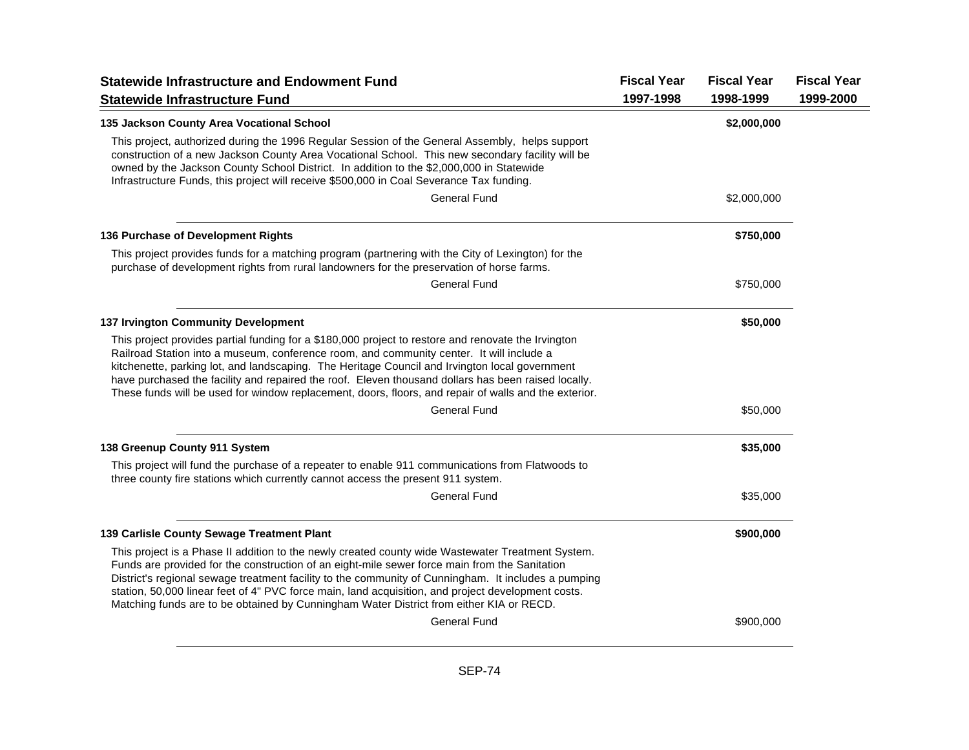| <b>Statewide Infrastructure and Endowment Fund</b><br><b>Statewide Infrastructure Fund</b>                                                                                                                                                                                                                                                                                                                                                                                                                        | <b>Fiscal Year</b><br>1997-1998 | <b>Fiscal Year</b><br>1998-1999 | <b>Fiscal Year</b><br>1999-2000 |
|-------------------------------------------------------------------------------------------------------------------------------------------------------------------------------------------------------------------------------------------------------------------------------------------------------------------------------------------------------------------------------------------------------------------------------------------------------------------------------------------------------------------|---------------------------------|---------------------------------|---------------------------------|
| 135 Jackson County Area Vocational School                                                                                                                                                                                                                                                                                                                                                                                                                                                                         |                                 | \$2,000,000                     |                                 |
| This project, authorized during the 1996 Regular Session of the General Assembly, helps support<br>construction of a new Jackson County Area Vocational School. This new secondary facility will be<br>owned by the Jackson County School District. In addition to the \$2,000,000 in Statewide<br>Infrastructure Funds, this project will receive \$500,000 in Coal Severance Tax funding.                                                                                                                       |                                 |                                 |                                 |
| <b>General Fund</b>                                                                                                                                                                                                                                                                                                                                                                                                                                                                                               |                                 | \$2,000,000                     |                                 |
| 136 Purchase of Development Rights                                                                                                                                                                                                                                                                                                                                                                                                                                                                                |                                 | \$750,000                       |                                 |
| This project provides funds for a matching program (partnering with the City of Lexington) for the<br>purchase of development rights from rural landowners for the preservation of horse farms.                                                                                                                                                                                                                                                                                                                   |                                 |                                 |                                 |
| <b>General Fund</b>                                                                                                                                                                                                                                                                                                                                                                                                                                                                                               |                                 | \$750,000                       |                                 |
| <b>137 Irvington Community Development</b>                                                                                                                                                                                                                                                                                                                                                                                                                                                                        |                                 | \$50,000                        |                                 |
| This project provides partial funding for a \$180,000 project to restore and renovate the Irvington<br>Railroad Station into a museum, conference room, and community center. It will include a<br>kitchenette, parking lot, and landscaping. The Heritage Council and Irvington local government<br>have purchased the facility and repaired the roof. Eleven thousand dollars has been raised locally.<br>These funds will be used for window replacement, doors, floors, and repair of walls and the exterior. |                                 |                                 |                                 |
| <b>General Fund</b>                                                                                                                                                                                                                                                                                                                                                                                                                                                                                               |                                 | \$50,000                        |                                 |
| 138 Greenup County 911 System                                                                                                                                                                                                                                                                                                                                                                                                                                                                                     |                                 | \$35,000                        |                                 |
| This project will fund the purchase of a repeater to enable 911 communications from Flatwoods to<br>three county fire stations which currently cannot access the present 911 system.                                                                                                                                                                                                                                                                                                                              |                                 |                                 |                                 |
| <b>General Fund</b>                                                                                                                                                                                                                                                                                                                                                                                                                                                                                               |                                 | \$35,000                        |                                 |
| 139 Carlisle County Sewage Treatment Plant                                                                                                                                                                                                                                                                                                                                                                                                                                                                        |                                 | \$900,000                       |                                 |
| This project is a Phase II addition to the newly created county wide Wastewater Treatment System.<br>Funds are provided for the construction of an eight-mile sewer force main from the Sanitation<br>District's regional sewage treatment facility to the community of Cunningham. It includes a pumping<br>station, 50,000 linear feet of 4" PVC force main, land acquisition, and project development costs.<br>Matching funds are to be obtained by Cunningham Water District from either KIA or RECD.        |                                 |                                 |                                 |
| <b>General Fund</b>                                                                                                                                                                                                                                                                                                                                                                                                                                                                                               |                                 | \$900,000                       |                                 |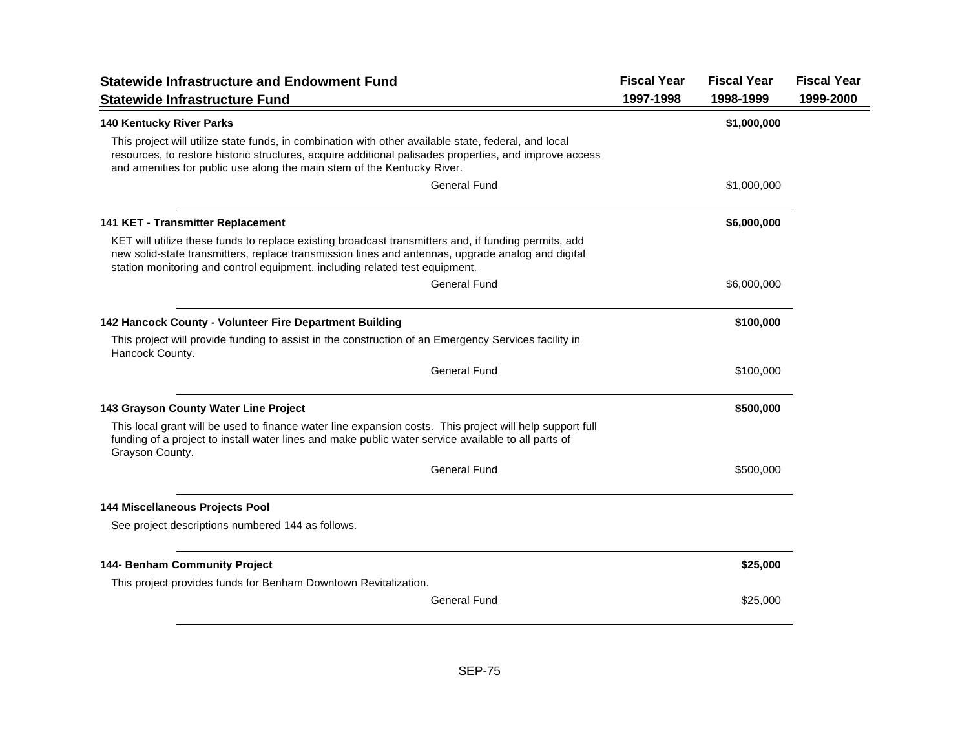| <b>Statewide Infrastructure and Endowment Fund</b><br><b>Statewide Infrastructure Fund</b>                                                                                                                                                                                                | <b>Fiscal Year</b><br>1997-1998 | <b>Fiscal Year</b><br>1998-1999 | <b>Fiscal Year</b><br>1999-2000 |
|-------------------------------------------------------------------------------------------------------------------------------------------------------------------------------------------------------------------------------------------------------------------------------------------|---------------------------------|---------------------------------|---------------------------------|
| <b>140 Kentucky River Parks</b>                                                                                                                                                                                                                                                           |                                 | \$1,000,000                     |                                 |
| This project will utilize state funds, in combination with other available state, federal, and local<br>resources, to restore historic structures, acquire additional palisades properties, and improve access<br>and amenities for public use along the main stem of the Kentucky River. |                                 |                                 |                                 |
| <b>General Fund</b>                                                                                                                                                                                                                                                                       |                                 | \$1,000,000                     |                                 |
| 141 KET - Transmitter Replacement                                                                                                                                                                                                                                                         |                                 | \$6,000,000                     |                                 |
| KET will utilize these funds to replace existing broadcast transmitters and, if funding permits, add<br>new solid-state transmitters, replace transmission lines and antennas, upgrade analog and digital<br>station monitoring and control equipment, including related test equipment.  |                                 |                                 |                                 |
| <b>General Fund</b>                                                                                                                                                                                                                                                                       |                                 | \$6,000,000                     |                                 |
| 142 Hancock County - Volunteer Fire Department Building                                                                                                                                                                                                                                   |                                 | \$100,000                       |                                 |
| This project will provide funding to assist in the construction of an Emergency Services facility in<br>Hancock County.                                                                                                                                                                   |                                 |                                 |                                 |
| <b>General Fund</b>                                                                                                                                                                                                                                                                       |                                 | \$100,000                       |                                 |
| 143 Grayson County Water Line Project                                                                                                                                                                                                                                                     |                                 | \$500,000                       |                                 |
| This local grant will be used to finance water line expansion costs. This project will help support full<br>funding of a project to install water lines and make public water service available to all parts of<br>Grayson County.                                                        |                                 |                                 |                                 |
| <b>General Fund</b>                                                                                                                                                                                                                                                                       |                                 | \$500,000                       |                                 |
| 144 Miscellaneous Projects Pool                                                                                                                                                                                                                                                           |                                 |                                 |                                 |
| See project descriptions numbered 144 as follows.                                                                                                                                                                                                                                         |                                 |                                 |                                 |
| 144- Benham Community Project                                                                                                                                                                                                                                                             |                                 | \$25,000                        |                                 |
| This project provides funds for Benham Downtown Revitalization.                                                                                                                                                                                                                           |                                 |                                 |                                 |
| <b>General Fund</b>                                                                                                                                                                                                                                                                       |                                 | \$25,000                        |                                 |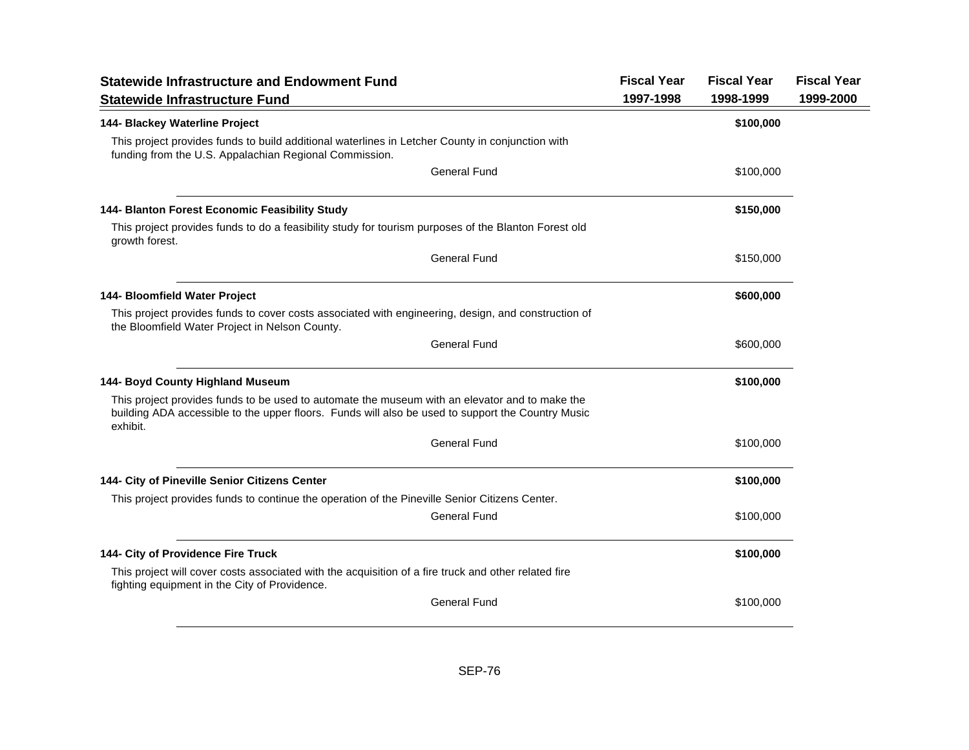| <b>Statewide Infrastructure and Endowment Fund</b>                                                                                                                                                              | <b>Fiscal Year</b> | <b>Fiscal Year</b> | <b>Fiscal Year</b> |
|-----------------------------------------------------------------------------------------------------------------------------------------------------------------------------------------------------------------|--------------------|--------------------|--------------------|
| <b>Statewide Infrastructure Fund</b>                                                                                                                                                                            | 1997-1998          | 1998-1999          | 1999-2000          |
| 144- Blackey Waterline Project                                                                                                                                                                                  |                    | \$100,000          |                    |
| This project provides funds to build additional waterlines in Letcher County in conjunction with<br>funding from the U.S. Appalachian Regional Commission.                                                      |                    |                    |                    |
| <b>General Fund</b>                                                                                                                                                                                             |                    | \$100,000          |                    |
| 144- Blanton Forest Economic Feasibility Study                                                                                                                                                                  |                    | \$150,000          |                    |
| This project provides funds to do a feasibility study for tourism purposes of the Blanton Forest old<br>growth forest.                                                                                          |                    |                    |                    |
| <b>General Fund</b>                                                                                                                                                                                             |                    | \$150,000          |                    |
| 144- Bloomfield Water Project                                                                                                                                                                                   |                    | \$600,000          |                    |
| This project provides funds to cover costs associated with engineering, design, and construction of<br>the Bloomfield Water Project in Nelson County.                                                           |                    |                    |                    |
| <b>General Fund</b>                                                                                                                                                                                             |                    | \$600,000          |                    |
| 144- Boyd County Highland Museum                                                                                                                                                                                |                    | \$100,000          |                    |
| This project provides funds to be used to automate the museum with an elevator and to make the<br>building ADA accessible to the upper floors. Funds will also be used to support the Country Music<br>exhibit. |                    |                    |                    |
| <b>General Fund</b>                                                                                                                                                                                             |                    | \$100,000          |                    |
| 144- City of Pineville Senior Citizens Center                                                                                                                                                                   |                    | \$100,000          |                    |
| This project provides funds to continue the operation of the Pineville Senior Citizens Center.                                                                                                                  |                    |                    |                    |
| <b>General Fund</b>                                                                                                                                                                                             |                    | \$100,000          |                    |
| 144- City of Providence Fire Truck                                                                                                                                                                              |                    | \$100,000          |                    |
| This project will cover costs associated with the acquisition of a fire truck and other related fire<br>fighting equipment in the City of Providence.                                                           |                    |                    |                    |
| <b>General Fund</b>                                                                                                                                                                                             |                    | \$100,000          |                    |
|                                                                                                                                                                                                                 |                    |                    |                    |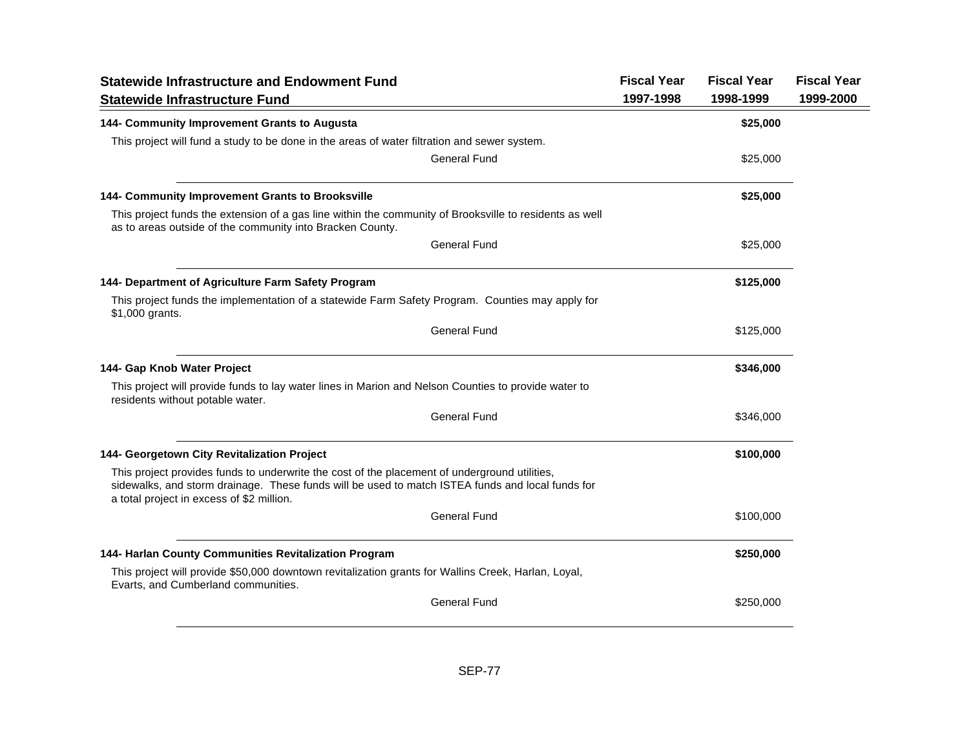| <b>Statewide Infrastructure and Endowment Fund</b>                                                                                                                                                                                             | <b>Fiscal Year</b> | <b>Fiscal Year</b> | <b>Fiscal Year</b> |
|------------------------------------------------------------------------------------------------------------------------------------------------------------------------------------------------------------------------------------------------|--------------------|--------------------|--------------------|
| <b>Statewide Infrastructure Fund</b>                                                                                                                                                                                                           | 1997-1998          | 1998-1999          | 1999-2000          |
| 144- Community Improvement Grants to Augusta                                                                                                                                                                                                   |                    | \$25,000           |                    |
| This project will fund a study to be done in the areas of water filtration and sewer system.                                                                                                                                                   |                    |                    |                    |
| <b>General Fund</b>                                                                                                                                                                                                                            |                    | \$25,000           |                    |
| 144- Community Improvement Grants to Brooksville                                                                                                                                                                                               |                    | \$25,000           |                    |
| This project funds the extension of a gas line within the community of Brooksville to residents as well<br>as to areas outside of the community into Bracken County.                                                                           |                    |                    |                    |
| <b>General Fund</b>                                                                                                                                                                                                                            |                    | \$25,000           |                    |
| 144- Department of Agriculture Farm Safety Program                                                                                                                                                                                             |                    | \$125,000          |                    |
| This project funds the implementation of a statewide Farm Safety Program. Counties may apply for<br>\$1,000 grants.                                                                                                                            |                    |                    |                    |
| <b>General Fund</b>                                                                                                                                                                                                                            |                    | \$125,000          |                    |
| 144- Gap Knob Water Project                                                                                                                                                                                                                    |                    | \$346,000          |                    |
| This project will provide funds to lay water lines in Marion and Nelson Counties to provide water to<br>residents without potable water.                                                                                                       |                    |                    |                    |
| <b>General Fund</b>                                                                                                                                                                                                                            |                    | \$346,000          |                    |
| 144- Georgetown City Revitalization Project                                                                                                                                                                                                    |                    | \$100,000          |                    |
| This project provides funds to underwrite the cost of the placement of underground utilities,<br>sidewalks, and storm drainage. These funds will be used to match ISTEA funds and local funds for<br>a total project in excess of \$2 million. |                    |                    |                    |
| <b>General Fund</b>                                                                                                                                                                                                                            |                    | \$100,000          |                    |
| 144- Harlan County Communities Revitalization Program                                                                                                                                                                                          |                    | \$250,000          |                    |
| This project will provide \$50,000 downtown revitalization grants for Wallins Creek, Harlan, Loyal,<br>Evarts, and Cumberland communities.                                                                                                     |                    |                    |                    |
| <b>General Fund</b>                                                                                                                                                                                                                            |                    | \$250,000          |                    |
|                                                                                                                                                                                                                                                |                    |                    |                    |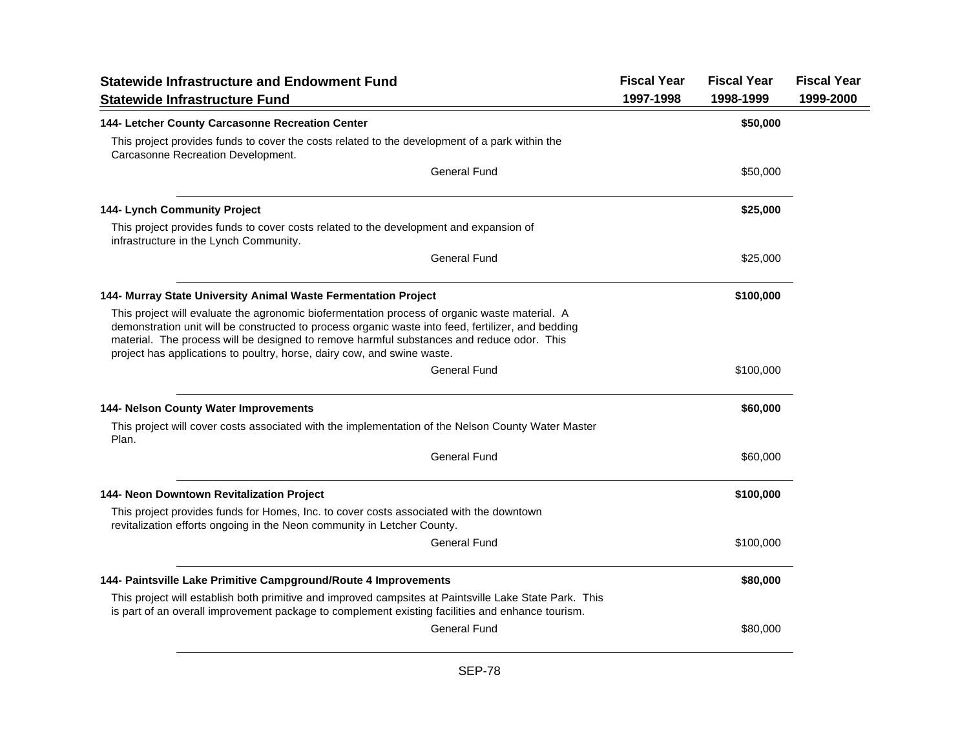| <b>Statewide Infrastructure and Endowment Fund</b>                                                                                                                                                                                                                                                                                                                          | <b>Fiscal Year</b> | <b>Fiscal Year</b> | <b>Fiscal Year</b> |
|-----------------------------------------------------------------------------------------------------------------------------------------------------------------------------------------------------------------------------------------------------------------------------------------------------------------------------------------------------------------------------|--------------------|--------------------|--------------------|
| <b>Statewide Infrastructure Fund</b>                                                                                                                                                                                                                                                                                                                                        | 1997-1998          | 1998-1999          | 1999-2000          |
| 144- Letcher County Carcasonne Recreation Center                                                                                                                                                                                                                                                                                                                            |                    | \$50,000           |                    |
| This project provides funds to cover the costs related to the development of a park within the<br>Carcasonne Recreation Development.                                                                                                                                                                                                                                        |                    |                    |                    |
| <b>General Fund</b>                                                                                                                                                                                                                                                                                                                                                         |                    | \$50,000           |                    |
| 144- Lynch Community Project                                                                                                                                                                                                                                                                                                                                                |                    | \$25,000           |                    |
| This project provides funds to cover costs related to the development and expansion of<br>infrastructure in the Lynch Community.                                                                                                                                                                                                                                            |                    |                    |                    |
| General Fund                                                                                                                                                                                                                                                                                                                                                                |                    | \$25,000           |                    |
| 144- Murray State University Animal Waste Fermentation Project                                                                                                                                                                                                                                                                                                              |                    | \$100,000          |                    |
| This project will evaluate the agronomic biofermentation process of organic waste material. A<br>demonstration unit will be constructed to process organic waste into feed, fertilizer, and bedding<br>material. The process will be designed to remove harmful substances and reduce odor. This<br>project has applications to poultry, horse, dairy cow, and swine waste. |                    |                    |                    |
| <b>General Fund</b>                                                                                                                                                                                                                                                                                                                                                         |                    | \$100,000          |                    |
| 144- Nelson County Water Improvements                                                                                                                                                                                                                                                                                                                                       |                    | \$60,000           |                    |
| This project will cover costs associated with the implementation of the Nelson County Water Master<br>Plan.                                                                                                                                                                                                                                                                 |                    |                    |                    |
| General Fund                                                                                                                                                                                                                                                                                                                                                                |                    | \$60,000           |                    |
| 144- Neon Downtown Revitalization Project                                                                                                                                                                                                                                                                                                                                   |                    | \$100,000          |                    |
| This project provides funds for Homes, Inc. to cover costs associated with the downtown<br>revitalization efforts ongoing in the Neon community in Letcher County.                                                                                                                                                                                                          |                    |                    |                    |
| General Fund                                                                                                                                                                                                                                                                                                                                                                |                    | \$100,000          |                    |
| 144- Paintsville Lake Primitive Campground/Route 4 Improvements                                                                                                                                                                                                                                                                                                             |                    | \$80,000           |                    |
| This project will establish both primitive and improved campsites at Paintsville Lake State Park. This<br>is part of an overall improvement package to complement existing facilities and enhance tourism.                                                                                                                                                                  |                    |                    |                    |
| General Fund                                                                                                                                                                                                                                                                                                                                                                |                    | \$80,000           |                    |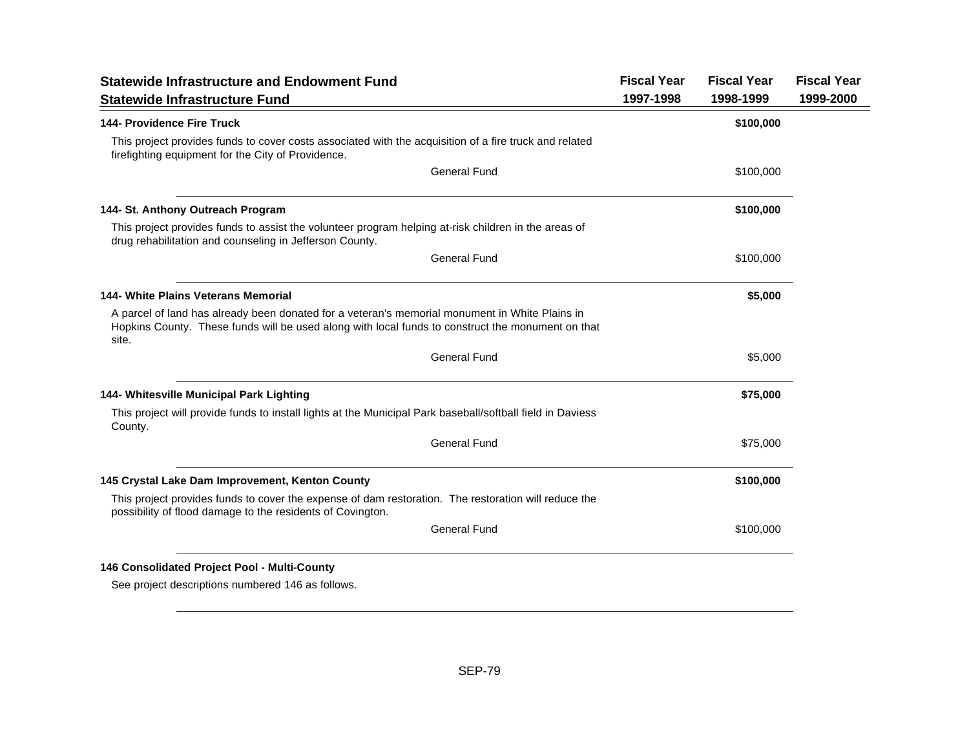| <b>Statewide Infrastructure and Endowment Fund</b>                                                                                                                                                           | <b>Fiscal Year</b> | <b>Fiscal Year</b> | <b>Fiscal Year</b> |
|--------------------------------------------------------------------------------------------------------------------------------------------------------------------------------------------------------------|--------------------|--------------------|--------------------|
| <b>Statewide Infrastructure Fund</b>                                                                                                                                                                         | 1997-1998          | 1998-1999          | 1999-2000          |
| <b>144- Providence Fire Truck</b>                                                                                                                                                                            |                    | \$100,000          |                    |
| This project provides funds to cover costs associated with the acquisition of a fire truck and related<br>firefighting equipment for the City of Providence.                                                 |                    |                    |                    |
| <b>General Fund</b>                                                                                                                                                                                          |                    | \$100,000          |                    |
| 144- St. Anthony Outreach Program                                                                                                                                                                            |                    | \$100,000          |                    |
| This project provides funds to assist the volunteer program helping at-risk children in the areas of<br>drug rehabilitation and counseling in Jefferson County.                                              |                    |                    |                    |
| <b>General Fund</b>                                                                                                                                                                                          |                    | \$100,000          |                    |
| 144- White Plains Veterans Memorial                                                                                                                                                                          |                    | \$5,000            |                    |
| A parcel of land has already been donated for a veteran's memorial monument in White Plains in<br>Hopkins County. These funds will be used along with local funds to construct the monument on that<br>site. |                    |                    |                    |
| <b>General Fund</b>                                                                                                                                                                                          |                    | \$5,000            |                    |
| 144- Whitesville Municipal Park Lighting                                                                                                                                                                     |                    | \$75,000           |                    |
| This project will provide funds to install lights at the Municipal Park baseball/softball field in Daviess<br>County.                                                                                        |                    |                    |                    |
| <b>General Fund</b>                                                                                                                                                                                          |                    | \$75,000           |                    |
| 145 Crystal Lake Dam Improvement, Kenton County                                                                                                                                                              |                    | \$100,000          |                    |
| This project provides funds to cover the expense of dam restoration. The restoration will reduce the<br>possibility of flood damage to the residents of Covington.                                           |                    |                    |                    |
| <b>General Fund</b>                                                                                                                                                                                          |                    | \$100,000          |                    |

See project descriptions numbered 146 as follows.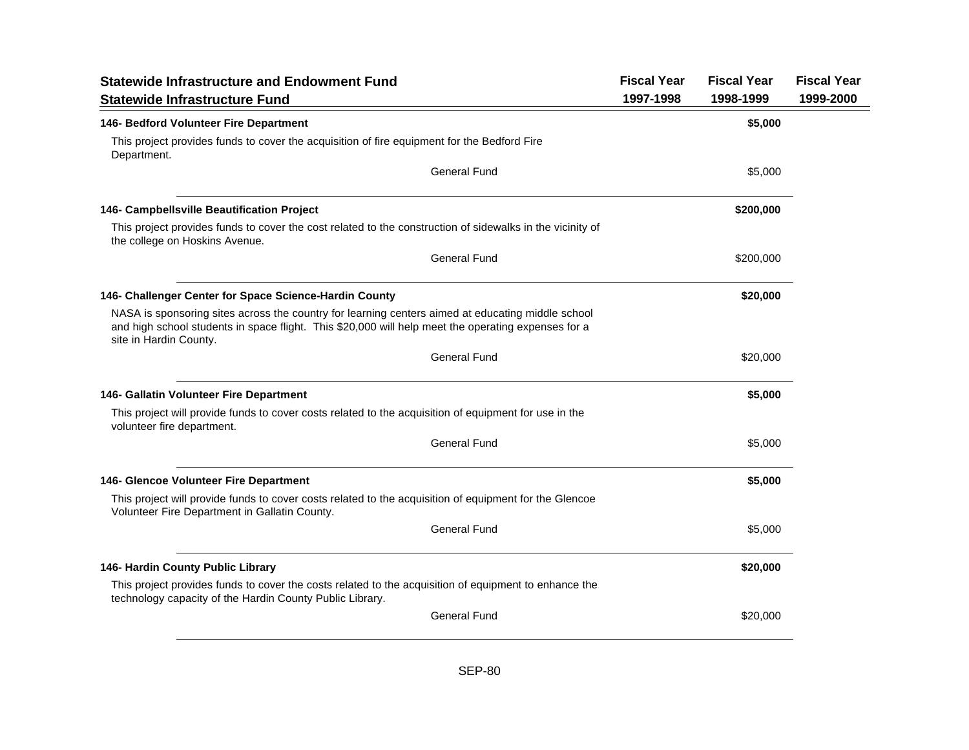| <b>Statewide Infrastructure and Endowment Fund</b>                                                                                                                                                                                 | <b>Fiscal Year</b> | <b>Fiscal Year</b> | <b>Fiscal Year</b> |
|------------------------------------------------------------------------------------------------------------------------------------------------------------------------------------------------------------------------------------|--------------------|--------------------|--------------------|
| <b>Statewide Infrastructure Fund</b>                                                                                                                                                                                               | 1997-1998          | 1998-1999          | 1999-2000          |
| 146- Bedford Volunteer Fire Department                                                                                                                                                                                             |                    | \$5,000            |                    |
| This project provides funds to cover the acquisition of fire equipment for the Bedford Fire<br>Department.                                                                                                                         |                    |                    |                    |
| <b>General Fund</b>                                                                                                                                                                                                                |                    | \$5,000            |                    |
| 146- Campbellsville Beautification Project                                                                                                                                                                                         |                    | \$200,000          |                    |
| This project provides funds to cover the cost related to the construction of sidewalks in the vicinity of<br>the college on Hoskins Avenue.                                                                                        |                    |                    |                    |
| <b>General Fund</b>                                                                                                                                                                                                                |                    | \$200,000          |                    |
| 146- Challenger Center for Space Science-Hardin County                                                                                                                                                                             |                    | \$20,000           |                    |
| NASA is sponsoring sites across the country for learning centers aimed at educating middle school<br>and high school students in space flight. This \$20,000 will help meet the operating expenses for a<br>site in Hardin County. |                    |                    |                    |
| <b>General Fund</b>                                                                                                                                                                                                                |                    | \$20,000           |                    |
| 146- Gallatin Volunteer Fire Department                                                                                                                                                                                            |                    | \$5,000            |                    |
| This project will provide funds to cover costs related to the acquisition of equipment for use in the<br>volunteer fire department.                                                                                                |                    |                    |                    |
| General Fund                                                                                                                                                                                                                       |                    | \$5,000            |                    |
| 146- Glencoe Volunteer Fire Department                                                                                                                                                                                             |                    | \$5,000            |                    |
| This project will provide funds to cover costs related to the acquisition of equipment for the Glencoe<br>Volunteer Fire Department in Gallatin County.                                                                            |                    |                    |                    |
| <b>General Fund</b>                                                                                                                                                                                                                |                    | \$5,000            |                    |
| 146- Hardin County Public Library                                                                                                                                                                                                  |                    | \$20,000           |                    |
| This project provides funds to cover the costs related to the acquisition of equipment to enhance the<br>technology capacity of the Hardin County Public Library.                                                                  |                    |                    |                    |
| <b>General Fund</b>                                                                                                                                                                                                                |                    | \$20,000           |                    |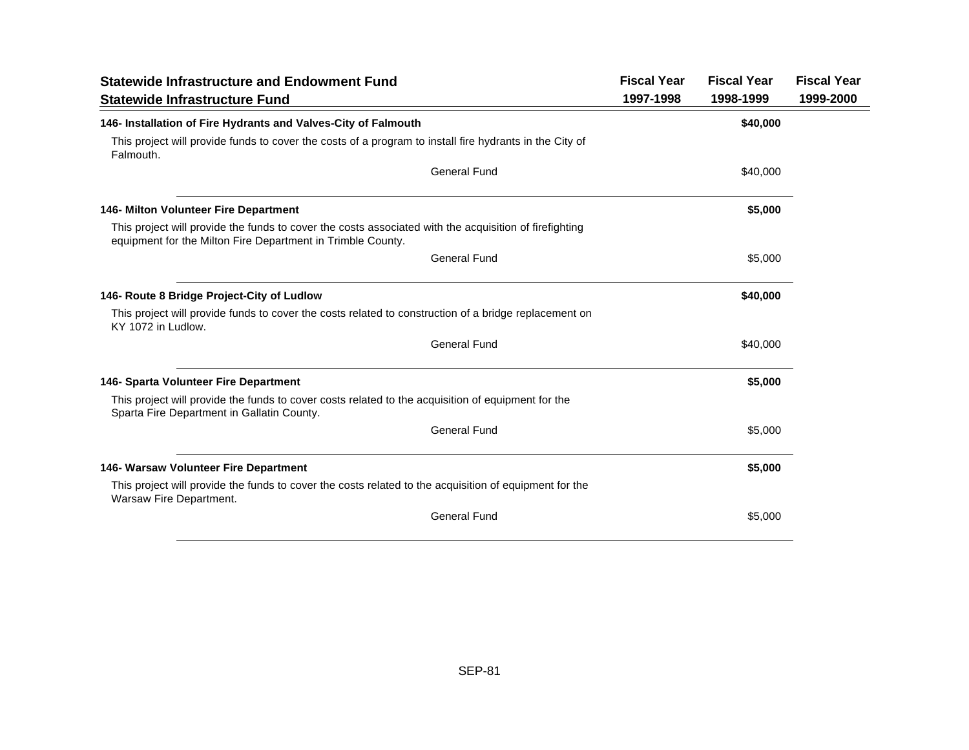| <b>Statewide Infrastructure and Endowment Fund</b>                                                                                                                    | <b>Fiscal Year</b> | <b>Fiscal Year</b> | <b>Fiscal Year</b> |
|-----------------------------------------------------------------------------------------------------------------------------------------------------------------------|--------------------|--------------------|--------------------|
| <b>Statewide Infrastructure Fund</b>                                                                                                                                  | 1997-1998          | 1998-1999          | 1999-2000          |
| 146- Installation of Fire Hydrants and Valves-City of Falmouth                                                                                                        |                    | \$40,000           |                    |
| This project will provide funds to cover the costs of a program to install fire hydrants in the City of<br>Falmouth.                                                  |                    |                    |                    |
| <b>General Fund</b>                                                                                                                                                   |                    | \$40,000           |                    |
| 146- Milton Volunteer Fire Department                                                                                                                                 |                    | \$5,000            |                    |
| This project will provide the funds to cover the costs associated with the acquisition of firefighting<br>equipment for the Milton Fire Department in Trimble County. |                    |                    |                    |
| <b>General Fund</b>                                                                                                                                                   |                    | \$5,000            |                    |
| 146- Route 8 Bridge Project-City of Ludlow                                                                                                                            |                    | \$40,000           |                    |
| This project will provide funds to cover the costs related to construction of a bridge replacement on<br>KY 1072 in Ludlow.                                           |                    |                    |                    |
| <b>General Fund</b>                                                                                                                                                   |                    | \$40,000           |                    |
| 146- Sparta Volunteer Fire Department                                                                                                                                 |                    | \$5,000            |                    |
| This project will provide the funds to cover costs related to the acquisition of equipment for the<br>Sparta Fire Department in Gallatin County.                      |                    |                    |                    |
| <b>General Fund</b>                                                                                                                                                   |                    | \$5,000            |                    |
| 146- Warsaw Volunteer Fire Department                                                                                                                                 |                    | \$5,000            |                    |
| This project will provide the funds to cover the costs related to the acquisition of equipment for the<br>Warsaw Fire Department.                                     |                    |                    |                    |
| <b>General Fund</b>                                                                                                                                                   |                    | \$5,000            |                    |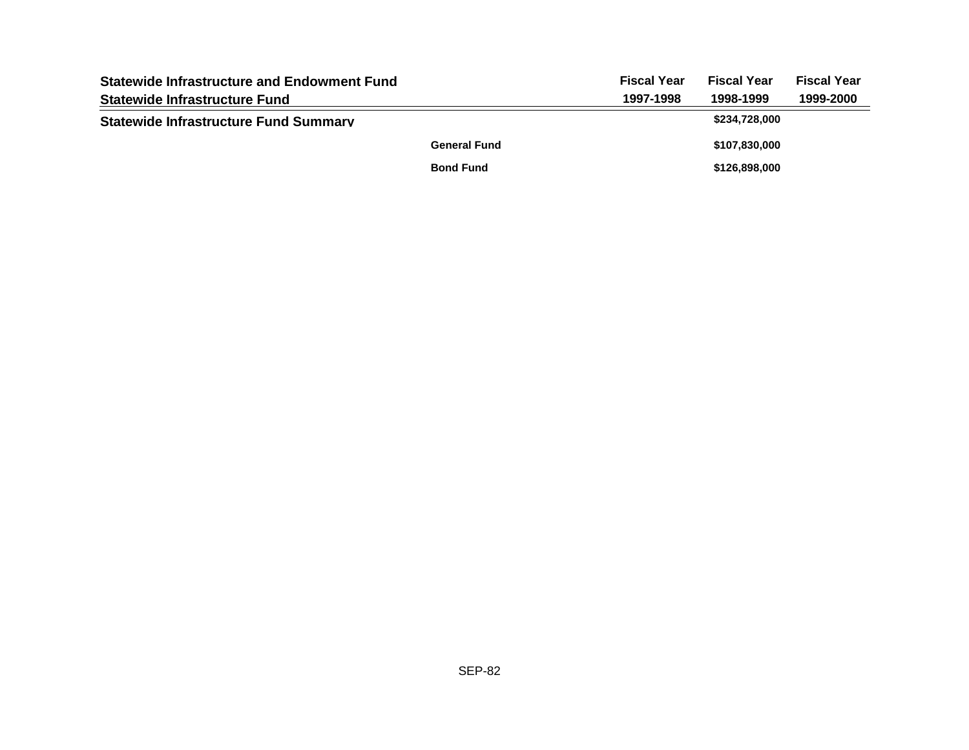| <b>Statewide Infrastructure and Endowment Fund</b> |                     | <b>Fiscal Year</b> | <b>Fiscal Year</b> | <b>Fiscal Year</b> |
|----------------------------------------------------|---------------------|--------------------|--------------------|--------------------|
| <b>Statewide Infrastructure Fund</b>               |                     | 1997-1998          | 1998-1999          | 1999-2000          |
| <b>Statewide Infrastructure Fund Summary</b>       |                     |                    | \$234,728,000      |                    |
|                                                    | <b>General Fund</b> |                    | \$107,830,000      |                    |
|                                                    | <b>Bond Fund</b>    |                    | \$126,898,000      |                    |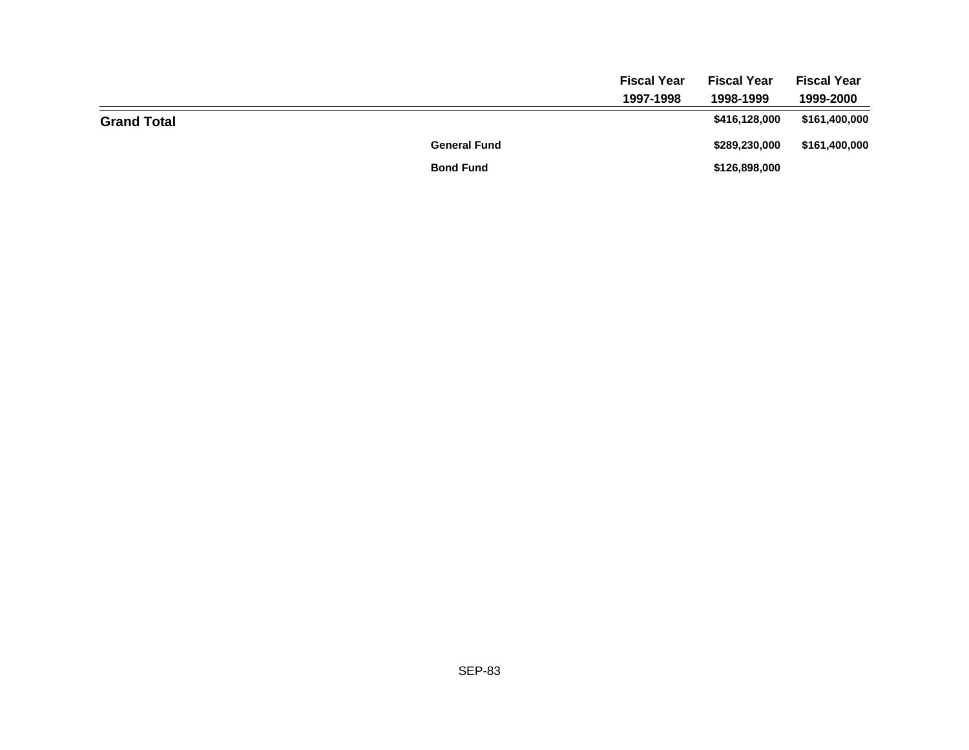|                    |                     | <b>Fiscal Year</b> | <b>Fiscal Year</b> | <b>Fiscal Year</b> |
|--------------------|---------------------|--------------------|--------------------|--------------------|
|                    |                     | 1997-1998          | 1998-1999          | 1999-2000          |
| <b>Grand Total</b> |                     |                    | \$416,128,000      | \$161,400,000      |
|                    | <b>General Fund</b> |                    | \$289,230,000      | \$161,400,000      |
|                    | <b>Bond Fund</b>    |                    | \$126,898,000      |                    |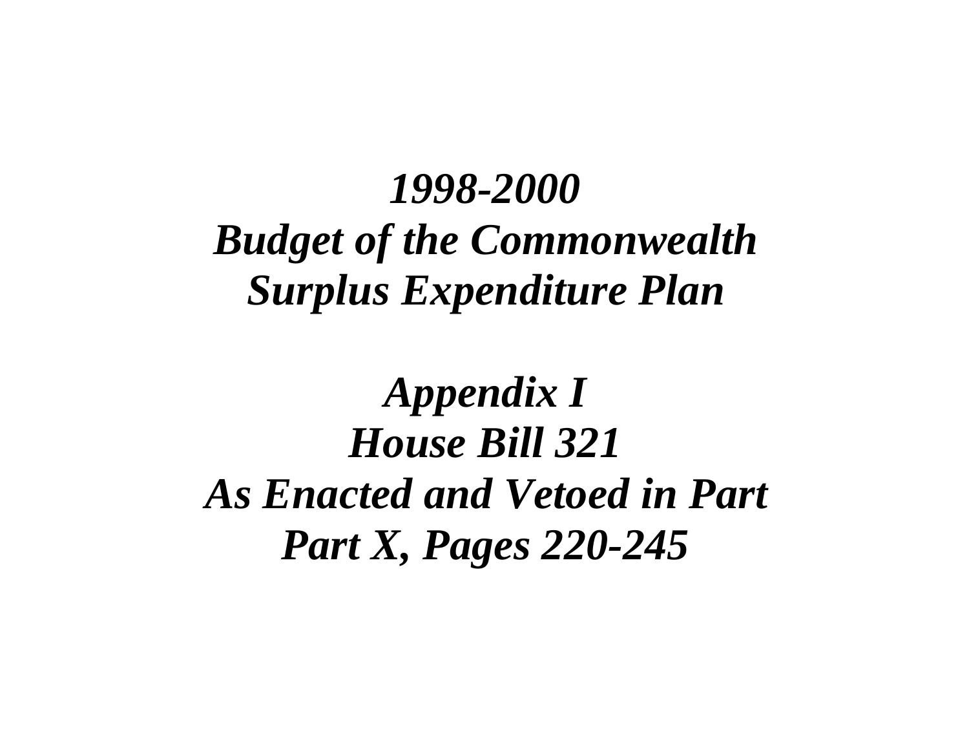# *1998-2000 Budget of the Commonwealth Surplus Expenditure Plan*

# *Appendix I House Bill 321 As Enacted and Vetoed in Part Part X, Pages 220-245*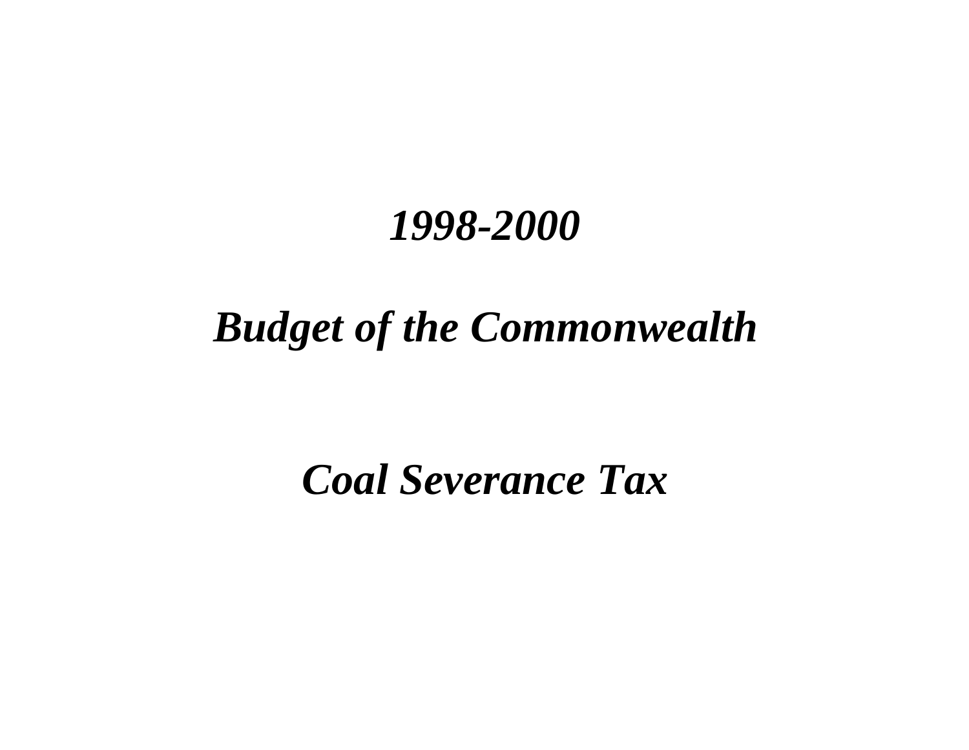### *1998-2000*

## *Budget of the Commonwealth*

*Coal Severance Tax*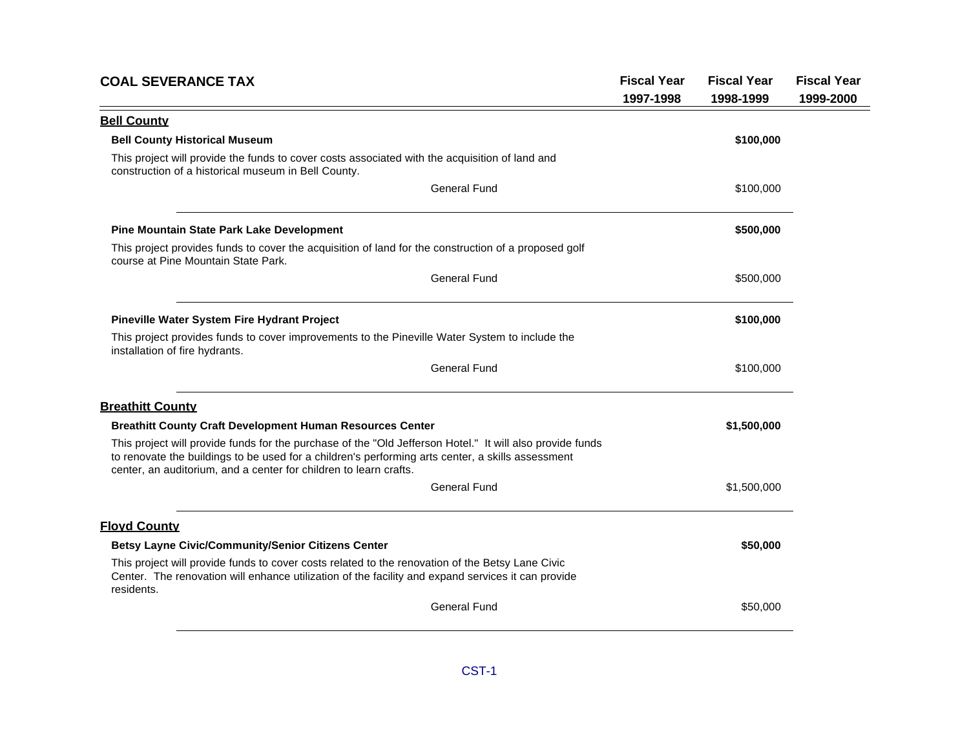| <b>COAL SEVERANCE TAX</b>                                                                                                                                                                                                                                                           | <b>Fiscal Year</b><br>1997-1998 | <b>Fiscal Year</b><br>1998-1999 | <b>Fiscal Year</b><br>1999-2000 |
|-------------------------------------------------------------------------------------------------------------------------------------------------------------------------------------------------------------------------------------------------------------------------------------|---------------------------------|---------------------------------|---------------------------------|
| <b>Bell County</b>                                                                                                                                                                                                                                                                  |                                 |                                 |                                 |
| <b>Bell County Historical Museum</b>                                                                                                                                                                                                                                                |                                 | \$100,000                       |                                 |
| This project will provide the funds to cover costs associated with the acquisition of land and<br>construction of a historical museum in Bell County.                                                                                                                               |                                 |                                 |                                 |
| <b>General Fund</b>                                                                                                                                                                                                                                                                 |                                 | \$100,000                       |                                 |
| Pine Mountain State Park Lake Development                                                                                                                                                                                                                                           |                                 | \$500,000                       |                                 |
| This project provides funds to cover the acquisition of land for the construction of a proposed golf<br>course at Pine Mountain State Park.                                                                                                                                         |                                 |                                 |                                 |
| General Fund                                                                                                                                                                                                                                                                        |                                 | \$500,000                       |                                 |
| Pineville Water System Fire Hydrant Project                                                                                                                                                                                                                                         |                                 | \$100,000                       |                                 |
| This project provides funds to cover improvements to the Pineville Water System to include the<br>installation of fire hydrants.                                                                                                                                                    |                                 |                                 |                                 |
| <b>General Fund</b>                                                                                                                                                                                                                                                                 |                                 | \$100,000                       |                                 |
| <b>Breathitt County</b>                                                                                                                                                                                                                                                             |                                 |                                 |                                 |
| <b>Breathitt County Craft Development Human Resources Center</b>                                                                                                                                                                                                                    |                                 | \$1,500,000                     |                                 |
| This project will provide funds for the purchase of the "Old Jefferson Hotel." It will also provide funds<br>to renovate the buildings to be used for a children's performing arts center, a skills assessment<br>center, an auditorium, and a center for children to learn crafts. |                                 |                                 |                                 |
| General Fund                                                                                                                                                                                                                                                                        |                                 | \$1,500,000                     |                                 |
| <b>Floyd County</b>                                                                                                                                                                                                                                                                 |                                 |                                 |                                 |
| <b>Betsy Layne Civic/Community/Senior Citizens Center</b>                                                                                                                                                                                                                           |                                 | \$50,000                        |                                 |
| This project will provide funds to cover costs related to the renovation of the Betsy Lane Civic<br>Center. The renovation will enhance utilization of the facility and expand services it can provide<br>residents.                                                                |                                 |                                 |                                 |
| <b>General Fund</b>                                                                                                                                                                                                                                                                 |                                 | \$50,000                        |                                 |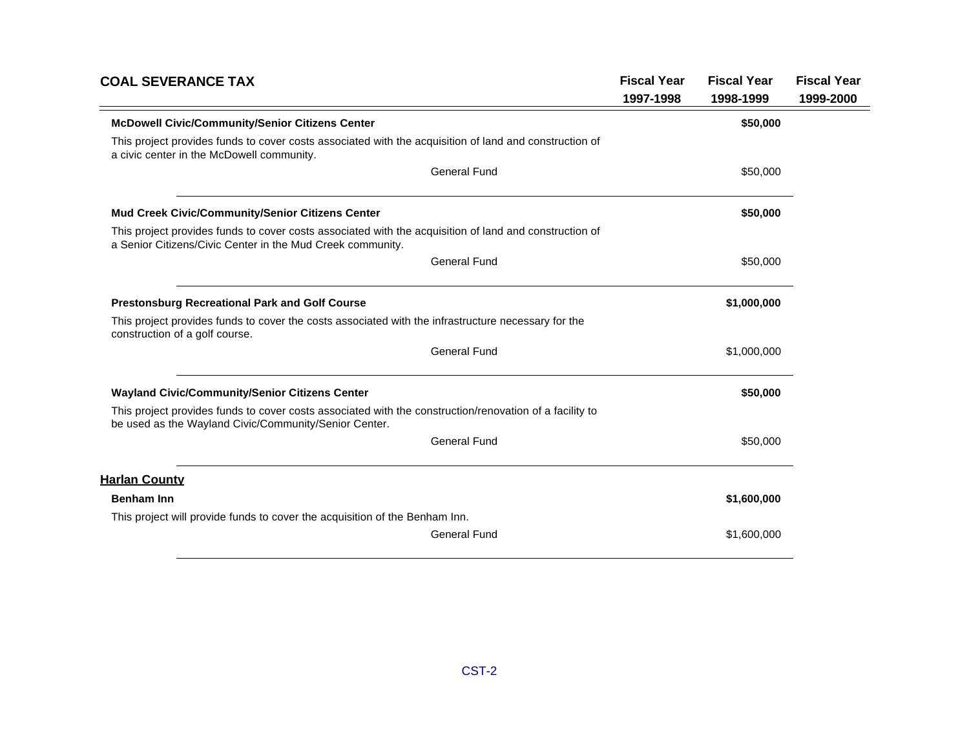| <b>COAL SEVERANCE TAX</b>                                                                                                                                            | <b>Fiscal Year</b> | <b>Fiscal Year</b> | <b>Fiscal Year</b> |
|----------------------------------------------------------------------------------------------------------------------------------------------------------------------|--------------------|--------------------|--------------------|
|                                                                                                                                                                      | 1997-1998          | 1998-1999          | 1999-2000          |
| <b>McDowell Civic/Community/Senior Citizens Center</b>                                                                                                               |                    | \$50,000           |                    |
| This project provides funds to cover costs associated with the acquisition of land and construction of<br>a civic center in the McDowell community.                  |                    |                    |                    |
| <b>General Fund</b>                                                                                                                                                  |                    | \$50,000           |                    |
| Mud Creek Civic/Community/Senior Citizens Center                                                                                                                     |                    | \$50,000           |                    |
| This project provides funds to cover costs associated with the acquisition of land and construction of<br>a Senior Citizens/Civic Center in the Mud Creek community. |                    |                    |                    |
| <b>General Fund</b>                                                                                                                                                  |                    | \$50,000           |                    |
| <b>Prestonsburg Recreational Park and Golf Course</b>                                                                                                                |                    | \$1,000,000        |                    |
| This project provides funds to cover the costs associated with the infrastructure necessary for the<br>construction of a golf course.                                |                    |                    |                    |
| <b>General Fund</b>                                                                                                                                                  |                    | \$1,000,000        |                    |
| Wayland Civic/Community/Senior Citizens Center                                                                                                                       |                    | \$50,000           |                    |
| This project provides funds to cover costs associated with the construction/renovation of a facility to<br>be used as the Wayland Civic/Community/Senior Center.     |                    |                    |                    |
| <b>General Fund</b>                                                                                                                                                  |                    | \$50,000           |                    |
| <b>Harlan County</b>                                                                                                                                                 |                    |                    |                    |
| <b>Benham Inn</b>                                                                                                                                                    |                    | \$1,600,000        |                    |
| This project will provide funds to cover the acquisition of the Benham Inn.                                                                                          |                    |                    |                    |
| <b>General Fund</b>                                                                                                                                                  |                    | \$1,600,000        |                    |
|                                                                                                                                                                      |                    |                    |                    |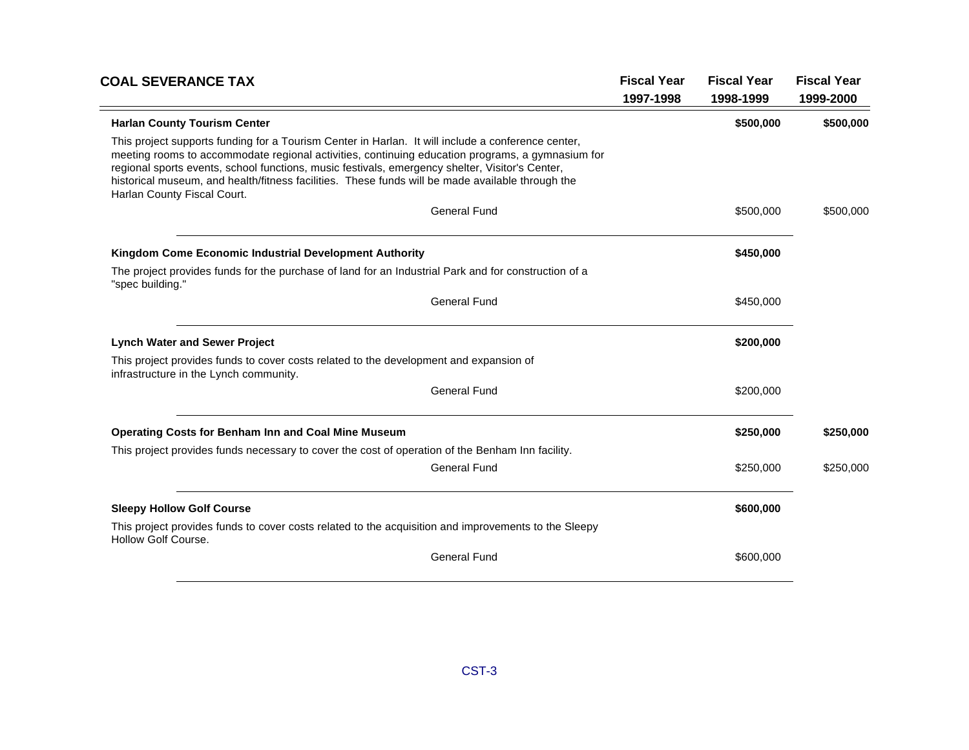| <b>COAL SEVERANCE TAX</b>                                                                                                                                                                                                                                                                                                                                                                                                                    | <b>Fiscal Year</b><br>1997-1998 | <b>Fiscal Year</b><br>1998-1999 | <b>Fiscal Year</b><br>1999-2000 |
|----------------------------------------------------------------------------------------------------------------------------------------------------------------------------------------------------------------------------------------------------------------------------------------------------------------------------------------------------------------------------------------------------------------------------------------------|---------------------------------|---------------------------------|---------------------------------|
| <b>Harlan County Tourism Center</b>                                                                                                                                                                                                                                                                                                                                                                                                          |                                 | \$500,000                       | \$500,000                       |
| This project supports funding for a Tourism Center in Harlan. It will include a conference center,<br>meeting rooms to accommodate regional activities, continuing education programs, a gymnasium for<br>regional sports events, school functions, music festivals, emergency shelter, Visitor's Center,<br>historical museum, and health/fitness facilities. These funds will be made available through the<br>Harlan County Fiscal Court. |                                 |                                 |                                 |
| <b>General Fund</b>                                                                                                                                                                                                                                                                                                                                                                                                                          |                                 | \$500,000                       | \$500,000                       |
| Kingdom Come Economic Industrial Development Authority                                                                                                                                                                                                                                                                                                                                                                                       |                                 | \$450,000                       |                                 |
| The project provides funds for the purchase of land for an Industrial Park and for construction of a<br>"spec building."                                                                                                                                                                                                                                                                                                                     |                                 |                                 |                                 |
| <b>General Fund</b>                                                                                                                                                                                                                                                                                                                                                                                                                          |                                 | \$450,000                       |                                 |
| <b>Lynch Water and Sewer Project</b>                                                                                                                                                                                                                                                                                                                                                                                                         |                                 | \$200,000                       |                                 |
| This project provides funds to cover costs related to the development and expansion of<br>infrastructure in the Lynch community.                                                                                                                                                                                                                                                                                                             |                                 |                                 |                                 |
| <b>General Fund</b>                                                                                                                                                                                                                                                                                                                                                                                                                          |                                 | \$200,000                       |                                 |
| <b>Operating Costs for Benham Inn and Coal Mine Museum</b>                                                                                                                                                                                                                                                                                                                                                                                   |                                 | \$250,000                       | \$250,000                       |
| This project provides funds necessary to cover the cost of operation of the Benham Inn facility.                                                                                                                                                                                                                                                                                                                                             |                                 |                                 |                                 |
| <b>General Fund</b>                                                                                                                                                                                                                                                                                                                                                                                                                          |                                 | \$250,000                       | \$250,000                       |
| <b>Sleepy Hollow Golf Course</b>                                                                                                                                                                                                                                                                                                                                                                                                             |                                 | \$600,000                       |                                 |
| This project provides funds to cover costs related to the acquisition and improvements to the Sleepy<br><b>Hollow Golf Course.</b>                                                                                                                                                                                                                                                                                                           |                                 |                                 |                                 |
| <b>General Fund</b>                                                                                                                                                                                                                                                                                                                                                                                                                          |                                 | \$600,000                       |                                 |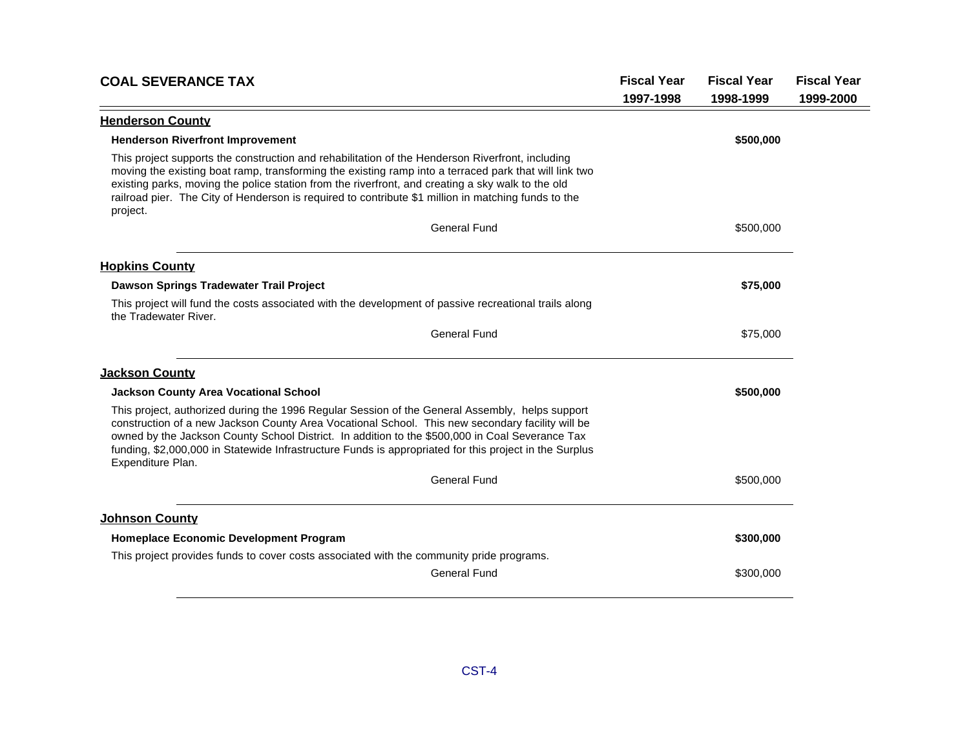| <b>COAL SEVERANCE TAX</b>                                                                                                                                                                                                                                                                                                                                                                                                             | <b>Fiscal Year</b> | <b>Fiscal Year</b> | <b>Fiscal Year</b> |
|---------------------------------------------------------------------------------------------------------------------------------------------------------------------------------------------------------------------------------------------------------------------------------------------------------------------------------------------------------------------------------------------------------------------------------------|--------------------|--------------------|--------------------|
|                                                                                                                                                                                                                                                                                                                                                                                                                                       | 1997-1998          | 1998-1999          | 1999-2000          |
| <b>Henderson County</b>                                                                                                                                                                                                                                                                                                                                                                                                               |                    |                    |                    |
| <b>Henderson Riverfront Improvement</b>                                                                                                                                                                                                                                                                                                                                                                                               |                    | \$500,000          |                    |
| This project supports the construction and rehabilitation of the Henderson Riverfront, including<br>moving the existing boat ramp, transforming the existing ramp into a terraced park that will link two<br>existing parks, moving the police station from the riverfront, and creating a sky walk to the old<br>railroad pier. The City of Henderson is required to contribute \$1 million in matching funds to the<br>project.     |                    |                    |                    |
| <b>General Fund</b>                                                                                                                                                                                                                                                                                                                                                                                                                   |                    | \$500,000          |                    |
| <b>Hopkins County</b>                                                                                                                                                                                                                                                                                                                                                                                                                 |                    |                    |                    |
| Dawson Springs Tradewater Trail Project                                                                                                                                                                                                                                                                                                                                                                                               |                    | \$75,000           |                    |
| This project will fund the costs associated with the development of passive recreational trails along<br>the Tradewater River.                                                                                                                                                                                                                                                                                                        |                    |                    |                    |
| <b>General Fund</b>                                                                                                                                                                                                                                                                                                                                                                                                                   |                    | \$75,000           |                    |
| <b>Jackson County</b>                                                                                                                                                                                                                                                                                                                                                                                                                 |                    |                    |                    |
| <b>Jackson County Area Vocational School</b>                                                                                                                                                                                                                                                                                                                                                                                          |                    | \$500,000          |                    |
| This project, authorized during the 1996 Regular Session of the General Assembly, helps support<br>construction of a new Jackson County Area Vocational School. This new secondary facility will be<br>owned by the Jackson County School District. In addition to the \$500,000 in Coal Severance Tax<br>funding, \$2,000,000 in Statewide Infrastructure Funds is appropriated for this project in the Surplus<br>Expenditure Plan. |                    |                    |                    |
| <b>General Fund</b>                                                                                                                                                                                                                                                                                                                                                                                                                   |                    | \$500,000          |                    |
| <b>Johnson County</b>                                                                                                                                                                                                                                                                                                                                                                                                                 |                    |                    |                    |
| Homeplace Economic Development Program                                                                                                                                                                                                                                                                                                                                                                                                |                    | \$300,000          |                    |
| This project provides funds to cover costs associated with the community pride programs.                                                                                                                                                                                                                                                                                                                                              |                    |                    |                    |
| <b>General Fund</b>                                                                                                                                                                                                                                                                                                                                                                                                                   |                    | \$300,000          |                    |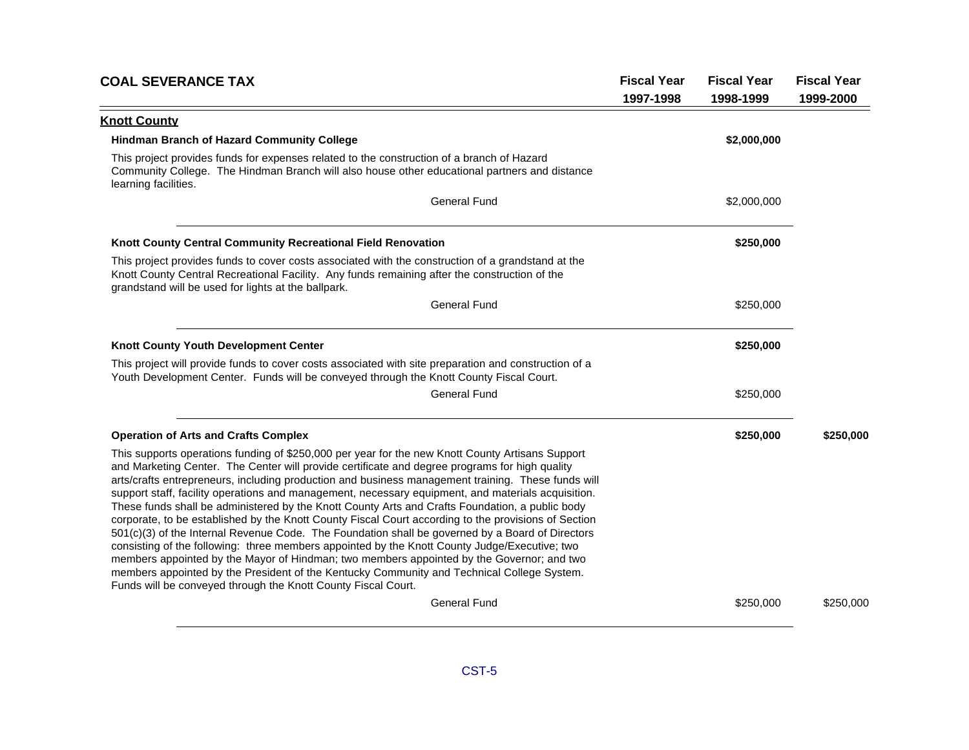| <b>COAL SEVERANCE TAX</b>                                                                                                                                                                                                                                                                                                                                                                                                                                                                                                                                                                                                                                                                                                                                                                                                                                                                                                                                                                                                                                                                  | <b>Fiscal Year</b> | <b>Fiscal Year</b> | <b>Fiscal Year</b> |
|--------------------------------------------------------------------------------------------------------------------------------------------------------------------------------------------------------------------------------------------------------------------------------------------------------------------------------------------------------------------------------------------------------------------------------------------------------------------------------------------------------------------------------------------------------------------------------------------------------------------------------------------------------------------------------------------------------------------------------------------------------------------------------------------------------------------------------------------------------------------------------------------------------------------------------------------------------------------------------------------------------------------------------------------------------------------------------------------|--------------------|--------------------|--------------------|
|                                                                                                                                                                                                                                                                                                                                                                                                                                                                                                                                                                                                                                                                                                                                                                                                                                                                                                                                                                                                                                                                                            | 1997-1998          | 1998-1999          | 1999-2000          |
| <b>Knott County</b>                                                                                                                                                                                                                                                                                                                                                                                                                                                                                                                                                                                                                                                                                                                                                                                                                                                                                                                                                                                                                                                                        |                    |                    |                    |
| Hindman Branch of Hazard Community College                                                                                                                                                                                                                                                                                                                                                                                                                                                                                                                                                                                                                                                                                                                                                                                                                                                                                                                                                                                                                                                 |                    | \$2,000,000        |                    |
| This project provides funds for expenses related to the construction of a branch of Hazard<br>Community College. The Hindman Branch will also house other educational partners and distance<br>learning facilities.                                                                                                                                                                                                                                                                                                                                                                                                                                                                                                                                                                                                                                                                                                                                                                                                                                                                        |                    |                    |                    |
| <b>General Fund</b>                                                                                                                                                                                                                                                                                                                                                                                                                                                                                                                                                                                                                                                                                                                                                                                                                                                                                                                                                                                                                                                                        |                    | \$2,000,000        |                    |
| Knott County Central Community Recreational Field Renovation                                                                                                                                                                                                                                                                                                                                                                                                                                                                                                                                                                                                                                                                                                                                                                                                                                                                                                                                                                                                                               |                    | \$250,000          |                    |
| This project provides funds to cover costs associated with the construction of a grandstand at the<br>Knott County Central Recreational Facility. Any funds remaining after the construction of the<br>grandstand will be used for lights at the ballpark.                                                                                                                                                                                                                                                                                                                                                                                                                                                                                                                                                                                                                                                                                                                                                                                                                                 |                    |                    |                    |
| <b>General Fund</b>                                                                                                                                                                                                                                                                                                                                                                                                                                                                                                                                                                                                                                                                                                                                                                                                                                                                                                                                                                                                                                                                        |                    | \$250,000          |                    |
| <b>Knott County Youth Development Center</b>                                                                                                                                                                                                                                                                                                                                                                                                                                                                                                                                                                                                                                                                                                                                                                                                                                                                                                                                                                                                                                               |                    | \$250,000          |                    |
| This project will provide funds to cover costs associated with site preparation and construction of a<br>Youth Development Center. Funds will be conveyed through the Knott County Fiscal Court.                                                                                                                                                                                                                                                                                                                                                                                                                                                                                                                                                                                                                                                                                                                                                                                                                                                                                           |                    |                    |                    |
| <b>General Fund</b>                                                                                                                                                                                                                                                                                                                                                                                                                                                                                                                                                                                                                                                                                                                                                                                                                                                                                                                                                                                                                                                                        |                    | \$250,000          |                    |
| <b>Operation of Arts and Crafts Complex</b>                                                                                                                                                                                                                                                                                                                                                                                                                                                                                                                                                                                                                                                                                                                                                                                                                                                                                                                                                                                                                                                |                    | \$250,000          | \$250,000          |
| This supports operations funding of \$250,000 per year for the new Knott County Artisans Support<br>and Marketing Center. The Center will provide certificate and degree programs for high quality<br>arts/crafts entrepreneurs, including production and business management training. These funds will<br>support staff, facility operations and management, necessary equipment, and materials acquisition.<br>These funds shall be administered by the Knott County Arts and Crafts Foundation, a public body<br>corporate, to be established by the Knott County Fiscal Court according to the provisions of Section<br>501(c)(3) of the Internal Revenue Code. The Foundation shall be governed by a Board of Directors<br>consisting of the following: three members appointed by the Knott County Judge/Executive; two<br>members appointed by the Mayor of Hindman; two members appointed by the Governor; and two<br>members appointed by the President of the Kentucky Community and Technical College System.<br>Funds will be conveyed through the Knott County Fiscal Court. |                    |                    |                    |
| <b>General Fund</b>                                                                                                                                                                                                                                                                                                                                                                                                                                                                                                                                                                                                                                                                                                                                                                                                                                                                                                                                                                                                                                                                        |                    | \$250,000          | \$250,000          |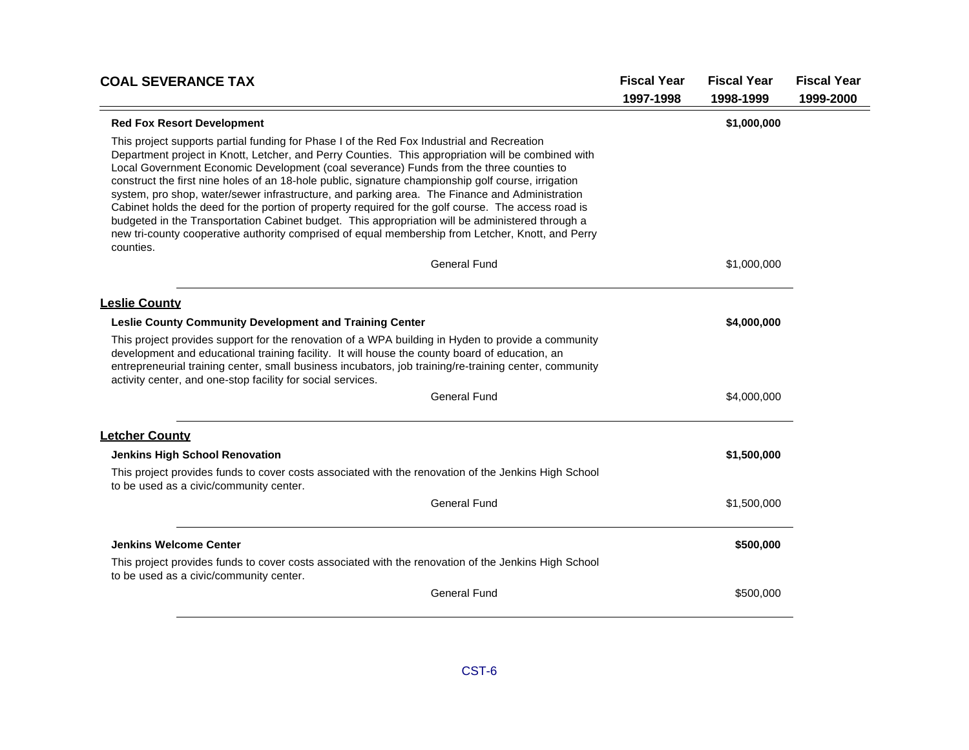| <b>COAL SEVERANCE TAX</b>                                                                                                                                                                                                                                                                                                                                                                                                                                                                                                                                                                                                                                                                                                                                                                                                         | <b>Fiscal Year</b> | <b>Fiscal Year</b> | <b>Fiscal Year</b> |
|-----------------------------------------------------------------------------------------------------------------------------------------------------------------------------------------------------------------------------------------------------------------------------------------------------------------------------------------------------------------------------------------------------------------------------------------------------------------------------------------------------------------------------------------------------------------------------------------------------------------------------------------------------------------------------------------------------------------------------------------------------------------------------------------------------------------------------------|--------------------|--------------------|--------------------|
|                                                                                                                                                                                                                                                                                                                                                                                                                                                                                                                                                                                                                                                                                                                                                                                                                                   | 1997-1998          | 1998-1999          | 1999-2000          |
| <b>Red Fox Resort Development</b>                                                                                                                                                                                                                                                                                                                                                                                                                                                                                                                                                                                                                                                                                                                                                                                                 |                    | \$1,000,000        |                    |
| This project supports partial funding for Phase I of the Red Fox Industrial and Recreation<br>Department project in Knott, Letcher, and Perry Counties. This appropriation will be combined with<br>Local Government Economic Development (coal severance) Funds from the three counties to<br>construct the first nine holes of an 18-hole public, signature championship golf course, irrigation<br>system, pro shop, water/sewer infrastructure, and parking area. The Finance and Administration<br>Cabinet holds the deed for the portion of property required for the golf course. The access road is<br>budgeted in the Transportation Cabinet budget. This appropriation will be administered through a<br>new tri-county cooperative authority comprised of equal membership from Letcher, Knott, and Perry<br>counties. |                    |                    |                    |
| <b>General Fund</b>                                                                                                                                                                                                                                                                                                                                                                                                                                                                                                                                                                                                                                                                                                                                                                                                               |                    | \$1,000,000        |                    |
| <b>Leslie County</b>                                                                                                                                                                                                                                                                                                                                                                                                                                                                                                                                                                                                                                                                                                                                                                                                              |                    |                    |                    |
| Leslie County Community Development and Training Center                                                                                                                                                                                                                                                                                                                                                                                                                                                                                                                                                                                                                                                                                                                                                                           |                    | \$4,000,000        |                    |
| This project provides support for the renovation of a WPA building in Hyden to provide a community<br>development and educational training facility. It will house the county board of education, an<br>entrepreneurial training center, small business incubators, job training/re-training center, community<br>activity center, and one-stop facility for social services.                                                                                                                                                                                                                                                                                                                                                                                                                                                     |                    |                    |                    |
| <b>General Fund</b>                                                                                                                                                                                                                                                                                                                                                                                                                                                                                                                                                                                                                                                                                                                                                                                                               |                    | \$4,000,000        |                    |
| <b>Letcher County</b>                                                                                                                                                                                                                                                                                                                                                                                                                                                                                                                                                                                                                                                                                                                                                                                                             |                    |                    |                    |
| <b>Jenkins High School Renovation</b>                                                                                                                                                                                                                                                                                                                                                                                                                                                                                                                                                                                                                                                                                                                                                                                             |                    | \$1,500,000        |                    |
| This project provides funds to cover costs associated with the renovation of the Jenkins High School<br>to be used as a civic/community center.                                                                                                                                                                                                                                                                                                                                                                                                                                                                                                                                                                                                                                                                                   |                    |                    |                    |
| <b>General Fund</b>                                                                                                                                                                                                                                                                                                                                                                                                                                                                                                                                                                                                                                                                                                                                                                                                               |                    | \$1,500,000        |                    |
| Jenkins Welcome Center                                                                                                                                                                                                                                                                                                                                                                                                                                                                                                                                                                                                                                                                                                                                                                                                            |                    | \$500,000          |                    |
| This project provides funds to cover costs associated with the renovation of the Jenkins High School<br>to be used as a civic/community center.                                                                                                                                                                                                                                                                                                                                                                                                                                                                                                                                                                                                                                                                                   |                    |                    |                    |
| <b>General Fund</b>                                                                                                                                                                                                                                                                                                                                                                                                                                                                                                                                                                                                                                                                                                                                                                                                               |                    | \$500,000          |                    |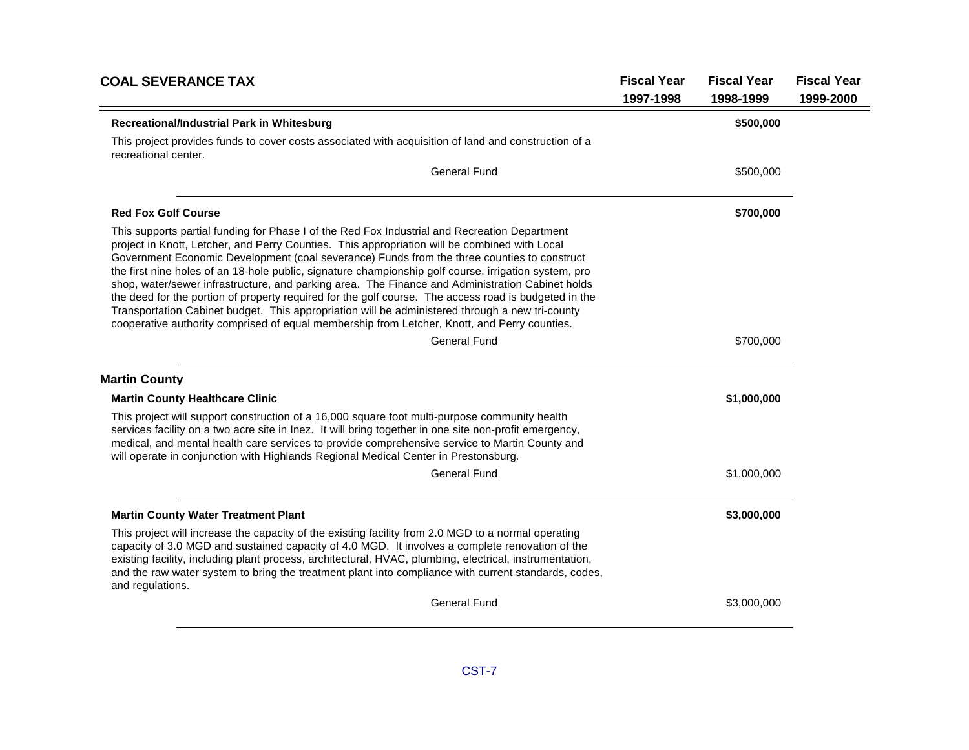| <b>COAL SEVERANCE TAX</b>                                                                                                                                                                                                                                                                                                                                                                                                                                                                                                                                                                                                                                                                                                                                                                                              | <b>Fiscal Year</b><br>1997-1998 | <b>Fiscal Year</b><br>1998-1999 | <b>Fiscal Year</b><br>1999-2000 |
|------------------------------------------------------------------------------------------------------------------------------------------------------------------------------------------------------------------------------------------------------------------------------------------------------------------------------------------------------------------------------------------------------------------------------------------------------------------------------------------------------------------------------------------------------------------------------------------------------------------------------------------------------------------------------------------------------------------------------------------------------------------------------------------------------------------------|---------------------------------|---------------------------------|---------------------------------|
| Recreational/Industrial Park in Whitesburg                                                                                                                                                                                                                                                                                                                                                                                                                                                                                                                                                                                                                                                                                                                                                                             |                                 | \$500,000                       |                                 |
| This project provides funds to cover costs associated with acquisition of land and construction of a<br>recreational center.                                                                                                                                                                                                                                                                                                                                                                                                                                                                                                                                                                                                                                                                                           |                                 |                                 |                                 |
| <b>General Fund</b>                                                                                                                                                                                                                                                                                                                                                                                                                                                                                                                                                                                                                                                                                                                                                                                                    |                                 | \$500,000                       |                                 |
| <b>Red Fox Golf Course</b>                                                                                                                                                                                                                                                                                                                                                                                                                                                                                                                                                                                                                                                                                                                                                                                             |                                 | \$700,000                       |                                 |
| This supports partial funding for Phase I of the Red Fox Industrial and Recreation Department<br>project in Knott, Letcher, and Perry Counties. This appropriation will be combined with Local<br>Government Economic Development (coal severance) Funds from the three counties to construct<br>the first nine holes of an 18-hole public, signature championship golf course, irrigation system, pro<br>shop, water/sewer infrastructure, and parking area. The Finance and Administration Cabinet holds<br>the deed for the portion of property required for the golf course. The access road is budgeted in the<br>Transportation Cabinet budget. This appropriation will be administered through a new tri-county<br>cooperative authority comprised of equal membership from Letcher, Knott, and Perry counties. |                                 |                                 |                                 |
| <b>General Fund</b>                                                                                                                                                                                                                                                                                                                                                                                                                                                                                                                                                                                                                                                                                                                                                                                                    |                                 | \$700,000                       |                                 |
| <b>Martin County</b>                                                                                                                                                                                                                                                                                                                                                                                                                                                                                                                                                                                                                                                                                                                                                                                                   |                                 |                                 |                                 |
| <b>Martin County Healthcare Clinic</b>                                                                                                                                                                                                                                                                                                                                                                                                                                                                                                                                                                                                                                                                                                                                                                                 |                                 | \$1,000,000                     |                                 |
| This project will support construction of a 16,000 square foot multi-purpose community health<br>services facility on a two acre site in lnez. It will bring together in one site non-profit emergency,<br>medical, and mental health care services to provide comprehensive service to Martin County and<br>will operate in conjunction with Highlands Regional Medical Center in Prestonsburg.                                                                                                                                                                                                                                                                                                                                                                                                                       |                                 |                                 |                                 |
| <b>General Fund</b>                                                                                                                                                                                                                                                                                                                                                                                                                                                                                                                                                                                                                                                                                                                                                                                                    |                                 | \$1,000,000                     |                                 |
| <b>Martin County Water Treatment Plant</b>                                                                                                                                                                                                                                                                                                                                                                                                                                                                                                                                                                                                                                                                                                                                                                             |                                 | \$3,000,000                     |                                 |
| This project will increase the capacity of the existing facility from 2.0 MGD to a normal operating<br>capacity of 3.0 MGD and sustained capacity of 4.0 MGD. It involves a complete renovation of the<br>existing facility, including plant process, architectural, HVAC, plumbing, electrical, instrumentation,<br>and the raw water system to bring the treatment plant into compliance with current standards, codes,<br>and regulations.                                                                                                                                                                                                                                                                                                                                                                          |                                 |                                 |                                 |
| <b>General Fund</b>                                                                                                                                                                                                                                                                                                                                                                                                                                                                                                                                                                                                                                                                                                                                                                                                    |                                 | \$3,000,000                     |                                 |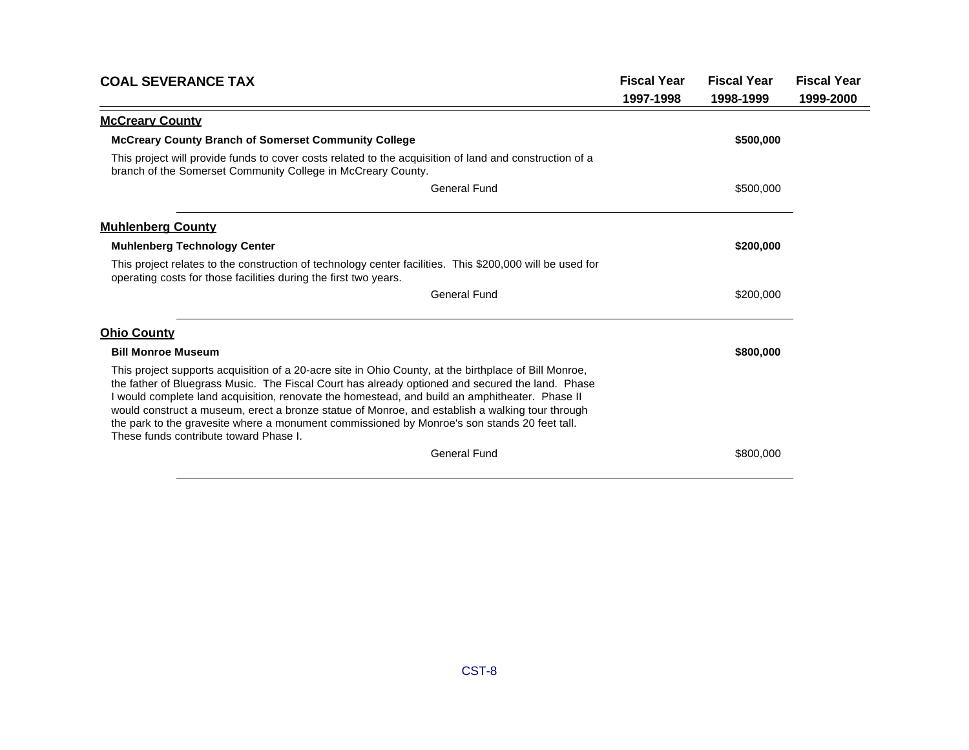| <b>COAL SEVERANCE TAX</b>                                                                                                                                                                                                                                                                                                                                                                                                                                                                                                                                | <b>Fiscal Year</b> | <b>Fiscal Year</b> | <b>Fiscal Year</b> |
|----------------------------------------------------------------------------------------------------------------------------------------------------------------------------------------------------------------------------------------------------------------------------------------------------------------------------------------------------------------------------------------------------------------------------------------------------------------------------------------------------------------------------------------------------------|--------------------|--------------------|--------------------|
|                                                                                                                                                                                                                                                                                                                                                                                                                                                                                                                                                          | 1997-1998          | 1998-1999          | 1999-2000          |
| <b>McCreary County</b>                                                                                                                                                                                                                                                                                                                                                                                                                                                                                                                                   |                    |                    |                    |
| <b>McCreary County Branch of Somerset Community College</b>                                                                                                                                                                                                                                                                                                                                                                                                                                                                                              |                    | \$500,000          |                    |
| This project will provide funds to cover costs related to the acquisition of land and construction of a<br>branch of the Somerset Community College in McCreary County.                                                                                                                                                                                                                                                                                                                                                                                  |                    |                    |                    |
| <b>General Fund</b>                                                                                                                                                                                                                                                                                                                                                                                                                                                                                                                                      |                    | \$500,000          |                    |
| <b>Muhlenberg County</b>                                                                                                                                                                                                                                                                                                                                                                                                                                                                                                                                 |                    |                    |                    |
| <b>Muhlenberg Technology Center</b>                                                                                                                                                                                                                                                                                                                                                                                                                                                                                                                      |                    | \$200,000          |                    |
| This project relates to the construction of technology center facilities. This \$200,000 will be used for<br>operating costs for those facilities during the first two years.                                                                                                                                                                                                                                                                                                                                                                            |                    |                    |                    |
| <b>General Fund</b>                                                                                                                                                                                                                                                                                                                                                                                                                                                                                                                                      |                    | \$200,000          |                    |
| <b>Ohio County</b>                                                                                                                                                                                                                                                                                                                                                                                                                                                                                                                                       |                    |                    |                    |
| <b>Bill Monroe Museum</b>                                                                                                                                                                                                                                                                                                                                                                                                                                                                                                                                |                    | \$800,000          |                    |
| This project supports acquisition of a 20-acre site in Ohio County, at the birthplace of Bill Monroe,<br>the father of Bluegrass Music. The Fiscal Court has already optioned and secured the land. Phase<br>I would complete land acquisition, renovate the homestead, and build an amphitheater. Phase II<br>would construct a museum, erect a bronze statue of Monroe, and establish a walking tour through<br>the park to the gravesite where a monument commissioned by Monroe's son stands 20 feet tall.<br>These funds contribute toward Phase I. |                    |                    |                    |
| <b>General Fund</b>                                                                                                                                                                                                                                                                                                                                                                                                                                                                                                                                      |                    | \$800,000          |                    |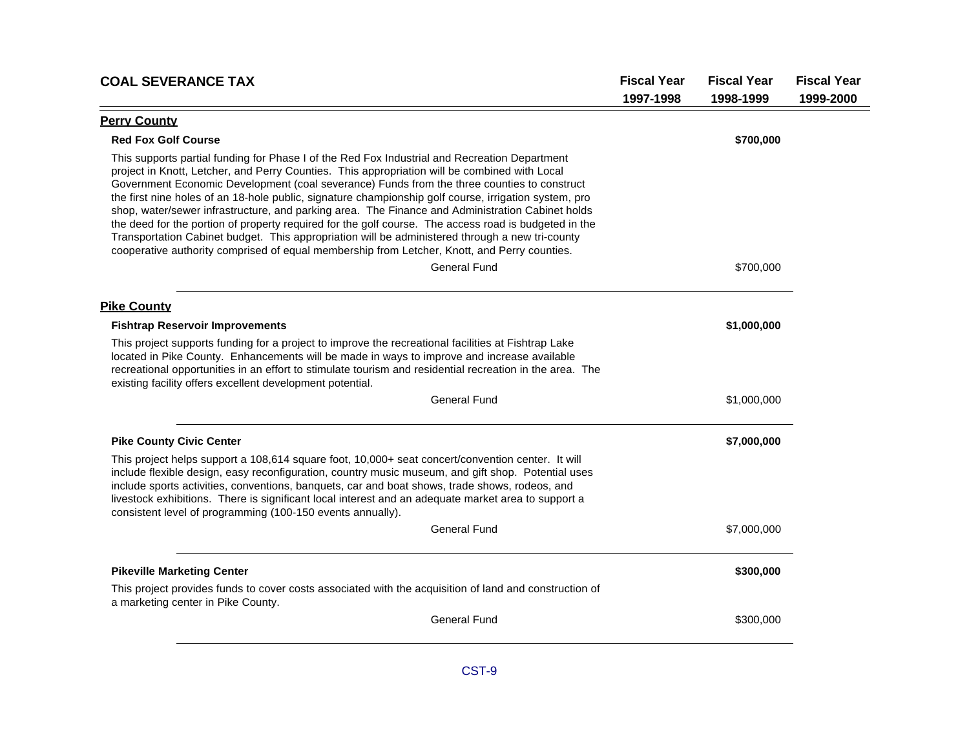| <b>COAL SEVERANCE TAX</b>                                                                                                                                                                                                                                                                                                                                                                                                                                                                                                                                                                                                                                                                                                                                                                                              | <b>Fiscal Year</b> | <b>Fiscal Year</b> | <b>Fiscal Year</b> |
|------------------------------------------------------------------------------------------------------------------------------------------------------------------------------------------------------------------------------------------------------------------------------------------------------------------------------------------------------------------------------------------------------------------------------------------------------------------------------------------------------------------------------------------------------------------------------------------------------------------------------------------------------------------------------------------------------------------------------------------------------------------------------------------------------------------------|--------------------|--------------------|--------------------|
|                                                                                                                                                                                                                                                                                                                                                                                                                                                                                                                                                                                                                                                                                                                                                                                                                        | 1997-1998          | 1998-1999          | 1999-2000          |
| <b>Perry County</b>                                                                                                                                                                                                                                                                                                                                                                                                                                                                                                                                                                                                                                                                                                                                                                                                    |                    |                    |                    |
| <b>Red Fox Golf Course</b>                                                                                                                                                                                                                                                                                                                                                                                                                                                                                                                                                                                                                                                                                                                                                                                             |                    | \$700,000          |                    |
| This supports partial funding for Phase I of the Red Fox Industrial and Recreation Department<br>project in Knott, Letcher, and Perry Counties. This appropriation will be combined with Local<br>Government Economic Development (coal severance) Funds from the three counties to construct<br>the first nine holes of an 18-hole public, signature championship golf course, irrigation system, pro<br>shop, water/sewer infrastructure, and parking area. The Finance and Administration Cabinet holds<br>the deed for the portion of property required for the golf course. The access road is budgeted in the<br>Transportation Cabinet budget. This appropriation will be administered through a new tri-county<br>cooperative authority comprised of equal membership from Letcher, Knott, and Perry counties. |                    |                    |                    |
| <b>General Fund</b>                                                                                                                                                                                                                                                                                                                                                                                                                                                                                                                                                                                                                                                                                                                                                                                                    |                    | \$700,000          |                    |
| <b>Pike County</b>                                                                                                                                                                                                                                                                                                                                                                                                                                                                                                                                                                                                                                                                                                                                                                                                     |                    |                    |                    |
| <b>Fishtrap Reservoir Improvements</b>                                                                                                                                                                                                                                                                                                                                                                                                                                                                                                                                                                                                                                                                                                                                                                                 |                    | \$1,000,000        |                    |
| This project supports funding for a project to improve the recreational facilities at Fishtrap Lake<br>located in Pike County. Enhancements will be made in ways to improve and increase available<br>recreational opportunities in an effort to stimulate tourism and residential recreation in the area. The<br>existing facility offers excellent development potential.                                                                                                                                                                                                                                                                                                                                                                                                                                            |                    |                    |                    |
| <b>General Fund</b>                                                                                                                                                                                                                                                                                                                                                                                                                                                                                                                                                                                                                                                                                                                                                                                                    |                    | \$1,000,000        |                    |
| <b>Pike County Civic Center</b>                                                                                                                                                                                                                                                                                                                                                                                                                                                                                                                                                                                                                                                                                                                                                                                        |                    | \$7,000,000        |                    |
| This project helps support a 108,614 square foot, 10,000+ seat concert/convention center. It will<br>include flexible design, easy reconfiguration, country music museum, and gift shop. Potential uses<br>include sports activities, conventions, banquets, car and boat shows, trade shows, rodeos, and<br>livestock exhibitions. There is significant local interest and an adequate market area to support a<br>consistent level of programming (100-150 events annually).                                                                                                                                                                                                                                                                                                                                         |                    |                    |                    |
| <b>General Fund</b>                                                                                                                                                                                                                                                                                                                                                                                                                                                                                                                                                                                                                                                                                                                                                                                                    |                    | \$7,000,000        |                    |
| <b>Pikeville Marketing Center</b>                                                                                                                                                                                                                                                                                                                                                                                                                                                                                                                                                                                                                                                                                                                                                                                      |                    | \$300,000          |                    |
| This project provides funds to cover costs associated with the acquisition of land and construction of<br>a marketing center in Pike County.                                                                                                                                                                                                                                                                                                                                                                                                                                                                                                                                                                                                                                                                           |                    |                    |                    |
| <b>General Fund</b>                                                                                                                                                                                                                                                                                                                                                                                                                                                                                                                                                                                                                                                                                                                                                                                                    |                    | \$300,000          |                    |
|                                                                                                                                                                                                                                                                                                                                                                                                                                                                                                                                                                                                                                                                                                                                                                                                                        |                    |                    |                    |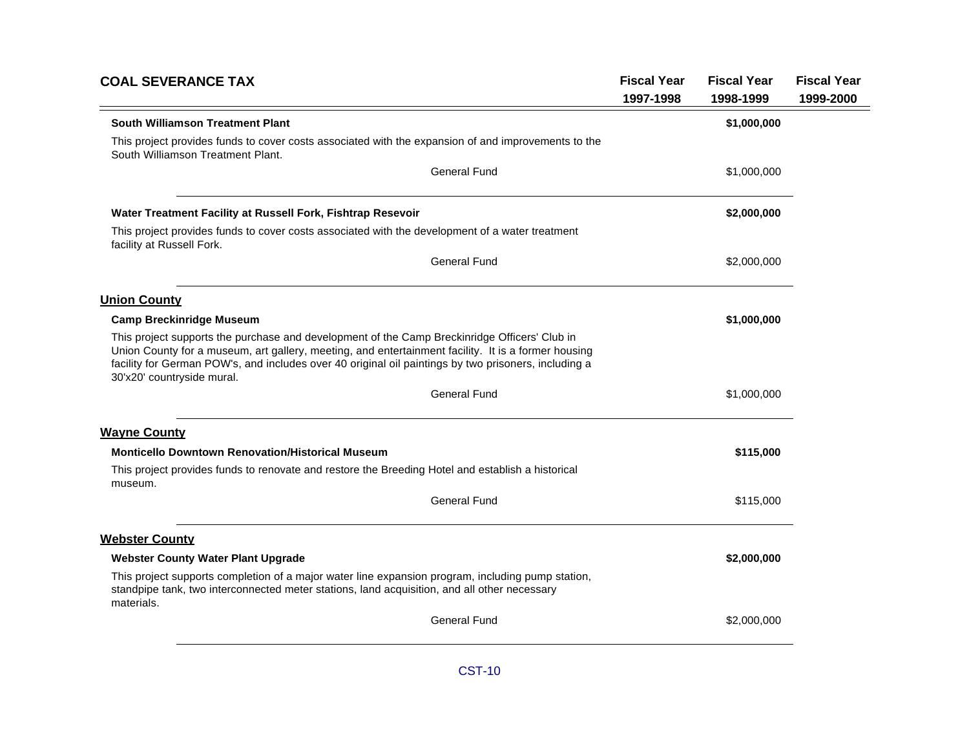| South Williamson Treatment Plant<br>This project provides funds to cover costs associated with the expansion of and improvements to the<br>South Williamson Treatment Plant.<br><b>General Fund</b><br>Water Treatment Facility at Russell Fork, Fishtrap Resevoir<br>This project provides funds to cover costs associated with the development of a water treatment<br>facility at Russell Fork.<br><b>General Fund</b><br><b>Union County</b><br><b>Camp Breckinridge Museum</b><br>This project supports the purchase and development of the Camp Breckinridge Officers' Club in<br>Union County for a museum, art gallery, meeting, and entertainment facility. It is a former housing<br>facility for German POW's, and includes over 40 original oil paintings by two prisoners, including a<br>30'x20' countryside mural.<br><b>General Fund</b><br><b>Wayne County</b><br><b>Monticello Downtown Renovation/Historical Museum</b><br>This project provides funds to renovate and restore the Breeding Hotel and establish a historical<br>museum.<br><b>General Fund</b><br><b>Webster County</b><br><b>Webster County Water Plant Upgrade</b> | <b>Fiscal Year</b><br><b>Fiscal Year</b><br>1997-1998<br>1998-1999 | <b>Fiscal Year</b><br>1999-2000 |
|---------------------------------------------------------------------------------------------------------------------------------------------------------------------------------------------------------------------------------------------------------------------------------------------------------------------------------------------------------------------------------------------------------------------------------------------------------------------------------------------------------------------------------------------------------------------------------------------------------------------------------------------------------------------------------------------------------------------------------------------------------------------------------------------------------------------------------------------------------------------------------------------------------------------------------------------------------------------------------------------------------------------------------------------------------------------------------------------------------------------------------------------------------|--------------------------------------------------------------------|---------------------------------|
|                                                                                                                                                                                                                                                                                                                                                                                                                                                                                                                                                                                                                                                                                                                                                                                                                                                                                                                                                                                                                                                                                                                                                         | \$1,000,000                                                        |                                 |
|                                                                                                                                                                                                                                                                                                                                                                                                                                                                                                                                                                                                                                                                                                                                                                                                                                                                                                                                                                                                                                                                                                                                                         |                                                                    |                                 |
|                                                                                                                                                                                                                                                                                                                                                                                                                                                                                                                                                                                                                                                                                                                                                                                                                                                                                                                                                                                                                                                                                                                                                         | \$1,000,000                                                        |                                 |
|                                                                                                                                                                                                                                                                                                                                                                                                                                                                                                                                                                                                                                                                                                                                                                                                                                                                                                                                                                                                                                                                                                                                                         | \$2,000,000                                                        |                                 |
|                                                                                                                                                                                                                                                                                                                                                                                                                                                                                                                                                                                                                                                                                                                                                                                                                                                                                                                                                                                                                                                                                                                                                         |                                                                    |                                 |
|                                                                                                                                                                                                                                                                                                                                                                                                                                                                                                                                                                                                                                                                                                                                                                                                                                                                                                                                                                                                                                                                                                                                                         | \$2,000,000                                                        |                                 |
|                                                                                                                                                                                                                                                                                                                                                                                                                                                                                                                                                                                                                                                                                                                                                                                                                                                                                                                                                                                                                                                                                                                                                         |                                                                    |                                 |
|                                                                                                                                                                                                                                                                                                                                                                                                                                                                                                                                                                                                                                                                                                                                                                                                                                                                                                                                                                                                                                                                                                                                                         | \$1,000,000                                                        |                                 |
|                                                                                                                                                                                                                                                                                                                                                                                                                                                                                                                                                                                                                                                                                                                                                                                                                                                                                                                                                                                                                                                                                                                                                         |                                                                    |                                 |
|                                                                                                                                                                                                                                                                                                                                                                                                                                                                                                                                                                                                                                                                                                                                                                                                                                                                                                                                                                                                                                                                                                                                                         | \$1,000,000                                                        |                                 |
|                                                                                                                                                                                                                                                                                                                                                                                                                                                                                                                                                                                                                                                                                                                                                                                                                                                                                                                                                                                                                                                                                                                                                         |                                                                    |                                 |
|                                                                                                                                                                                                                                                                                                                                                                                                                                                                                                                                                                                                                                                                                                                                                                                                                                                                                                                                                                                                                                                                                                                                                         | \$115,000                                                          |                                 |
|                                                                                                                                                                                                                                                                                                                                                                                                                                                                                                                                                                                                                                                                                                                                                                                                                                                                                                                                                                                                                                                                                                                                                         |                                                                    |                                 |
|                                                                                                                                                                                                                                                                                                                                                                                                                                                                                                                                                                                                                                                                                                                                                                                                                                                                                                                                                                                                                                                                                                                                                         | \$115,000                                                          |                                 |
|                                                                                                                                                                                                                                                                                                                                                                                                                                                                                                                                                                                                                                                                                                                                                                                                                                                                                                                                                                                                                                                                                                                                                         |                                                                    |                                 |
|                                                                                                                                                                                                                                                                                                                                                                                                                                                                                                                                                                                                                                                                                                                                                                                                                                                                                                                                                                                                                                                                                                                                                         | \$2,000,000                                                        |                                 |
| This project supports completion of a major water line expansion program, including pump station,<br>standpipe tank, two interconnected meter stations, land acquisition, and all other necessary<br>materials.                                                                                                                                                                                                                                                                                                                                                                                                                                                                                                                                                                                                                                                                                                                                                                                                                                                                                                                                         |                                                                    |                                 |
| <b>General Fund</b>                                                                                                                                                                                                                                                                                                                                                                                                                                                                                                                                                                                                                                                                                                                                                                                                                                                                                                                                                                                                                                                                                                                                     | \$2,000,000                                                        |                                 |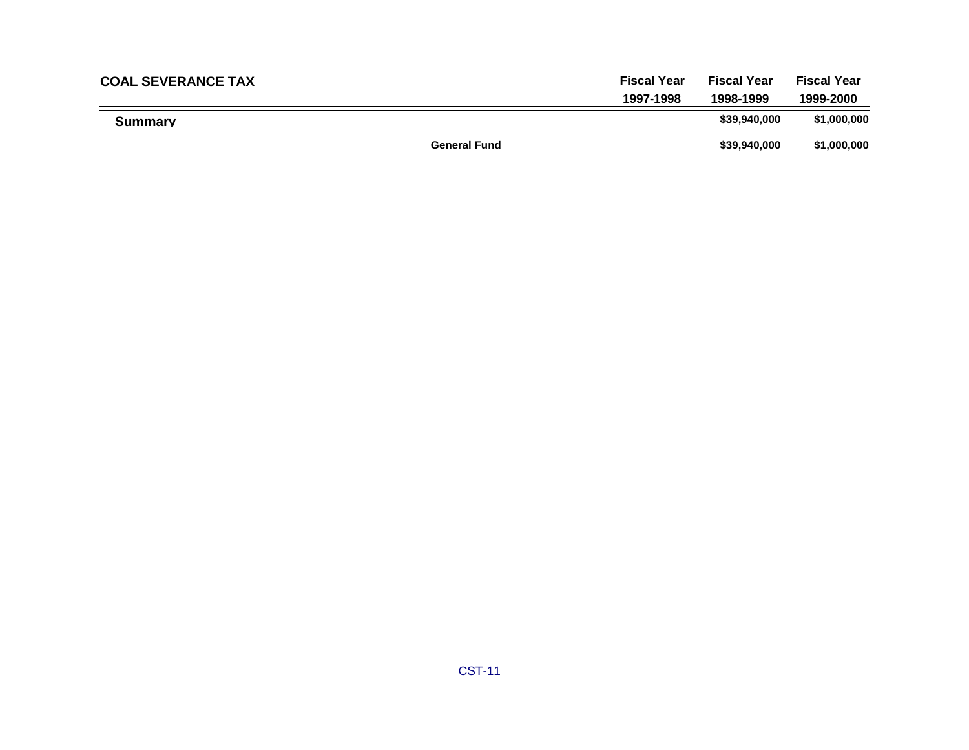| <b>COAL SEVERANCE TAX</b> |                     | <b>Fiscal Year</b> | <b>Fiscal Year</b> | <b>Fiscal Year</b> |
|---------------------------|---------------------|--------------------|--------------------|--------------------|
|                           |                     | 1997-1998          | 1998-1999          | 1999-2000          |
| <b>Summary</b>            |                     |                    | \$39,940,000       | \$1,000,000        |
|                           | <b>General Fund</b> |                    | \$39,940,000       | \$1,000,000        |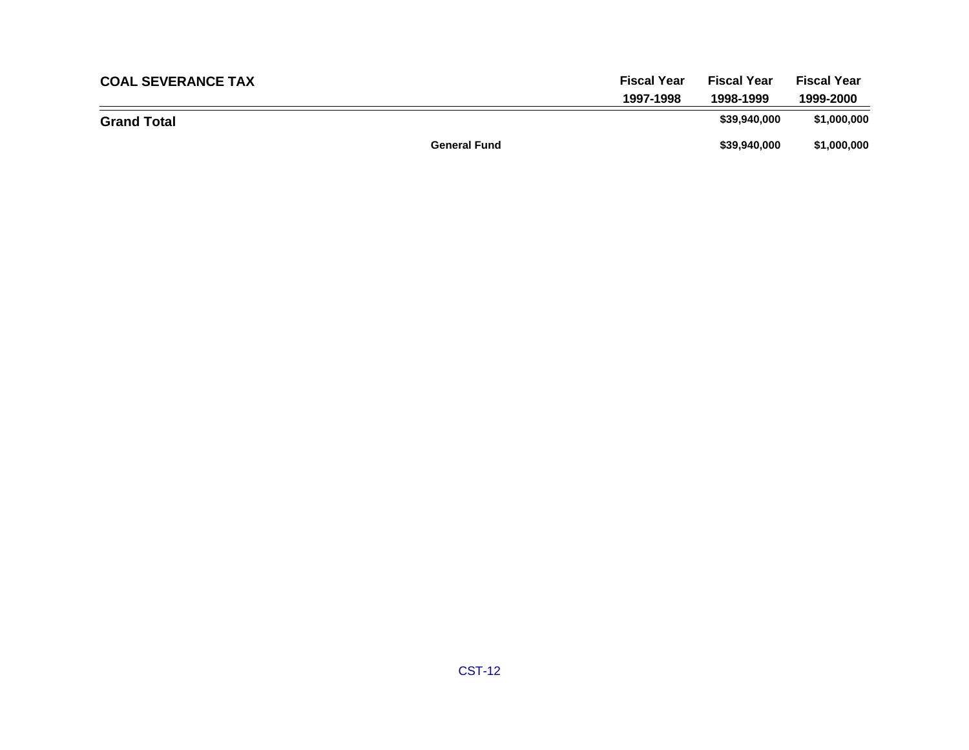| <b>COAL SEVERANCE TAX</b> | <b>Fiscal Year</b>  | <b>Fiscal Year</b> | <b>Fiscal Year</b> |
|---------------------------|---------------------|--------------------|--------------------|
|                           | 1997-1998           | 1998-1999          | 1999-2000          |
| <b>Grand Total</b>        |                     | \$39,940,000       | \$1,000,000        |
|                           | <b>General Fund</b> | \$39,940,000       | \$1,000,000        |